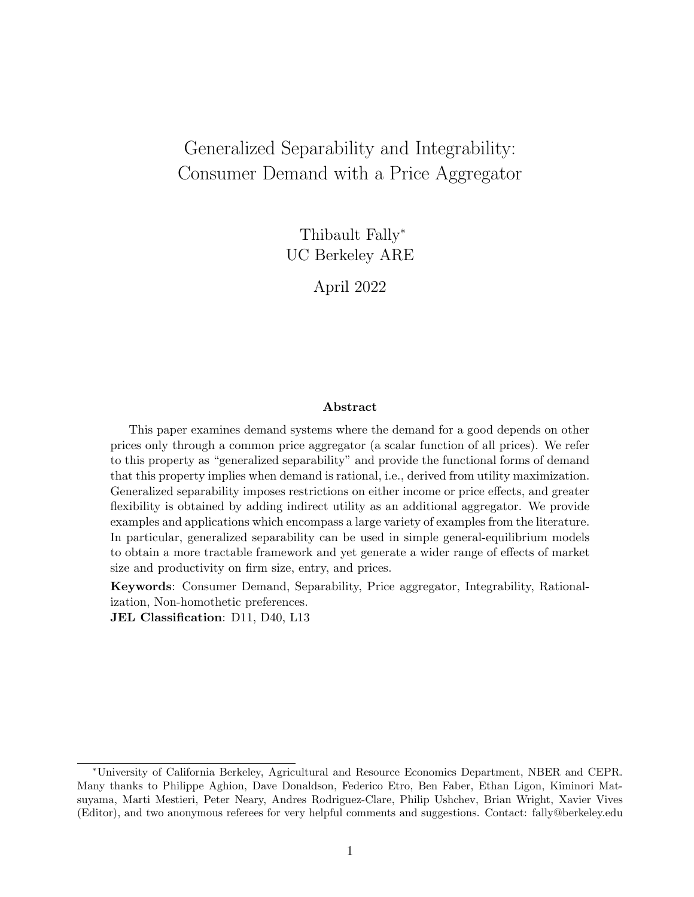# Generalized Separability and Integrability: Consumer Demand with a Price Aggregator

Thibault Fally<sup>∗</sup> UC Berkeley ARE

April 2022

#### Abstract

This paper examines demand systems where the demand for a good depends on other prices only through a common price aggregator (a scalar function of all prices). We refer to this property as "generalized separability" and provide the functional forms of demand that this property implies when demand is rational, i.e., derived from utility maximization. Generalized separability imposes restrictions on either income or price effects, and greater flexibility is obtained by adding indirect utility as an additional aggregator. We provide examples and applications which encompass a large variety of examples from the literature. In particular, generalized separability can be used in simple general-equilibrium models to obtain a more tractable framework and yet generate a wider range of effects of market size and productivity on firm size, entry, and prices.

Keywords: Consumer Demand, Separability, Price aggregator, Integrability, Rationalization, Non-homothetic preferences.

JEL Classification: D11, D40, L13

<sup>∗</sup>University of California Berkeley, Agricultural and Resource Economics Department, NBER and CEPR. Many thanks to Philippe Aghion, Dave Donaldson, Federico Etro, Ben Faber, Ethan Ligon, Kiminori Matsuyama, Marti Mestieri, Peter Neary, Andres Rodriguez-Clare, Philip Ushchev, Brian Wright, Xavier Vives (Editor), and two anonymous referees for very helpful comments and suggestions. Contact: fally@berkeley.edu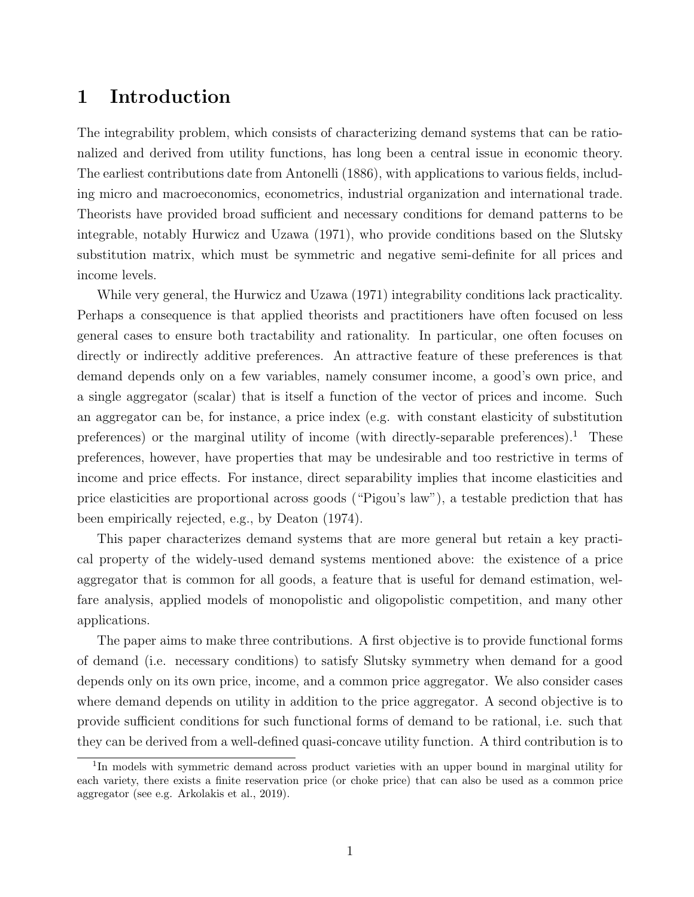# 1 Introduction

The integrability problem, which consists of characterizing demand systems that can be rationalized and derived from utility functions, has long been a central issue in economic theory. The earliest contributions date from Antonelli (1886), with applications to various fields, including micro and macroeconomics, econometrics, industrial organization and international trade. Theorists have provided broad sufficient and necessary conditions for demand patterns to be integrable, notably Hurwicz and Uzawa (1971), who provide conditions based on the Slutsky substitution matrix, which must be symmetric and negative semi-definite for all prices and income levels.

While very general, the Hurwicz and Uzawa (1971) integrability conditions lack practicality. Perhaps a consequence is that applied theorists and practitioners have often focused on less general cases to ensure both tractability and rationality. In particular, one often focuses on directly or indirectly additive preferences. An attractive feature of these preferences is that demand depends only on a few variables, namely consumer income, a good's own price, and a single aggregator (scalar) that is itself a function of the vector of prices and income. Such an aggregator can be, for instance, a price index (e.g. with constant elasticity of substitution preferences) or the marginal utility of income (with directly-separable preferences).<sup>1</sup> These preferences, however, have properties that may be undesirable and too restrictive in terms of income and price effects. For instance, direct separability implies that income elasticities and price elasticities are proportional across goods ("Pigou's law"), a testable prediction that has been empirically rejected, e.g., by Deaton (1974).

This paper characterizes demand systems that are more general but retain a key practical property of the widely-used demand systems mentioned above: the existence of a price aggregator that is common for all goods, a feature that is useful for demand estimation, welfare analysis, applied models of monopolistic and oligopolistic competition, and many other applications.

The paper aims to make three contributions. A first objective is to provide functional forms of demand (i.e. necessary conditions) to satisfy Slutsky symmetry when demand for a good depends only on its own price, income, and a common price aggregator. We also consider cases where demand depends on utility in addition to the price aggregator. A second objective is to provide sufficient conditions for such functional forms of demand to be rational, i.e. such that they can be derived from a well-defined quasi-concave utility function. A third contribution is to

<sup>&</sup>lt;sup>1</sup>In models with symmetric demand across product varieties with an upper bound in marginal utility for each variety, there exists a finite reservation price (or choke price) that can also be used as a common price aggregator (see e.g. Arkolakis et al., 2019).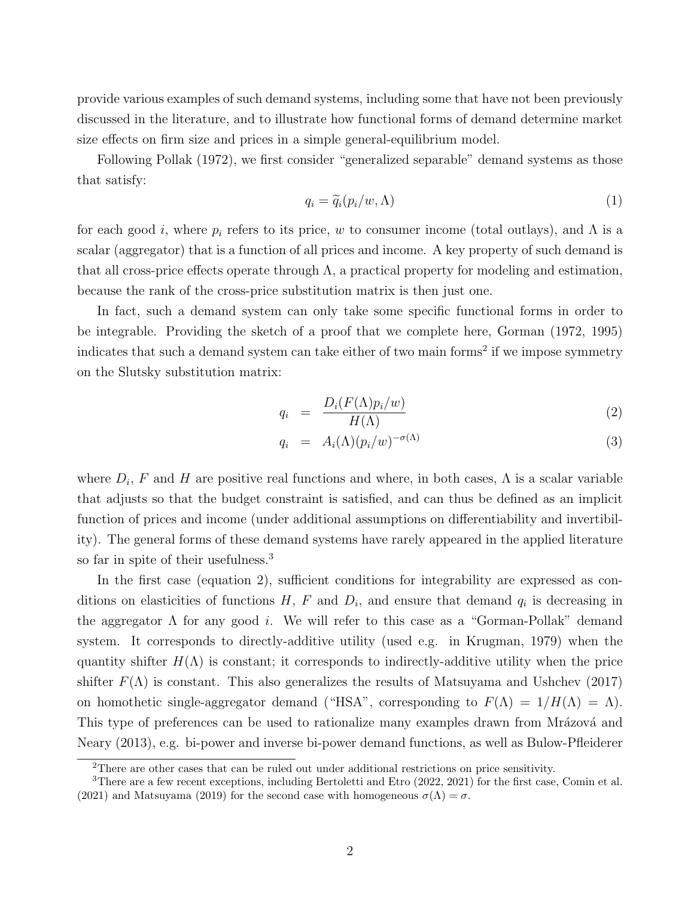provide various examples of such demand systems, including some that have not been previously discussed in the literature, and to illustrate how functional forms of demand determine market size effects on firm size and prices in a simple general-equilibrium model.

Following Pollak (1972), we first consider "generalized separable" demand systems as those that satisfy:

$$
q_i = \widetilde{q}_i(p_i/w, \Lambda) \tag{1}
$$

for each good i, where  $p_i$  refers to its price, w to consumer income (total outlays), and  $\Lambda$  is a scalar (aggregator) that is a function of all prices and income. A key property of such demand is that all cross-price effects operate through  $\Lambda$ , a practical property for modeling and estimation, because the rank of the cross-price substitution matrix is then just one.

In fact, such a demand system can only take some specific functional forms in order to be integrable. Providing the sketch of a proof that we complete here, Gorman (1972, 1995) indicates that such a demand system can take either of two main forms<sup>2</sup> if we impose symmetry on the Slutsky substitution matrix:

$$
q_i = \frac{D_i(F(\Lambda)p_i/w)}{H(\Lambda)}
$$
\n(2)

$$
q_i = A_i(\Lambda)(p_i/w)^{-\sigma(\Lambda)}
$$
\n(3)

where  $D_i$ , F and H are positive real functions and where, in both cases,  $\Lambda$  is a scalar variable that adjusts so that the budget constraint is satisfied, and can thus be defined as an implicit function of prices and income (under additional assumptions on differentiability and invertibility). The general forms of these demand systems have rarely appeared in the applied literature so far in spite of their usefulness.<sup>3</sup>

In the first case (equation 2), sufficient conditions for integrability are expressed as conditions on elasticities of functions  $H$ ,  $F$  and  $D_i$ , and ensure that demand  $q_i$  is decreasing in the aggregator  $\Lambda$  for any good *i*. We will refer to this case as a "Gorman-Pollak" demand system. It corresponds to directly-additive utility (used e.g. in Krugman, 1979) when the quantity shifter  $H(\Lambda)$  is constant; it corresponds to indirectly-additive utility when the price shifter  $F(\Lambda)$  is constant. This also generalizes the results of Matsuyama and Ushchev (2017) on homothetic single-aggregator demand ("HSA", corresponding to  $F(\Lambda) = 1/H(\Lambda) = \Lambda$ ). This type of preferences can be used to rationalize many examples drawn from Mrázová and Neary (2013), e.g. bi-power and inverse bi-power demand functions, as well as Bulow-Pfleiderer

<sup>&</sup>lt;sup>2</sup>There are other cases that can be ruled out under additional restrictions on price sensitivity.

<sup>&</sup>lt;sup>3</sup>There are a few recent exceptions, including Bertoletti and Etro (2022, 2021) for the first case, Comin et al. (2021) and Matsuyama (2019) for the second case with homogeneous  $\sigma(\Lambda) = \sigma$ .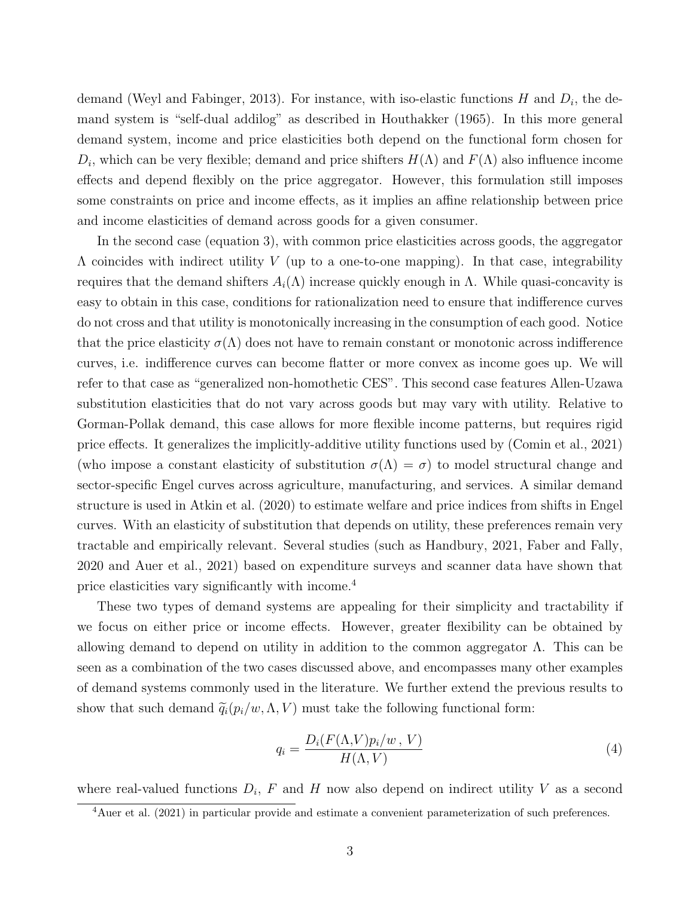demand (Weyl and Fabinger, 2013). For instance, with iso-elastic functions  $H$  and  $D_i$ , the demand system is "self-dual addilog" as described in Houthakker (1965). In this more general demand system, income and price elasticities both depend on the functional form chosen for  $D_i$ , which can be very flexible; demand and price shifters  $H(\Lambda)$  and  $F(\Lambda)$  also influence income effects and depend flexibly on the price aggregator. However, this formulation still imposes some constraints on price and income effects, as it implies an affine relationship between price and income elasticities of demand across goods for a given consumer.

In the second case (equation 3), with common price elasticities across goods, the aggregator  $\Lambda$  coincides with indirect utility V (up to a one-to-one mapping). In that case, integrability requires that the demand shifters  $A_i(\Lambda)$  increase quickly enough in Λ. While quasi-concavity is easy to obtain in this case, conditions for rationalization need to ensure that indifference curves do not cross and that utility is monotonically increasing in the consumption of each good. Notice that the price elasticity  $\sigma(\Lambda)$  does not have to remain constant or monotonic across indifference curves, i.e. indifference curves can become flatter or more convex as income goes up. We will refer to that case as "generalized non-homothetic CES". This second case features Allen-Uzawa substitution elasticities that do not vary across goods but may vary with utility. Relative to Gorman-Pollak demand, this case allows for more flexible income patterns, but requires rigid price effects. It generalizes the implicitly-additive utility functions used by (Comin et al., 2021) (who impose a constant elasticity of substitution  $\sigma(\Lambda) = \sigma$ ) to model structural change and sector-specific Engel curves across agriculture, manufacturing, and services. A similar demand structure is used in Atkin et al. (2020) to estimate welfare and price indices from shifts in Engel curves. With an elasticity of substitution that depends on utility, these preferences remain very tractable and empirically relevant. Several studies (such as Handbury, 2021, Faber and Fally, 2020 and Auer et al., 2021) based on expenditure surveys and scanner data have shown that price elasticities vary significantly with income.<sup>4</sup>

These two types of demand systems are appealing for their simplicity and tractability if we focus on either price or income effects. However, greater flexibility can be obtained by allowing demand to depend on utility in addition to the common aggregator  $\Lambda$ . This can be seen as a combination of the two cases discussed above, and encompasses many other examples of demand systems commonly used in the literature. We further extend the previous results to show that such demand  $\tilde{q}_i(p_i/w, \Lambda, V)$  must take the following functional form:

$$
q_i = \frac{D_i(F(\Lambda, V)p_i/w, V)}{H(\Lambda, V)}
$$
\n<sup>(4)</sup>

where real-valued functions  $D_i$ , F and H now also depend on indirect utility V as a second

<sup>&</sup>lt;sup>4</sup>Auer et al. (2021) in particular provide and estimate a convenient parameterization of such preferences.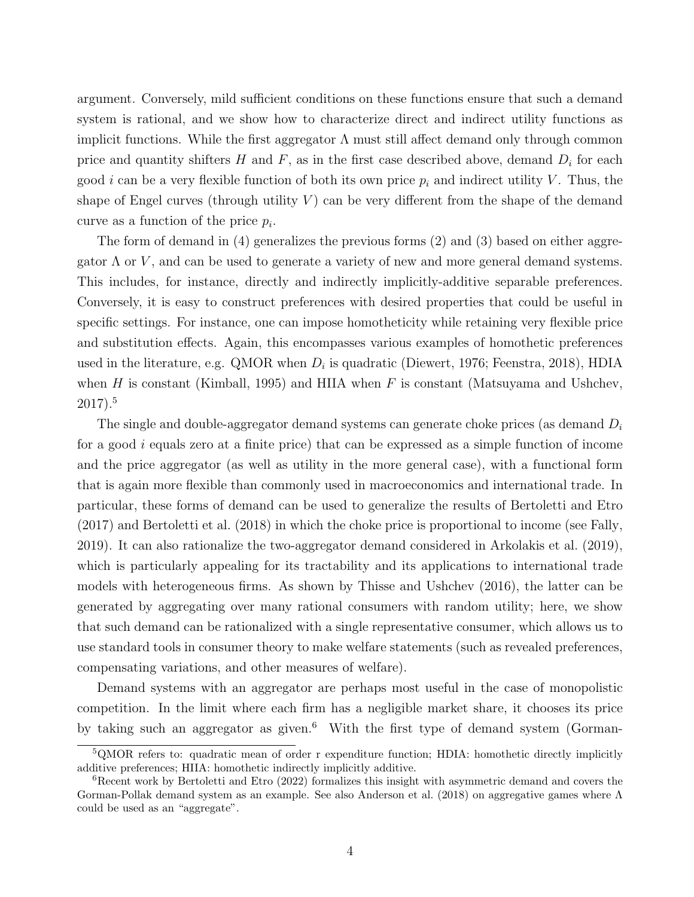argument. Conversely, mild sufficient conditions on these functions ensure that such a demand system is rational, and we show how to characterize direct and indirect utility functions as implicit functions. While the first aggregator  $\Lambda$  must still affect demand only through common price and quantity shifters  $H$  and  $F$ , as in the first case described above, demand  $D_i$  for each good *i* can be a very flexible function of both its own price  $p_i$  and indirect utility V. Thus, the shape of Engel curves (through utility  $V$ ) can be very different from the shape of the demand curve as a function of the price  $p_i$ .

The form of demand in (4) generalizes the previous forms (2) and (3) based on either aggregator  $\Lambda$  or  $V$ , and can be used to generate a variety of new and more general demand systems. This includes, for instance, directly and indirectly implicitly-additive separable preferences. Conversely, it is easy to construct preferences with desired properties that could be useful in specific settings. For instance, one can impose homotheticity while retaining very flexible price and substitution effects. Again, this encompasses various examples of homothetic preferences used in the literature, e.g. QMOR when  $D_i$  is quadratic (Diewert, 1976; Feenstra, 2018), HDIA when  $H$  is constant (Kimball, 1995) and HIIA when  $F$  is constant (Matsuyama and Ushchev,  $2017$ ).<sup>5</sup>

The single and double-aggregator demand systems can generate choke prices (as demand  $D_i$ for a good  $i$  equals zero at a finite price) that can be expressed as a simple function of income and the price aggregator (as well as utility in the more general case), with a functional form that is again more flexible than commonly used in macroeconomics and international trade. In particular, these forms of demand can be used to generalize the results of Bertoletti and Etro (2017) and Bertoletti et al. (2018) in which the choke price is proportional to income (see Fally, 2019). It can also rationalize the two-aggregator demand considered in Arkolakis et al. (2019), which is particularly appealing for its tractability and its applications to international trade models with heterogeneous firms. As shown by Thisse and Ushchev (2016), the latter can be generated by aggregating over many rational consumers with random utility; here, we show that such demand can be rationalized with a single representative consumer, which allows us to use standard tools in consumer theory to make welfare statements (such as revealed preferences, compensating variations, and other measures of welfare).

Demand systems with an aggregator are perhaps most useful in the case of monopolistic competition. In the limit where each firm has a negligible market share, it chooses its price by taking such an aggregator as given.<sup>6</sup> With the first type of demand system (Gorman-

<sup>5</sup>QMOR refers to: quadratic mean of order r expenditure function; HDIA: homothetic directly implicitly additive preferences; HIIA: homothetic indirectly implicitly additive.

 $6$ Recent work by Bertoletti and Etro (2022) formalizes this insight with asymmetric demand and covers the Gorman-Pollak demand system as an example. See also Anderson et al. (2018) on aggregative games where Λ could be used as an "aggregate".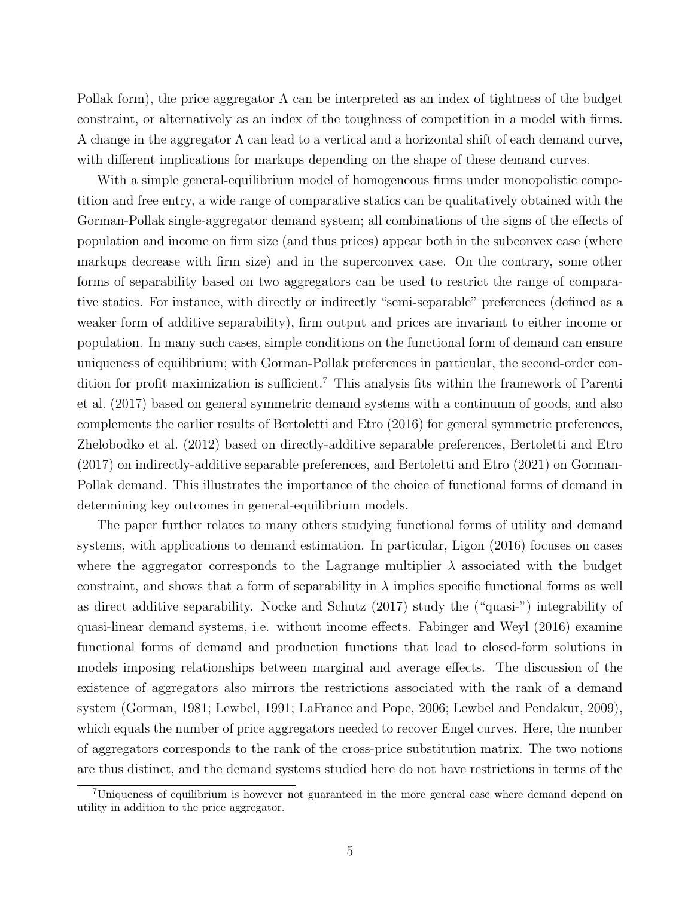Pollak form), the price aggregator  $\Lambda$  can be interpreted as an index of tightness of the budget constraint, or alternatively as an index of the toughness of competition in a model with firms. A change in the aggregator Λ can lead to a vertical and a horizontal shift of each demand curve, with different implications for markups depending on the shape of these demand curves.

With a simple general-equilibrium model of homogeneous firms under monopolistic competition and free entry, a wide range of comparative statics can be qualitatively obtained with the Gorman-Pollak single-aggregator demand system; all combinations of the signs of the effects of population and income on firm size (and thus prices) appear both in the subconvex case (where markups decrease with firm size) and in the superconvex case. On the contrary, some other forms of separability based on two aggregators can be used to restrict the range of comparative statics. For instance, with directly or indirectly "semi-separable" preferences (defined as a weaker form of additive separability), firm output and prices are invariant to either income or population. In many such cases, simple conditions on the functional form of demand can ensure uniqueness of equilibrium; with Gorman-Pollak preferences in particular, the second-order condition for profit maximization is sufficient.<sup>7</sup> This analysis fits within the framework of Parenti et al. (2017) based on general symmetric demand systems with a continuum of goods, and also complements the earlier results of Bertoletti and Etro (2016) for general symmetric preferences, Zhelobodko et al. (2012) based on directly-additive separable preferences, Bertoletti and Etro (2017) on indirectly-additive separable preferences, and Bertoletti and Etro (2021) on Gorman-Pollak demand. This illustrates the importance of the choice of functional forms of demand in determining key outcomes in general-equilibrium models.

The paper further relates to many others studying functional forms of utility and demand systems, with applications to demand estimation. In particular, Ligon (2016) focuses on cases where the aggregator corresponds to the Lagrange multiplier  $\lambda$  associated with the budget constraint, and shows that a form of separability in  $\lambda$  implies specific functional forms as well as direct additive separability. Nocke and Schutz (2017) study the ("quasi-") integrability of quasi-linear demand systems, i.e. without income effects. Fabinger and Weyl (2016) examine functional forms of demand and production functions that lead to closed-form solutions in models imposing relationships between marginal and average effects. The discussion of the existence of aggregators also mirrors the restrictions associated with the rank of a demand system (Gorman, 1981; Lewbel, 1991; LaFrance and Pope, 2006; Lewbel and Pendakur, 2009), which equals the number of price aggregators needed to recover Engel curves. Here, the number of aggregators corresponds to the rank of the cross-price substitution matrix. The two notions are thus distinct, and the demand systems studied here do not have restrictions in terms of the

<sup>7</sup>Uniqueness of equilibrium is however not guaranteed in the more general case where demand depend on utility in addition to the price aggregator.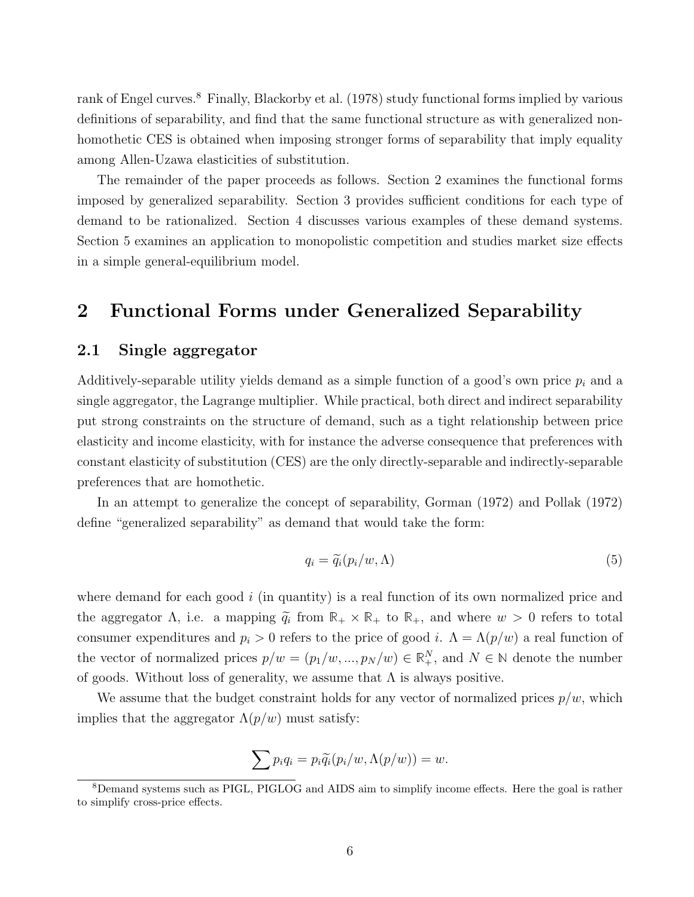rank of Engel curves.<sup>8</sup> Finally, Blackorby et al. (1978) study functional forms implied by various definitions of separability, and find that the same functional structure as with generalized nonhomothetic CES is obtained when imposing stronger forms of separability that imply equality among Allen-Uzawa elasticities of substitution.

The remainder of the paper proceeds as follows. Section 2 examines the functional forms imposed by generalized separability. Section 3 provides sufficient conditions for each type of demand to be rationalized. Section 4 discusses various examples of these demand systems. Section 5 examines an application to monopolistic competition and studies market size effects in a simple general-equilibrium model.

# 2 Functional Forms under Generalized Separability

# 2.1 Single aggregator

Additively-separable utility yields demand as a simple function of a good's own price  $p_i$  and a single aggregator, the Lagrange multiplier. While practical, both direct and indirect separability put strong constraints on the structure of demand, such as a tight relationship between price elasticity and income elasticity, with for instance the adverse consequence that preferences with constant elasticity of substitution (CES) are the only directly-separable and indirectly-separable preferences that are homothetic.

In an attempt to generalize the concept of separability, Gorman (1972) and Pollak (1972) define "generalized separability" as demand that would take the form:

$$
q_i = \tilde{q}_i(p_i/w, \Lambda) \tag{5}
$$

where demand for each good  $i$  (in quantity) is a real function of its own normalized price and the aggregator  $\Lambda$ , i.e. a mapping  $\widetilde{q}_i$  from  $\mathbb{R}_+ \times \mathbb{R}_+$  to  $\mathbb{R}_+$ , and where  $w > 0$  refers to total consumer expenditures and  $p_i > 0$  refers to the price of good i.  $\Lambda = \Lambda(p/w)$  a real function of the vector of normalized prices  $p/w = (p_1/w, ..., p_N/w) \in \mathbb{R}^N_+$ , and  $N \in \mathbb{N}$  denote the number of goods. Without loss of generality, we assume that  $\Lambda$  is always positive.

We assume that the budget constraint holds for any vector of normalized prices  $p/w$ , which implies that the aggregator  $\Lambda(p/w)$  must satisfy:

$$
\sum p_i q_i = p_i \widetilde{q}_i (p_i/w, \Lambda(p/w)) = w.
$$

<sup>8</sup>Demand systems such as PIGL, PIGLOG and AIDS aim to simplify income effects. Here the goal is rather to simplify cross-price effects.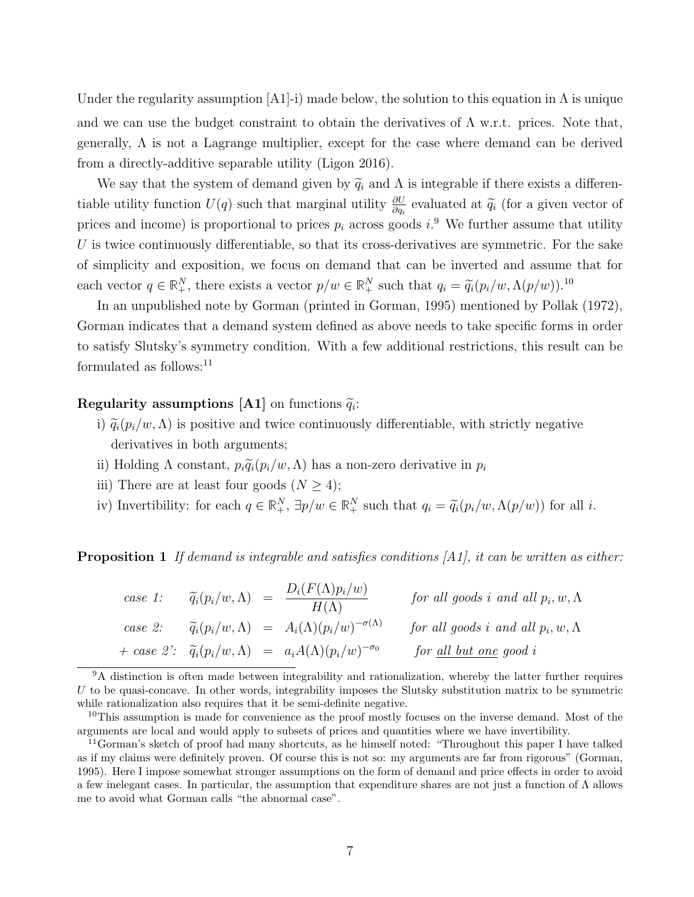Under the regularity assumption  $[A1]$ -i) made below, the solution to this equation in  $\Lambda$  is unique and we can use the budget constraint to obtain the derivatives of  $\Lambda$  w.r.t. prices. Note that, generally, Λ is not a Lagrange multiplier, except for the case where demand can be derived from a directly-additive separable utility (Ligon 2016).

We say that the system of demand given by  $\tilde{q}_i$  and  $\Lambda$  is integrable if there exists a differentiable utility function  $U(q)$  such that marginal utility  $\frac{\partial U}{\partial q_i}$  evaluated at  $\widetilde{q_i}$  (for a given vector of prices and income) is proportional to prices  $p_i$  across goods  $i$ .<sup>9</sup> We further assume that utility U is twice continuously differentiable, so that its cross-derivatives are symmetric. For the sake of simplicity and exposition, we focus on demand that can be inverted and assume that for each vector  $q \in \mathbb{R}^N_+$ , there exists a vector  $p/w \in \mathbb{R}^N_+$  such that  $q_i = \widetilde{q}_i(p_i/w, \Lambda(p/w))$ .<sup>10</sup>

In an unpublished note by Gorman (printed in Gorman, 1995) mentioned by Pollak (1972), Gorman indicates that a demand system defined as above needs to take specific forms in order to satisfy Slutsky's symmetry condition. With a few additional restrictions, this result can be formulated as follows:<sup>11</sup>

# **Regularity assumptions [A1]** on functions  $\widetilde{q}_i$ :

- i)  $\tilde{q}_i(p_i/w,\Lambda)$  is positive and twice continuously differentiable, with strictly negative derivatives in both arguments;
- ii) Holding  $\Lambda$  constant,  $p_i \widetilde{q}_i(p_i/w, \Lambda)$  has a non-zero derivative in  $p_i$
- iii) There are at least four goods  $(N \geq 4)$ ;
- iv) Invertibility: for each  $q \in \mathbb{R}^N_+$ ,  $\exists p/w \in \mathbb{R}^N_+$  such that  $q_i = \tilde{q}_i(p_i/w, \Lambda(p/w))$  for all i.

**Proposition 1** If demand is integrable and satisfies conditions  $[A1]$ , it can be written as either:

| case 1: | $\widetilde{q}_i(p_i/w,\Lambda) =$ | $D_i(F(\Lambda)p_i/w)$<br>$H(\Lambda)$                                             | for all goods i and all $p_i, w, \Lambda$ |
|---------|------------------------------------|------------------------------------------------------------------------------------|-------------------------------------------|
| case 2: |                                    | $\widetilde{q}_i(p_i/w,\Lambda) = A_i(\Lambda)(p_i/w)^{-\sigma(\Lambda)}$          | for all goods i and all $p_i, w, \Lambda$ |
|         |                                    | + case 2': $\widetilde{q}_i(p_i/w, \Lambda)$ = $a_i A(\Lambda)(p_i/w)^{-\sigma_0}$ | for all but one good i                    |

<sup>9</sup>A distinction is often made between integrability and rationalization, whereby the latter further requires U to be quasi-concave. In other words, integrability imposes the Slutsky substitution matrix to be symmetric while rationalization also requires that it be semi-definite negative.

<sup>&</sup>lt;sup>10</sup>This assumption is made for convenience as the proof mostly focuses on the inverse demand. Most of the arguments are local and would apply to subsets of prices and quantities where we have invertibility.

<sup>11</sup>Gorman's sketch of proof had many shortcuts, as he himself noted: "Throughout this paper I have talked as if my claims were definitely proven. Of course this is not so: my arguments are far from rigorous" (Gorman, 1995). Here I impose somewhat stronger assumptions on the form of demand and price effects in order to avoid a few inelegant cases. In particular, the assumption that expenditure shares are not just a function of Λ allows me to avoid what Gorman calls "the abnormal case".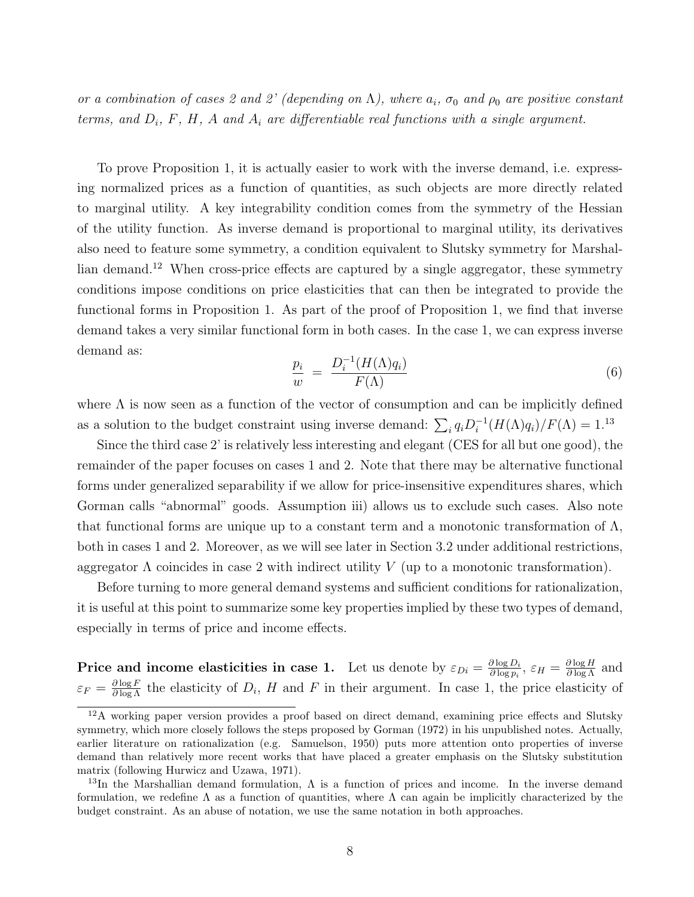or a combination of cases 2 and 2' (depending on  $\Lambda$ ), where  $a_i$ ,  $\sigma_0$  and  $\rho_0$  are positive constant terms, and  $D_i$ , F, H, A and  $A_i$  are differentiable real functions with a single argument.

To prove Proposition 1, it is actually easier to work with the inverse demand, i.e. expressing normalized prices as a function of quantities, as such objects are more directly related to marginal utility. A key integrability condition comes from the symmetry of the Hessian of the utility function. As inverse demand is proportional to marginal utility, its derivatives also need to feature some symmetry, a condition equivalent to Slutsky symmetry for Marshallian demand.<sup>12</sup> When cross-price effects are captured by a single aggregator, these symmetry conditions impose conditions on price elasticities that can then be integrated to provide the functional forms in Proposition 1. As part of the proof of Proposition 1, we find that inverse demand takes a very similar functional form in both cases. In the case 1, we can express inverse demand as:

$$
\frac{p_i}{w} = \frac{D_i^{-1}(H(\Lambda)q_i)}{F(\Lambda)}
$$
\n(6)

where  $\Lambda$  is now seen as a function of the vector of consumption and can be implicitly defined as a solution to the budget constraint using inverse demand:  $\sum_i q_i D_i^{-1}$  $i^{-1}(H(\Lambda)q_i)/F(\Lambda) = 1.13$ 

Since the third case 2' is relatively less interesting and elegant (CES for all but one good), the remainder of the paper focuses on cases 1 and 2. Note that there may be alternative functional forms under generalized separability if we allow for price-insensitive expenditures shares, which Gorman calls "abnormal" goods. Assumption iii) allows us to exclude such cases. Also note that functional forms are unique up to a constant term and a monotonic transformation of  $\Lambda$ , both in cases 1 and 2. Moreover, as we will see later in Section 3.2 under additional restrictions, aggregator  $\Lambda$  coincides in case 2 with indirect utility  $V$  (up to a monotonic transformation).

Before turning to more general demand systems and sufficient conditions for rationalization, it is useful at this point to summarize some key properties implied by these two types of demand, especially in terms of price and income effects.

**Price and income elasticities in case 1.** Let us denote by  $\varepsilon_{Di} = \frac{\partial \log D_i}{\partial \log n_i}$  $\frac{\partial \log D_i}{\partial \log p_i}, \varepsilon_H = \frac{\partial \log H}{\partial \log \Lambda}$  and  $\varepsilon_F = \frac{\partial \log F}{\partial \log \Lambda}$  the elasticity of  $D_i$ , H and F in their argument. In case 1, the price elasticity of

<sup>&</sup>lt;sup>12</sup>A working paper version provides a proof based on direct demand, examining price effects and Slutsky symmetry, which more closely follows the steps proposed by Gorman (1972) in his unpublished notes. Actually, earlier literature on rationalization (e.g. Samuelson, 1950) puts more attention onto properties of inverse demand than relatively more recent works that have placed a greater emphasis on the Slutsky substitution matrix (following Hurwicz and Uzawa, 1971).

<sup>&</sup>lt;sup>13</sup>In the Marshallian demand formulation,  $\Lambda$  is a function of prices and income. In the inverse demand formulation, we redefine  $\Lambda$  as a function of quantities, where  $\Lambda$  can again be implicitly characterized by the budget constraint. As an abuse of notation, we use the same notation in both approaches.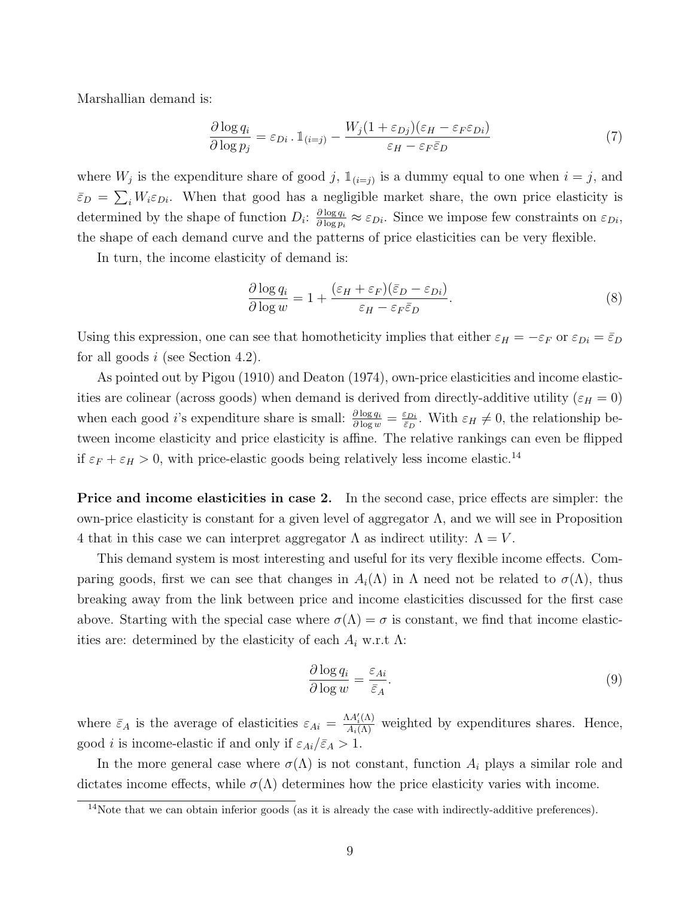Marshallian demand is:

$$
\frac{\partial \log q_i}{\partial \log p_j} = \varepsilon_{Di} \cdot \mathbb{1}_{(i=j)} - \frac{W_j (1 + \varepsilon_{Dj})(\varepsilon_H - \varepsilon_F \varepsilon_{Di})}{\varepsilon_H - \varepsilon_F \bar{\varepsilon}_D} \tag{7}
$$

where  $W_j$  is the expenditure share of good j,  $\mathbb{1}_{i=j}$  is a dummy equal to one when  $i=j$ , and  $\bar{\varepsilon}_D = \sum_i W_i \varepsilon_{Di}$ . When that good has a negligible market share, the own price elasticity is determined by the shape of function  $D_i$ :  $\frac{\partial \log q_i}{\partial \log n_i}$  $\frac{\partial \log q_i}{\partial \log p_i} \approx \varepsilon_{Di}$ . Since we impose few constraints on  $\varepsilon_{Di}$ , the shape of each demand curve and the patterns of price elasticities can be very flexible.

In turn, the income elasticity of demand is:

$$
\frac{\partial \log q_i}{\partial \log w} = 1 + \frac{(\varepsilon_H + \varepsilon_F)(\bar{\varepsilon}_D - \varepsilon_{Di})}{\varepsilon_H - \varepsilon_F \bar{\varepsilon}_D}.\tag{8}
$$

Using this expression, one can see that homotheticity implies that either  $\varepsilon_H = -\varepsilon_F$  or  $\varepsilon_{Di} = \bar{\varepsilon}_D$ for all goods  $i$  (see Section 4.2).

As pointed out by Pigou (1910) and Deaton (1974), own-price elasticities and income elasticities are colinear (across goods) when demand is derived from directly-additive utility ( $\varepsilon_H = 0$ ) when each good *i*'s expenditure share is small:  $\frac{\partial \log q_i}{\partial \log w} = \frac{\varepsilon_{Di}}{\varepsilon_D}$  $\frac{\varepsilon_{Di}}{\varepsilon_D}$ . With  $\varepsilon_H \neq 0$ , the relationship between income elasticity and price elasticity is affine. The relative rankings can even be flipped if  $\varepsilon_F + \varepsilon_H > 0$ , with price-elastic goods being relatively less income elastic.<sup>14</sup>

Price and income elasticities in case 2. In the second case, price effects are simpler: the own-price elasticity is constant for a given level of aggregator  $\Lambda$ , and we will see in Proposition 4 that in this case we can interpret aggregator  $\Lambda$  as indirect utility:  $\Lambda = V$ .

This demand system is most interesting and useful for its very flexible income effects. Comparing goods, first we can see that changes in  $A_i(\Lambda)$  in  $\Lambda$  need not be related to  $\sigma(\Lambda)$ , thus breaking away from the link between price and income elasticities discussed for the first case above. Starting with the special case where  $\sigma(\Lambda) = \sigma$  is constant, we find that income elasticities are: determined by the elasticity of each  $A_i$  w.r.t  $\Lambda$ :

$$
\frac{\partial \log q_i}{\partial \log w} = \frac{\varepsilon_{Ai}}{\bar{\varepsilon}_A}.\tag{9}
$$

where  $\bar{\varepsilon}_A$  is the average of elasticities  $\varepsilon_{Ai} = \frac{\Lambda A_i'(\Lambda)}{A_i(\Lambda)}$  weighted by expenditures shares. Hence, good *i* is income-elastic if and only if  $\varepsilon_{Ai}/\bar{\varepsilon}_A > 1$ .

In the more general case where  $\sigma(\Lambda)$  is not constant, function  $A_i$  plays a similar role and dictates income effects, while  $\sigma(\Lambda)$  determines how the price elasticity varies with income.

 $14$ Note that we can obtain inferior goods (as it is already the case with indirectly-additive preferences).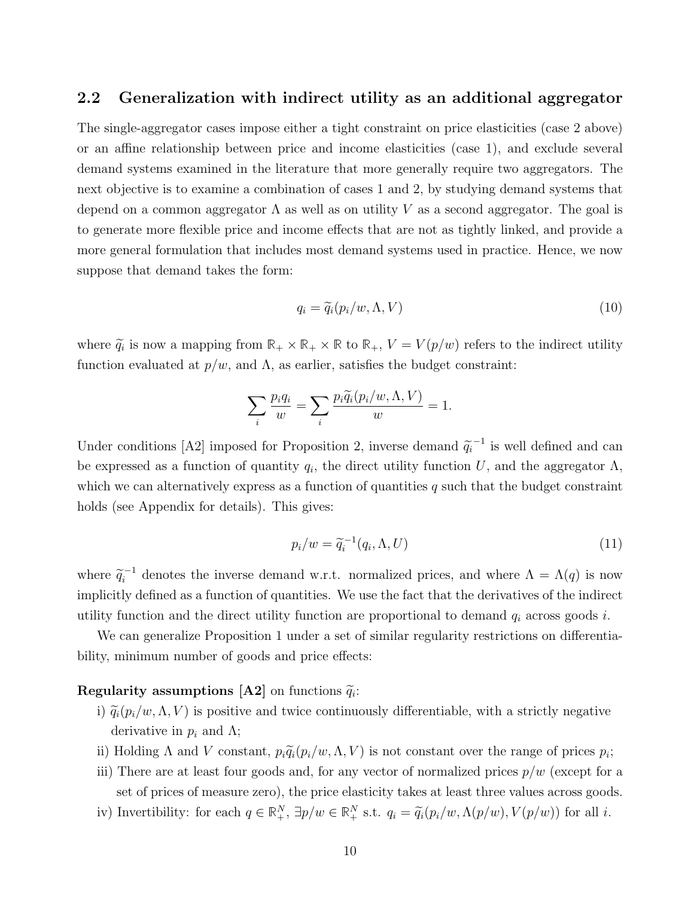## 2.2 Generalization with indirect utility as an additional aggregator

The single-aggregator cases impose either a tight constraint on price elasticities (case 2 above) or an affine relationship between price and income elasticities (case 1), and exclude several demand systems examined in the literature that more generally require two aggregators. The next objective is to examine a combination of cases 1 and 2, by studying demand systems that depend on a common aggregator  $\Lambda$  as well as on utility V as a second aggregator. The goal is to generate more flexible price and income effects that are not as tightly linked, and provide a more general formulation that includes most demand systems used in practice. Hence, we now suppose that demand takes the form:

$$
q_i = \tilde{q}_i(p_i/w, \Lambda, V) \tag{10}
$$

where  $\widetilde{q}_i$  is now a mapping from  $\mathbb{R}_+ \times \mathbb{R}_+ \times \mathbb{R}$  to  $\mathbb{R}_+$ ,  $V = V(p/w)$  refers to the indirect utility function evaluated at  $p/w$ , and  $\Lambda$ , as earlier, satisfies the budget constraint:

$$
\sum_{i} \frac{p_i q_i}{w} = \sum_{i} \frac{p_i \widetilde{q}_i(p_i/w, \Lambda, V)}{w} = 1.
$$

Under conditions [A2] imposed for Proposition 2, inverse demand  $\tilde{q}_i^{-1}$  is well defined and can be expressed as a function of quantity  $q_i$ , the direct utility function U, and the aggregator  $\Lambda$ , which we can alternatively express as a function of quantities  $q$  such that the budget constraint holds (see Appendix for details). This gives:

$$
p_i/w = \widetilde{q}_i^{-1}(q_i, \Lambda, U) \tag{11}
$$

where  $\tilde{q}_i^{-1}$  denotes the inverse demand w.r.t. normalized prices, and where  $\Lambda = \Lambda(q)$  is now implicitly defined as a function of quantities. We use the fact that the derivatives of the indirect utility function and the direct utility function are proportional to demand  $q_i$  across goods i.

We can generalize Proposition 1 under a set of similar regularity restrictions on differentiability, minimum number of goods and price effects:

# **Regularity assumptions [A2]** on functions  $\widetilde{q}_i$ :

- i)  $\tilde{q}_i(p_i/w, \Lambda, V)$  is positive and twice continuously differentiable, with a strictly negative derivative in  $p_i$  and  $\Lambda$ ;
- ii) Holding  $\Lambda$  and  $V$  constant,  $p_i \widetilde{q}_i(p_i/w, \Lambda, V)$  is not constant over the range of prices  $p_i$ ;
- iii) There are at least four goods and, for any vector of normalized prices  $p/w$  (except for a set of prices of measure zero), the price elasticity takes at least three values across goods.
- iv) Invertibility: for each  $q \in \mathbb{R}^N_+$ ,  $\exists p/w \in \mathbb{R}^N_+$  s.t.  $q_i = \tilde{q}_i(p_i/w, \Lambda(p/w), V(p/w))$  for all *i*.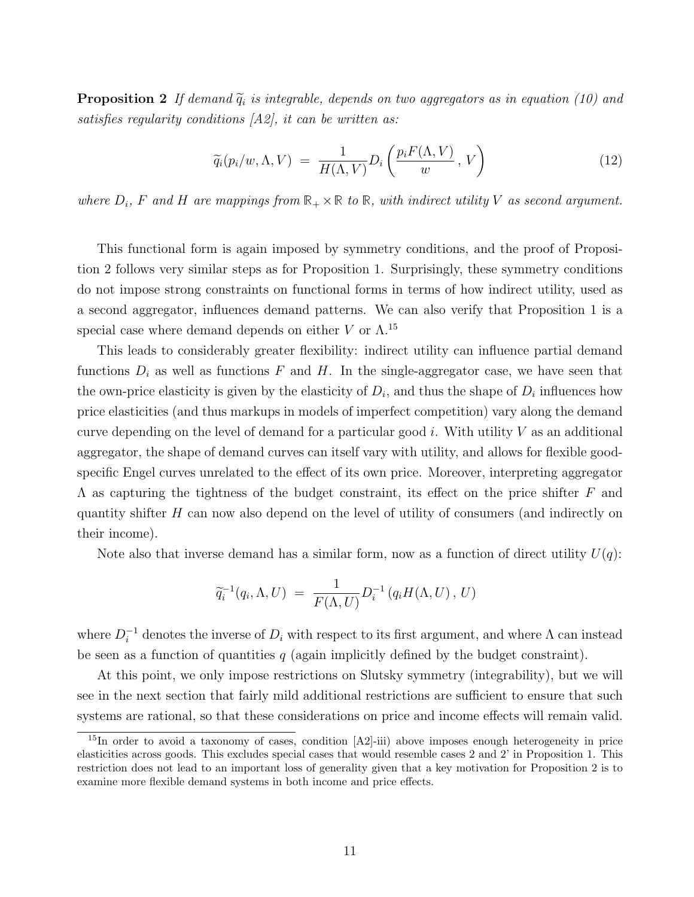**Proposition 2** If demand  $\tilde{q}_i$  is integrable, depends on two aggregators as in equation (10) and satisfies regularity conditions  $[A2]$ , it can be written as:

$$
\widetilde{q}_i(p_i/w, \Lambda, V) = \frac{1}{H(\Lambda, V)} D_i\left(\frac{p_i F(\Lambda, V)}{w}, V\right)
$$
\n(12)

where  $D_i$ , F and H are mappings from  $\mathbb{R}_+ \times \mathbb{R}$  to  $\mathbb{R}$ , with indirect utility V as second argument.

This functional form is again imposed by symmetry conditions, and the proof of Proposition 2 follows very similar steps as for Proposition 1. Surprisingly, these symmetry conditions do not impose strong constraints on functional forms in terms of how indirect utility, used as a second aggregator, influences demand patterns. We can also verify that Proposition 1 is a special case where demand depends on either V or  $\Lambda$ .<sup>15</sup>

This leads to considerably greater flexibility: indirect utility can influence partial demand functions  $D_i$  as well as functions F and H. In the single-aggregator case, we have seen that the own-price elasticity is given by the elasticity of  $D_i$ , and thus the shape of  $D_i$  influences how price elasticities (and thus markups in models of imperfect competition) vary along the demand curve depending on the level of demand for a particular good  $i$ . With utility  $V$  as an additional aggregator, the shape of demand curves can itself vary with utility, and allows for flexible goodspecific Engel curves unrelated to the effect of its own price. Moreover, interpreting aggregator  $\Lambda$  as capturing the tightness of the budget constraint, its effect on the price shifter F and quantity shifter  $H$  can now also depend on the level of utility of consumers (and indirectly on their income).

Note also that inverse demand has a similar form, now as a function of direct utility  $U(q)$ :

$$
\widetilde{q}_i^{-1}(q_i, \Lambda, U) = \frac{1}{F(\Lambda, U)} D_i^{-1}(q_i H(\Lambda, U), U)
$$

where  $D_i^{-1}$  denotes the inverse of  $D_i$  with respect to its first argument, and where  $\Lambda$  can instead be seen as a function of quantities  $q$  (again implicitly defined by the budget constraint).

At this point, we only impose restrictions on Slutsky symmetry (integrability), but we will see in the next section that fairly mild additional restrictions are sufficient to ensure that such systems are rational, so that these considerations on price and income effects will remain valid.

<sup>15</sup>In order to avoid a taxonomy of cases, condition [A2]-iii) above imposes enough heterogeneity in price elasticities across goods. This excludes special cases that would resemble cases 2 and 2' in Proposition 1. This restriction does not lead to an important loss of generality given that a key motivation for Proposition 2 is to examine more flexible demand systems in both income and price effects.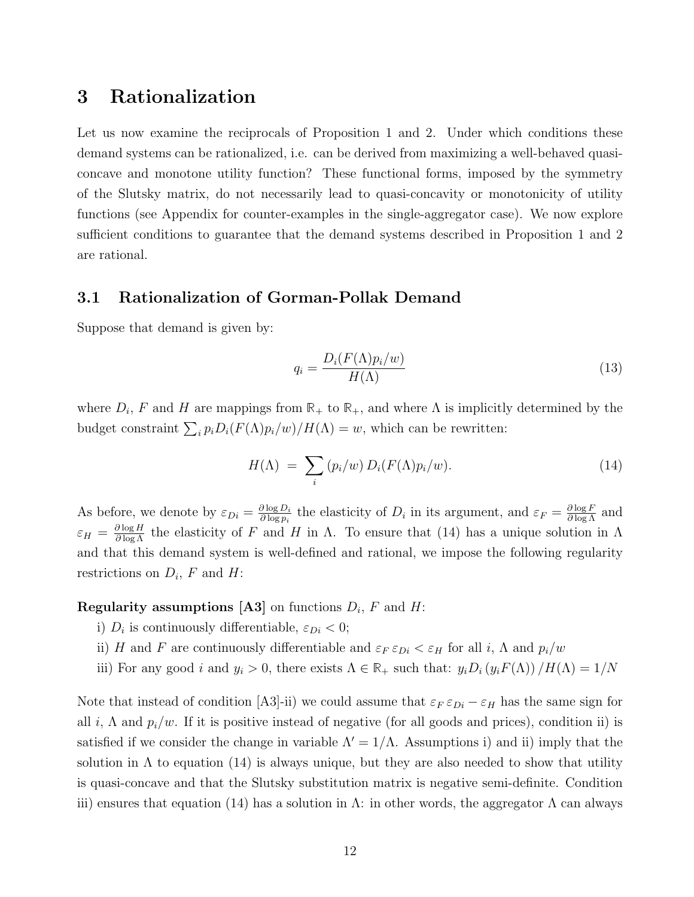# 3 Rationalization

Let us now examine the reciprocals of Proposition 1 and 2. Under which conditions these demand systems can be rationalized, i.e. can be derived from maximizing a well-behaved quasiconcave and monotone utility function? These functional forms, imposed by the symmetry of the Slutsky matrix, do not necessarily lead to quasi-concavity or monotonicity of utility functions (see Appendix for counter-examples in the single-aggregator case). We now explore sufficient conditions to guarantee that the demand systems described in Proposition 1 and 2 are rational.

# 3.1 Rationalization of Gorman-Pollak Demand

Suppose that demand is given by:

$$
q_i = \frac{D_i(F(\Lambda)p_i/w)}{H(\Lambda)}
$$
\n(13)

where  $D_i$ , F and H are mappings from  $\mathbb{R}_+$  to  $\mathbb{R}_+$ , and where  $\Lambda$  is implicitly determined by the budget constraint  $\sum_i p_i D_i(F(\Lambda)p_i/w)/H(\Lambda) = w$ , which can be rewritten:

$$
H(\Lambda) = \sum_{i} (p_i/w) D_i(F(\Lambda)p_i/w). \qquad (14)
$$

As before, we denote by  $\varepsilon_{Di} = \frac{\partial \log D_i}{\partial \log n_i}$  $\frac{\partial \log D_i}{\partial \log p_i}$  the elasticity of  $D_i$  in its argument, and  $\varepsilon_F = \frac{\partial \log F}{\partial \log \Lambda}$  and  $\varepsilon_H = \frac{\partial \log H}{\partial \log \Lambda}$  the elasticity of F and H in  $\Lambda$ . To ensure that (14) has a unique solution in  $\Lambda$ and that this demand system is well-defined and rational, we impose the following regularity restrictions on  $D_i$ , F and H:

**Regularity assumptions [A3]** on functions  $D_i$ ,  $F$  and  $H$ :

- i)  $D_i$  is continuously differentiable,  $\varepsilon_{Di} < 0$ ;
- ii) H and F are continuously differentiable and  $\varepsilon_F \varepsilon_{Di} < \varepsilon_H$  for all i,  $\Lambda$  and  $p_i/w$
- iii) For any good i and  $y_i > 0$ , there exists  $\Lambda \in \mathbb{R}_+$  such that:  $y_i D_i (y_i F(\Lambda)) / H(\Lambda) = 1/N$

Note that instead of condition [A3]-ii) we could assume that  $\varepsilon_F \varepsilon_{Di} - \varepsilon_H$  has the same sign for all i,  $\Lambda$  and  $p_i/w$ . If it is positive instead of negative (for all goods and prices), condition ii) is satisfied if we consider the change in variable  $\Lambda' = 1/\Lambda$ . Assumptions i) and ii) imply that the solution in  $\Lambda$  to equation (14) is always unique, but they are also needed to show that utility is quasi-concave and that the Slutsky substitution matrix is negative semi-definite. Condition iii) ensures that equation (14) has a solution in  $\Lambda$ : in other words, the aggregator  $\Lambda$  can always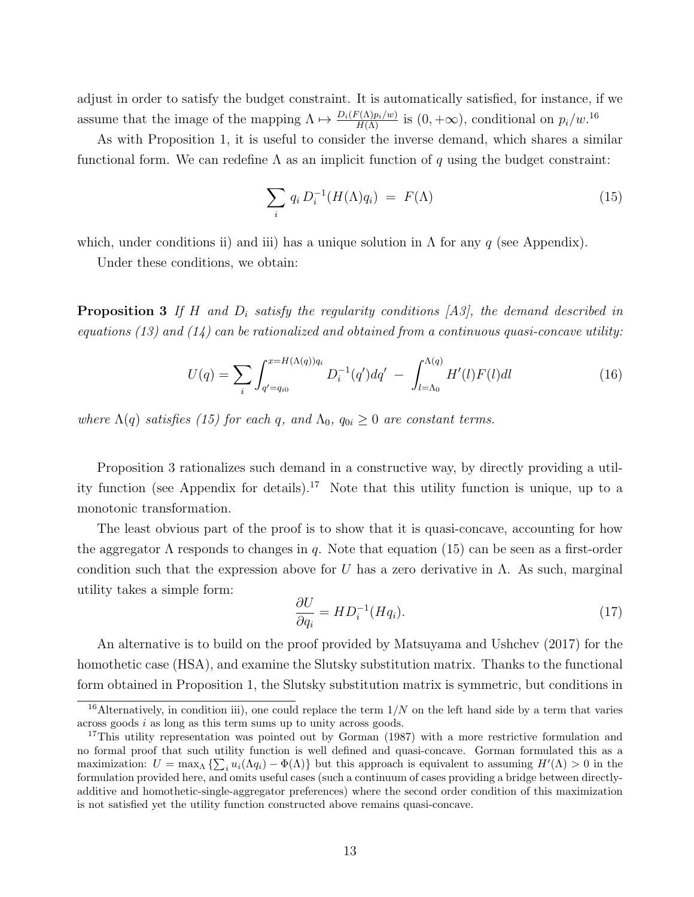adjust in order to satisfy the budget constraint. It is automatically satisfied, for instance, if we assume that the image of the mapping  $\Lambda \mapsto \frac{D_i(F(\Lambda)p_i/w)}{H(\Lambda)}$  is  $(0, +\infty)$ , conditional on  $p_i/w$ .<sup>16</sup>

As with Proposition 1, it is useful to consider the inverse demand, which shares a similar functional form. We can redefine  $\Lambda$  as an implicit function of q using the budget constraint:

$$
\sum_{i} q_i D_i^{-1}(H(\Lambda)q_i) = F(\Lambda) \tag{15}
$$

which, under conditions ii) and iii) has a unique solution in  $\Lambda$  for any q (see Appendix).

Under these conditions, we obtain:

**Proposition 3** If H and  $D_i$  satisfy the regularity conditions [A3], the demand described in equations (13) and (14) can be rationalized and obtained from a continuous quasi-concave utility:

$$
U(q) = \sum_{i} \int_{q'=q_{i0}}^{x=H(\Lambda(q))q_i} D_i^{-1}(q')dq' - \int_{l=\Lambda_0}^{\Lambda(q)} H'(l)F(l)dl
$$
\n(16)

where  $\Lambda(q)$  satisfies (15) for each q, and  $\Lambda_0$ ,  $q_{0i} \geq 0$  are constant terms.

Proposition 3 rationalizes such demand in a constructive way, by directly providing a utility function (see Appendix for details).<sup>17</sup> Note that this utility function is unique, up to a monotonic transformation.

The least obvious part of the proof is to show that it is quasi-concave, accounting for how the aggregator  $\Lambda$  responds to changes in q. Note that equation (15) can be seen as a first-order condition such that the expression above for U has a zero derivative in  $\Lambda$ . As such, marginal utility takes a simple form:

$$
\frac{\partial U}{\partial q_i} = HD_i^{-1}(Hq_i). \tag{17}
$$

An alternative is to build on the proof provided by Matsuyama and Ushchev (2017) for the homothetic case (HSA), and examine the Slutsky substitution matrix. Thanks to the functional form obtained in Proposition 1, the Slutsky substitution matrix is symmetric, but conditions in

 $16$ Alternatively, in condition iii), one could replace the term  $1/N$  on the left hand side by a term that varies across goods i as long as this term sums up to unity across goods.

<sup>&</sup>lt;sup>17</sup>This utility representation was pointed out by Gorman (1987) with a more restrictive formulation and no formal proof that such utility function is well defined and quasi-concave. Gorman formulated this as a maximization:  $U = \max_{\Lambda} \{ \sum_i u_i(\Lambda q_i) - \Phi(\Lambda) \}$  but this approach is equivalent to assuming  $H'(\Lambda) > 0$  in the formulation provided here, and omits useful cases (such a continuum of cases providing a bridge between directlyadditive and homothetic-single-aggregator preferences) where the second order condition of this maximization is not satisfied yet the utility function constructed above remains quasi-concave.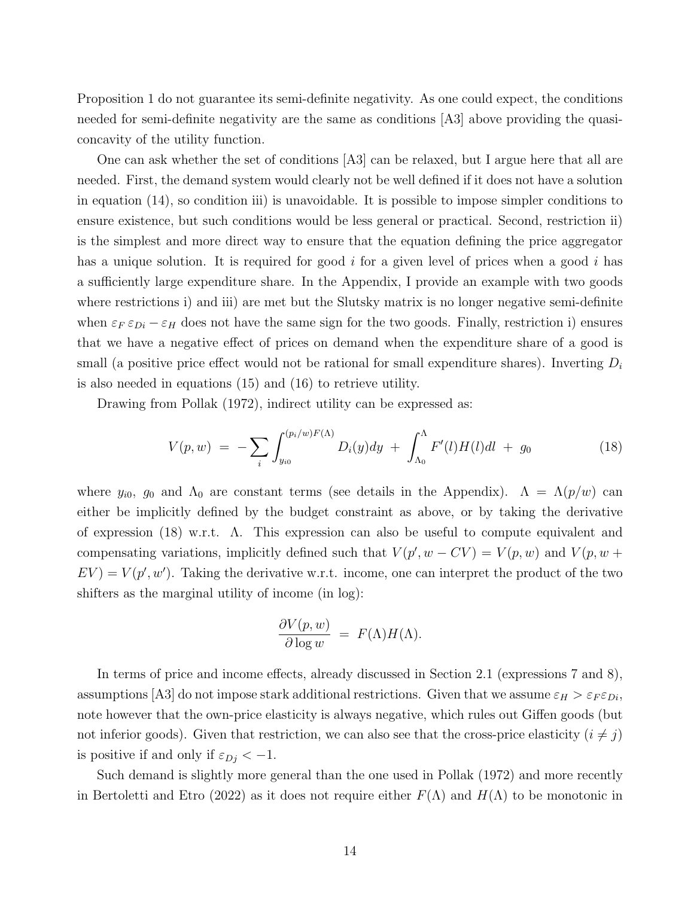Proposition 1 do not guarantee its semi-definite negativity. As one could expect, the conditions needed for semi-definite negativity are the same as conditions [A3] above providing the quasiconcavity of the utility function.

One can ask whether the set of conditions [A3] can be relaxed, but I argue here that all are needed. First, the demand system would clearly not be well defined if it does not have a solution in equation (14), so condition iii) is unavoidable. It is possible to impose simpler conditions to ensure existence, but such conditions would be less general or practical. Second, restriction ii) is the simplest and more direct way to ensure that the equation defining the price aggregator has a unique solution. It is required for good  $i$  for a given level of prices when a good  $i$  has a sufficiently large expenditure share. In the Appendix, I provide an example with two goods where restrictions i) and iii) are met but the Slutsky matrix is no longer negative semi-definite when  $\varepsilon_F \varepsilon_{Di} - \varepsilon_H$  does not have the same sign for the two goods. Finally, restriction i) ensures that we have a negative effect of prices on demand when the expenditure share of a good is small (a positive price effect would not be rational for small expenditure shares). Inverting  $D_i$ is also needed in equations (15) and (16) to retrieve utility.

Drawing from Pollak (1972), indirect utility can be expressed as:

$$
V(p, w) = -\sum_{i} \int_{y_{i0}}^{(p_i/w)F(\Lambda)} D_i(y) dy + \int_{\Lambda_0}^{\Lambda} F'(l)H(l)dl + g_0
$$
 (18)

where  $y_{i0}$ ,  $g_0$  and  $\Lambda_0$  are constant terms (see details in the Appendix).  $\Lambda = \Lambda(p/w)$  can either be implicitly defined by the budget constraint as above, or by taking the derivative of expression (18) w.r.t. Λ. This expression can also be useful to compute equivalent and compensating variations, implicitly defined such that  $V(p', w - CV) = V(p, w)$  and  $V(p, w +$  $EV = V(p', w')$ . Taking the derivative w.r.t. income, one can interpret the product of the two shifters as the marginal utility of income (in log):

$$
\frac{\partial V(p, w)}{\partial \log w} = F(\Lambda)H(\Lambda).
$$

In terms of price and income effects, already discussed in Section 2.1 (expressions 7 and 8), assumptions [A3] do not impose stark additional restrictions. Given that we assume  $\varepsilon_H > \varepsilon_F \varepsilon_{Di}$ , note however that the own-price elasticity is always negative, which rules out Giffen goods (but not inferior goods). Given that restriction, we can also see that the cross-price elasticity  $(i \neq j)$ is positive if and only if  $\varepsilon_{D_i} < -1$ .

Such demand is slightly more general than the one used in Pollak (1972) and more recently in Bertoletti and Etro (2022) as it does not require either  $F(\Lambda)$  and  $H(\Lambda)$  to be monotonic in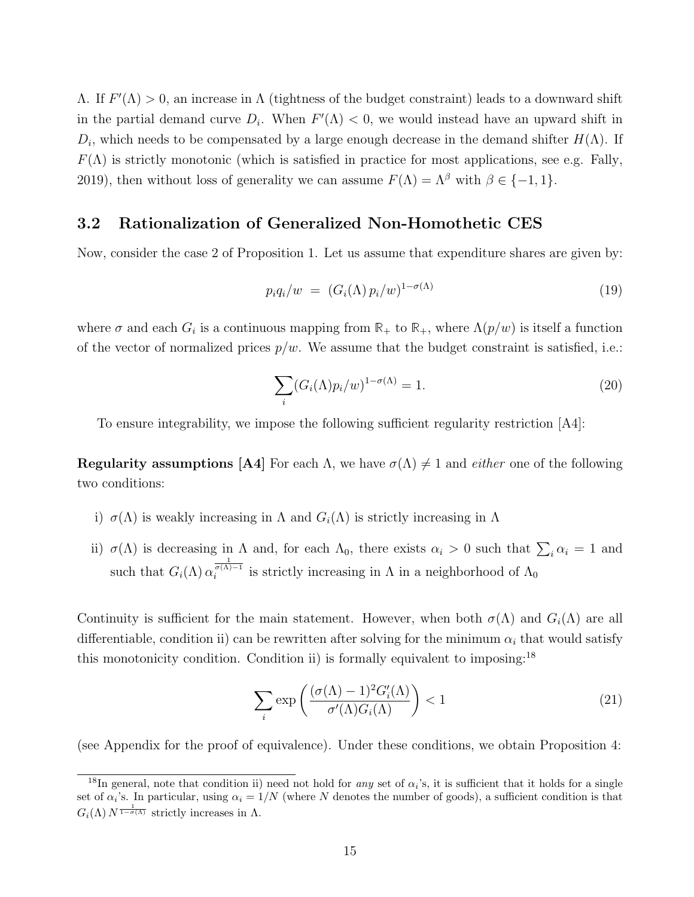$Λ$ . If  $F'(\Lambda) > 0$ , an increase in  $Λ$  (tightness of the budget constraint) leads to a downward shift in the partial demand curve  $D_i$ . When  $F'(\Lambda) < 0$ , we would instead have an upward shift in  $D_i$ , which needs to be compensated by a large enough decrease in the demand shifter  $H(\Lambda)$ . If  $F(\Lambda)$  is strictly monotonic (which is satisfied in practice for most applications, see e.g. Fally, 2019), then without loss of generality we can assume  $F(\Lambda) = \Lambda^{\beta}$  with  $\beta \in \{-1, 1\}$ .

## 3.2 Rationalization of Generalized Non-Homothetic CES

Now, consider the case 2 of Proposition 1. Let us assume that expenditure shares are given by:

$$
p_i q_i/w = (G_i(\Lambda) p_i/w)^{1-\sigma(\Lambda)}
$$
\n(19)

where  $\sigma$  and each  $G_i$  is a continuous mapping from  $\mathbb{R}_+$  to  $\mathbb{R}_+$ , where  $\Lambda(p/w)$  is itself a function of the vector of normalized prices  $p/w$ . We assume that the budget constraint is satisfied, i.e.:

$$
\sum_{i} (G_i(\Lambda)p_i/w)^{1-\sigma(\Lambda)} = 1.
$$
\n(20)

To ensure integrability, we impose the following sufficient regularity restriction [A4]:

**Regularity assumptions [A4]** For each  $\Lambda$ , we have  $\sigma(\Lambda) \neq 1$  and *either* one of the following two conditions:

- i)  $\sigma(\Lambda)$  is weakly increasing in  $\Lambda$  and  $G_i(\Lambda)$  is strictly increasing in  $\Lambda$
- ii)  $\sigma(\Lambda)$  is decreasing in  $\Lambda$  and, for each  $\Lambda_0$ , there exists  $\alpha_i > 0$  such that  $\sum_i \alpha_i = 1$  and such that  $G_i(\Lambda) \alpha_i^{\frac{1}{\sigma(\Lambda)-1}}$  is strictly increasing in  $\Lambda$  in a neighborhood of  $\Lambda_0$

Continuity is sufficient for the main statement. However, when both  $\sigma(\Lambda)$  and  $G_i(\Lambda)$  are all differentiable, condition ii) can be rewritten after solving for the minimum  $\alpha_i$  that would satisfy this monotonicity condition. Condition ii) is formally equivalent to imposing:<sup>18</sup>

$$
\sum_{i} \exp\left(\frac{(\sigma(\Lambda) - 1)^2 G_i'(\Lambda)}{\sigma'(\Lambda) G_i(\Lambda)}\right) < 1\tag{21}
$$

(see Appendix for the proof of equivalence). Under these conditions, we obtain Proposition 4:

<sup>&</sup>lt;sup>18</sup>In general, note that condition ii) need not hold for *any* set of  $\alpha_i$ 's, it is sufficient that it holds for a single set of  $\alpha_i$ 's. In particular, using  $\alpha_i = 1/N$  (where N denotes the number of goods), a sufficient condition is that  $G_i(\Lambda) N^{\frac{1}{1-\sigma(\Lambda)}}$  strictly increases in  $\Lambda$ .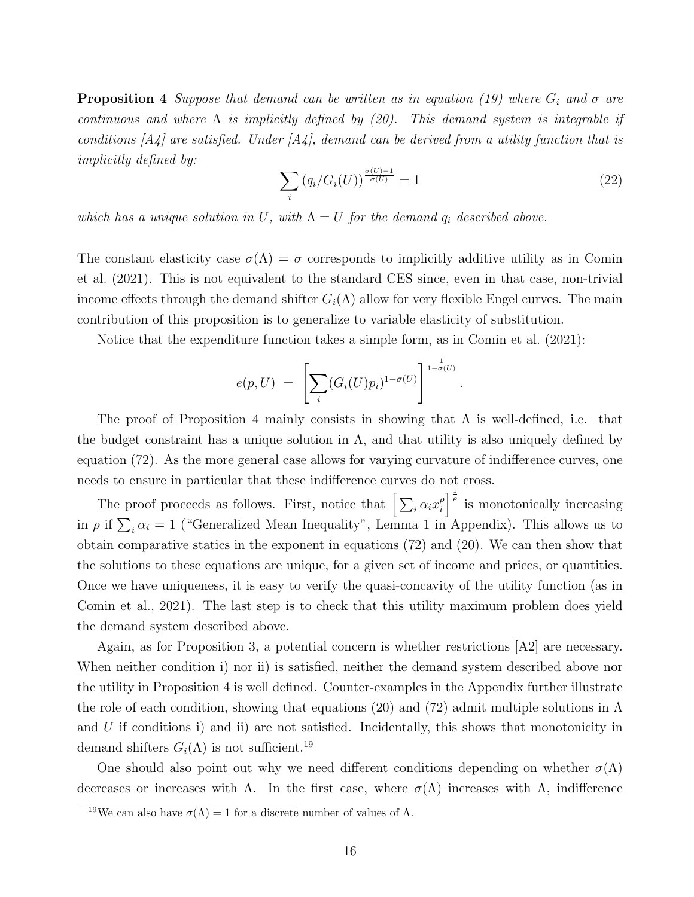**Proposition 4** Suppose that demand can be written as in equation (19) where  $G_i$  and  $\sigma$  are continuous and where  $\Lambda$  is implicitly defined by (20). This demand system is integrable if conditions  $[A_4]$  are satisfied. Under  $[A_4]$ , demand can be derived from a utility function that is implicitly defined by:

$$
\sum_{i} \left( q_i / G_i(U) \right)^{\frac{\sigma(U) - 1}{\sigma(U)}} = 1 \tag{22}
$$

.

which has a unique solution in U, with  $\Lambda = U$  for the demand  $q_i$  described above.

The constant elasticity case  $\sigma(\Lambda) = \sigma$  corresponds to implicitly additive utility as in Comin et al. (2021). This is not equivalent to the standard CES since, even in that case, non-trivial income effects through the demand shifter  $G_i(\Lambda)$  allow for very flexible Engel curves. The main contribution of this proposition is to generalize to variable elasticity of substitution.

Notice that the expenditure function takes a simple form, as in Comin et al. (2021):

$$
e(p, U) = \left[ \sum_i (G_i(U)p_i)^{1-\sigma(U)} \right]^{\frac{1}{1-\sigma(U)}}
$$

The proof of Proposition 4 mainly consists in showing that  $\Lambda$  is well-defined, i.e. that the budget constraint has a unique solution in  $\Lambda$ , and that utility is also uniquely defined by equation (72). As the more general case allows for varying curvature of indifference curves, one needs to ensure in particular that these indifference curves do not cross.

The proof proceeds as follows. First, notice that  $\Big[\sum_i \alpha_i x_i^{\rho}$  $\int_{i}^{\rho}$  is monotonically increasing in  $\rho$  if  $\sum_i \alpha_i = 1$  ("Generalized Mean Inequality", Lemma 1 in Appendix). This allows us to obtain comparative statics in the exponent in equations (72) and (20). We can then show that the solutions to these equations are unique, for a given set of income and prices, or quantities. Once we have uniqueness, it is easy to verify the quasi-concavity of the utility function (as in Comin et al., 2021). The last step is to check that this utility maximum problem does yield the demand system described above.

Again, as for Proposition 3, a potential concern is whether restrictions [A2] are necessary. When neither condition i) nor ii) is satisfied, neither the demand system described above nor the utility in Proposition 4 is well defined. Counter-examples in the Appendix further illustrate the role of each condition, showing that equations (20) and (72) admit multiple solutions in  $\Lambda$ and  $U$  if conditions i) and ii) are not satisfied. Incidentally, this shows that monotonicity in demand shifters  $G_i(\Lambda)$  is not sufficient.<sup>19</sup>

One should also point out why we need different conditions depending on whether  $\sigma(\Lambda)$ decreases or increases with  $\Lambda$ . In the first case, where  $\sigma(\Lambda)$  increases with  $\Lambda$ , indifference

<sup>&</sup>lt;sup>19</sup>We can also have  $\sigma(\Lambda) = 1$  for a discrete number of values of  $\Lambda$ .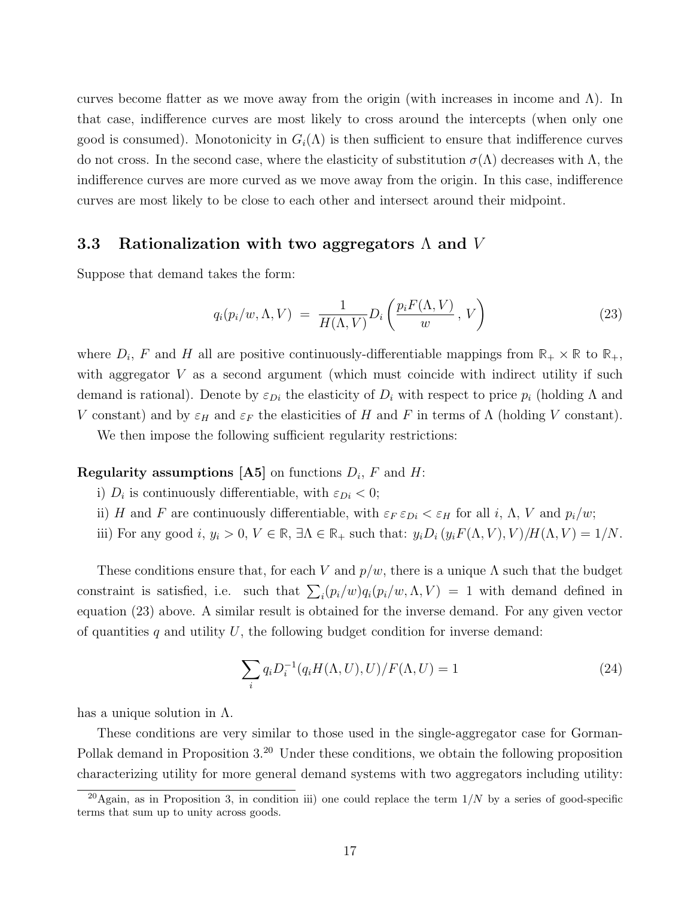curves become flatter as we move away from the origin (with increases in income and  $\Lambda$ ). In that case, indifference curves are most likely to cross around the intercepts (when only one good is consumed). Monotonicity in  $G_i(\Lambda)$  is then sufficient to ensure that indifference curves do not cross. In the second case, where the elasticity of substitution  $\sigma(\Lambda)$  decreases with  $\Lambda$ , the indifference curves are more curved as we move away from the origin. In this case, indifference curves are most likely to be close to each other and intersect around their midpoint.

### 3.3 Rationalization with two aggregators  $\Lambda$  and V

Suppose that demand takes the form:

$$
q_i(p_i/w, \Lambda, V) = \frac{1}{H(\Lambda, V)} D_i\left(\frac{p_i F(\Lambda, V)}{w}, V\right)
$$
 (23)

where  $D_i$ , F and H all are positive continuously-differentiable mappings from  $\mathbb{R}_+ \times \mathbb{R}$  to  $\mathbb{R}_+$ , with aggregator  $V$  as a second argument (which must coincide with indirect utility if such demand is rational). Denote by  $\varepsilon_{Di}$  the elasticity of  $D_i$  with respect to price  $p_i$  (holding  $\Lambda$  and V constant) and by  $\varepsilon_H$  and  $\varepsilon_F$  the elasticities of H and F in terms of  $\Lambda$  (holding V constant).

We then impose the following sufficient regularity restrictions:

## **Regularity assumptions** [A5] on functions  $D_i$ , F and H:

- i)  $D_i$  is continuously differentiable, with  $\varepsilon_{Di} < 0$ ;
- ii) H and F are continuously differentiable, with  $\varepsilon_F \varepsilon_{Di} < \varepsilon_H$  for all i,  $\Lambda$ , V and  $p_i/w$ ;
- iii) For any good i,  $y_i > 0$ ,  $V \in \mathbb{R}$ ,  $\exists \Lambda \in \mathbb{R}$  such that:  $y_i D_i (y_i F(\Lambda, V), V) / H(\Lambda, V) = 1/N$ .

These conditions ensure that, for each V and  $p/w$ , there is a unique  $\Lambda$  such that the budget constraint is satisfied, i.e. such that  $\sum_i (p_i/w) q_i(p_i/w, \Lambda, V) = 1$  with demand defined in equation (23) above. A similar result is obtained for the inverse demand. For any given vector of quantities q and utility U, the following budget condition for inverse demand:

$$
\sum_{i} q_i D_i^{-1}(q_i H(\Lambda, U), U) / F(\Lambda, U) = 1
$$
\n(24)

has a unique solution in  $\Lambda$ .

These conditions are very similar to those used in the single-aggregator case for Gorman-Pollak demand in Proposition 3.<sup>20</sup> Under these conditions, we obtain the following proposition characterizing utility for more general demand systems with two aggregators including utility:

 $\overline{^{20}$ Again, as in Proposition 3, in condition iii) one could replace the term  $1/N$  by a series of good-specific terms that sum up to unity across goods.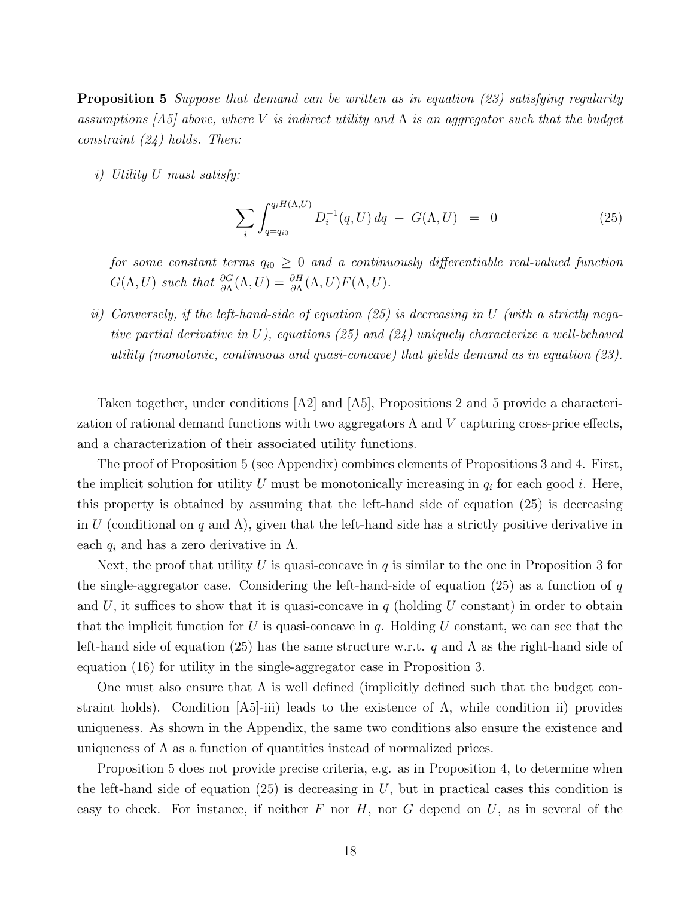Proposition 5 Suppose that demand can be written as in equation (23) satisfying regularity assumptions [A5] above, where V is indirect utility and  $\Lambda$  is an aggregator such that the budget constraint (24) holds. Then:

i) Utility U must satisfy:

$$
\sum_{i} \int_{q=q_{i0}}^{q_i H(\Lambda, U)} D_i^{-1}(q, U) dq - G(\Lambda, U) = 0
$$
\n(25)

for some constant terms  $q_{i0} \geq 0$  and a continuously differentiable real-valued function  $G(\Lambda, U)$  such that  $\frac{\partial G}{\partial \Lambda}(\Lambda, U) = \frac{\partial H}{\partial \Lambda}(\Lambda, U) F(\Lambda, U)$ .

ii) Conversely, if the left-hand-side of equation (25) is decreasing in U (with a strictly negative partial derivative in U), equations (25) and (24) uniquely characterize a well-behaved utility (monotonic, continuous and quasi-concave) that yields demand as in equation (23).

Taken together, under conditions [A2] and [A5], Propositions 2 and 5 provide a characterization of rational demand functions with two aggregators  $\Lambda$  and  $V$  capturing cross-price effects, and a characterization of their associated utility functions.

The proof of Proposition 5 (see Appendix) combines elements of Propositions 3 and 4. First, the implicit solution for utility U must be monotonically increasing in  $q_i$  for each good i. Here, this property is obtained by assuming that the left-hand side of equation (25) is decreasing in U (conditional on q and  $\Lambda$ ), given that the left-hand side has a strictly positive derivative in each  $q_i$  and has a zero derivative in  $\Lambda$ .

Next, the proof that utility U is quasi-concave in q is similar to the one in Proposition 3 for the single-aggregator case. Considering the left-hand-side of equation (25) as a function of  $q$ and U, it suffices to show that it is quasi-concave in  $q$  (holding U constant) in order to obtain that the implicit function for U is quasi-concave in q. Holding U constant, we can see that the left-hand side of equation (25) has the same structure w.r.t. q and  $\Lambda$  as the right-hand side of equation (16) for utility in the single-aggregator case in Proposition 3.

One must also ensure that  $\Lambda$  is well defined (implicitly defined such that the budget constraint holds). Condition  $|A5|$ -iii) leads to the existence of  $\Lambda$ , while condition ii) provides uniqueness. As shown in the Appendix, the same two conditions also ensure the existence and uniqueness of  $\Lambda$  as a function of quantities instead of normalized prices.

Proposition 5 does not provide precise criteria, e.g. as in Proposition 4, to determine when the left-hand side of equation  $(25)$  is decreasing in U, but in practical cases this condition is easy to check. For instance, if neither F nor H, nor G depend on  $U$ , as in several of the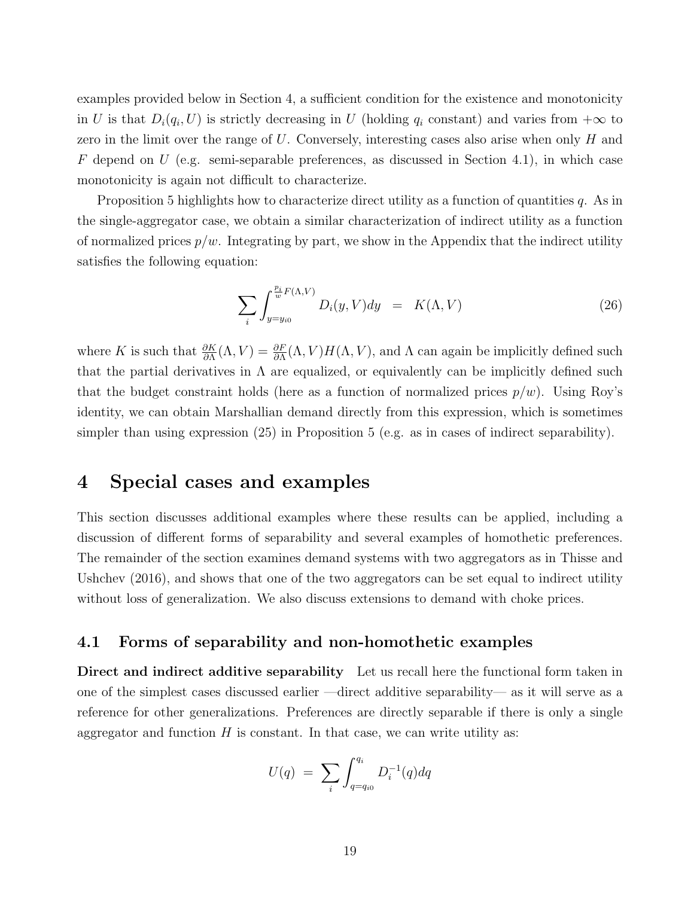examples provided below in Section 4, a sufficient condition for the existence and monotonicity in U is that  $D_i(q_i, U)$  is strictly decreasing in U (holding  $q_i$  constant) and varies from  $+\infty$  to zero in the limit over the range of  $U$ . Conversely, interesting cases also arise when only  $H$  and F depend on U (e.g. semi-separable preferences, as discussed in Section 4.1), in which case monotonicity is again not difficult to characterize.

Proposition 5 highlights how to characterize direct utility as a function of quantities  $q$ . As in the single-aggregator case, we obtain a similar characterization of indirect utility as a function of normalized prices  $p/w$ . Integrating by part, we show in the Appendix that the indirect utility satisfies the following equation:

$$
\sum_{i} \int_{y=y_{i0}}^{\frac{p_i}{w}F(\Lambda,V)} D_i(y,V) dy = K(\Lambda,V)
$$
\n(26)

where K is such that  $\frac{\partial K}{\partial \Lambda}(\Lambda, V) = \frac{\partial F}{\partial \Lambda}(\Lambda, V)H(\Lambda, V)$ , and  $\Lambda$  can again be implicitly defined such that the partial derivatives in  $\Lambda$  are equalized, or equivalently can be implicitly defined such that the budget constraint holds (here as a function of normalized prices  $p/w$ ). Using Roy's identity, we can obtain Marshallian demand directly from this expression, which is sometimes simpler than using expression (25) in Proposition 5 (e.g. as in cases of indirect separability).

# 4 Special cases and examples

This section discusses additional examples where these results can be applied, including a discussion of different forms of separability and several examples of homothetic preferences. The remainder of the section examines demand systems with two aggregators as in Thisse and Ushchev (2016), and shows that one of the two aggregators can be set equal to indirect utility without loss of generalization. We also discuss extensions to demand with choke prices.

# 4.1 Forms of separability and non-homothetic examples

Direct and indirect additive separability Let us recall here the functional form taken in one of the simplest cases discussed earlier —direct additive separability— as it will serve as a reference for other generalizations. Preferences are directly separable if there is only a single aggregator and function  $H$  is constant. In that case, we can write utility as:

$$
U(q) = \sum_{i} \int_{q=q_{i0}}^{q_i} D_i^{-1}(q) dq
$$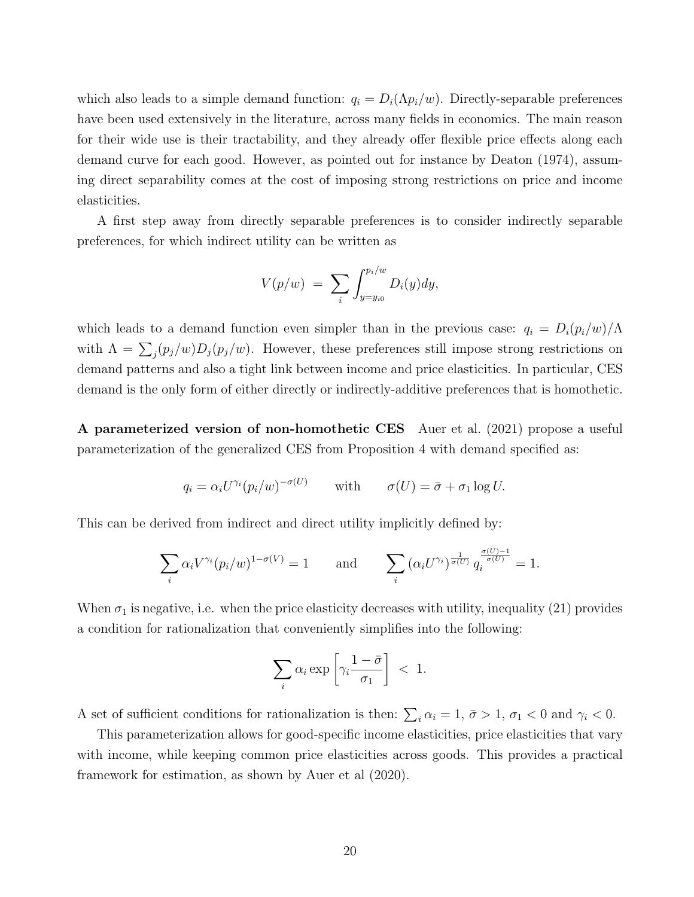which also leads to a simple demand function:  $q_i = D_i(\Lambda p_i/w)$ . Directly-separable preferences have been used extensively in the literature, across many fields in economics. The main reason for their wide use is their tractability, and they already offer flexible price effects along each demand curve for each good. However, as pointed out for instance by Deaton (1974), assuming direct separability comes at the cost of imposing strong restrictions on price and income elasticities.

A first step away from directly separable preferences is to consider indirectly separable preferences, for which indirect utility can be written as

$$
V(p/w) = \sum_{i} \int_{y=y_{i0}}^{p_i/w} D_i(y) dy,
$$

which leads to a demand function even simpler than in the previous case:  $q_i = D_i(p_i/w)/\Lambda$ with  $\Lambda = \sum_j (p_j/w) D_j(p_j/w)$ . However, these preferences still impose strong restrictions on demand patterns and also a tight link between income and price elasticities. In particular, CES demand is the only form of either directly or indirectly-additive preferences that is homothetic.

A parameterized version of non-homothetic CES Auer et al. (2021) propose a useful parameterization of the generalized CES from Proposition 4 with demand specified as:

$$
q_i = \alpha_i U^{\gamma_i} (p_i/w)^{-\sigma(U)}
$$
 with  $\sigma(U) = \bar{\sigma} + \sigma_1 \log U$ .

This can be derived from indirect and direct utility implicitly defined by:

$$
\sum_{i} \alpha_i V^{\gamma_i} (p_i/w)^{1-\sigma(V)} = 1 \quad \text{and} \quad \sum_{i} (\alpha_i U^{\gamma_i})^{\frac{1}{\sigma(U)}} q_i^{\frac{\sigma(U)-1}{\sigma(U)}} = 1.
$$

When  $\sigma_1$  is negative, i.e. when the price elasticity decreases with utility, inequality (21) provides a condition for rationalization that conveniently simplifies into the following:

$$
\sum_{i} \alpha_i \exp\left[\gamma_i \frac{1-\bar{\sigma}}{\sigma_1}\right] \; < \; 1.
$$

A set of sufficient conditions for rationalization is then:  $\sum_i \alpha_i = 1$ ,  $\bar{\sigma} > 1$ ,  $\sigma_1 < 0$  and  $\gamma_i < 0$ .

This parameterization allows for good-specific income elasticities, price elasticities that vary with income, while keeping common price elasticities across goods. This provides a practical framework for estimation, as shown by Auer et al (2020).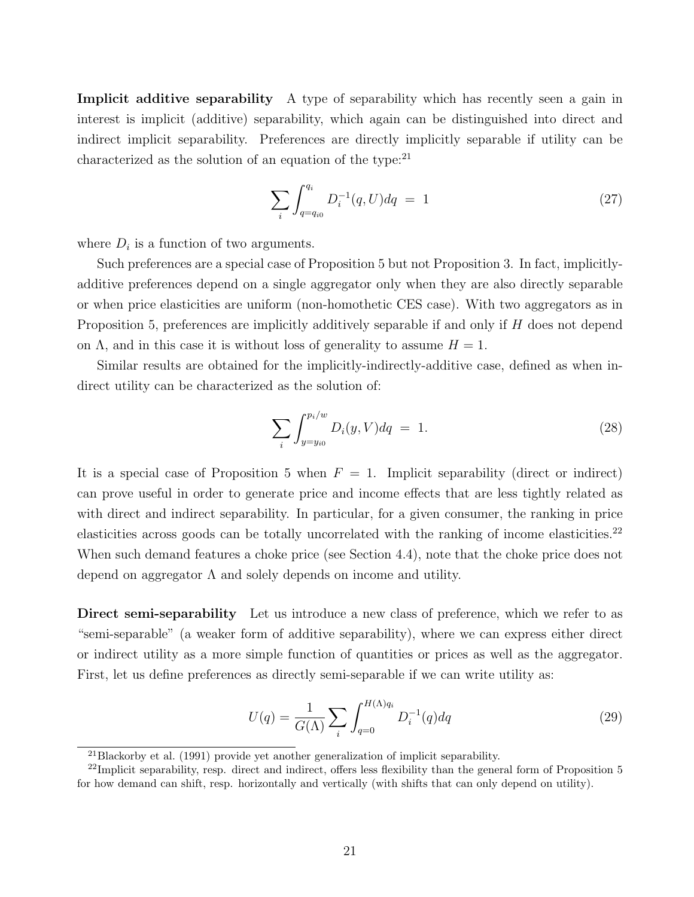Implicit additive separability A type of separability which has recently seen a gain in interest is implicit (additive) separability, which again can be distinguished into direct and indirect implicit separability. Preferences are directly implicitly separable if utility can be characterized as the solution of an equation of the type: $^{21}$ 

$$
\sum_{i} \int_{q=q_{i0}}^{q_i} D_i^{-1}(q, U) dq = 1 \tag{27}
$$

where  $D_i$  is a function of two arguments.

Such preferences are a special case of Proposition 5 but not Proposition 3. In fact, implicitlyadditive preferences depend on a single aggregator only when they are also directly separable or when price elasticities are uniform (non-homothetic CES case). With two aggregators as in Proposition 5, preferences are implicitly additively separable if and only if H does not depend on  $\Lambda$ , and in this case it is without loss of generality to assume  $H = 1$ .

Similar results are obtained for the implicitly-indirectly-additive case, defined as when indirect utility can be characterized as the solution of:

$$
\sum_{i} \int_{y=y_{i0}}^{p_i/w} D_i(y, V) dq = 1.
$$
 (28)

It is a special case of Proposition 5 when  $F = 1$ . Implicit separability (direct or indirect) can prove useful in order to generate price and income effects that are less tightly related as with direct and indirect separability. In particular, for a given consumer, the ranking in price elasticities across goods can be totally uncorrelated with the ranking of income elasticities.<sup>22</sup> When such demand features a choke price (see Section 4.4), note that the choke price does not depend on aggregator  $\Lambda$  and solely depends on income and utility.

Direct semi-separability Let us introduce a new class of preference, which we refer to as "semi-separable" (a weaker form of additive separability), where we can express either direct or indirect utility as a more simple function of quantities or prices as well as the aggregator. First, let us define preferences as directly semi-separable if we can write utility as:

$$
U(q) = \frac{1}{G(\Lambda)} \sum_{i} \int_{q=0}^{H(\Lambda)q_i} D_i^{-1}(q) dq
$$
 (29)

<sup>21</sup>Blackorby et al. (1991) provide yet another generalization of implicit separability.

 $^{22}$ Implicit separability, resp. direct and indirect, offers less flexibility than the general form of Proposition 5 for how demand can shift, resp. horizontally and vertically (with shifts that can only depend on utility).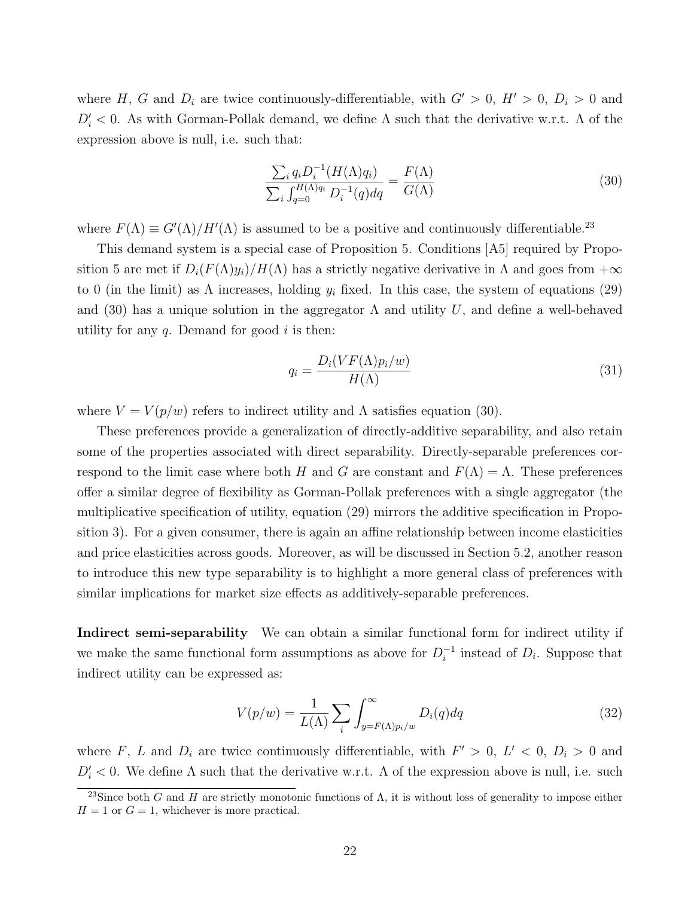where H, G and  $D_i$  are twice continuously-differentiable, with  $G' > 0$ ,  $H' > 0$ ,  $D_i > 0$  and  $D_i' < 0$ . As with Gorman-Pollak demand, we define  $\Lambda$  such that the derivative w.r.t.  $\Lambda$  of the expression above is null, i.e. such that:

$$
\frac{\sum_{i} q_{i} D_{i}^{-1} (H(\Lambda) q_{i})}{\sum_{i} \int_{q=0}^{H(\Lambda) q_{i}} D_{i}^{-1}(q) dq} = \frac{F(\Lambda)}{G(\Lambda)}
$$
(30)

where  $F(\Lambda) \equiv G'(\Lambda)/H'(\Lambda)$  is assumed to be a positive and continuously differentiable.<sup>23</sup>

This demand system is a special case of Proposition 5. Conditions [A5] required by Proposition 5 are met if  $D_i(F(\Lambda)y_i)/H(\Lambda)$  has a strictly negative derivative in  $\Lambda$  and goes from  $+\infty$ to 0 (in the limit) as  $\Lambda$  increases, holding  $y_i$  fixed. In this case, the system of equations (29) and (30) has a unique solution in the aggregator  $\Lambda$  and utility U, and define a well-behaved utility for any  $q$ . Demand for good  $i$  is then:

$$
q_i = \frac{D_i(VF(\Lambda)p_i/w)}{H(\Lambda)}
$$
\n(31)

where  $V = V(p/w)$  refers to indirect utility and  $\Lambda$  satisfies equation (30).

These preferences provide a generalization of directly-additive separability, and also retain some of the properties associated with direct separability. Directly-separable preferences correspond to the limit case where both H and G are constant and  $F(\Lambda) = \Lambda$ . These preferences offer a similar degree of flexibility as Gorman-Pollak preferences with a single aggregator (the multiplicative specification of utility, equation (29) mirrors the additive specification in Proposition 3). For a given consumer, there is again an affine relationship between income elasticities and price elasticities across goods. Moreover, as will be discussed in Section 5.2, another reason to introduce this new type separability is to highlight a more general class of preferences with similar implications for market size effects as additively-separable preferences.

Indirect semi-separability We can obtain a similar functional form for indirect utility if we make the same functional form assumptions as above for  $D_i^{-1}$  $i^{-1}$  instead of  $D_i$ . Suppose that indirect utility can be expressed as:

$$
V(p/w) = \frac{1}{L(\Lambda)} \sum_{i} \int_{y=F(\Lambda)p_i/w}^{\infty} D_i(q) dq
$$
\n(32)

where F, L and  $D_i$  are twice continuously differentiable, with  $F' > 0$ ,  $L' < 0$ ,  $D_i > 0$  and  $D_i' < 0$ . We define  $\Lambda$  such that the derivative w.r.t.  $\Lambda$  of the expression above is null, i.e. such

<sup>&</sup>lt;sup>23</sup>Since both G and H are strictly monotonic functions of  $\Lambda$ , it is without loss of generality to impose either  $H = 1$  or  $G = 1$ , whichever is more practical.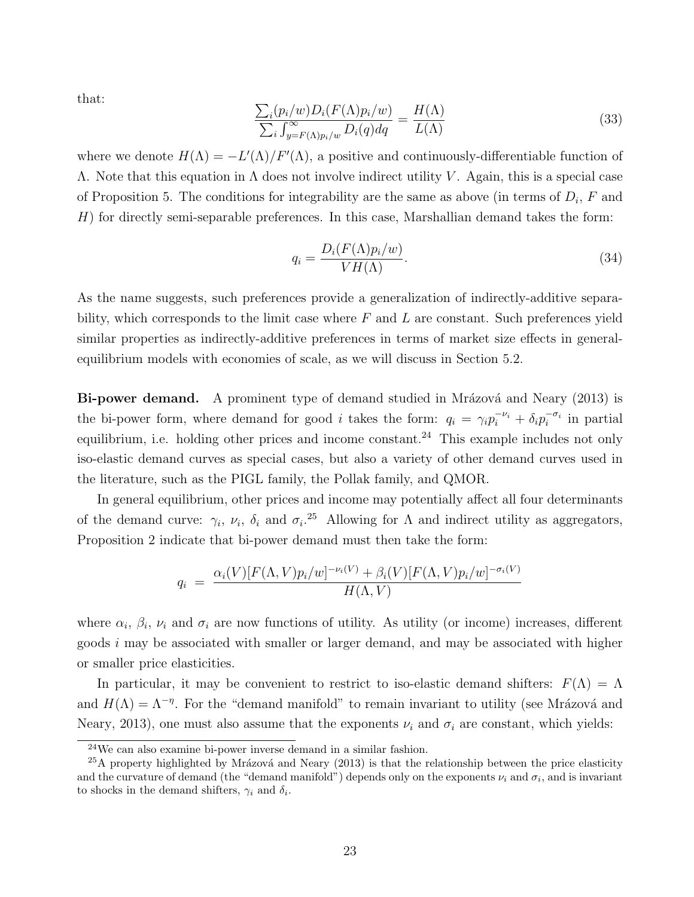that:

$$
\frac{\sum_{i}(p_{i}/w)D_{i}(F(\Lambda)p_{i}/w)}{\sum_{i}\int_{y=F(\Lambda)p_{i}/w}^{\infty}D_{i}(q)dq} = \frac{H(\Lambda)}{L(\Lambda)}
$$
(33)

where we denote  $H(\Lambda) = -L'(\Lambda)/F'(\Lambda)$ , a positive and continuously-differentiable function of  $Λ$ . Note that this equation in  $Λ$  does not involve indirect utility  $V$ . Again, this is a special case of Proposition 5. The conditions for integrability are the same as above (in terms of  $D_i$ , F and H) for directly semi-separable preferences. In this case, Marshallian demand takes the form:

$$
q_i = \frac{D_i(F(\Lambda)p_i/w)}{VH(\Lambda)}.\tag{34}
$$

As the name suggests, such preferences provide a generalization of indirectly-additive separability, which corresponds to the limit case where  $F$  and  $L$  are constant. Such preferences yield similar properties as indirectly-additive preferences in terms of market size effects in generalequilibrium models with economies of scale, as we will discuss in Section 5.2.

Bi-power demand. A prominent type of demand studied in Mrázová and Neary (2013) is the bi-power form, where demand for good *i* takes the form:  $q_i = \gamma_i p_i^{-\nu_i} + \delta_i p_i^{-\sigma_i}$  in partial equilibrium, i.e. holding other prices and income constant.<sup>24</sup> This example includes not only iso-elastic demand curves as special cases, but also a variety of other demand curves used in the literature, such as the PIGL family, the Pollak family, and QMOR.

In general equilibrium, other prices and income may potentially affect all four determinants of the demand curve:  $\gamma_i$ ,  $\nu_i$ ,  $\delta_i$  and  $\sigma_i$ .<sup>25</sup> Allowing for  $\Lambda$  and indirect utility as aggregators, Proposition 2 indicate that bi-power demand must then take the form:

$$
q_i = \frac{\alpha_i(V)[F(\Lambda, V)p_i/w]^{-\nu_i(V)} + \beta_i(V)[F(\Lambda, V)p_i/w]^{-\sigma_i(V)}}{H(\Lambda, V)}
$$

where  $\alpha_i$ ,  $\beta_i$ ,  $\nu_i$  and  $\sigma_i$  are now functions of utility. As utility (or income) increases, different goods i may be associated with smaller or larger demand, and may be associated with higher or smaller price elasticities.

In particular, it may be convenient to restrict to iso-elastic demand shifters:  $F(\Lambda) = \Lambda$ and  $H(\Lambda) = \Lambda^{-\eta}$ . For the "demand manifold" to remain invariant to utility (see Mrázová and Neary, 2013), one must also assume that the exponents  $\nu_i$  and  $\sigma_i$  are constant, which yields:

<sup>24</sup>We can also examine bi-power inverse demand in a similar fashion.

 $^{25}$ A property highlighted by Mrázová and Neary (2013) is that the relationship between the price elasticity and the curvature of demand (the "demand manifold") depends only on the exponents  $\nu_i$  and  $\sigma_i$ , and is invariant to shocks in the demand shifters,  $\gamma_i$  and  $\delta_i$ .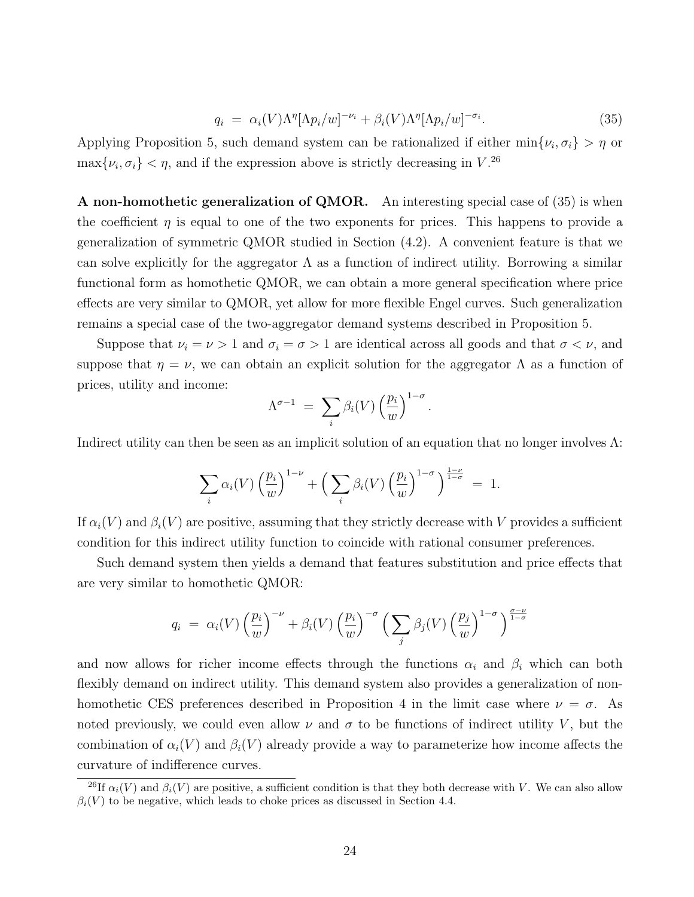$$
q_i = \alpha_i(V)\Lambda^{\eta}[\Lambda p_i/w]^{-\nu_i} + \beta_i(V)\Lambda^{\eta}[\Lambda p_i/w]^{-\sigma_i}.
$$
\n(35)

Applying Proposition 5, such demand system can be rationalized if either  $\min\{\nu_i, \sigma_i\} > \eta$  or  $\max\{\nu_i, \sigma_i\} < \eta$ , and if the expression above is strictly decreasing in  $V^{26}$ .

A non-homothetic generalization of QMOR. An interesting special case of (35) is when the coefficient  $\eta$  is equal to one of the two exponents for prices. This happens to provide a generalization of symmetric QMOR studied in Section (4.2). A convenient feature is that we can solve explicitly for the aggregator  $\Lambda$  as a function of indirect utility. Borrowing a similar functional form as homothetic QMOR, we can obtain a more general specification where price effects are very similar to QMOR, yet allow for more flexible Engel curves. Such generalization remains a special case of the two-aggregator demand systems described in Proposition 5.

Suppose that  $\nu_i = \nu > 1$  and  $\sigma_i = \sigma > 1$  are identical across all goods and that  $\sigma < \nu$ , and suppose that  $\eta = \nu$ , we can obtain an explicit solution for the aggregator  $\Lambda$  as a function of prices, utility and income:

$$
\Lambda^{\sigma-1} = \sum_{i} \beta_i(V) \left(\frac{p_i}{w}\right)^{1-\sigma}.
$$

Indirect utility can then be seen as an implicit solution of an equation that no longer involves Λ:

$$
\sum_{i} \alpha_i(V) \left(\frac{p_i}{w}\right)^{1-\nu} + \left(\sum_{i} \beta_i(V) \left(\frac{p_i}{w}\right)^{1-\sigma}\right)^{\frac{1-\nu}{1-\sigma}} = 1.
$$

If  $\alpha_i(V)$  and  $\beta_i(V)$  are positive, assuming that they strictly decrease with V provides a sufficient condition for this indirect utility function to coincide with rational consumer preferences.

Such demand system then yields a demand that features substitution and price effects that are very similar to homothetic QMOR:

$$
q_i = \alpha_i(V) \left(\frac{p_i}{w}\right)^{-\nu} + \beta_i(V) \left(\frac{p_i}{w}\right)^{-\sigma} \left(\sum_j \beta_j(V) \left(\frac{p_j}{w}\right)^{1-\sigma}\right)^{\frac{\sigma-\nu}{1-\sigma}}
$$

and now allows for richer income effects through the functions  $\alpha_i$  and  $\beta_i$  which can both flexibly demand on indirect utility. This demand system also provides a generalization of nonhomothetic CES preferences described in Proposition 4 in the limit case where  $\nu = \sigma$ . As noted previously, we could even allow  $\nu$  and  $\sigma$  to be functions of indirect utility V, but the combination of  $\alpha_i(V)$  and  $\beta_i(V)$  already provide a way to parameterize how income affects the curvature of indifference curves.

<sup>&</sup>lt;sup>26</sup>If  $\alpha_i(V)$  and  $\beta_i(V)$  are positive, a sufficient condition is that they both decrease with V. We can also allow  $\beta_i(V)$  to be negative, which leads to choke prices as discussed in Section 4.4.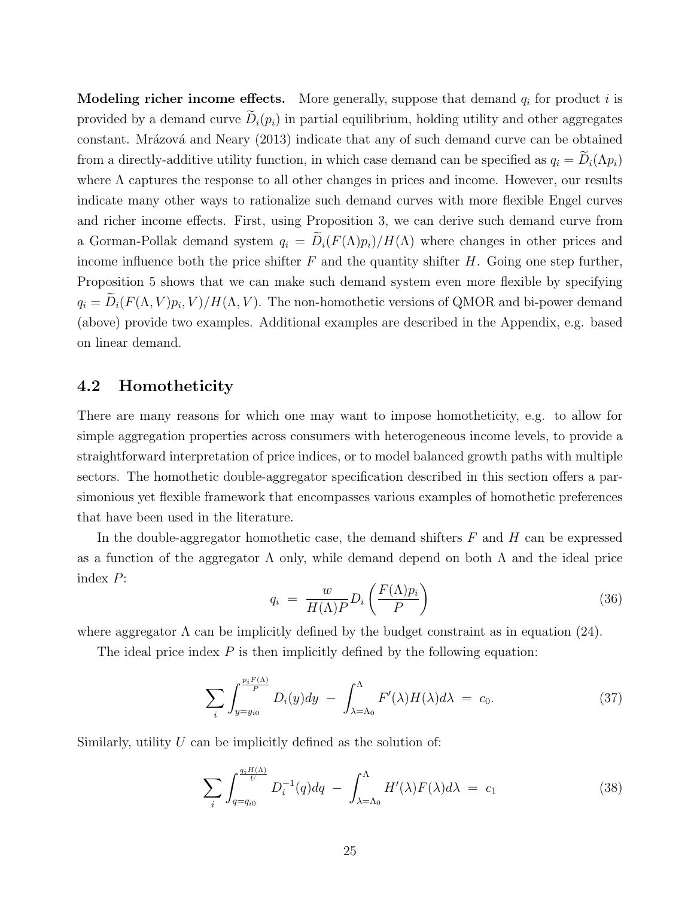**Modeling richer income effects.** More generally, suppose that demand  $q_i$  for product i is provided by a demand curve  $\tilde{D}_i(p_i)$  in partial equilibrium, holding utility and other aggregates constant. Mrázová and Neary (2013) indicate that any of such demand curve can be obtained from a directly-additive utility function, in which case demand can be specified as  $q_i = \tilde{D}_i(\Lambda p_i)$ where  $\Lambda$  captures the response to all other changes in prices and income. However, our results indicate many other ways to rationalize such demand curves with more flexible Engel curves and richer income effects. First, using Proposition 3, we can derive such demand curve from a Gorman-Pollak demand system  $q_i = \tilde{D}_i(F(\Lambda)p_i)/H(\Lambda)$  where changes in other prices and income influence both the price shifter  $F$  and the quantity shifter  $H$ . Going one step further, Proposition 5 shows that we can make such demand system even more flexible by specifying  $q_i = D_i(F(\Lambda, V)p_i, V)/H(\Lambda, V)$ . The non-homothetic versions of QMOR and bi-power demand (above) provide two examples. Additional examples are described in the Appendix, e.g. based on linear demand.

## 4.2 Homotheticity

There are many reasons for which one may want to impose homotheticity, e.g. to allow for simple aggregation properties across consumers with heterogeneous income levels, to provide a straightforward interpretation of price indices, or to model balanced growth paths with multiple sectors. The homothetic double-aggregator specification described in this section offers a parsimonious yet flexible framework that encompasses various examples of homothetic preferences that have been used in the literature.

In the double-aggregator homothetic case, the demand shifters  $F$  and  $H$  can be expressed as a function of the aggregator  $\Lambda$  only, while demand depend on both  $\Lambda$  and the ideal price index P:

$$
q_i = \frac{w}{H(\Lambda)P} D_i \left( \frac{F(\Lambda)p_i}{P} \right) \tag{36}
$$

where aggregator  $\Lambda$  can be implicitly defined by the budget constraint as in equation (24).

The ideal price index  $P$  is then implicitly defined by the following equation:

$$
\sum_{i} \int_{y=y_{i0}}^{\frac{p_i F(\Lambda)}{P}} D_i(y) dy - \int_{\lambda=\Lambda_0}^{\Lambda} F'(\lambda) H(\lambda) d\lambda = c_0.
$$
 (37)

Similarly, utility  $U$  can be implicitly defined as the solution of:

$$
\sum_{i} \int_{q=q_{i0}}^{\frac{q_i H(\Lambda)}{U}} D_i^{-1}(q) dq - \int_{\lambda=\Lambda_0}^{\Lambda} H'(\lambda) F(\lambda) d\lambda = c_1
$$
 (38)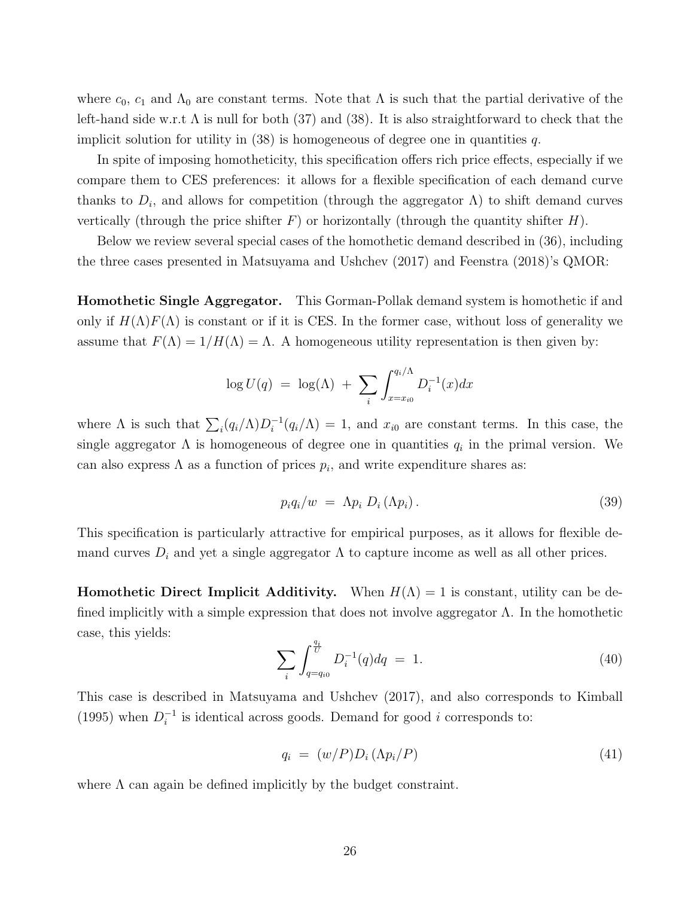where  $c_0$ ,  $c_1$  and  $\Lambda_0$  are constant terms. Note that  $\Lambda$  is such that the partial derivative of the left-hand side w.r.t  $\Lambda$  is null for both (37) and (38). It is also straightforward to check that the implicit solution for utility in  $(38)$  is homogeneous of degree one in quantities q.

In spite of imposing homotheticity, this specification offers rich price effects, especially if we compare them to CES preferences: it allows for a flexible specification of each demand curve thanks to  $D_i$ , and allows for competition (through the aggregator  $\Lambda$ ) to shift demand curves vertically (through the price shifter  $F$ ) or horizontally (through the quantity shifter  $H$ ).

Below we review several special cases of the homothetic demand described in (36), including the three cases presented in Matsuyama and Ushchev (2017) and Feenstra (2018)'s QMOR:

Homothetic Single Aggregator. This Gorman-Pollak demand system is homothetic if and only if  $H(\Lambda)F(\Lambda)$  is constant or if it is CES. In the former case, without loss of generality we assume that  $F(\Lambda) = 1/H(\Lambda) = \Lambda$ . A homogeneous utility representation is then given by:

$$
\log U(q) = \log(\Lambda) + \sum_{i} \int_{x=x_{i0}}^{q_i/\Lambda} D_i^{-1}(x) dx
$$

where  $\Lambda$  is such that  $\sum_i (q_i/\Lambda)D_i^{-1}$  $i_l^{-1}(q_i/\Lambda) = 1$ , and  $x_{i0}$  are constant terms. In this case, the single aggregator  $\Lambda$  is homogeneous of degree one in quantities  $q_i$  in the primal version. We can also express  $\Lambda$  as a function of prices  $p_i$ , and write expenditure shares as:

$$
p_i q_i/w = \Lambda p_i D_i (\Lambda p_i). \qquad (39)
$$

This specification is particularly attractive for empirical purposes, as it allows for flexible demand curves  $D_i$  and yet a single aggregator  $\Lambda$  to capture income as well as all other prices.

**Homothetic Direct Implicit Additivity.** When  $H(\Lambda) = 1$  is constant, utility can be defined implicitly with a simple expression that does not involve aggregator Λ. In the homothetic case, this yields:

$$
\sum_{i} \int_{q=q_{i0}}^{\frac{q_i}{U}} D_i^{-1}(q) dq = 1.
$$
\n(40)

This case is described in Matsuyama and Ushchev (2017), and also corresponds to Kimball  $(1995)$  when  $D_i^{-1}$  $i<sup>-1</sup>$  is identical across goods. Demand for good *i* corresponds to:

$$
q_i = (w/P)D_i(\Lambda p_i/P) \tag{41}
$$

where  $\Lambda$  can again be defined implicitly by the budget constraint.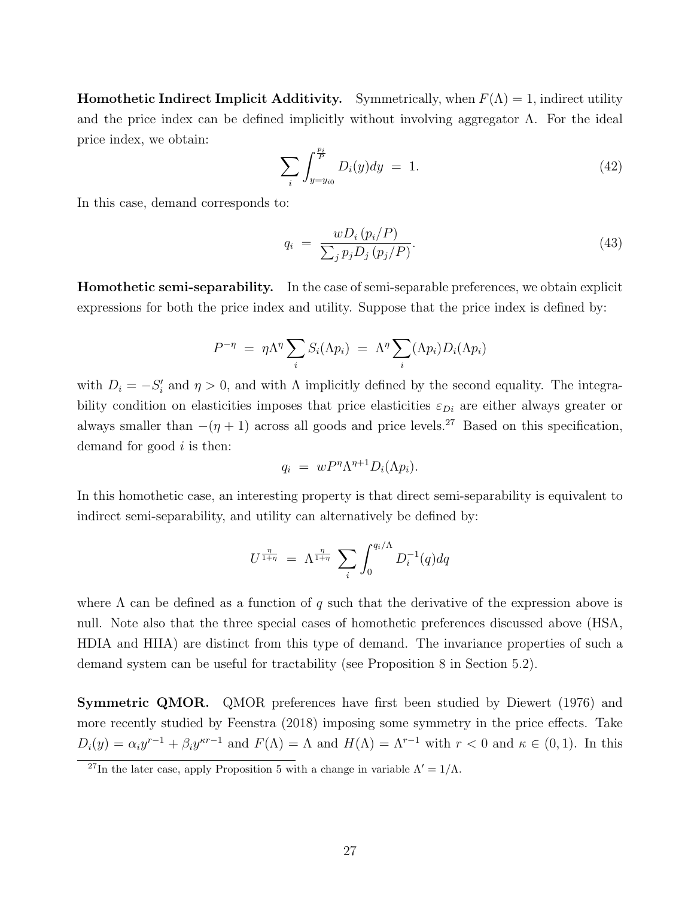**Homothetic Indirect Implicit Additivity.** Symmetrically, when  $F(\Lambda) = 1$ , indirect utility and the price index can be defined implicitly without involving aggregator  $\Lambda$ . For the ideal price index, we obtain:

$$
\sum_{i} \int_{y=y_{i0}}^{\frac{p_i}{P}} D_i(y) dy = 1.
$$
 (42)

In this case, demand corresponds to:

$$
q_i = \frac{wD_i(p_i/P)}{\sum_j p_j D_j(p_j/P)}.\tag{43}
$$

Homothetic semi-separability. In the case of semi-separable preferences, we obtain explicit expressions for both the price index and utility. Suppose that the price index is defined by:

$$
P^{-\eta} = \eta \Lambda^{\eta} \sum_{i} S_{i}(\Lambda p_{i}) = \Lambda^{\eta} \sum_{i} (\Lambda p_{i}) D_{i}(\Lambda p_{i})
$$

with  $D_i = -S'_i$  and  $\eta > 0$ , and with  $\Lambda$  implicitly defined by the second equality. The integrability condition on elasticities imposes that price elasticities  $\varepsilon_{Di}$  are either always greater or always smaller than  $-(\eta + 1)$  across all goods and price levels.<sup>27</sup> Based on this specification, demand for good  $i$  is then:

$$
q_i = w P^{\eta} \Lambda^{\eta+1} D_i(\Lambda p_i).
$$

In this homothetic case, an interesting property is that direct semi-separability is equivalent to indirect semi-separability, and utility can alternatively be defined by:

$$
U^{\frac{\eta}{1+\eta}} = \Lambda^{\frac{\eta}{1+\eta}} \sum_{i} \int_{0}^{q_i/\Lambda} D_i^{-1}(q) dq
$$

where  $\Lambda$  can be defined as a function of q such that the derivative of the expression above is null. Note also that the three special cases of homothetic preferences discussed above (HSA, HDIA and HIIA) are distinct from this type of demand. The invariance properties of such a demand system can be useful for tractability (see Proposition 8 in Section 5.2).

Symmetric QMOR. QMOR preferences have first been studied by Diewert (1976) and more recently studied by Feenstra (2018) imposing some symmetry in the price effects. Take  $D_i(y) = \alpha_i y^{r-1} + \beta_i y^{kr-1}$  and  $F(\Lambda) = \Lambda$  and  $H(\Lambda) = \Lambda^{r-1}$  with  $r < 0$  and  $\kappa \in (0,1)$ . In this

<sup>&</sup>lt;sup>27</sup>In the later case, apply Proposition 5 with a change in variable  $\Lambda' = 1/\Lambda$ .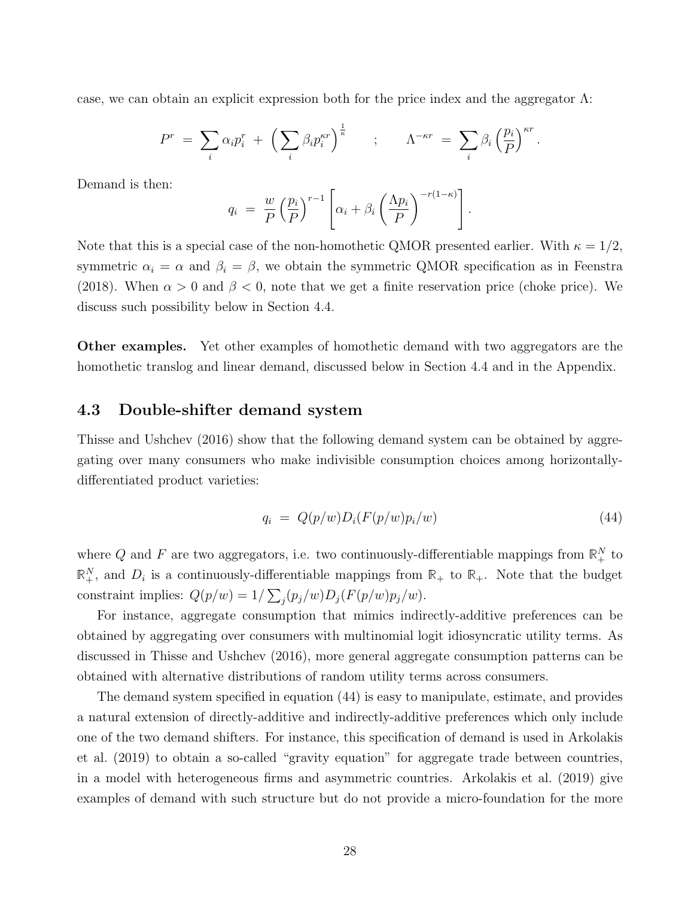case, we can obtain an explicit expression both for the price index and the aggregator  $\Lambda$ :

$$
P^r = \sum_i \alpha_i p_i^r + \left(\sum_i \beta_i p_i^{\kappa r}\right)^{\frac{1}{\kappa}} \quad ; \quad \Lambda^{-\kappa r} = \sum_i \beta_i \left(\frac{p_i}{P}\right)^{\kappa r}.
$$

Demand is then:

$$
q_i = \frac{w}{P} \left(\frac{p_i}{P}\right)^{r-1} \left[\alpha_i + \beta_i \left(\frac{\Lambda p_i}{P}\right)^{-r(1-\kappa)}\right].
$$

Note that this is a special case of the non-homothetic QMOR presented earlier. With  $\kappa = 1/2$ , symmetric  $\alpha_i = \alpha$  and  $\beta_i = \beta$ , we obtain the symmetric QMOR specification as in Feenstra (2018). When  $\alpha > 0$  and  $\beta < 0$ , note that we get a finite reservation price (choke price). We discuss such possibility below in Section 4.4.

Other examples. Yet other examples of homothetic demand with two aggregators are the homothetic translog and linear demand, discussed below in Section 4.4 and in the Appendix.

# 4.3 Double-shifter demand system

Thisse and Ushchev (2016) show that the following demand system can be obtained by aggregating over many consumers who make indivisible consumption choices among horizontallydifferentiated product varieties:

$$
q_i = Q(p/w)D_i(F(p/w)p_i/w) \tag{44}
$$

where Q and F are two aggregators, i.e. two continuously-differentiable mappings from  $\mathbb{R}^N_+$  to  $\mathbb{R}^N_+$ , and  $D_i$  is a continuously-differentiable mappings from  $\mathbb{R}_+$  to  $\mathbb{R}_+$ . Note that the budget constraint implies:  $Q(p/w) = 1/\sum_j (p_j/w)D_j(F(p/w)p_j/w)$ .

For instance, aggregate consumption that mimics indirectly-additive preferences can be obtained by aggregating over consumers with multinomial logit idiosyncratic utility terms. As discussed in Thisse and Ushchev (2016), more general aggregate consumption patterns can be obtained with alternative distributions of random utility terms across consumers.

The demand system specified in equation (44) is easy to manipulate, estimate, and provides a natural extension of directly-additive and indirectly-additive preferences which only include one of the two demand shifters. For instance, this specification of demand is used in Arkolakis et al. (2019) to obtain a so-called "gravity equation" for aggregate trade between countries, in a model with heterogeneous firms and asymmetric countries. Arkolakis et al. (2019) give examples of demand with such structure but do not provide a micro-foundation for the more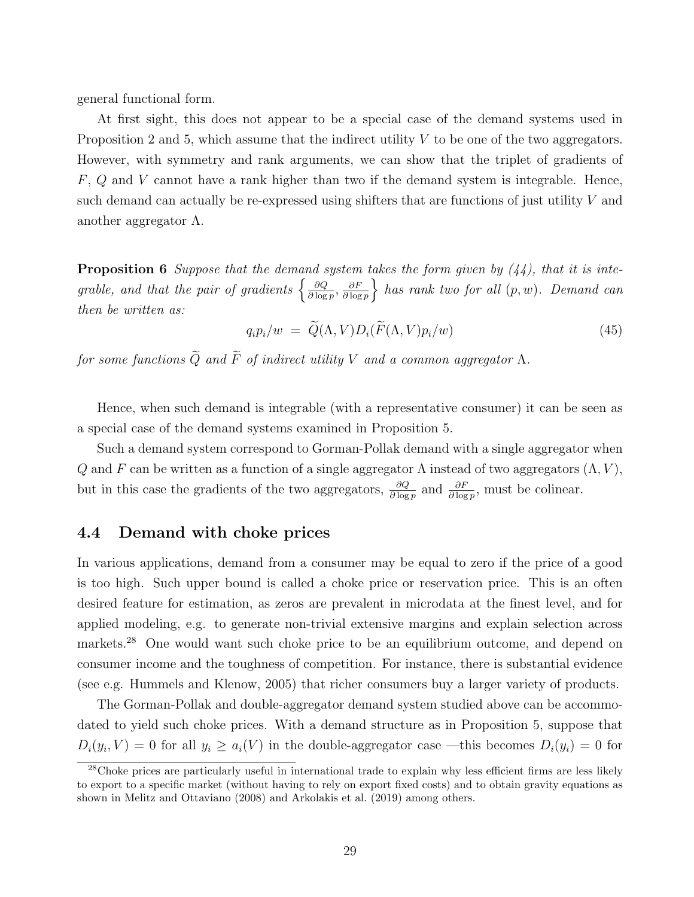general functional form.

At first sight, this does not appear to be a special case of the demand systems used in Proposition 2 and 5, which assume that the indirect utility  $V$  to be one of the two aggregators. However, with symmetry and rank arguments, we can show that the triplet of gradients of  $F, Q$  and  $V$  cannot have a rank higher than two if the demand system is integrable. Hence, such demand can actually be re-expressed using shifters that are functions of just utility V and another aggregator  $\Lambda$ .

**Proposition 6** Suppose that the demand system takes the form given by  $(44)$ , that it is integrable, and that the pair of gradients  $\frac{\partial Q}{\partial \log n}$  $\frac{\partial Q}{\partial \log p}, \frac{\partial F}{\partial \log p}$  $\frac{\partial F}{\partial \log p}$  has rank two for all  $(p, w)$ . Demand can then be written as:

$$
q_i p_i/w = \widetilde{Q}(\Lambda, V) D_i(\widetilde{F}(\Lambda, V) p_i/w) \tag{45}
$$

for some functions  $\widetilde{Q}$  and  $\widetilde{F}$  of indirect utility V and a common aggregator  $\Lambda$ .

Hence, when such demand is integrable (with a representative consumer) it can be seen as a special case of the demand systems examined in Proposition 5.

Such a demand system correspond to Gorman-Pollak demand with a single aggregator when Q and F can be written as a function of a single aggregator  $\Lambda$  instead of two aggregators  $(\Lambda, V)$ , but in this case the gradients of the two aggregators,  $\frac{\partial Q}{\partial \log p}$  and  $\frac{\partial F}{\partial \log p}$ , must be colinear.

## 4.4 Demand with choke prices

In various applications, demand from a consumer may be equal to zero if the price of a good is too high. Such upper bound is called a choke price or reservation price. This is an often desired feature for estimation, as zeros are prevalent in microdata at the finest level, and for applied modeling, e.g. to generate non-trivial extensive margins and explain selection across markets.<sup>28</sup> One would want such choke price to be an equilibrium outcome, and depend on consumer income and the toughness of competition. For instance, there is substantial evidence (see e.g. Hummels and Klenow, 2005) that richer consumers buy a larger variety of products.

The Gorman-Pollak and double-aggregator demand system studied above can be accommodated to yield such choke prices. With a demand structure as in Proposition 5, suppose that  $D_i(y_i, V) = 0$  for all  $y_i \ge a_i(V)$  in the double-aggregator case —this becomes  $D_i(y_i) = 0$  for

 $28$ Choke prices are particularly useful in international trade to explain why less efficient firms are less likely to export to a specific market (without having to rely on export fixed costs) and to obtain gravity equations as shown in Melitz and Ottaviano (2008) and Arkolakis et al. (2019) among others.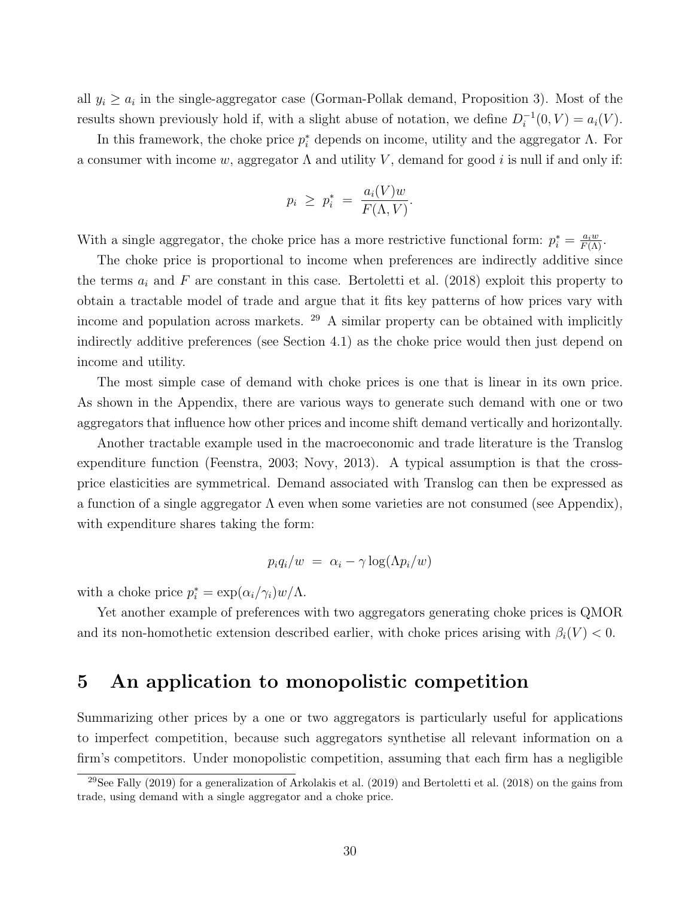all  $y_i \geq a_i$  in the single-aggregator case (Gorman-Pollak demand, Proposition 3). Most of the results shown previously hold if, with a slight abuse of notation, we define  $D_i^{-1}$  $i^{-1}(0, V) = a_i(V).$ 

In this framework, the choke price  $p_i^*$  depends on income, utility and the aggregator  $\Lambda$ . For a consumer with income w, aggregator  $\Lambda$  and utility V, demand for good i is null if and only if:

$$
p_i \ge p_i^* = \frac{a_i(V)w}{F(\Lambda, V)}.
$$

With a single aggregator, the choke price has a more restrictive functional form:  $p_i^* = \frac{a_i w}{F(\Lambda)}$ .

The choke price is proportional to income when preferences are indirectly additive since the terms  $a_i$  and F are constant in this case. Bertoletti et al. (2018) exploit this property to obtain a tractable model of trade and argue that it fits key patterns of how prices vary with income and population across markets. <sup>29</sup> A similar property can be obtained with implicitly indirectly additive preferences (see Section 4.1) as the choke price would then just depend on income and utility.

The most simple case of demand with choke prices is one that is linear in its own price. As shown in the Appendix, there are various ways to generate such demand with one or two aggregators that influence how other prices and income shift demand vertically and horizontally.

Another tractable example used in the macroeconomic and trade literature is the Translog expenditure function (Feenstra, 2003; Novy, 2013). A typical assumption is that the crossprice elasticities are symmetrical. Demand associated with Translog can then be expressed as a function of a single aggregator  $\Lambda$  even when some varieties are not consumed (see Appendix), with expenditure shares taking the form:

$$
p_i q_i/w = \alpha_i - \gamma \log(\Lambda p_i/w)
$$

with a choke price  $p_i^* = \exp(\alpha_i/\gamma_i)w/\Lambda$ .

Yet another example of preferences with two aggregators generating choke prices is QMOR and its non-homothetic extension described earlier, with choke prices arising with  $\beta_i(V) < 0$ .

# 5 An application to monopolistic competition

Summarizing other prices by a one or two aggregators is particularly useful for applications to imperfect competition, because such aggregators synthetise all relevant information on a firm's competitors. Under monopolistic competition, assuming that each firm has a negligible

<sup>&</sup>lt;sup>29</sup>See Fally (2019) for a generalization of Arkolakis et al. (2019) and Bertoletti et al. (2018) on the gains from trade, using demand with a single aggregator and a choke price.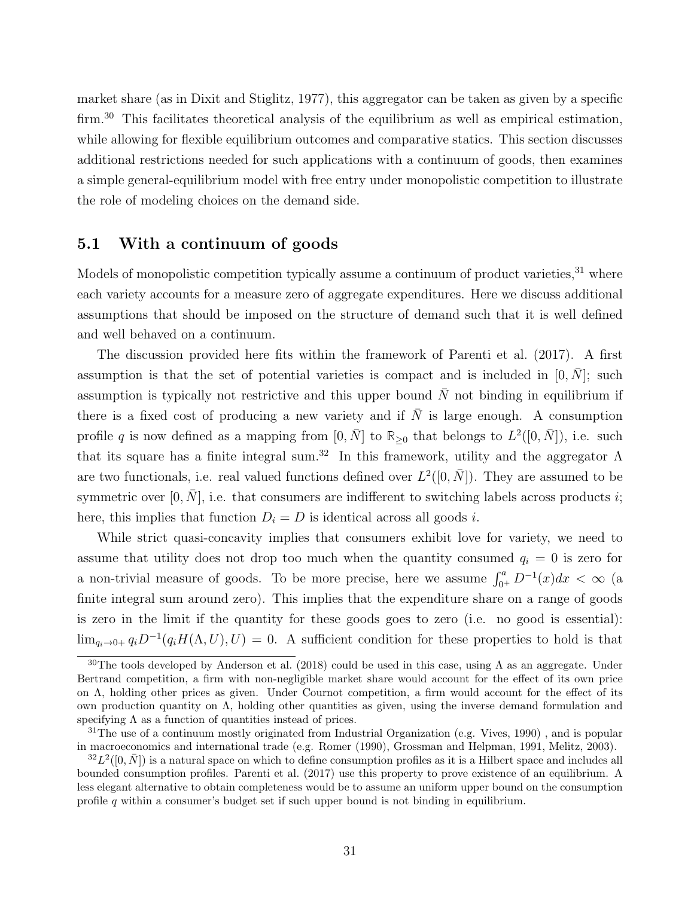market share (as in Dixit and Stiglitz, 1977), this aggregator can be taken as given by a specific firm.<sup>30</sup> This facilitates theoretical analysis of the equilibrium as well as empirical estimation, while allowing for flexible equilibrium outcomes and comparative statics. This section discusses additional restrictions needed for such applications with a continuum of goods, then examines a simple general-equilibrium model with free entry under monopolistic competition to illustrate the role of modeling choices on the demand side.

## 5.1 With a continuum of goods

Models of monopolistic competition typically assume a continuum of product varieties, $31$  where each variety accounts for a measure zero of aggregate expenditures. Here we discuss additional assumptions that should be imposed on the structure of demand such that it is well defined and well behaved on a continuum.

The discussion provided here fits within the framework of Parenti et al. (2017). A first assumption is that the set of potential varieties is compact and is included in  $[0, N]$ ; such assumption is typically not restrictive and this upper bound  $\bar{N}$  not binding in equilibrium if there is a fixed cost of producing a new variety and if  $\overline{N}$  is large enough. A consumption profile q is now defined as a mapping from  $[0, \bar{N}]$  to  $\mathbb{R}_{\geq 0}$  that belongs to  $L^2([0, \bar{N}])$ , i.e. such that its square has a finite integral sum.<sup>32</sup> In this framework, utility and the aggregator  $\Lambda$ are two functionals, i.e. real valued functions defined over  $L^2([0, \bar{N}])$ . They are assumed to be symmetric over  $[0, N]$ , i.e. that consumers are indifferent to switching labels across products i; here, this implies that function  $D_i = D$  is identical across all goods *i*.

While strict quasi-concavity implies that consumers exhibit love for variety, we need to assume that utility does not drop too much when the quantity consumed  $q_i = 0$  is zero for a non-trivial measure of goods. To be more precise, here we assume  $\int_{0^+}^{a} D^{-1}(x) dx < \infty$  (a finite integral sum around zero). This implies that the expenditure share on a range of goods is zero in the limit if the quantity for these goods goes to zero (i.e. no good is essential):  $\lim_{q_i\to 0+} q_i D^{-1}(q_i H(\Lambda, U), U) = 0$ . A sufficient condition for these properties to hold is that

<sup>&</sup>lt;sup>30</sup>The tools developed by Anderson et al. (2018) could be used in this case, using  $\Lambda$  as an aggregate. Under Bertrand competition, a firm with non-negligible market share would account for the effect of its own price on Λ, holding other prices as given. Under Cournot competition, a firm would account for the effect of its own production quantity on Λ, holding other quantities as given, using the inverse demand formulation and specifying  $\Lambda$  as a function of quantities instead of prices.

 $31$ The use of a continuum mostly originated from Industrial Organization (e.g. Vives, 1990), and is popular in macroeconomics and international trade (e.g. Romer (1990), Grossman and Helpman, 1991, Melitz, 2003).

 ${}^{32}L^2([0,\bar{N}])$  is a natural space on which to define consumption profiles as it is a Hilbert space and includes all bounded consumption profiles. Parenti et al. (2017) use this property to prove existence of an equilibrium. A less elegant alternative to obtain completeness would be to assume an uniform upper bound on the consumption profile q within a consumer's budget set if such upper bound is not binding in equilibrium.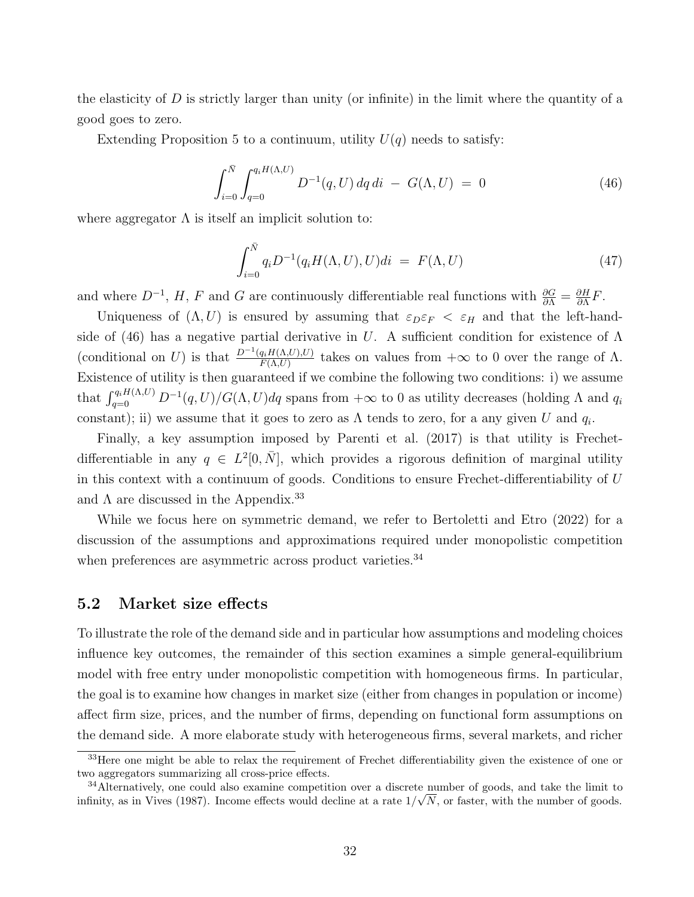the elasticity of  $D$  is strictly larger than unity (or infinite) in the limit where the quantity of a good goes to zero.

Extending Proposition 5 to a continuum, utility  $U(q)$  needs to satisfy:

$$
\int_{i=0}^{\bar{N}} \int_{q=0}^{q_i H(\Lambda, U)} D^{-1}(q, U) dq di - G(\Lambda, U) = 0
$$
\n(46)

where aggregator  $\Lambda$  is itself an implicit solution to:

$$
\int_{i=0}^{\bar{N}} q_i D^{-1}(q_i H(\Lambda, U), U) di = F(\Lambda, U)
$$
\n(47)

and where  $D^{-1}$ , H, F and G are continuously differentiable real functions with  $\frac{\partial G}{\partial \Lambda} = \frac{\partial H}{\partial \Lambda}$  $\frac{\partial H}{\partial \Lambda}F$ .

Uniqueness of  $(\Lambda, U)$  is ensured by assuming that  $\varepsilon_D \varepsilon_F < \varepsilon_H$  and that the left-handside of (46) has a negative partial derivative in U. A sufficient condition for existence of  $\Lambda$ (conditional on U) is that  $\frac{D^{-1}(q_iH(\Lambda,U),U)}{F(\Lambda,U)}$  $\frac{q_i H(\Lambda, U), U}{F(\Lambda, U)}$  takes on values from  $+\infty$  to 0 over the range of  $\Lambda$ . Existence of utility is then guaranteed if we combine the following two conditions: i) we assume that  $\int_{q=0}^{q_i H(\Lambda,U)} D^{-1}(q,U)/G(\Lambda,U) dq$  spans from  $+\infty$  to 0 as utility decreases (holding  $\Lambda$  and  $q_i$ constant); ii) we assume that it goes to zero as  $\Lambda$  tends to zero, for a any given U and  $q_i$ .

Finally, a key assumption imposed by Parenti et al. (2017) is that utility is Frechetdifferentiable in any  $q \in L^2[0, \bar{N}]$ , which provides a rigorous definition of marginal utility in this context with a continuum of goods. Conditions to ensure Frechet-differentiability of U and  $\Lambda$  are discussed in the Appendix.<sup>33</sup>

While we focus here on symmetric demand, we refer to Bertoletti and Etro (2022) for a discussion of the assumptions and approximations required under monopolistic competition when preferences are asymmetric across product varieties.<sup>34</sup>

## 5.2 Market size effects

To illustrate the role of the demand side and in particular how assumptions and modeling choices influence key outcomes, the remainder of this section examines a simple general-equilibrium model with free entry under monopolistic competition with homogeneous firms. In particular, the goal is to examine how changes in market size (either from changes in population or income) affect firm size, prices, and the number of firms, depending on functional form assumptions on the demand side. A more elaborate study with heterogeneous firms, several markets, and richer

<sup>&</sup>lt;sup>33</sup>Here one might be able to relax the requirement of Frechet differentiability given the existence of one or two aggregators summarizing all cross-price effects.

<sup>&</sup>lt;sup>34</sup>Alternatively, one could also examine competition over a discrete number of goods, and take the limit to infinity, as in Vives (1987). Income effects would decline at a rate  $1/\sqrt{N}$ , or faster, with the number of goods.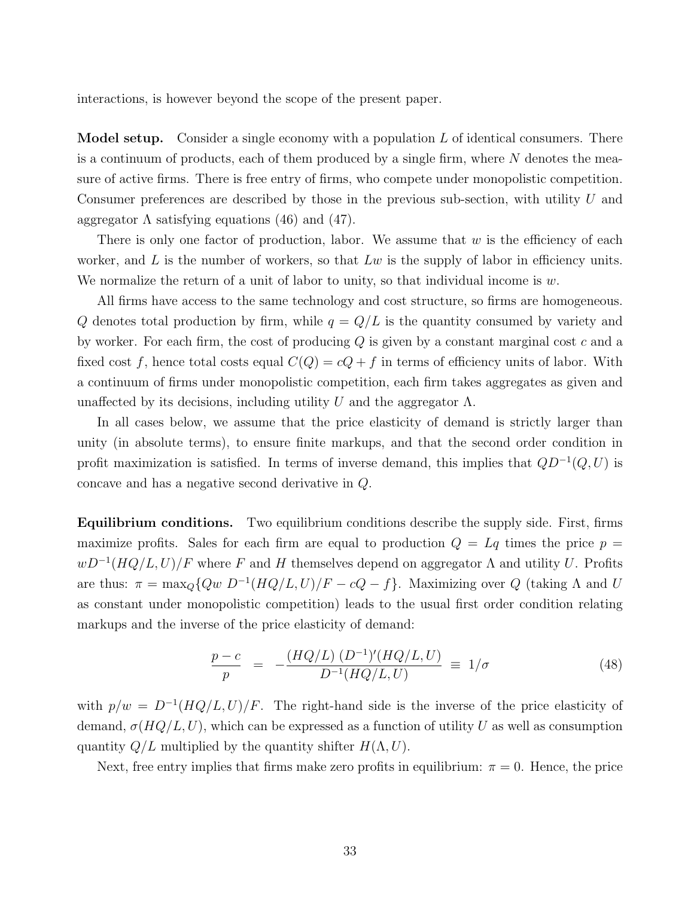interactions, is however beyond the scope of the present paper.

**Model setup.** Consider a single economy with a population  $L$  of identical consumers. There is a continuum of products, each of them produced by a single firm, where  $N$  denotes the measure of active firms. There is free entry of firms, who compete under monopolistic competition. Consumer preferences are described by those in the previous sub-section, with utility U and aggregator  $\Lambda$  satisfying equations (46) and (47).

There is only one factor of production, labor. We assume that  $w$  is the efficiency of each worker, and  $L$  is the number of workers, so that  $Lw$  is the supply of labor in efficiency units. We normalize the return of a unit of labor to unity, so that individual income is  $w$ .

All firms have access to the same technology and cost structure, so firms are homogeneous. Q denotes total production by firm, while  $q = Q/L$  is the quantity consumed by variety and by worker. For each firm, the cost of producing  $Q$  is given by a constant marginal cost  $c$  and a fixed cost f, hence total costs equal  $C(Q) = cQ + f$  in terms of efficiency units of labor. With a continuum of firms under monopolistic competition, each firm takes aggregates as given and unaffected by its decisions, including utility U and the aggregator  $\Lambda$ .

In all cases below, we assume that the price elasticity of demand is strictly larger than unity (in absolute terms), to ensure finite markups, and that the second order condition in profit maximization is satisfied. In terms of inverse demand, this implies that  $QD^{-1}(Q, U)$  is concave and has a negative second derivative in Q.

Equilibrium conditions. Two equilibrium conditions describe the supply side. First, firms maximize profits. Sales for each firm are equal to production  $Q = Lq$  times the price  $p =$  $wD^{-1}(HQ/L, U)/F$  where F and H themselves depend on aggregator  $\Lambda$  and utility U. Profits are thus:  $\pi = \max_{Q} \{Qw \ D^{-1}(HQ/L, U)/F - cQ - f\}$ . Maximizing over Q (taking  $\Lambda$  and U as constant under monopolistic competition) leads to the usual first order condition relating markups and the inverse of the price elasticity of demand:

$$
\frac{p-c}{p} = -\frac{(HQ/L) (D^{-1})'(HQ/L, U)}{D^{-1}(HQ/L, U)} \equiv 1/\sigma \tag{48}
$$

with  $p/w = D^{-1}(HQ/L, U)/F$ . The right-hand side is the inverse of the price elasticity of demand,  $\sigma(HQ/L, U)$ , which can be expressed as a function of utility U as well as consumption quantity  $Q/L$  multiplied by the quantity shifter  $H(\Lambda, U)$ .

Next, free entry implies that firms make zero profits in equilibrium:  $\pi = 0$ . Hence, the price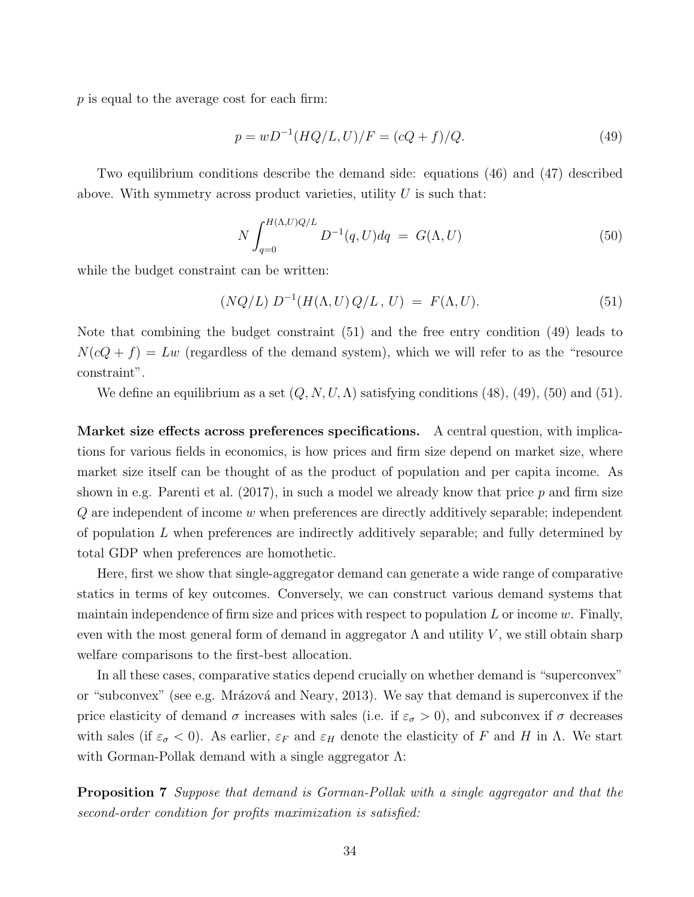p is equal to the average cost for each firm:

$$
p = wD^{-1}(HQ/L, U)/F = (cQ + f)/Q.
$$
\n(49)

Two equilibrium conditions describe the demand side: equations (46) and (47) described above. With symmetry across product varieties, utility  $U$  is such that:

$$
N \int_{q=0}^{H(\Lambda,U)Q/L} D^{-1}(q,U) dq = G(\Lambda,U)
$$
\n(50)

while the budget constraint can be written:

$$
(NQ/L) D^{-1}(H(\Lambda, U) Q/L, U) = F(\Lambda, U).
$$
 (51)

Note that combining the budget constraint (51) and the free entry condition (49) leads to  $N(cQ + f) = Lw$  (regardless of the demand system), which we will refer to as the "resource constraint".

We define an equilibrium as a set  $(Q, N, U, \Lambda)$  satisfying conditions (48), (49), (50) and (51).

Market size effects across preferences specifications. A central question, with implications for various fields in economics, is how prices and firm size depend on market size, where market size itself can be thought of as the product of population and per capita income. As shown in e.g. Parenti et al.  $(2017)$ , in such a model we already know that price p and firm size  $Q$  are independent of income  $w$  when preferences are directly additively separable; independent of population L when preferences are indirectly additively separable; and fully determined by total GDP when preferences are homothetic.

Here, first we show that single-aggregator demand can generate a wide range of comparative statics in terms of key outcomes. Conversely, we can construct various demand systems that maintain independence of firm size and prices with respect to population  $L$  or income  $w$ . Finally, even with the most general form of demand in aggregator  $\Lambda$  and utility  $V$ , we still obtain sharp welfare comparisons to the first-best allocation.

In all these cases, comparative statics depend crucially on whether demand is "superconvex" or "subconvex" (see e.g. Mrázová and Neary, 2013). We say that demand is superconvex if the price elasticity of demand  $\sigma$  increases with sales (i.e. if  $\varepsilon_{\sigma} > 0$ ), and subconvex if  $\sigma$  decreases with sales (if  $\varepsilon_{\sigma}$  < 0). As earlier,  $\varepsilon_F$  and  $\varepsilon_H$  denote the elasticity of F and H in  $\Lambda$ . We start with Gorman-Pollak demand with a single aggregator  $\Lambda$ :

Proposition 7 Suppose that demand is Gorman-Pollak with a single aggregator and that the second-order condition for profits maximization is satisfied: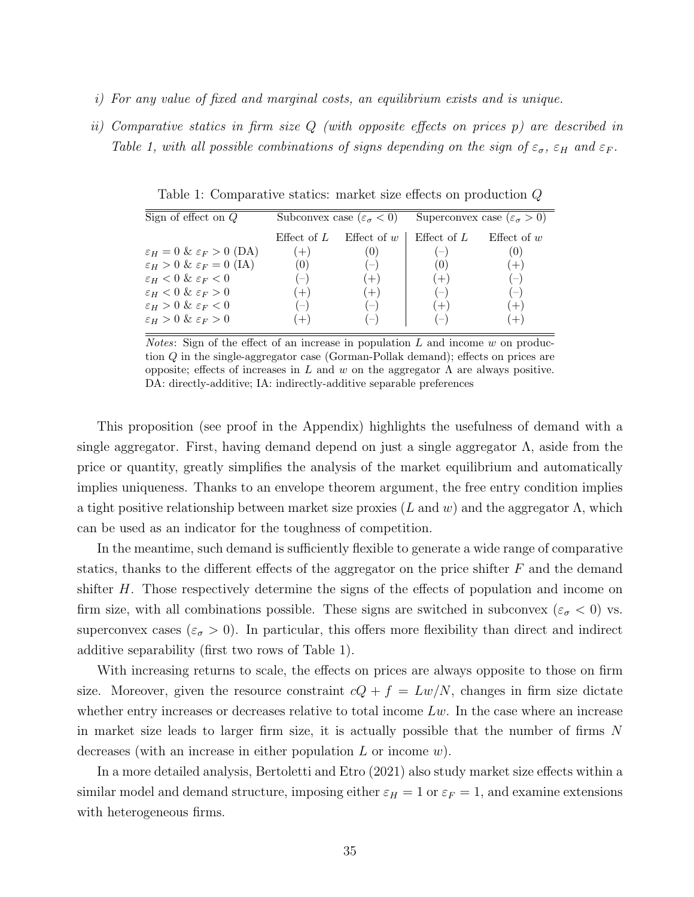- i) For any value of fixed and marginal costs, an equilibrium exists and is unique.
- ii) Comparative statics in firm size Q (with opposite effects on prices p) are described in Table 1, with all possible combinations of signs depending on the sign of  $\varepsilon_{\sigma}$ ,  $\varepsilon_H$  and  $\varepsilon_F$ .

Sign of effect on Q Subconvex case  $(\varepsilon_{\sigma} < 0)$  Superconvex case  $(\varepsilon_{\sigma} > 0)$ Effect of  $L$  Effect of  $w$  | Effect of  $L$  Effect of  $w$  $\varepsilon_H = 0 \& \varepsilon_F > 0 \text{ (DA)}$  (+) (0) (-) (0)<br>  $\varepsilon_H > 0 \& \varepsilon_F = 0 \text{ (IA)}$  (0) (-) (0) (+)  $\varepsilon_H > 0 \& \varepsilon_F = 0 \text{ (IA)}$  (0) (–) (0) (+)  $\varepsilon_H < 0 \& \varepsilon_F < 0$  (–) (+) (+) (–)<br>  $\varepsilon_H < 0 \& \varepsilon_F > 0$  (+) (+) (–) (–)  $\varepsilon_H < 0 \& \varepsilon_F > 0$  (+) (+) (-)  $\varepsilon_H > 0 \& \varepsilon_F < 0$  (–) (–) (+) (+)  $\varepsilon_H > 0 \& \varepsilon_F > 0$  (+) (–) (–) (+)

Table 1: Comparative statics: market size effects on production Q

*Notes*: Sign of the effect of an increase in population  $L$  and income  $w$  on production Q in the single-aggregator case (Gorman-Pollak demand); effects on prices are opposite; effects of increases in L and w on the aggregator  $Λ$  are always positive. DA: directly-additive; IA: indirectly-additive separable preferences

This proposition (see proof in the Appendix) highlights the usefulness of demand with a single aggregator. First, having demand depend on just a single aggregator  $\Lambda$ , aside from the price or quantity, greatly simplifies the analysis of the market equilibrium and automatically implies uniqueness. Thanks to an envelope theorem argument, the free entry condition implies a tight positive relationship between market size proxies  $(L \text{ and } w)$  and the aggregator  $\Lambda$ , which can be used as an indicator for the toughness of competition.

In the meantime, such demand is sufficiently flexible to generate a wide range of comparative statics, thanks to the different effects of the aggregator on the price shifter  $F$  and the demand shifter H. Those respectively determine the signs of the effects of population and income on firm size, with all combinations possible. These signs are switched in subconvex ( $\varepsilon_{\sigma}$  < 0) vs. superconvex cases ( $\varepsilon_{\sigma} > 0$ ). In particular, this offers more flexibility than direct and indirect additive separability (first two rows of Table 1).

With increasing returns to scale, the effects on prices are always opposite to those on firm size. Moreover, given the resource constraint  $cQ + f = Lw/N$ , changes in firm size dictate whether entry increases or decreases relative to total income  $Lw$ . In the case where an increase in market size leads to larger firm size, it is actually possible that the number of firms N decreases (with an increase in either population  $L$  or income  $w$ ).

In a more detailed analysis, Bertoletti and Etro (2021) also study market size effects within a similar model and demand structure, imposing either  $\varepsilon_H = 1$  or  $\varepsilon_F = 1$ , and examine extensions with heterogeneous firms.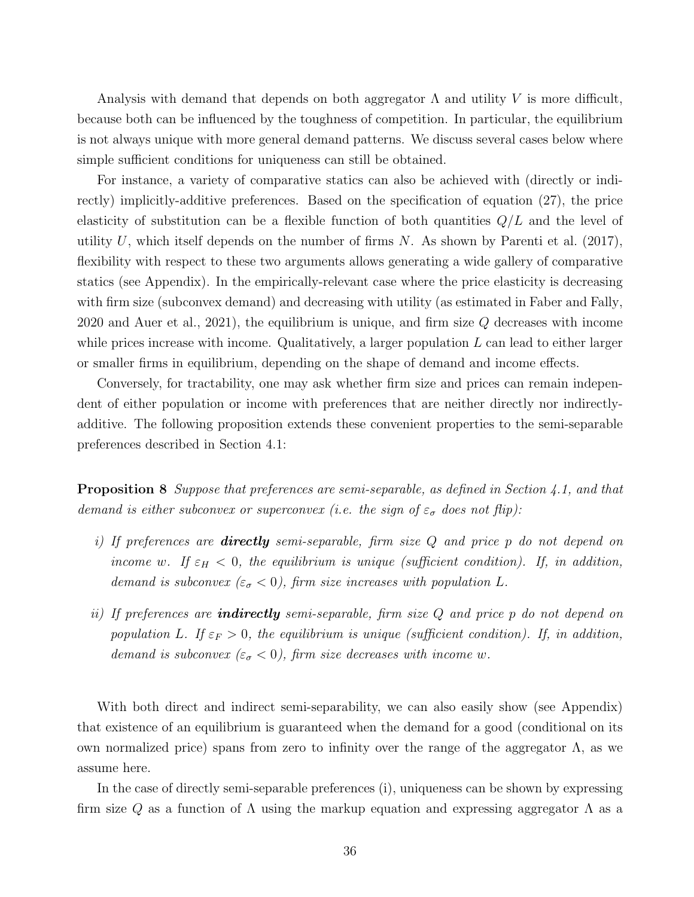Analysis with demand that depends on both aggregator  $\Lambda$  and utility V is more difficult, because both can be influenced by the toughness of competition. In particular, the equilibrium is not always unique with more general demand patterns. We discuss several cases below where simple sufficient conditions for uniqueness can still be obtained.

For instance, a variety of comparative statics can also be achieved with (directly or indirectly) implicitly-additive preferences. Based on the specification of equation (27), the price elasticity of substitution can be a flexible function of both quantities  $Q/L$  and the level of utility U, which itself depends on the number of firms  $N$ . As shown by Parenti et al. (2017), flexibility with respect to these two arguments allows generating a wide gallery of comparative statics (see Appendix). In the empirically-relevant case where the price elasticity is decreasing with firm size (subconvex demand) and decreasing with utility (as estimated in Faber and Fally, 2020 and Auer et al., 2021), the equilibrium is unique, and firm size  $Q$  decreases with income while prices increase with income. Qualitatively, a larger population  $L$  can lead to either larger or smaller firms in equilibrium, depending on the shape of demand and income effects.

Conversely, for tractability, one may ask whether firm size and prices can remain independent of either population or income with preferences that are neither directly nor indirectlyadditive. The following proposition extends these convenient properties to the semi-separable preferences described in Section 4.1:

**Proposition 8** Suppose that preferences are semi-separable, as defined in Section 4.1, and that demand is either subconvex or superconvex (i.e. the sign of  $\varepsilon_{\sigma}$  does not flip):

- i) If preferences are **directly** semi-separable, firm size  $Q$  and price  $p$  do not depend on income w. If  $\varepsilon_H < 0$ , the equilibrium is unique (sufficient condition). If, in addition, demand is subconvex  $(\varepsilon_{\sigma} < 0)$ , firm size increases with population L.
- ii) If preferences are **indirectly** semi-separable, firm size  $Q$  and price p do not depend on population L. If  $\varepsilon_F > 0$ , the equilibrium is unique (sufficient condition). If, in addition, demand is subconvex  $(\varepsilon_{\sigma} < 0)$ , firm size decreases with income w.

With both direct and indirect semi-separability, we can also easily show (see Appendix) that existence of an equilibrium is guaranteed when the demand for a good (conditional on its own normalized price) spans from zero to infinity over the range of the aggregator  $\Lambda$ , as we assume here.

In the case of directly semi-separable preferences (i), uniqueness can be shown by expressing firm size Q as a function of  $\Lambda$  using the markup equation and expressing aggregator  $\Lambda$  as a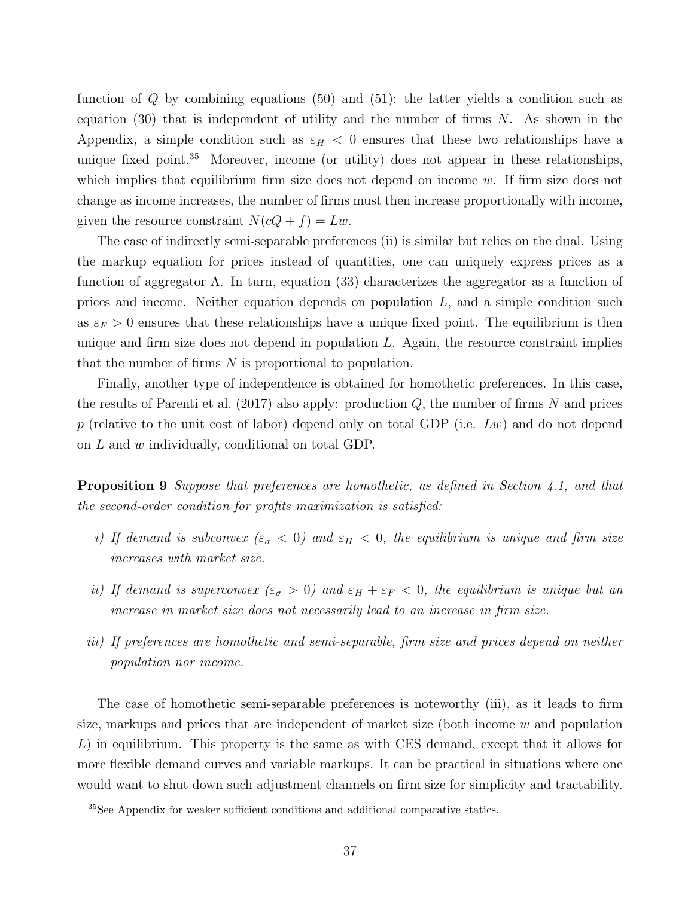function of  $Q$  by combining equations (50) and (51); the latter yields a condition such as equation (30) that is independent of utility and the number of firms  $N$ . As shown in the Appendix, a simple condition such as  $\varepsilon_H < 0$  ensures that these two relationships have a unique fixed point.<sup>35</sup> Moreover, income (or utility) does not appear in these relationships, which implies that equilibrium firm size does not depend on income  $w$ . If firm size does not change as income increases, the number of firms must then increase proportionally with income, given the resource constraint  $N(cQ + f) = Lw$ .

The case of indirectly semi-separable preferences (ii) is similar but relies on the dual. Using the markup equation for prices instead of quantities, one can uniquely express prices as a function of aggregator  $\Lambda$ . In turn, equation (33) characterizes the aggregator as a function of prices and income. Neither equation depends on population  $L$ , and a simple condition such as  $\varepsilon_F > 0$  ensures that these relationships have a unique fixed point. The equilibrium is then unique and firm size does not depend in population  $L$ . Again, the resource constraint implies that the number of firms  $N$  is proportional to population.

Finally, another type of independence is obtained for homothetic preferences. In this case, the results of Parenti et al.  $(2017)$  also apply: production Q, the number of firms N and prices p (relative to the unit cost of labor) depend only on total GDP (i.e.  $Lw$ ) and do not depend on L and w individually, conditional on total GDP.

Proposition 9 Suppose that preferences are homothetic, as defined in Section 4.1, and that the second-order condition for profits maximization is satisfied:

- i) If demand is subconvex  $(\varepsilon_{\sigma} < 0)$  and  $\varepsilon_H < 0$ , the equilibrium is unique and firm size increases with market size.
- ii) If demand is superconvex  $(\varepsilon_{\sigma} > 0)$  and  $\varepsilon_H + \varepsilon_F < 0$ , the equilibrium is unique but an increase in market size does not necessarily lead to an increase in firm size.
- iii) If preferences are homothetic and semi-separable, firm size and prices depend on neither population nor income.

The case of homothetic semi-separable preferences is noteworthy (iii), as it leads to firm size, markups and prices that are independent of market size (both income  $w$  and population L) in equilibrium. This property is the same as with CES demand, except that it allows for more flexible demand curves and variable markups. It can be practical in situations where one would want to shut down such adjustment channels on firm size for simplicity and tractability.

<sup>35</sup>See Appendix for weaker sufficient conditions and additional comparative statics.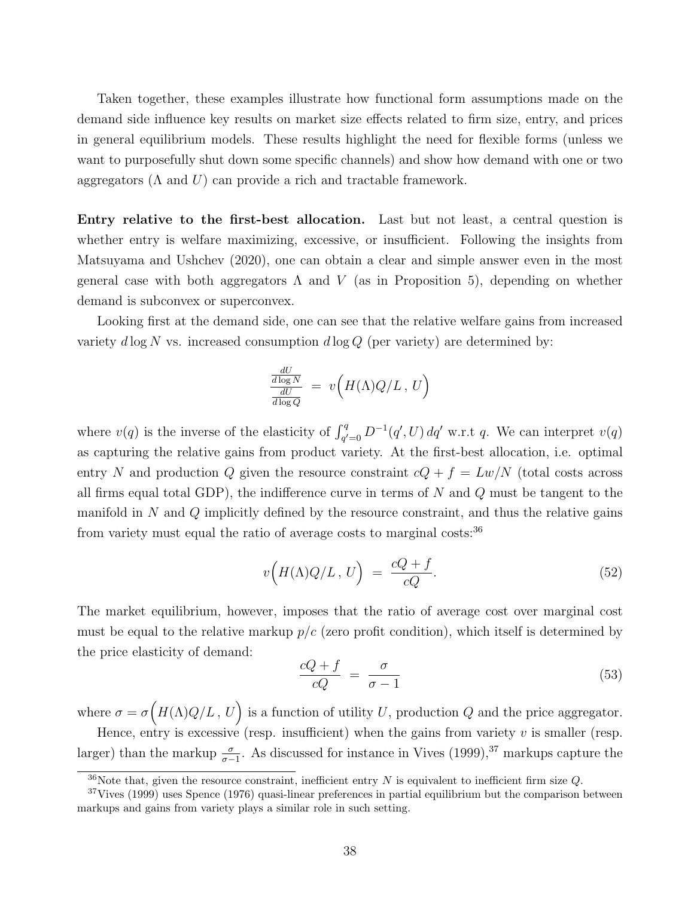Taken together, these examples illustrate how functional form assumptions made on the demand side influence key results on market size effects related to firm size, entry, and prices in general equilibrium models. These results highlight the need for flexible forms (unless we want to purposefully shut down some specific channels) and show how demand with one or two aggregators  $(\Lambda$  and  $U)$  can provide a rich and tractable framework.

Entry relative to the first-best allocation. Last but not least, a central question is whether entry is welfare maximizing, excessive, or insufficient. Following the insights from Matsuyama and Ushchev (2020), one can obtain a clear and simple answer even in the most general case with both aggregators  $\Lambda$  and  $V$  (as in Proposition 5), depending on whether demand is subconvex or superconvex.

Looking first at the demand side, one can see that the relative welfare gains from increased variety  $d \log N$  vs. increased consumption  $d \log Q$  (per variety) are determined by:

$$
\frac{\frac{dU}{d\log N}}{\frac{dU}{d\log Q}} = v\Big(H(\Lambda)Q/L, U\Big)
$$

where  $v(q)$  is the inverse of the elasticity of  $\int_{q'=0}^{q} D^{-1}(q', U) dq'$  w.r.t q. We can interpret  $v(q)$ as capturing the relative gains from product variety. At the first-best allocation, i.e. optimal entry N and production Q given the resource constraint  $cQ + f = Lw/N$  (total costs across all firms equal total GDP), the indifference curve in terms of  $N$  and  $Q$  must be tangent to the manifold in N and  $Q$  implicitly defined by the resource constraint, and thus the relative gains from variety must equal the ratio of average costs to marginal costs:  $36$ 

$$
v\Big(H(\Lambda)Q/L\,,\,U\Big) \;=\; \frac{cQ+f}{cQ}.\tag{52}
$$

The market equilibrium, however, imposes that the ratio of average cost over marginal cost must be equal to the relative markup  $p/c$  (zero profit condition), which itself is determined by the price elasticity of demand:

$$
\frac{cQ+f}{cQ} = \frac{\sigma}{\sigma - 1} \tag{53}
$$

where  $\sigma = \sigma\Big(H(\Lambda)Q/L, U\Big)$  is a function of utility U, production Q and the price aggregator. Hence, entry is excessive (resp. insufficient) when the gains from variety  $v$  is smaller (resp.

larger) than the markup  $\frac{\sigma}{\sigma-1}$ . As discussed for instance in Vives (1999),<sup>37</sup> markups capture the

 $36$ Note that, given the resource constraint, inefficient entry N is equivalent to inefficient firm size Q.

 $37V$ ives (1999) uses Spence (1976) quasi-linear preferences in partial equilibrium but the comparison between markups and gains from variety plays a similar role in such setting.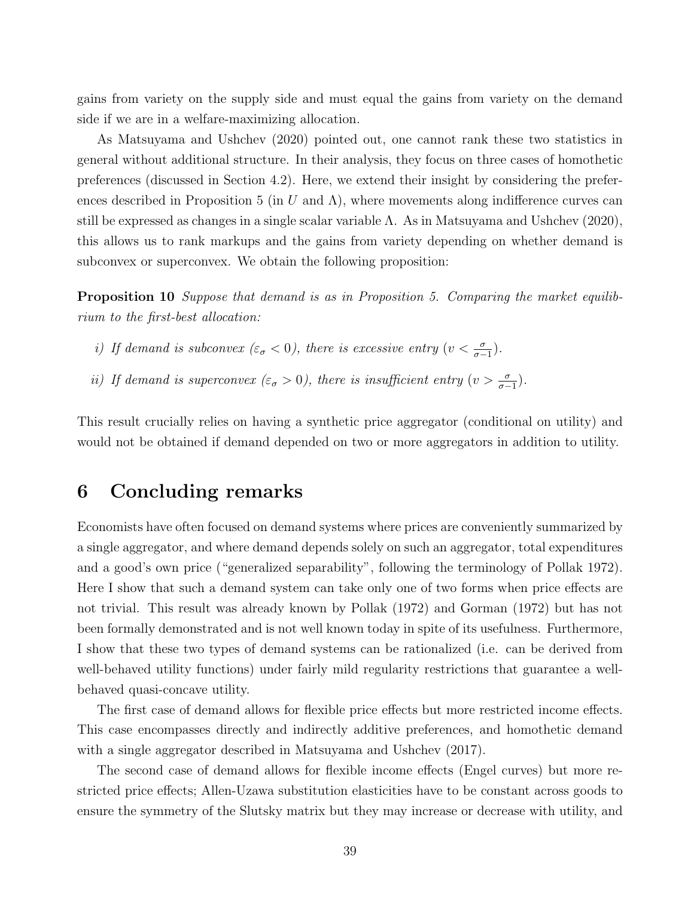gains from variety on the supply side and must equal the gains from variety on the demand side if we are in a welfare-maximizing allocation.

As Matsuyama and Ushchev (2020) pointed out, one cannot rank these two statistics in general without additional structure. In their analysis, they focus on three cases of homothetic preferences (discussed in Section 4.2). Here, we extend their insight by considering the preferences described in Proposition 5 (in U and  $\Lambda$ ), where movements along indifference curves can still be expressed as changes in a single scalar variable  $\Lambda$ . As in Matsuyama and Ushchev (2020), this allows us to rank markups and the gains from variety depending on whether demand is subconvex or superconvex. We obtain the following proposition:

Proposition 10 Suppose that demand is as in Proposition 5. Comparing the market equilibrium to the first-best allocation:

- i) If demand is subconvex  $(\varepsilon_{\sigma} < 0)$ , there is excessive entry  $(v < \frac{\sigma}{\sigma-1})$ .
- ii) If demand is superconvex  $(\varepsilon_{\sigma} > 0)$ , there is insufficient entry  $(v > \frac{\sigma}{\sigma-1})$ .

This result crucially relies on having a synthetic price aggregator (conditional on utility) and would not be obtained if demand depended on two or more aggregators in addition to utility.

# 6 Concluding remarks

Economists have often focused on demand systems where prices are conveniently summarized by a single aggregator, and where demand depends solely on such an aggregator, total expenditures and a good's own price ("generalized separability", following the terminology of Pollak 1972). Here I show that such a demand system can take only one of two forms when price effects are not trivial. This result was already known by Pollak (1972) and Gorman (1972) but has not been formally demonstrated and is not well known today in spite of its usefulness. Furthermore, I show that these two types of demand systems can be rationalized (i.e. can be derived from well-behaved utility functions) under fairly mild regularity restrictions that guarantee a wellbehaved quasi-concave utility.

The first case of demand allows for flexible price effects but more restricted income effects. This case encompasses directly and indirectly additive preferences, and homothetic demand with a single aggregator described in Matsuyama and Ushchev (2017).

The second case of demand allows for flexible income effects (Engel curves) but more restricted price effects; Allen-Uzawa substitution elasticities have to be constant across goods to ensure the symmetry of the Slutsky matrix but they may increase or decrease with utility, and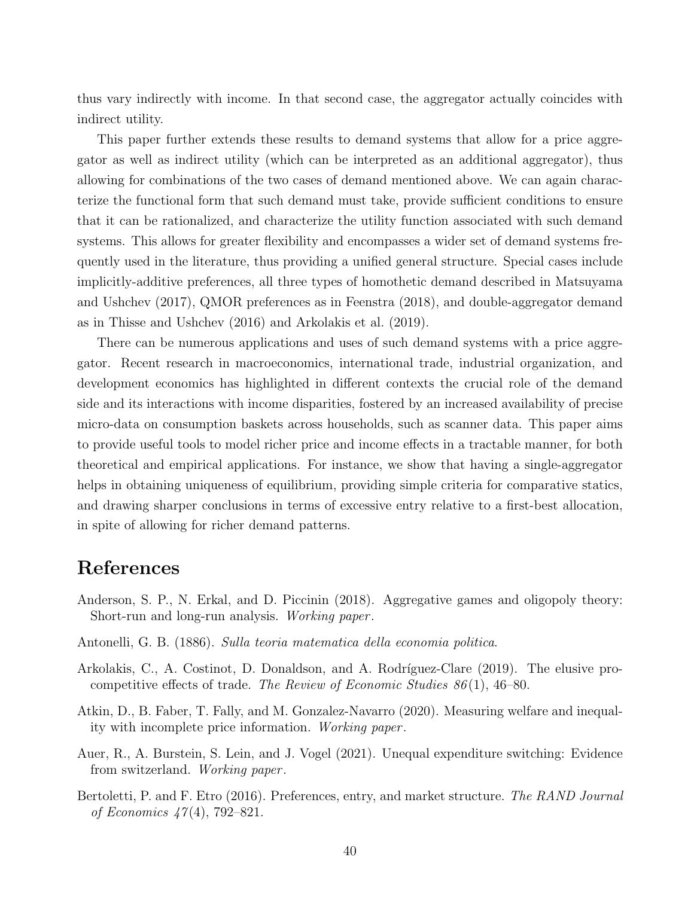thus vary indirectly with income. In that second case, the aggregator actually coincides with indirect utility.

This paper further extends these results to demand systems that allow for a price aggregator as well as indirect utility (which can be interpreted as an additional aggregator), thus allowing for combinations of the two cases of demand mentioned above. We can again characterize the functional form that such demand must take, provide sufficient conditions to ensure that it can be rationalized, and characterize the utility function associated with such demand systems. This allows for greater flexibility and encompasses a wider set of demand systems frequently used in the literature, thus providing a unified general structure. Special cases include implicitly-additive preferences, all three types of homothetic demand described in Matsuyama and Ushchev (2017), QMOR preferences as in Feenstra (2018), and double-aggregator demand as in Thisse and Ushchev (2016) and Arkolakis et al. (2019).

There can be numerous applications and uses of such demand systems with a price aggregator. Recent research in macroeconomics, international trade, industrial organization, and development economics has highlighted in different contexts the crucial role of the demand side and its interactions with income disparities, fostered by an increased availability of precise micro-data on consumption baskets across households, such as scanner data. This paper aims to provide useful tools to model richer price and income effects in a tractable manner, for both theoretical and empirical applications. For instance, we show that having a single-aggregator helps in obtaining uniqueness of equilibrium, providing simple criteria for comparative statics, and drawing sharper conclusions in terms of excessive entry relative to a first-best allocation, in spite of allowing for richer demand patterns.

# References

- Anderson, S. P., N. Erkal, and D. Piccinin (2018). Aggregative games and oligopoly theory: Short-run and long-run analysis. Working paper .
- Antonelli, G. B. (1886). Sulla teoria matematica della economia politica.
- Arkolakis, C., A. Costinot, D. Donaldson, and A. Rodríguez-Clare (2019). The elusive procompetitive effects of trade. The Review of Economic Studies  $86(1)$ , 46–80.
- Atkin, D., B. Faber, T. Fally, and M. Gonzalez-Navarro (2020). Measuring welfare and inequality with incomplete price information. Working paper .
- Auer, R., A. Burstein, S. Lein, and J. Vogel (2021). Unequal expenditure switching: Evidence from switzerland. Working paper .
- Bertoletti, P. and F. Etro (2016). Preferences, entry, and market structure. The RAND Journal of Economics  $47(4)$ , 792–821.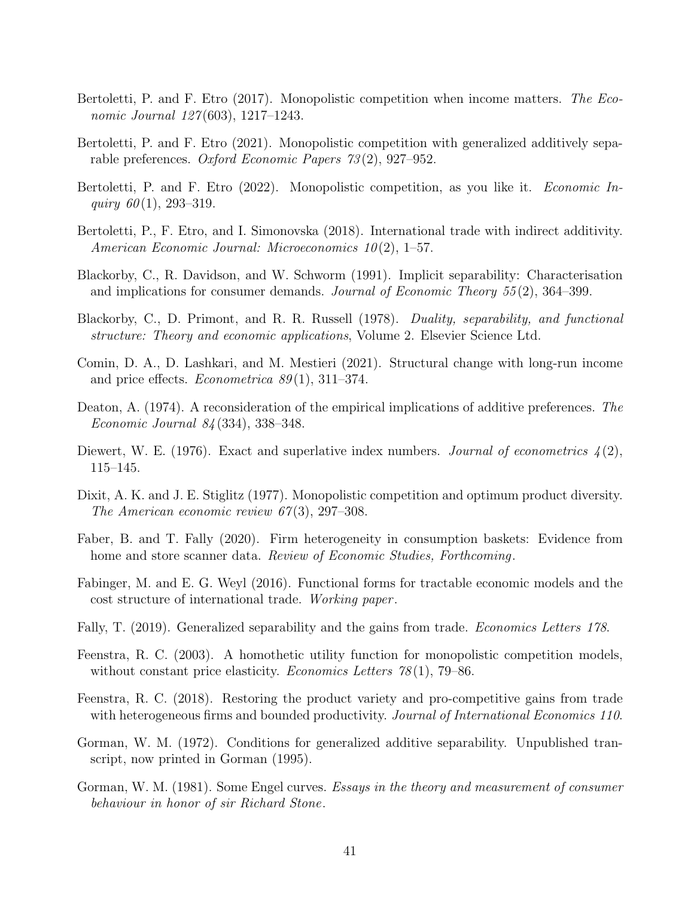- Bertoletti, P. and F. Etro (2017). Monopolistic competition when income matters. The Economic Journal 127(603), 1217–1243.
- Bertoletti, P. and F. Etro (2021). Monopolistic competition with generalized additively separable preferences. Oxford Economic Papers 73 (2), 927–952.
- Bertoletti, P. and F. Etro (2022). Monopolistic competition, as you like it. *Economic In*quiry  $60(1)$ , 293-319.
- Bertoletti, P., F. Etro, and I. Simonovska (2018). International trade with indirect additivity. American Economic Journal: Microeconomics 10(2), 1–57.
- Blackorby, C., R. Davidson, and W. Schworm (1991). Implicit separability: Characterisation and implications for consumer demands. Journal of Economic Theory 55 (2), 364–399.
- Blackorby, C., D. Primont, and R. R. Russell (1978). Duality, separability, and functional structure: Theory and economic applications, Volume 2. Elsevier Science Ltd.
- Comin, D. A., D. Lashkari, and M. Mestieri (2021). Structural change with long-run income and price effects. *Econometrica*  $89(1)$ , 311–374.
- Deaton, A. (1974). A reconsideration of the empirical implications of additive preferences. The Economic Journal 84 (334), 338–348.
- Diewert, W. E. (1976). Exact and superlative index numbers. Journal of econometrics  $\mathcal{L}(2)$ , 115–145.
- Dixit, A. K. and J. E. Stiglitz (1977). Monopolistic competition and optimum product diversity. The American economic review  $67(3)$ , 297–308.
- Faber, B. and T. Fally (2020). Firm heterogeneity in consumption baskets: Evidence from home and store scanner data. Review of Economic Studies, Forthcoming.
- Fabinger, M. and E. G. Weyl (2016). Functional forms for tractable economic models and the cost structure of international trade. Working paper .
- Fally, T. (2019). Generalized separability and the gains from trade. *Economics Letters 178*.
- Feenstra, R. C. (2003). A homothetic utility function for monopolistic competition models, without constant price elasticity. *Economics Letters*  $78(1)$ , 79–86.
- Feenstra, R. C. (2018). Restoring the product variety and pro-competitive gains from trade with heterogeneous firms and bounded productivity. Journal of International Economics 110.
- Gorman, W. M. (1972). Conditions for generalized additive separability. Unpublished transcript, now printed in Gorman (1995).
- Gorman, W. M. (1981). Some Engel curves. Essays in the theory and measurement of consumer behaviour in honor of sir Richard Stone.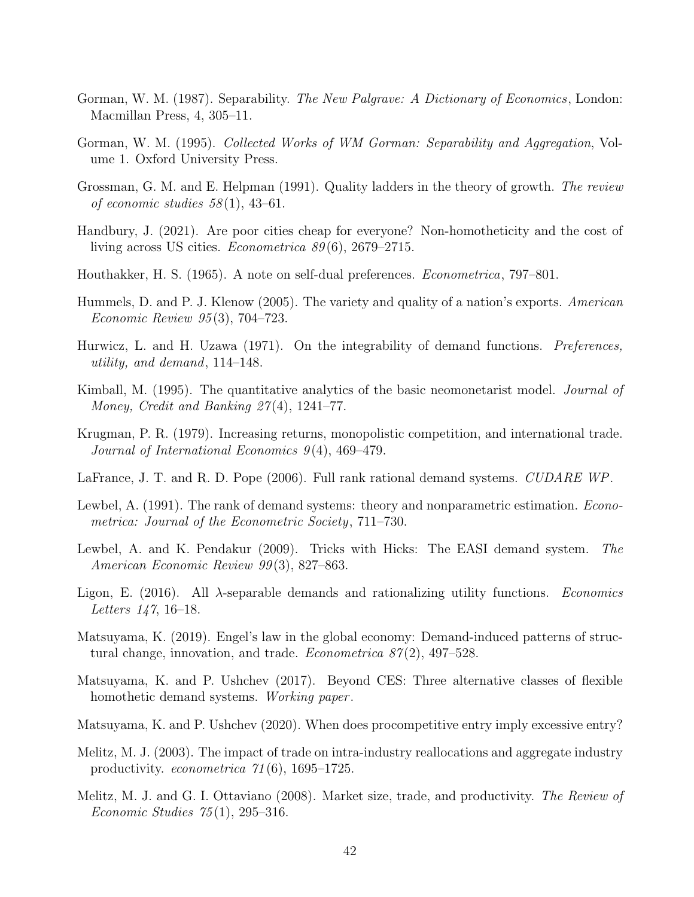- Gorman, W. M. (1987). Separability. *The New Palgrave: A Dictionary of Economics*, London: Macmillan Press, 4, 305–11.
- Gorman, W. M. (1995). Collected Works of WM Gorman: Separability and Aggregation, Volume 1. Oxford University Press.
- Grossman, G. M. and E. Helpman (1991). Quality ladders in the theory of growth. The review of economic studies  $58(1)$ , 43–61.
- Handbury, J. (2021). Are poor cities cheap for everyone? Non-homotheticity and the cost of living across US cities. *Econometrica 89*(6), 2679–2715.
- Houthakker, H. S. (1965). A note on self-dual preferences. Econometrica, 797–801.
- Hummels, D. and P. J. Klenow (2005). The variety and quality of a nation's exports. American Economic Review 95 (3), 704–723.
- Hurwicz, L. and H. Uzawa (1971). On the integrability of demand functions. *Preferences*, utility, and demand, 114–148.
- Kimball, M. (1995). The quantitative analytics of the basic neomonetarist model. *Journal of* Money, Credit and Banking  $27(4)$ , 1241–77.
- Krugman, P. R. (1979). Increasing returns, monopolistic competition, and international trade. Journal of International Economics  $9(4)$ , 469–479.
- LaFrance, J. T. and R. D. Pope (2006). Full rank rational demand systems. CUDARE WP.
- Lewbel, A. (1991). The rank of demand systems: theory and nonparametric estimation. *Econo*metrica: Journal of the Econometric Society, 711–730.
- Lewbel, A. and K. Pendakur (2009). Tricks with Hicks: The EASI demand system. The American Economic Review 99 (3), 827–863.
- Ligon, E. (2016). All  $\lambda$ -separable demands and rationalizing utility functions. *Economics* Letters 147, 16–18.
- Matsuyama, K. (2019). Engel's law in the global economy: Demand-induced patterns of structural change, innovation, and trade. *Econometrica*  $87(2)$ , 497–528.
- Matsuyama, K. and P. Ushchev (2017). Beyond CES: Three alternative classes of flexible homothetic demand systems. Working paper.
- Matsuyama, K. and P. Ushchev (2020). When does procompetitive entry imply excessive entry?
- Melitz, M. J. (2003). The impact of trade on intra-industry reallocations and aggregate industry productivity. *econometrica*  $71(6)$ , 1695–1725.
- Melitz, M. J. and G. I. Ottaviano (2008). Market size, trade, and productivity. The Review of *Economic Studies*  $75(1)$ , 295–316.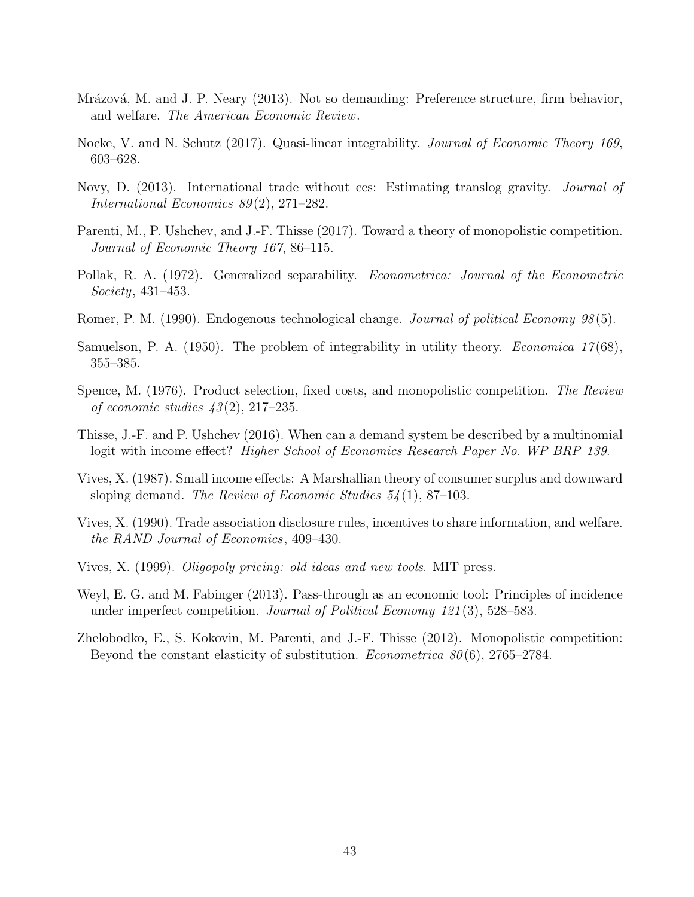- Mrázová, M. and J. P. Neary (2013). Not so demanding: Preference structure, firm behavior, and welfare. The American Economic Review.
- Nocke, V. and N. Schutz (2017). Quasi-linear integrability. Journal of Economic Theory 169, 603–628.
- Novy, D. (2013). International trade without ces: Estimating translog gravity. Journal of International Economics 89(2), 271–282.
- Parenti, M., P. Ushchev, and J.-F. Thisse (2017). Toward a theory of monopolistic competition. Journal of Economic Theory 167, 86–115.
- Pollak, R. A. (1972). Generalized separability. Econometrica: Journal of the Econometric Society, 431–453.
- Romer, P. M. (1990). Endogenous technological change. Journal of political Economy 98(5).
- Samuelson, P. A. (1950). The problem of integrability in utility theory. *Economica 17*(68), 355–385.
- Spence, M. (1976). Product selection, fixed costs, and monopolistic competition. The Review of economic studies  $43(2)$ ,  $217-235$ .
- Thisse, J.-F. and P. Ushchev (2016). When can a demand system be described by a multinomial logit with income effect? *Higher School of Economics Research Paper No. WP BRP 139.*
- Vives, X. (1987). Small income effects: A Marshallian theory of consumer surplus and downward sloping demand. The Review of Economic Studies  $54(1)$ , 87–103.
- Vives, X. (1990). Trade association disclosure rules, incentives to share information, and welfare. the RAND Journal of Economics, 409–430.
- Vives, X. (1999). Oligopoly pricing: old ideas and new tools. MIT press.
- Weyl, E. G. and M. Fabinger (2013). Pass-through as an economic tool: Principles of incidence under imperfect competition. Journal of Political Economy  $121(3)$ , 528–583.
- Zhelobodko, E., S. Kokovin, M. Parenti, and J.-F. Thisse (2012). Monopolistic competition: Beyond the constant elasticity of substitution. *Econometrica*  $80(6)$ , 2765–2784.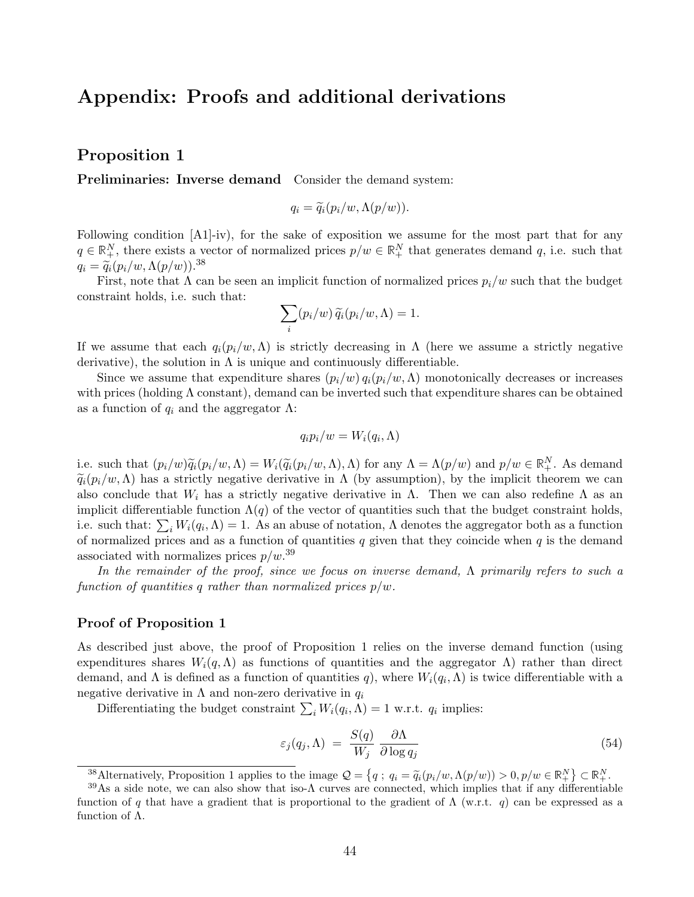# Appendix: Proofs and additional derivations

## Proposition 1

Preliminaries: Inverse demand Consider the demand system:

$$
q_i = \widetilde{q}_i(p_i/w, \Lambda(p/w)).
$$

Following condition [A1]-iv), for the sake of exposition we assume for the most part that for any  $q \in \mathbb{R}^N_+$ , there exists a vector of normalized prices  $p/w \in \mathbb{R}^N_+$  that generates demand q, i.e. such that  $q_i = \widetilde{q}_i (p_i/w, \Lambda(p/w)).^{38}$ 

First, note that  $\Lambda$  can be seen an implicit function of normalized prices  $p_i/w$  such that the budget constraint holds, i.e. such that:

$$
\sum_i (p_i/w) \,\widetilde{q}_i(p_i/w,\Lambda) = 1.
$$

If we assume that each  $q_i(p_i/w,\Lambda)$  is strictly decreasing in  $\Lambda$  (here we assume a strictly negative derivative), the solution in  $\Lambda$  is unique and continuously differentiable.

Since we assume that expenditure shares  $(p_i/w) q_i(p_i/w,\Lambda)$  monotonically decreases or increases with prices (holding  $\Lambda$  constant), demand can be inverted such that expenditure shares can be obtained as a function of  $q_i$  and the aggregator  $\Lambda$ :

$$
q_ip_i/w=W_i(q_i,\Lambda)
$$

i.e. such that  $(p_i/w)\widetilde{q}_i(p_i/w,\Lambda) = W_i(\widetilde{q}_i(p_i/w,\Lambda),\Lambda)$  for any  $\Lambda = \Lambda(p/w)$  and  $p/w \in \mathbb{R}^N_+$ . As demand  $\tilde{q}_i(p_i/w,\Lambda)$  has a strictly negative derivative in  $\Lambda$  (by assumption), by the implicit theorem we can also conclude that  $W_i$  has a strictly negative derivative in  $\Lambda$ . Then we can also redefine  $\Lambda$  as an implicit differentiable function  $\Lambda(q)$  of the vector of quantities such that the budget constraint holds, i.e. such that:  $\sum_i W_i(q_i, \Lambda) = 1$ . As an abuse of notation,  $\Lambda$  denotes the aggregator both as a function of normalized prices and as a function of quantities  $q$  given that they coincide when  $q$  is the demand associated with normalizes prices  $p/w<sup>.39</sup>$ 

In the remainder of the proof, since we focus on inverse demand, Λ primarily refers to such a function of quantities q rather than normalized prices  $p/w$ .

#### Proof of Proposition 1

As described just above, the proof of Proposition 1 relies on the inverse demand function (using expenditures shares  $W_i(q, \Lambda)$  as functions of quantities and the aggregator  $\Lambda$ ) rather than direct demand, and  $\Lambda$  is defined as a function of quantities q), where  $W_i(q_i,\Lambda)$  is twice differentiable with a negative derivative in  $\Lambda$  and non-zero derivative in  $q_i$ 

Differentiating the budget constraint  $\sum_i W_i(q_i, \Lambda) = 1$  w.r.t.  $q_i$  implies:

$$
\varepsilon_j(q_j, \Lambda) = \frac{S(q)}{W_j} \frac{\partial \Lambda}{\partial \log q_j} \tag{54}
$$

<sup>38</sup>Alternatively, Proposition 1 applies to the image  $\mathcal{Q} = \{q : q_i = \tilde{q}_i(p_i/w, \Lambda(p/w)) > 0, p/w \in \mathbb{R}^N_+\} \subset \mathbb{R}^N_+$ .

 $39\text{As}$  a side note, we can also show that iso- $\Lambda$  curves are connected, which implies that if any differentiable function of q that have a gradient that is proportional to the gradient of  $\Lambda$  (w.r.t. q) can be expressed as a function of Λ.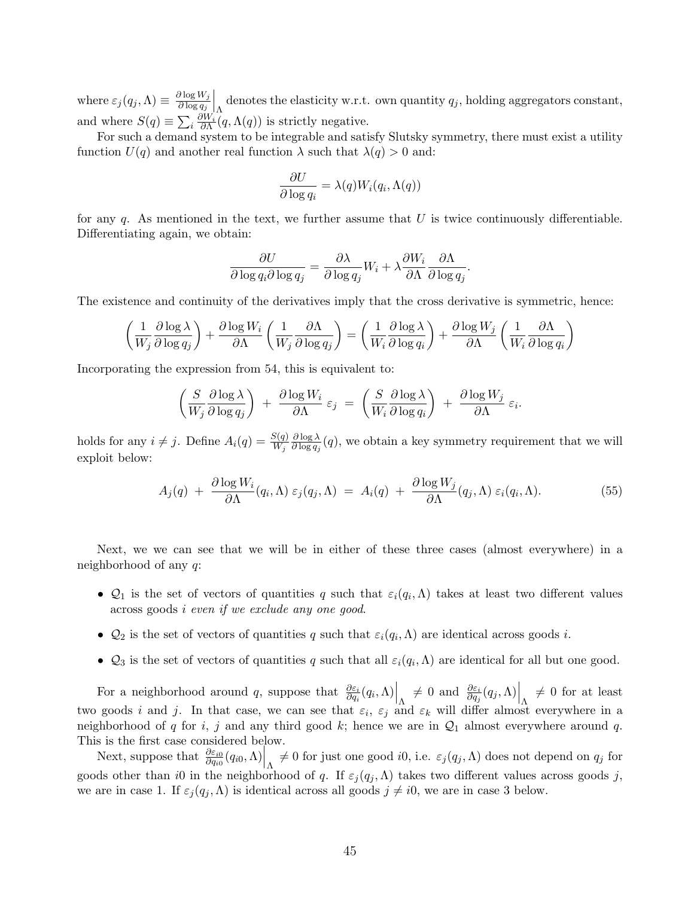where  $\varepsilon_j(q_j,\Lambda) \equiv \frac{\partial \log W_j}{\partial \log q_j}$  $\partial \log q_j$  $\bigg|_{\Lambda}$  denotes the elasticity w.r.t. own quantity  $q_j$ , holding aggregators constant, and where  $S(q) \equiv \sum_i \frac{\partial W_i}{\partial \Lambda}(q, \Lambda(q))$  is strictly negative.

For such a demand system to be integrable and satisfy Slutsky symmetry, there must exist a utility function  $U(q)$  and another real function  $\lambda$  such that  $\lambda(q) > 0$  and:

$$
\frac{\partial U}{\partial \log q_i} = \lambda(q) W_i(q_i, \Lambda(q))
$$

for any q. As mentioned in the text, we further assume that  $U$  is twice continuously differentiable. Differentiating again, we obtain:

$$
\frac{\partial U}{\partial \log q_i \partial \log q_j} = \frac{\partial \lambda}{\partial \log q_j} W_i + \lambda \frac{\partial W_i}{\partial \Lambda} \frac{\partial \Lambda}{\partial \log q_j}.
$$

The existence and continuity of the derivatives imply that the cross derivative is symmetric, hence:

$$
\left(\frac{1}{W_j}\frac{\partial \log \lambda}{\partial \log q_j}\right) + \frac{\partial \log W_i}{\partial \Lambda} \left(\frac{1}{W_j}\frac{\partial \Lambda}{\partial \log q_j}\right) = \left(\frac{1}{W_i}\frac{\partial \log \lambda}{\partial \log q_i}\right) + \frac{\partial \log W_j}{\partial \Lambda} \left(\frac{1}{W_i}\frac{\partial \Lambda}{\partial \log q_i}\right)
$$

Incorporating the expression from 54, this is equivalent to:

$$
\left(\frac{S}{W_j}\frac{\partial \log \lambda}{\partial \log q_j}\right) + \frac{\partial \log W_i}{\partial \Lambda}\varepsilon_j = \left(\frac{S}{W_i}\frac{\partial \log \lambda}{\partial \log q_i}\right) + \frac{\partial \log W_j}{\partial \Lambda}\varepsilon_i.
$$

holds for any  $i \neq j$ . Define  $A_i(q) = \frac{S(q)}{W_j}$  $\partial \log \lambda$  $\frac{\partial \log \lambda}{\partial \log q_j}(q)$ , we obtain a key symmetry requirement that we will exploit below:

$$
A_j(q) + \frac{\partial \log W_i}{\partial \Lambda}(q_i, \Lambda) \varepsilon_j(q_j, \Lambda) = A_i(q) + \frac{\partial \log W_j}{\partial \Lambda}(q_j, \Lambda) \varepsilon_i(q_i, \Lambda).
$$
 (55)

Next, we we can see that we will be in either of these three cases (almost everywhere) in a neighborhood of any q:

- $\mathcal{Q}_1$  is the set of vectors of quantities q such that  $\varepsilon_i(q_i,\Lambda)$  takes at least two different values across goods i even if we exclude any one good.
- $\mathcal{Q}_2$  is the set of vectors of quantities q such that  $\varepsilon_i(q_i,\Lambda)$  are identical across goods i.
- $\mathcal{Q}_3$  is the set of vectors of quantities q such that all  $\varepsilon_i(q_i,\Lambda)$  are identical for all but one good.

For a neighborhood around q, suppose that  $\frac{\partial \varepsilon_i}{\partial q_i}(q_i,\Lambda)\Big|_{\Lambda} \neq 0$  and  $\frac{\partial \varepsilon_i}{\partial q_j}(q_j,\Lambda)\Big|_{\Lambda} \neq 0$  for at least two goods i and j. In that case, we can see that  $\varepsilon_i$ ,  $\varepsilon_j$  and  $\varepsilon_k$  will differ almost everywhere in a neighborhood of q for i, j and any third good k; hence we are in  $\mathcal{Q}_1$  almost everywhere around q. This is the first case considered below.

Next, suppose that  $\frac{\partial \varepsilon_{i0}}{\partial q_{i0}}(q_{i0},\Lambda)\Big|_{\Lambda} \neq 0$  for just one good *i*0, i.e.  $\varepsilon_j(q_j,\Lambda)$  does not depend on  $q_j$  for goods other than i0 in the neighborhood of q. If  $\varepsilon_j(q_j,\Lambda)$  takes two different values across goods j, we are in case 1. If  $\varepsilon_j(q_j,\Lambda)$  is identical across all goods  $j \neq i0$ , we are in case 3 below.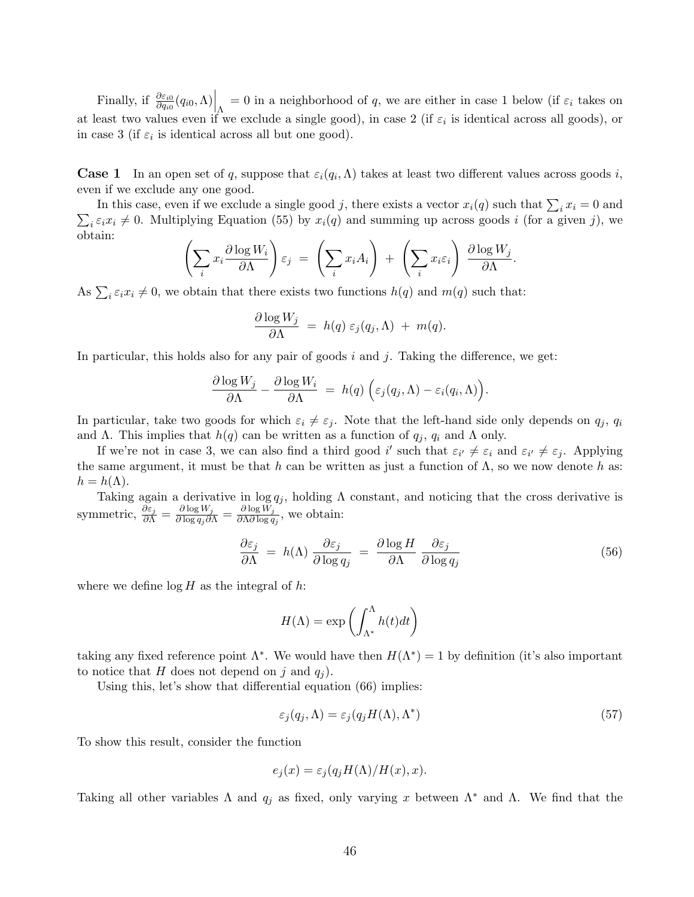Finally, if  $\frac{\partial \varepsilon_{i0}}{\partial q_{i0}}(q_{i0},\Lambda)\Big|_{\Lambda} = 0$  in a neighborhood of q, we are either in case 1 below (if  $\varepsilon_i$  takes on at least two values even if we exclude a single good), in case 2 (if  $\varepsilon_i$  is identical across all goods), or in case 3 (if  $\varepsilon_i$  is identical across all but one good).

**Case 1** In an open set of q, suppose that  $\varepsilon_i(q_i,\Lambda)$  takes at least two different values across goods i, even if we exclude any one good.

In this case, even if we exclude a single good j, there exists a vector  $x_i(q)$  such that  $\sum_i x_i = 0$  and  $\sum_i \varepsilon_i x_i \neq 0$ . Multiplying Equation (55) by  $x_i(q)$  and summing up across goods i (for a given j), we obtain:

$$
\left(\sum_i x_i \frac{\partial \log W_i}{\partial \Lambda}\right) \varepsilon_j \ = \ \left(\sum_i x_i A_i\right) \ + \ \left(\sum_i x_i \varepsilon_i\right) \ \frac{\partial \log W_j}{\partial \Lambda}.
$$

As  $\sum_i \varepsilon_i x_i \neq 0$ , we obtain that there exists two functions  $h(q)$  and  $m(q)$  such that:

$$
\frac{\partial \log W_j}{\partial \Lambda} \ = \ h(q) \ \varepsilon_j(q_j, \Lambda) \ + \ m(q).
$$

In particular, this holds also for any pair of goods i and j. Taking the difference, we get:

$$
\frac{\partial \log W_j}{\partial \Lambda} - \frac{\partial \log W_i}{\partial \Lambda} = h(q) \left( \varepsilon_j(q_j, \Lambda) - \varepsilon_i(q_i, \Lambda) \right).
$$

In particular, take two goods for which  $\varepsilon_i \neq \varepsilon_j$ . Note that the left-hand side only depends on  $q_j$ ,  $q_i$ and Λ. This implies that  $h(q)$  can be written as a function of  $q_j$ ,  $q_i$  and Λ only.

If we're not in case 3, we can also find a third good i' such that  $\varepsilon_{i'} \neq \varepsilon_i$  and  $\varepsilon_{i'} \neq \varepsilon_j$ . Applying the same argument, it must be that h can be written as just a function of  $\Lambda$ , so we now denote h as:  $h = h(\Lambda).$ 

Taking again a derivative in  $\log q_j$ , holding  $\Lambda$  constant, and noticing that the cross derivative is symmetric,  $\frac{\partial \varepsilon_j}{\partial \Lambda} = \frac{\partial \log W_j}{\partial \log q_j \partial \Lambda} = \frac{\partial \log W_j}{\partial \Lambda \partial \log q_j}$  $\frac{\partial \log w_j}{\partial \Lambda \partial \log q_j}$ , we obtain:

$$
\frac{\partial \varepsilon_j}{\partial \Lambda} = h(\Lambda) \frac{\partial \varepsilon_j}{\partial \log q_j} = \frac{\partial \log H}{\partial \Lambda} \frac{\partial \varepsilon_j}{\partial \log q_j} \tag{56}
$$

where we define  $\log H$  as the integral of h:

$$
H(\Lambda) = \exp\left(\int_{\Lambda^*}^{\Lambda} h(t)dt\right)
$$

taking any fixed reference point  $\Lambda^*$ . We would have then  $H(\Lambda^*) = 1$  by definition (it's also important to notice that H does not depend on j and  $q_i$ ).

Using this, let's show that differential equation (66) implies:

$$
\varepsilon_j(q_j, \Lambda) = \varepsilon_j(q_j H(\Lambda), \Lambda^*)
$$
\n(57)

To show this result, consider the function

$$
e_j(x) = \varepsilon_j(q_j H(\Lambda)/H(x), x).
$$

Taking all other variables  $\Lambda$  and  $q_j$  as fixed, only varying x between  $\Lambda^*$  and  $\Lambda$ . We find that the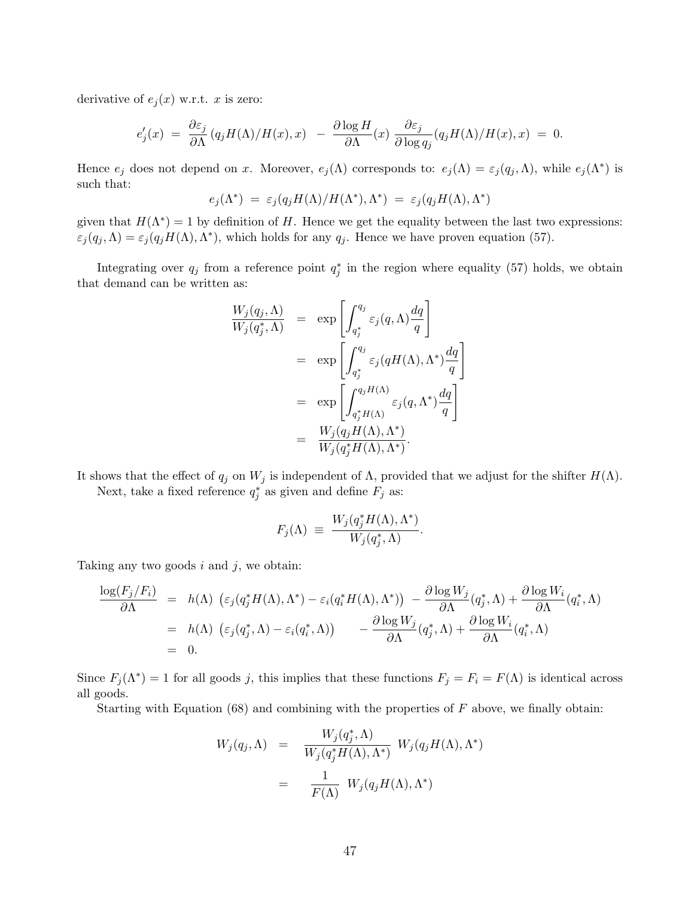derivative of  $e_i(x)$  w.r.t. x is zero:

$$
e'_{j}(x) = \frac{\partial \varepsilon_{j}}{\partial \Lambda} (q_{j}H(\Lambda)/H(x), x) - \frac{\partial \log H}{\partial \Lambda}(x) \frac{\partial \varepsilon_{j}}{\partial \log q_{j}} (q_{j}H(\Lambda)/H(x), x) = 0.
$$

Hence  $e_j$  does not depend on x. Moreover,  $e_j(\Lambda)$  corresponds to:  $e_j(\Lambda) = \varepsilon_j(q_j, \Lambda)$ , while  $e_j(\Lambda^*)$  is such that:

$$
e_j(\Lambda^*)\ =\ \varepsilon_j(q_jH(\Lambda)/H(\Lambda^*),\Lambda^*)\ =\ \varepsilon_j(q_jH(\Lambda),\Lambda^*)
$$

given that  $H(\Lambda^*) = 1$  by definition of H. Hence we get the equality between the last two expressions:  $\varepsilon_j(q_j,\Lambda) = \varepsilon_j(q_j H(\Lambda),\Lambda^*)$ , which holds for any  $q_j$ . Hence we have proven equation (57).

Integrating over  $q_j$  from a reference point  $q_j^*$  in the region where equality (57) holds, we obtain that demand can be written as:

$$
\frac{W_j(q_j, \Lambda)}{W_j(q_j^*, \Lambda)} = \exp\left[\int_{q_j^*}^{q_j} \varepsilon_j(q, \Lambda) \frac{dq}{q}\right]
$$
  
\n
$$
= \exp\left[\int_{q_j^*}^{q_j} \varepsilon_j(qH(\Lambda), \Lambda^*) \frac{dq}{q}\right]
$$
  
\n
$$
= \exp\left[\int_{q_j^*H(\Lambda)}^{q_jH(\Lambda)} \varepsilon_j(q, \Lambda^*) \frac{dq}{q}\right]
$$
  
\n
$$
= \frac{W_j(q_jH(\Lambda), \Lambda^*)}{W_j(q_j^*H(\Lambda), \Lambda^*)}.
$$

It shows that the effect of  $q_j$  on  $W_j$  is independent of  $\Lambda$ , provided that we adjust for the shifter  $H(\Lambda)$ .

Next, take a fixed reference  $q_j^*$  as given and define  $F_j$  as:

$$
F_j(\Lambda) \equiv \frac{W_j(q_j^* H(\Lambda), \Lambda^*)}{W_j(q_j^*, \Lambda)}.
$$

Taking any two goods  $i$  and  $j$ , we obtain:

$$
\frac{\log(F_j/F_i)}{\partial \Lambda} = h(\Lambda) \left( \varepsilon_j(q_j^*H(\Lambda), \Lambda^*) - \varepsilon_i(q_i^*H(\Lambda), \Lambda^*) \right) - \frac{\partial \log W_j}{\partial \Lambda}(q_j^*, \Lambda) + \frac{\partial \log W_i}{\partial \Lambda}(q_i^*, \Lambda)
$$
  
\n
$$
= h(\Lambda) \left( \varepsilon_j(q_j^*, \Lambda) - \varepsilon_i(q_i^*, \Lambda) \right) - \frac{\partial \log W_j}{\partial \Lambda}(q_j^*, \Lambda) + \frac{\partial \log W_i}{\partial \Lambda}(q_i^*, \Lambda)
$$
  
\n
$$
= 0.
$$

Since  $F_j(\Lambda^*) = 1$  for all goods j, this implies that these functions  $F_j = F_i = F(\Lambda)$  is identical across all goods.

Starting with Equation  $(68)$  and combining with the properties of F above, we finally obtain:

$$
W_j(q_j, \Lambda) = \frac{W_j(q_j^*, \Lambda)}{W_j(q_j^*H(\Lambda), \Lambda^*)} W_j(q_jH(\Lambda), \Lambda^*)
$$
  
= 
$$
\frac{1}{F(\Lambda)} W_j(q_jH(\Lambda), \Lambda^*)
$$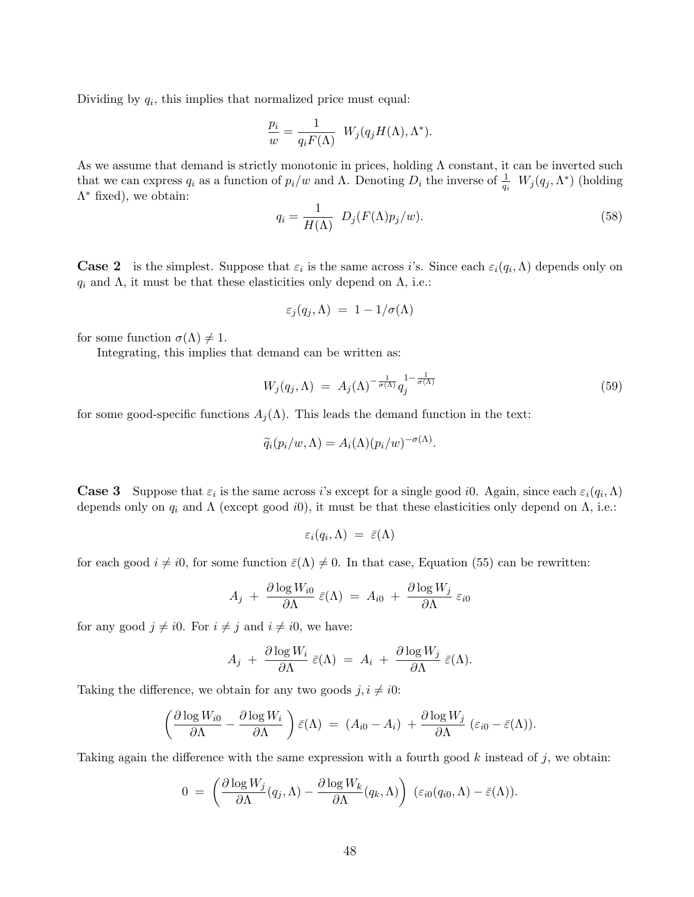Dividing by  $q_i$ , this implies that normalized price must equal:

$$
\frac{p_i}{w} = \frac{1}{q_i F(\Lambda)} W_j(q_j H(\Lambda), \Lambda^*).
$$

As we assume that demand is strictly monotonic in prices, holding  $\Lambda$  constant, it can be inverted such that we can express  $q_i$  as a function of  $p_i/w$  and  $\Lambda$ . Denoting  $D_i$  the inverse of  $\frac{1}{q_i} W_j(q_j, \Lambda^*)$  (holding  $\Lambda^*$  fixed), we obtain:

$$
q_i = \frac{1}{H(\Lambda)} D_j(F(\Lambda)p_j/w).
$$
\n(58)

**Case 2** is the simplest. Suppose that  $\varepsilon_i$  is the same across i's. Since each  $\varepsilon_i(q_i,\Lambda)$  depends only on  $q_i$  and  $\Lambda$ , it must be that these elasticities only depend on  $\Lambda$ , i.e.:

$$
\varepsilon_j(q_j,\Lambda) = 1 - 1/\sigma(\Lambda)
$$

for some function  $\sigma(\Lambda) \neq 1$ .

Integrating, this implies that demand can be written as:

$$
W_j(q_j, \Lambda) = A_j(\Lambda)^{-\frac{1}{\sigma(\Lambda)}} q_j^{1-\frac{1}{\sigma(\Lambda)}} \tag{59}
$$

for some good-specific functions  $A_j(\Lambda)$ . This leads the demand function in the text:

$$
\widetilde{q}_i(p_i/w,\Lambda) = A_i(\Lambda)(p_i/w)^{-\sigma(\Lambda)}.
$$

**Case 3** Suppose that  $\varepsilon_i$  is the same across i's except for a single good i0. Again, since each  $\varepsilon_i(q_i,\Lambda)$ depends only on  $q_i$  and  $\Lambda$  (except good *i*0), it must be that these elasticities only depend on  $\Lambda$ , i.e.:

$$
\varepsilon_i(q_i,\Lambda) \;=\; \bar{\varepsilon}(\Lambda)
$$

for each good  $i \neq i0$ , for some function  $\bar{\varepsilon}(\Lambda) \neq 0$ . In that case, Equation (55) can be rewritten:

$$
A_j + \frac{\partial \log W_{i0}}{\partial \Lambda} \,\bar{\varepsilon}(\Lambda) \,=\, A_{i0} \,+\, \frac{\partial \log W_j}{\partial \Lambda} \,\varepsilon_{i0}
$$

for any good  $j \neq i0$ . For  $i \neq j$  and  $i \neq i0$ , we have:

$$
A_j + \frac{\partial \log W_i}{\partial \Lambda} \,\bar{\varepsilon}(\Lambda) \,=\, A_i \,+\, \frac{\partial \log W_j}{\partial \Lambda} \,\bar{\varepsilon}(\Lambda).
$$

Taking the difference, we obtain for any two goods  $j, i \neq i0$ :

$$
\left(\frac{\partial \log W_{i0}}{\partial \Lambda} - \frac{\partial \log W_i}{\partial \Lambda}\right) \bar{\varepsilon}(\Lambda) = (A_{i0} - A_i) + \frac{\partial \log W_j}{\partial \Lambda} (\varepsilon_{i0} - \bar{\varepsilon}(\Lambda)).
$$

Taking again the difference with the same expression with a fourth good  $k$  instead of  $j$ , we obtain:

$$
0 = \left(\frac{\partial \log W_j}{\partial \Lambda}(q_j,\Lambda) - \frac{\partial \log W_k}{\partial \Lambda}(q_k,\Lambda)\right) (\varepsilon_{i0}(q_{i0},\Lambda) - \bar{\varepsilon}(\Lambda)).
$$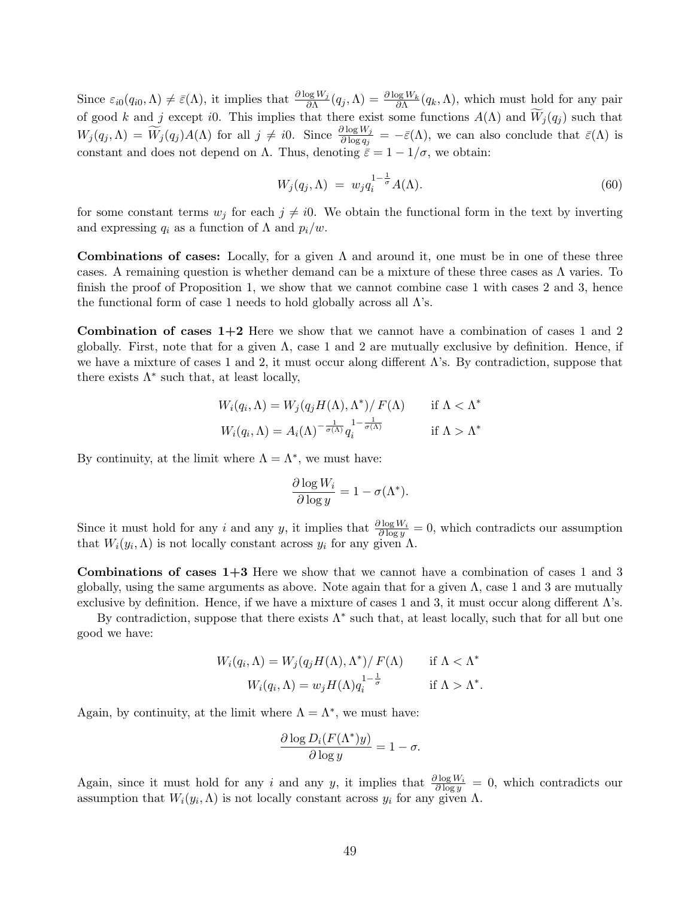Since  $\varepsilon_{i0}(q_{i0},\Lambda) \neq \bar{\varepsilon}(\Lambda)$ , it implies that  $\frac{\partial \log W_j}{\partial \Lambda}(q_j,\Lambda) = \frac{\partial \log W_k}{\partial \Lambda}(q_k,\Lambda)$ , which must hold for any pair of good k and j except i0. This implies that there exist some functions  $A(\Lambda)$  and  $\widetilde{W}_j(q_j)$  such that  $W_j(q_j, \Lambda) = \widetilde{W}_j(q_j)A(\Lambda)$  for all  $j \neq i0$ . Since  $\frac{\partial \log W_j}{\partial \log q_j} = -\bar{\varepsilon}(\Lambda)$ , we can also conclude that  $\bar{\varepsilon}(\Lambda)$  is constant and does not depend on Λ. Thus, denoting  $\bar{\varepsilon} = 1 - 1/\sigma$ , we obtain:

$$
W_j(q_j, \Lambda) = w_j q_i^{1 - \frac{1}{\sigma}} A(\Lambda). \tag{60}
$$

for some constant terms  $w_j$  for each  $j \neq i0$ . We obtain the functional form in the text by inverting and expressing  $q_i$  as a function of  $\Lambda$  and  $p_i/w$ .

Combinations of cases: Locally, for a given  $\Lambda$  and around it, one must be in one of these three cases. A remaining question is whether demand can be a mixture of these three cases as  $\Lambda$  varies. To finish the proof of Proposition 1, we show that we cannot combine case 1 with cases 2 and 3, hence the functional form of case 1 needs to hold globally across all  $\Lambda$ 's.

**Combination of cases**  $1+2$  Here we show that we cannot have a combination of cases 1 and 2 globally. First, note that for a given  $\Lambda$ , case 1 and 2 are mutually exclusive by definition. Hence, if we have a mixture of cases 1 and 2, it must occur along different  $\Lambda$ 's. By contradiction, suppose that there exists  $\Lambda^*$  such that, at least locally,

$$
W_i(q_i, \Lambda) = W_j(q_j H(\Lambda), \Lambda^*) / F(\Lambda) \quad \text{if } \Lambda < \Lambda^*
$$
\n
$$
W_i(q_i, \Lambda) = A_i(\Lambda)^{-\frac{1}{\sigma(\Lambda)}} q_i^{1 - \frac{1}{\sigma(\Lambda)}} \quad \text{if } \Lambda > \Lambda^*
$$

By continuity, at the limit where  $\Lambda = \Lambda^*$ , we must have:

$$
\frac{\partial \log W_i}{\partial \log y} = 1 - \sigma(\Lambda^*).
$$

Since it must hold for any i and any y, it implies that  $\frac{\partial \log W_i}{\partial \log y} = 0$ , which contradicts our assumption that  $W_i(y_i, \Lambda)$  is not locally constant across  $y_i$  for any given  $\Lambda$ .

Combinations of cases 1+3 Here we show that we cannot have a combination of cases 1 and 3 globally, using the same arguments as above. Note again that for a given  $\Lambda$ , case 1 and 3 are mutually exclusive by definition. Hence, if we have a mixture of cases 1 and 3, it must occur along different  $\Lambda$ 's.

By contradiction, suppose that there exists  $\Lambda^*$  such that, at least locally, such that for all but one good we have:

$$
W_i(q_i, \Lambda) = W_j(q_j H(\Lambda), \Lambda^*) / F(\Lambda) \quad \text{if } \Lambda < \Lambda^* \\
W_i(q_i, \Lambda) = w_j H(\Lambda) q_i^{1 - \frac{1}{\sigma}} \quad \text{if } \Lambda > \Lambda^*.
$$

Again, by continuity, at the limit where  $\Lambda = \Lambda^*$ , we must have:

$$
\frac{\partial \log D_i(F(\Lambda^*)y)}{\partial \log y} = 1 - \sigma.
$$

Again, since it must hold for any i and any y, it implies that  $\frac{\partial \log W_i}{\partial \log y} = 0$ , which contradicts our assumption that  $W_i(y_i, \Lambda)$  is not locally constant across  $y_i$  for any given  $\Lambda$ .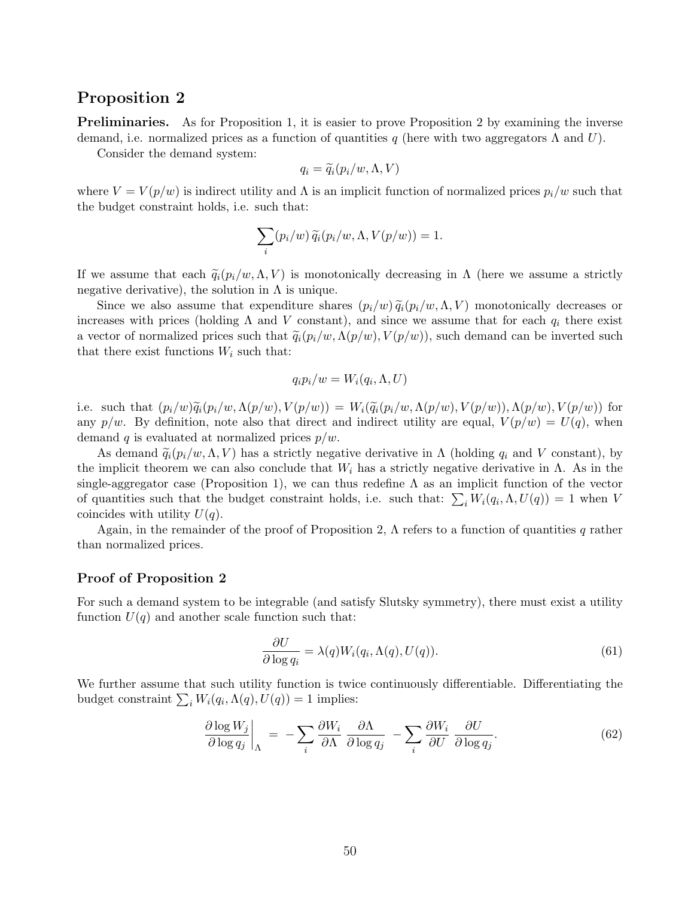## Proposition 2

**Preliminaries.** As for Proposition 1, it is easier to prove Proposition 2 by examining the inverse demand, i.e. normalized prices as a function of quantities q (here with two aggregators  $\Lambda$  and U).

Consider the demand system:

$$
q_i = \widetilde{q}_i(p_i/w, \Lambda, V)
$$

where  $V = V(p/w)$  is indirect utility and  $\Lambda$  is an implicit function of normalized prices  $p_i/w$  such that the budget constraint holds, i.e. such that:

$$
\sum_{i} (p_i/w) \widetilde{q}_i(p_i/w, \Lambda, V(p/w)) = 1.
$$

If we assume that each  $\tilde{q}_i(p_i/w, \Lambda, V)$  is monotonically decreasing in  $\Lambda$  (here we assume a strictly negative derivative), the solution in  $\Lambda$  is unique.

Since we also assume that expenditure shares  $(p_i/w) \tilde{q}_i(p_i/w, \Lambda, V)$  monotonically decreases or increases with prices (holding  $\Lambda$  and V constant), and since we assume that for each  $q_i$  there exist a vector of normalized prices such that  $\tilde{q}_i(p_i/w, \Lambda(p/w), V(p/w))$ , such demand can be inverted such that there exist functions  $W_i$  such that:

$$
q_i p_i/w = W_i(q_i, \Lambda, U)
$$

i.e. such that  $(p_i/w)\widetilde{q}_i(p_i/w,\Lambda(p/w),V(p/w)) = W_i(\widetilde{q}_i(p_i/w,\Lambda(p/w),V(p/w)),\Lambda(p/w),V(p/w))$  for any  $p/w$ . By definition, note also that direct and indirect utility are equal,  $V(p/w) = U(q)$ , when demand q is evaluated at normalized prices  $p/w$ .

As demand  $\tilde{q}_i(p_i/w, \Lambda, V)$  has a strictly negative derivative in  $\Lambda$  (holding  $q_i$  and V constant), by the implicit theorem we can also conclude that  $W_i$  has a strictly negative derivative in  $\Lambda$ . As in the single-aggregator case (Proposition 1), we can thus redefine  $\Lambda$  as an implicit function of the vector of quantities such that the budget constraint holds, i.e. such that:  $\sum_i W_i(q_i, \Lambda, U(q)) = 1$  when V coincides with utility  $U(q)$ .

Again, in the remainder of the proof of Proposition 2,  $\Lambda$  refers to a function of quantities q rather than normalized prices.

### Proof of Proposition 2

For such a demand system to be integrable (and satisfy Slutsky symmetry), there must exist a utility function  $U(q)$  and another scale function such that:

$$
\frac{\partial U}{\partial \log q_i} = \lambda(q) W_i(q_i, \Lambda(q), U(q)).\tag{61}
$$

We further assume that such utility function is twice continuously differentiable. Differentiating the budget constraint  $\sum_i W_i(q_i, \Lambda(q), U(q)) = 1$  implies:

$$
\left. \frac{\partial \log W_j}{\partial \log q_j} \right|_{\Lambda} = -\sum_i \frac{\partial W_i}{\partial \Lambda} \frac{\partial \Lambda}{\partial \log q_j} - \sum_i \frac{\partial W_i}{\partial U} \frac{\partial U}{\partial \log q_j}.
$$
(62)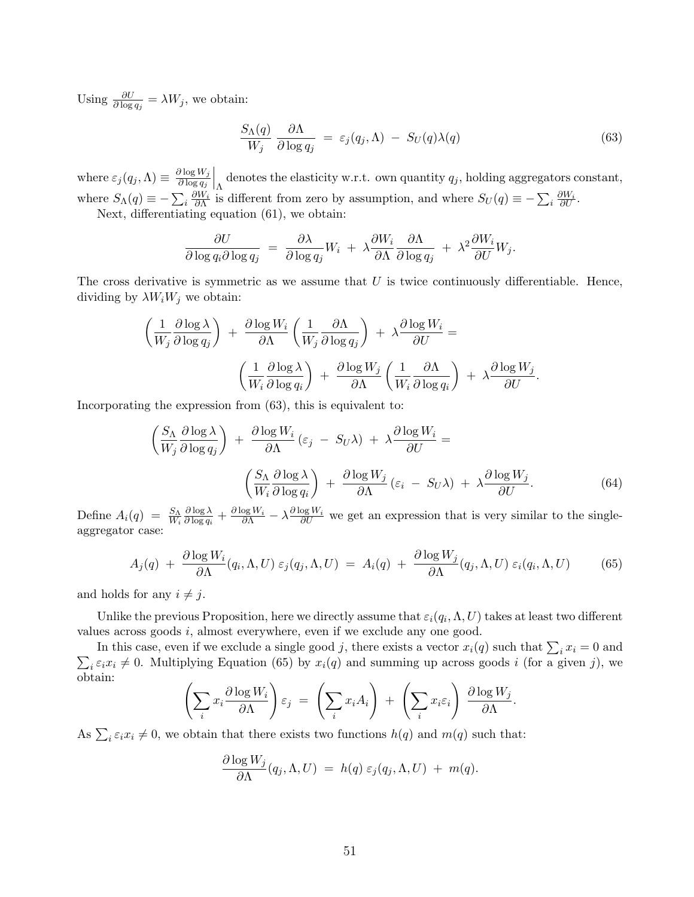Using  $\frac{\partial U}{\partial \log q_j} = \lambda W_j$ , we obtain:

$$
\frac{S_{\Lambda}(q)}{W_j} \frac{\partial \Lambda}{\partial \log q_j} = \varepsilon_j(q_j, \Lambda) - S_U(q) \lambda(q) \tag{63}
$$

where  $\varepsilon_j(q_j,\Lambda) \equiv \frac{\partial \log W_j}{\partial \log q_j}$  $\partial \log q_j$  $\bigg|_{\Lambda}$  denotes the elasticity w.r.t. own quantity  $q_j$ , holding aggregators constant, where  $S_{\Lambda}(q) \equiv -\sum_i \frac{\partial W_i}{\partial \Lambda}$  is different from zero by assumption, and where  $S_U(q) \equiv -\sum_i \frac{\partial W_i}{\partial U}$ .

Next, differentiating equation (61), we obtain:

$$
\frac{\partial U}{\partial \log q_i \partial \log q_j} \ = \ \frac{\partial \lambda}{\partial \log q_j} W_i \ + \ \lambda \frac{\partial W_i}{\partial \Lambda} \frac{\partial \Lambda}{\partial \log q_j} \ + \ \lambda^2 \frac{\partial W_i}{\partial U} W_j.
$$

The cross derivative is symmetric as we assume that  $U$  is twice continuously differentiable. Hence, dividing by  $\lambda W_i W_j$  we obtain:

$$
\left(\frac{1}{W_j} \frac{\partial \log \lambda}{\partial \log q_j}\right) + \frac{\partial \log W_i}{\partial \Lambda} \left(\frac{1}{W_j} \frac{\partial \Lambda}{\partial \log q_j}\right) + \lambda \frac{\partial \log W_i}{\partial U} =
$$

$$
\left(\frac{1}{W_i} \frac{\partial \log \lambda}{\partial \log q_i}\right) + \frac{\partial \log W_j}{\partial \Lambda} \left(\frac{1}{W_i} \frac{\partial \Lambda}{\partial \log q_i}\right) + \lambda \frac{\partial \log W_j}{\partial U}.
$$

Incorporating the expression from (63), this is equivalent to:

$$
\left(\frac{S_{\Lambda}}{W_{j}}\frac{\partial \log \lambda}{\partial \log q_{j}}\right) + \frac{\partial \log W_{i}}{\partial \Lambda}(\varepsilon_{j} - S_{U}\lambda) + \lambda \frac{\partial \log W_{i}}{\partial U} =
$$
\n
$$
\left(\frac{S_{\Lambda}}{W_{i}}\frac{\partial \log \lambda}{\partial \log q_{i}}\right) + \frac{\partial \log W_{j}}{\partial \Lambda}(\varepsilon_{i} - S_{U}\lambda) + \lambda \frac{\partial \log W_{j}}{\partial U}.
$$
\n(64)

Define  $A_i(q) = \frac{S_{\Lambda}}{W_i}$  $\partial \log \lambda$  $\frac{\partial \log \lambda}{\partial \log q_i} + \frac{\partial \log W_i}{\partial \Lambda} - \lambda \frac{\partial \log W_i}{\partial U}$  we get an expression that is very similar to the singleaggregator case:

$$
A_j(q) + \frac{\partial \log W_i}{\partial \Lambda}(q_i, \Lambda, U) \varepsilon_j(q_j, \Lambda, U) = A_i(q) + \frac{\partial \log W_j}{\partial \Lambda}(q_j, \Lambda, U) \varepsilon_i(q_i, \Lambda, U) \tag{65}
$$

and holds for any  $i \neq j$ .

Unlike the previous Proposition, here we directly assume that  $\varepsilon_i(q_i,\Lambda,U)$  takes at least two different values across goods i, almost everywhere, even if we exclude any one good.

In this case, even if we exclude a single good j, there exists a vector  $x_i(q)$  such that  $\sum_i x_i = 0$  and  $\sum_i \varepsilon_i x_i \neq 0$ . Multiplying Equation (65) by  $x_i(q)$  and summing up across goods i (for a given j), we obtain:

$$
\left(\sum_i x_i \frac{\partial \log W_i}{\partial \Lambda}\right) \varepsilon_j \ = \ \left(\sum_i x_i A_i\right) \ + \ \left(\sum_i x_i \varepsilon_i\right) \ \frac{\partial \log W_j}{\partial \Lambda}.
$$

As  $\sum_i \varepsilon_i x_i \neq 0$ , we obtain that there exists two functions  $h(q)$  and  $m(q)$  such that:

$$
\frac{\partial \log W_j}{\partial \Lambda}(q_j, \Lambda, U) = h(q) \varepsilon_j(q_j, \Lambda, U) + m(q).
$$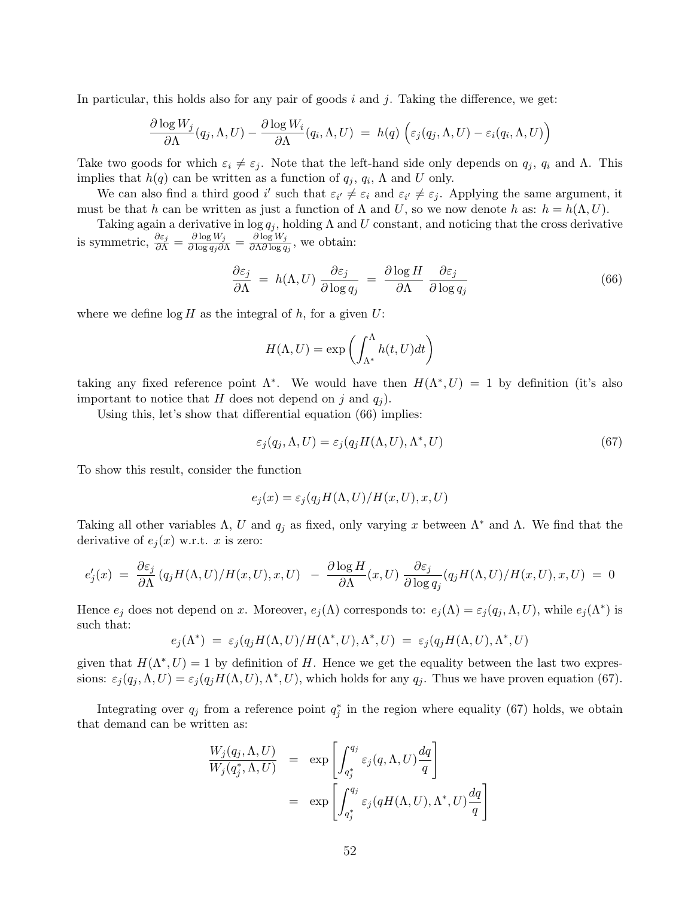In particular, this holds also for any pair of goods  $i$  and  $j$ . Taking the difference, we get:

$$
\frac{\partial \log W_j}{\partial \Lambda}(q_j, \Lambda, U) - \frac{\partial \log W_i}{\partial \Lambda}(q_i, \Lambda, U) = h(q) \left( \varepsilon_j(q_j, \Lambda, U) - \varepsilon_i(q_i, \Lambda, U) \right)
$$

Take two goods for which  $\varepsilon_i \neq \varepsilon_j$ . Note that the left-hand side only depends on  $q_j$ ,  $q_i$  and  $\Lambda$ . This implies that  $h(q)$  can be written as a function of  $q_j, q_i, \Lambda$  and U only.

We can also find a third good i' such that  $\varepsilon_{i'} \neq \varepsilon_i$  and  $\varepsilon_{i'} \neq \varepsilon_j$ . Applying the same argument, it must be that h can be written as just a function of  $\Lambda$  and U, so we now denote h as:  $h = h(\Lambda, U)$ .

Taking again a derivative in  $\log q_i$ , holding  $\Lambda$  and U constant, and noticing that the cross derivative is symmetric,  $\frac{\partial \varepsilon_j}{\partial \Lambda} = \frac{\partial \log W_j}{\partial \log q_j \partial \Lambda} = \frac{\partial \log W_j}{\partial \Lambda \partial \log q_j}$  $\frac{\partial \log w_j}{\partial \Lambda \partial \log q_j}$ , we obtain:

$$
\frac{\partial \varepsilon_j}{\partial \Lambda} = h(\Lambda, U) \frac{\partial \varepsilon_j}{\partial \log q_j} = \frac{\partial \log H}{\partial \Lambda} \frac{\partial \varepsilon_j}{\partial \log q_j} \tag{66}
$$

where we define  $\log H$  as the integral of h, for a given U:

$$
H(\Lambda, U) = \exp\left(\int_{\Lambda^*}^{\Lambda} h(t, U) dt\right)
$$

taking any fixed reference point  $\Lambda^*$ . We would have then  $H(\Lambda^*, U) = 1$  by definition (it's also important to notice that H does not depend on j and  $q_i$ ).

Using this, let's show that differential equation  $(66)$  implies:

$$
\varepsilon_j(q_j, \Lambda, U) = \varepsilon_j(q_j H(\Lambda, U), \Lambda^*, U) \tag{67}
$$

To show this result, consider the function

$$
e_j(x) = \varepsilon_j(q_j H(\Lambda, U)/H(x, U), x, U)
$$

Taking all other variables  $\Lambda$ , U and  $q_j$  as fixed, only varying x between  $\Lambda^*$  and  $\Lambda$ . We find that the derivative of  $e_i(x)$  w.r.t. x is zero:

$$
e'_{j}(x) = \frac{\partial \varepsilon_{j}}{\partial \Lambda}(q_{j}H(\Lambda, U)/H(x, U), x, U) - \frac{\partial \log H}{\partial \Lambda}(x, U) \frac{\partial \varepsilon_{j}}{\partial \log q_{j}}(q_{j}H(\Lambda, U)/H(x, U), x, U) = 0
$$

Hence  $e_j$  does not depend on x. Moreover,  $e_j(\Lambda)$  corresponds to:  $e_j(\Lambda) = \varepsilon_j(q_j, \Lambda, U)$ , while  $e_j(\Lambda^*)$  is such that:

$$
e_j(\Lambda^*) = \varepsilon_j(q_j H(\Lambda, U)/H(\Lambda^*, U), \Lambda^*, U) = \varepsilon_j(q_j H(\Lambda, U), \Lambda^*, U)
$$

given that  $H(\Lambda^*, U) = 1$  by definition of H. Hence we get the equality between the last two expressions:  $\varepsilon_j(q_j, \Lambda, U) = \varepsilon_j(q_j H(\Lambda, U), \Lambda^*, U)$ , which holds for any  $q_j$ . Thus we have proven equation (67).

Integrating over  $q_j$  from a reference point  $q_j^*$  in the region where equality (67) holds, we obtain that demand can be written as:

$$
\frac{W_j(q_j, \Lambda, U)}{W_j(q_j^*, \Lambda, U)} = \exp\left[\int_{q_j^*}^{q_j} \varepsilon_j(q, \Lambda, U) \frac{dq}{q}\right]
$$

$$
= \exp\left[\int_{q_j^*}^{q_j} \varepsilon_j(qH(\Lambda, U), \Lambda^*, U) \frac{dq}{q}\right]
$$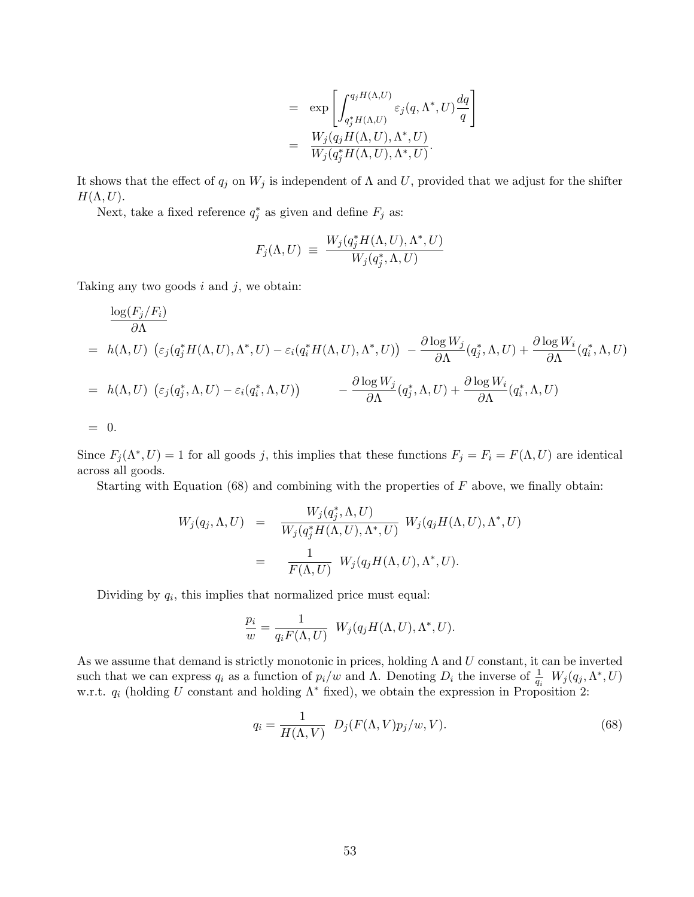$$
= \exp \left[ \int_{q_j^* H(\Lambda, U)}^{q_j H(\Lambda, U)} \varepsilon_j(q, \Lambda^*, U) \frac{dq}{q} \right]
$$
  

$$
= \frac{W_j(q_j H(\Lambda, U), \Lambda^*, U)}{W_j(q_j^* H(\Lambda, U), \Lambda^*, U)}.
$$

It shows that the effect of  $q_j$  on  $W_j$  is independent of  $\Lambda$  and  $U$ , provided that we adjust for the shifter  $H(\Lambda, U)$ .

Next, take a fixed reference  $q_j^*$  as given and define  $F_j$  as:

$$
F_j(\Lambda, U) \equiv \frac{W_j(q_j^* H(\Lambda, U), \Lambda^*, U)}{W_j(q_j^*, \Lambda, U)}
$$

Taking any two goods  $i$  and  $j$ , we obtain:

$$
\frac{\log(F_j/F_i)}{\partial \Lambda}
$$
\n=  $h(\Lambda, U) \left( \varepsilon_j(q_j^*H(\Lambda, U), \Lambda^*, U) - \varepsilon_i(q_i^*H(\Lambda, U), \Lambda^*, U) \right) - \frac{\partial \log W_j}{\partial \Lambda}(q_j^*, \Lambda, U) + \frac{\partial \log W_i}{\partial \Lambda}(q_i^*, \Lambda, U)$   
\n=  $h(\Lambda, U) \left( \varepsilon_j(q_j^*, \Lambda, U) - \varepsilon_i(q_i^*, \Lambda, U) \right) - \frac{\partial \log W_j}{\partial \Lambda}(q_j^*, \Lambda, U) + \frac{\partial \log W_i}{\partial \Lambda}(q_i^*, \Lambda, U)$   
\n= 0.

Since  $F_j(\Lambda^*, U) = 1$  for all goods j, this implies that these functions  $F_j = F_i = F(\Lambda, U)$  are identical across all goods.

Starting with Equation  $(68)$  and combining with the properties of F above, we finally obtain:

$$
W_j(q_j, \Lambda, U) = \frac{W_j(q_j^*, \Lambda, U)}{W_j(q_j^*H(\Lambda, U), \Lambda^*, U)} W_j(q_jH(\Lambda, U), \Lambda^*, U)
$$
  
= 
$$
\frac{1}{F(\Lambda, U)} W_j(q_jH(\Lambda, U), \Lambda^*, U).
$$

Dividing by  $q_i$ , this implies that normalized price must equal:

$$
\frac{p_i}{w} = \frac{1}{q_i F(\Lambda, U)} W_j(q_j H(\Lambda, U), \Lambda^*, U).
$$

As we assume that demand is strictly monotonic in prices, holding  $\Lambda$  and  $U$  constant, it can be inverted such that we can express  $q_i$  as a function of  $p_i/w$  and  $\Lambda$ . Denoting  $D_i$  the inverse of  $\frac{1}{q_i} W_j(q_j, \Lambda^*, U)$ w.r.t.  $q_i$  (holding U constant and holding  $\Lambda^*$  fixed), we obtain the expression in Proposition 2:

$$
q_i = \frac{1}{H(\Lambda, V)} D_j(F(\Lambda, V)p_j/w, V).
$$
\n(68)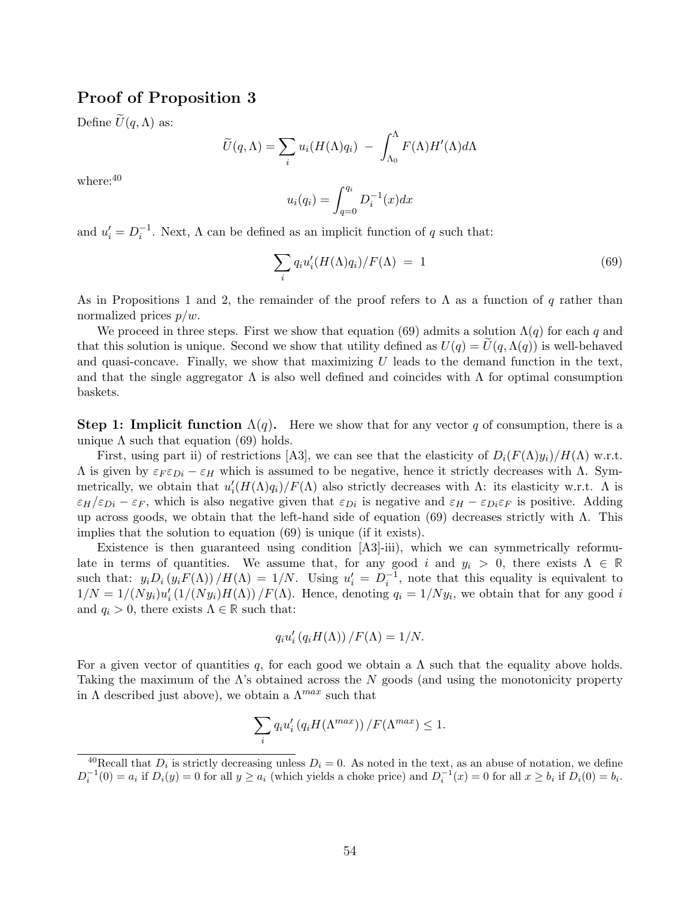## Proof of Proposition 3

Define  $\widetilde{U}(q,\Lambda)$  as:

$$
\widetilde{U}(q,\Lambda) = \sum_{i} u_i(H(\Lambda)q_i) - \int_{\Lambda_0}^{\Lambda} F(\Lambda)H'(\Lambda)d\Lambda
$$

where:  $40$ 

$$
u_i(q_i) = \int_{q=0}^{q_i} D_i^{-1}(x) dx
$$

and  $u'_i = D_i^{-1}$ . Next,  $\Lambda$  can be defined as an implicit function of q such that:

$$
\sum_{i} q_i u_i' (H(\Lambda) q_i) / F(\Lambda) = 1 \tag{69}
$$

As in Propositions 1 and 2, the remainder of the proof refers to  $\Lambda$  as a function of q rather than normalized prices  $p/w$ .

We proceed in three steps. First we show that equation (69) admits a solution  $\Lambda(q)$  for each q and that this solution is unique. Second we show that utility defined as  $U(q) = U(q, \Lambda(q))$  is well-behaved and quasi-concave. Finally, we show that maximizing  $U$  leads to the demand function in the text, and that the single aggregator  $\Lambda$  is also well defined and coincides with  $\Lambda$  for optimal consumption baskets.

**Step 1: Implicit function**  $\Lambda(q)$ . Here we show that for any vector q of consumption, there is a unique  $\Lambda$  such that equation (69) holds.

First, using part ii) of restrictions [A3], we can see that the elasticity of  $D_i(F(\Lambda)y_i)/H(\Lambda)$  w.r.t.  $Λ$  is given by  $\varepsilon_F \varepsilon_{Di} - \varepsilon_H$  which is assumed to be negative, hence it strictly decreases with Λ. Symmetrically, we obtain that  $u'_i(H(\Lambda)q_i)/F(\Lambda)$  also strictly decreases with  $\Lambda$ : its elasticity w.r.t.  $\Lambda$  is  $\varepsilon_H/\varepsilon_{Di} - \varepsilon_F$ , which is also negative given that  $\varepsilon_{Di}$  is negative and  $\varepsilon_H - \varepsilon_{Di}\varepsilon_F$  is positive. Adding up across goods, we obtain that the left-hand side of equation (69) decreases strictly with  $\Lambda$ . This implies that the solution to equation (69) is unique (if it exists).

Existence is then guaranteed using condition [A3]-iii), which we can symmetrically reformulate in terms of quantities. We assume that, for any good i and  $y_i > 0$ , there exists  $\Lambda \in \mathbb{R}$ such that:  $y_i D_i (y_i F(\Lambda)) / H(\Lambda) = 1/N$ . Using  $u'_i = D_i^{-1}$ , note that this equality is equivalent to  $1/N = 1/(Ny_i)u'_i(1/(Ny_i)H(\Lambda))/F(\Lambda)$ . Hence, denoting  $q_i = 1/Ny_i$ , we obtain that for any good i and  $q_i > 0$ , there exists  $\Lambda \in \mathbb{R}$  such that:

$$
q_i u'_i (q_i H(\Lambda)) / F(\Lambda) = 1/N.
$$

For a given vector of quantities q, for each good we obtain a  $\Lambda$  such that the equality above holds. Taking the maximum of the  $\Lambda$ 's obtained across the N goods (and using the monotonicity property in  $\Lambda$  described just above), we obtain a  $\Lambda^{max}$  such that

$$
\sum_{i} q_i u_i' (q_i H(\Lambda^{max})) / F(\Lambda^{max}) \le 1.
$$

<sup>&</sup>lt;sup>40</sup>Recall that  $D_i$  is strictly decreasing unless  $D_i = 0$ . As noted in the text, as an abuse of notation, we define  $D_i^{-1}(0) = a_i$  if  $D_i(y) = 0$  for all  $y \ge a_i$  (which yields a choke price) and  $D_i^{-1}(x) = 0$  for all  $x \ge b_i$  if  $D_i(0) = b_i$ .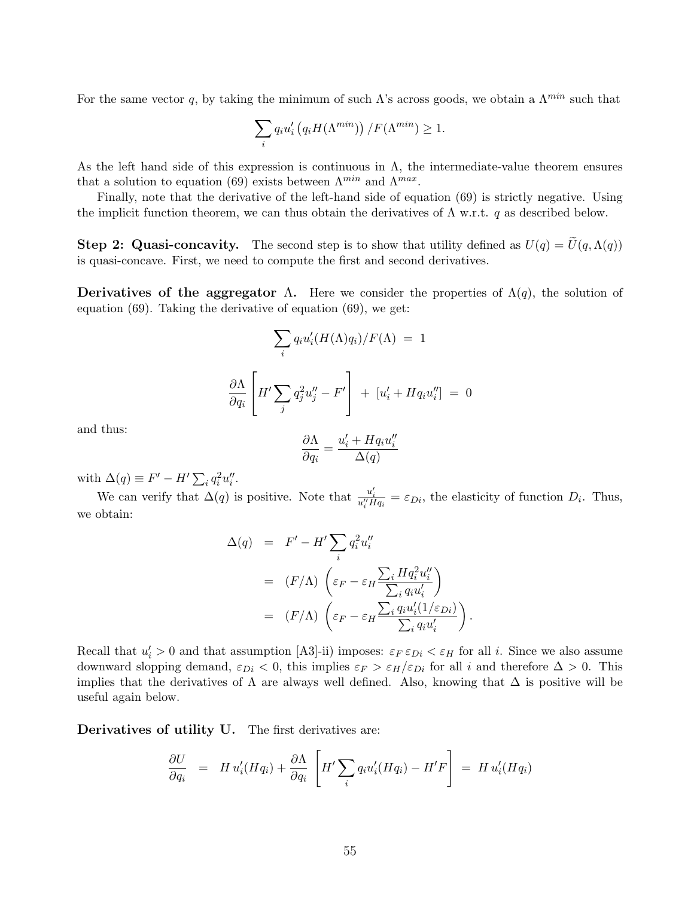For the same vector q, by taking the minimum of such  $\Lambda$ 's across goods, we obtain a  $\Lambda^{min}$  such that

$$
\sum_{i} q_i u_i' \left( q_i H(\Lambda^{min}) \right) / F(\Lambda^{min}) \ge 1.
$$

As the left hand side of this expression is continuous in  $\Lambda$ , the intermediate-value theorem ensures that a solution to equation (69) exists between  $\Lambda^{min}$  and  $\Lambda^{max}$ .

Finally, note that the derivative of the left-hand side of equation (69) is strictly negative. Using the implicit function theorem, we can thus obtain the derivatives of  $\Lambda$  w.r.t. q as described below.

**Step 2: Quasi-concavity.** The second step is to show that utility defined as  $U(q) = U(q, \Lambda(q))$ is quasi-concave. First, we need to compute the first and second derivatives.

Derivatives of the aggregator  $\Lambda$ . Here we consider the properties of  $\Lambda(q)$ , the solution of equation (69). Taking the derivative of equation (69), we get:

$$
\sum_{i} q_i u'_i (H(\Lambda) q_i) / F(\Lambda) = 1
$$

$$
\frac{\partial \Lambda}{\partial q_i} \left[ H' \sum_{j} q_j^2 u''_j - F' \right] + [u'_i + H q_i u''_i] = 0
$$

and thus:

$$
\frac{\partial \Lambda}{\partial q_i} = \frac{u'_i + H q_i u''_i}{\Delta(q)}
$$

with  $\Delta(q) \equiv F' - H' \sum_i q_i^2 u_i''$ .

We can verify that  $\Delta(q)$  is positive. Note that  $\frac{u'_i}{u''_i H q_i} = \varepsilon_{Di}$ , the elasticity of function  $D_i$ . Thus, we obtain:

$$
\Delta(q) = F' - H' \sum_{i} q_i^2 u_i''
$$
  
=  $(F/\Lambda) \left( \varepsilon_F - \varepsilon_H \frac{\sum_i H q_i^2 u_i''}{\sum_i q_i u_i'} \right)$   
=  $(F/\Lambda) \left( \varepsilon_F - \varepsilon_H \frac{\sum_i q_i u_i'(1/\varepsilon_{Di})}{\sum_i q_i u_i'} \right)$ 

.

Recall that  $u'_i > 0$  and that assumption [A3]-ii) imposes:  $\varepsilon_F \varepsilon_{Di} < \varepsilon_H$  for all *i*. Since we also assume downward slopping demand,  $\varepsilon_{Di} < 0$ , this implies  $\varepsilon_F > \varepsilon_H/\varepsilon_{Di}$  for all i and therefore  $\Delta > 0$ . This implies that the derivatives of  $\Lambda$  are always well defined. Also, knowing that  $\Delta$  is positive will be useful again below.

Derivatives of utility U. The first derivatives are:

$$
\frac{\partial U}{\partial q_i} = H u_i'(Hq_i) + \frac{\partial \Lambda}{\partial q_i} \left[ H' \sum_i q_i u_i'(Hq_i) - H'F \right] = H u_i'(Hq_i)
$$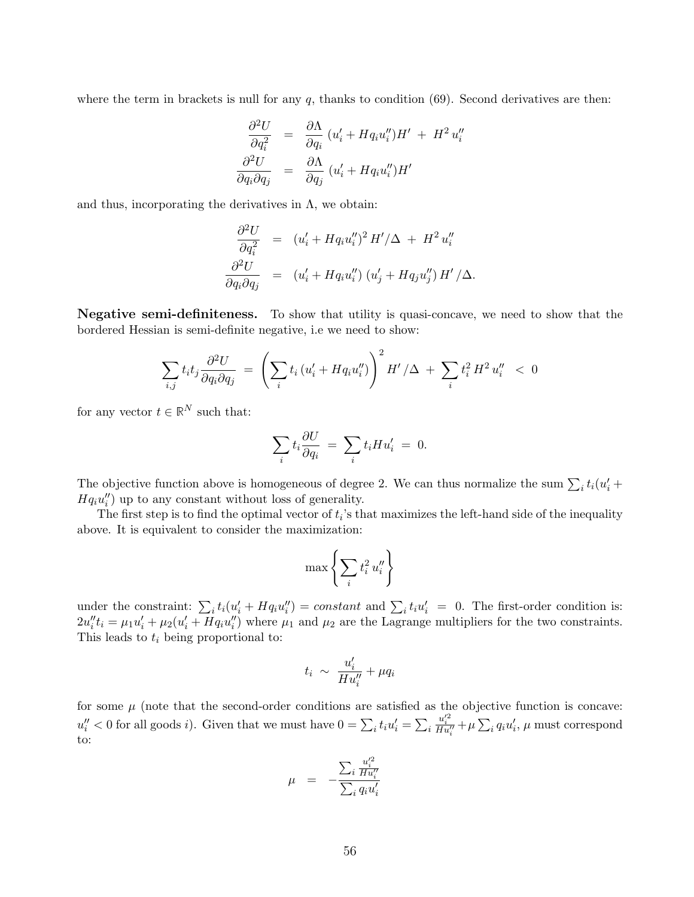where the term in brackets is null for any  $q$ , thanks to condition (69). Second derivatives are then:

$$
\frac{\partial^2 U}{\partial q_i^2} = \frac{\partial \Lambda}{\partial q_i} (u'_i + H q_i u''_i) H' + H^2 u''_i
$$
  

$$
\frac{\partial^2 U}{\partial q_i \partial q_j} = \frac{\partial \Lambda}{\partial q_j} (u'_i + H q_i u''_i) H'
$$

and thus, incorporating the derivatives in  $\Lambda$ , we obtain:

$$
\frac{\partial^2 U}{\partial q_i^2} = (u'_i + Hq_i u''_i)^2 H'/\Delta + H^2 u''_i
$$
  

$$
\frac{\partial^2 U}{\partial q_i \partial q_j} = (u'_i + Hq_i u''_i) (u'_j + Hq_j u''_j) H'/\Delta.
$$

Negative semi-definiteness. To show that utility is quasi-concave, we need to show that the bordered Hessian is semi-definite negative, i.e we need to show:

$$
\sum_{i,j} t_i t_j \frac{\partial^2 U}{\partial q_i \partial q_j} \ = \ \left( \sum_i t_i \left( u_i' + H q_i u_i'' \right) \right)^2 H' / \Delta \ + \ \sum_i t_i^2 H^2 u_i'' \ < \ 0
$$

for any vector  $t \in \mathbb{R}^N$  such that:

$$
\sum_i t_i \frac{\partial U}{\partial q_i} = \sum_i t_i H u'_i = 0.
$$

The objective function above is homogeneous of degree 2. We can thus normalize the sum  $\sum_i t_i(u'_i +$  $Hq_iu_i''$  up to any constant without loss of generality.

The first step is to find the optimal vector of  $t_i$ 's that maximizes the left-hand side of the inequality above. It is equivalent to consider the maximization:

$$
\max\left\{\sum_i t_i^2 u_i''\right\}
$$

under the constraint:  $\sum_i t_i(u'_i + Hq_iu''_i) = constant$  and  $\sum_i t_iu'_i = 0$ . The first-order condition is:  $2u''_it_i = \mu_1 u'_i + \mu_2 (u'_i + H q_i u''_i)$  where  $\mu_1$  and  $\mu_2$  are the Lagrange multipliers for the two constraints. This leads to  $t_i$  being proportional to:

$$
t_i \; \sim \; \frac{u'_i}{H u''_i} + \mu q_i
$$

for some  $\mu$  (note that the second-order conditions are satisfied as the objective function is concave:  $u''_i < 0$  for all goods *i*). Given that we must have  $0 = \sum_i t_i u'_i = \sum_i$  $\frac{u_i'^2}{Hu_i''} + \mu \sum_i q_i u_i', \mu$  must correspond to:

$$
\mu = -\frac{\sum_{i} \frac{u_i'^2}{Hu_i''}}{\sum_{i} q_i u_i'}
$$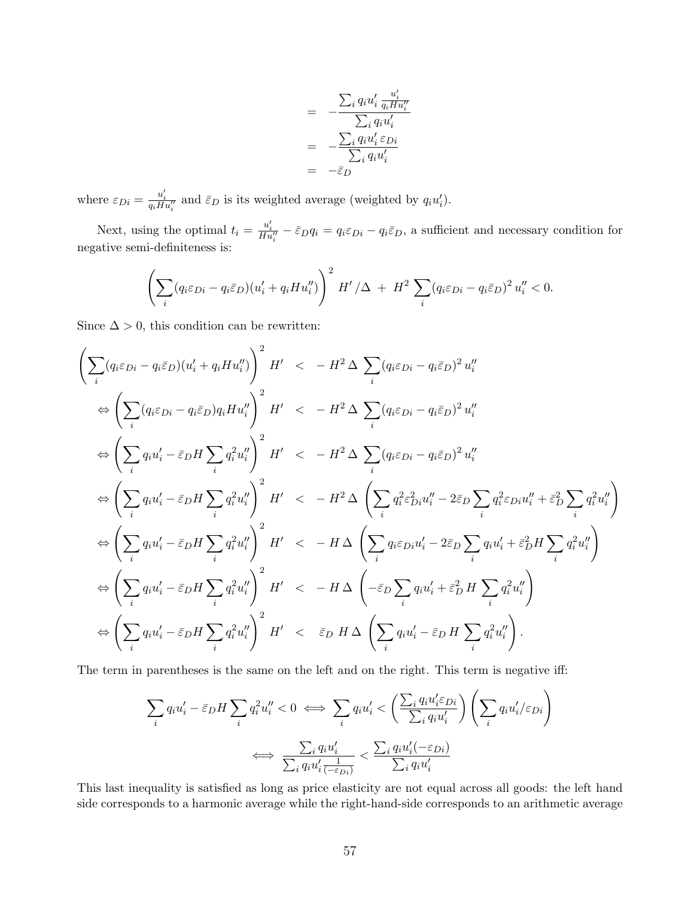$$
= -\frac{\sum_{i} q_i u'_i \frac{u'_i}{q_i H u''_i}}{\sum_{i} q_i u'_i}
$$

$$
= -\frac{\sum_{i} q_i u'_i \varepsilon_{Di}}{\sum_{i} q_i u'_i}
$$

$$
= -\overline{\varepsilon}_{D}
$$

where  $\varepsilon_{Di} = \frac{u'_i}{q_i H u''_i}$  and  $\bar{\varepsilon}_{D}$  is its weighted average (weighted by  $q_i u'_i$ ).

Next, using the optimal  $t_i = \frac{u'_i}{Hu''_i} - \bar{\varepsilon}_D q_i = q_i \varepsilon_{Di} - q_i \bar{\varepsilon}_D$ , a sufficient and necessary condition for negative semi-definiteness is:

$$
\left(\sum_{i} (q_i \varepsilon_{Di} - q_i \bar{\varepsilon}_D)(u'_i + q_i Hu''_i)\right)^2 H' / \Delta + H^2 \sum_{i} (q_i \varepsilon_{Di} - q_i \bar{\varepsilon}_D)^2 u''_i < 0.
$$

Since  $\Delta > 0$ , this condition can be rewritten:

$$
\left(\sum_{i}(q_{i}\varepsilon_{Di}-q_{i}\varepsilon_{D})(u'_{i}+q_{i}Hu''_{i})\right)^{2}H' < -H^{2}\Delta\sum_{i}(q_{i}\varepsilon_{Di}-q_{i}\varepsilon_{D})^{2}u''_{i}
$$
\n
$$
\Leftrightarrow \left(\sum_{i}(q_{i}\varepsilon_{Di}-q_{i}\varepsilon_{D})q_{i}Hu''_{i}\right)^{2}H' < -H^{2}\Delta\sum_{i}(q_{i}\varepsilon_{Di}-q_{i}\varepsilon_{D})^{2}u''_{i}
$$
\n
$$
\Leftrightarrow \left(\sum_{i}q_{i}u'_{i}-\varepsilon_{D}H\sum_{i}q_{i}^{2}u''_{i}\right)^{2}H' < -H^{2}\Delta\sum_{i}(q_{i}\varepsilon_{Di}-q_{i}\varepsilon_{D})^{2}u''_{i}
$$
\n
$$
\Leftrightarrow \left(\sum_{i}q_{i}u'_{i}-\varepsilon_{D}H\sum_{i}q_{i}^{2}u''_{i}\right)^{2}H' < -H^{2}\Delta\left(\sum_{i}q_{i}^{2}\varepsilon_{Di}^{2}u''_{i}-2\varepsilon_{D}\sum_{i}q_{i}^{2}\varepsilon_{Di}u''_{i}+\varepsilon_{D}^{2}\sum_{i}q_{i}^{2}u''_{i}\right)
$$
\n
$$
\Leftrightarrow \left(\sum_{i}q_{i}u'_{i}-\varepsilon_{D}H\sum_{i}q_{i}^{2}u''_{i}\right)^{2}H' < -H\Delta\left(\sum_{i}q_{i}\varepsilon_{Di}u'_{i}-2\varepsilon_{D}\sum_{i}q_{i}u'_{i}+\varepsilon_{D}^{2}H\sum_{i}q_{i}^{2}u''_{i}\right)
$$
\n
$$
\Leftrightarrow \left(\sum_{i}q_{i}u'_{i}-\varepsilon_{D}H\sum_{i}q_{i}^{2}u''_{i}\right)^{2}H' < -H\Delta\left(-\varepsilon_{D}\sum_{i}q_{i}u'_{i}+\varepsilon_{D}^{2}H\sum_{i}q_{i}^{2}u''_{i}\right)
$$
\n
$$
\Leftrightarrow \left(\sum_{i}q_{i}u'_{i}-\varepsilon_{D}H\sum_{i}q_{i}^{2}u''
$$

The term in parentheses is the same on the left and on the right. This term is negative iff:

$$
\sum_{i} q_i u'_i - \bar{\varepsilon}_D H \sum_{i} q_i^2 u''_i < 0 \iff \sum_{i} q_i u'_i < \left(\frac{\sum_{i} q_i u'_i \varepsilon_{Di}}{\sum_{i} q_i u'_i}\right) \left(\sum_{i} q_i u'_i / \varepsilon_{Di}\right)
$$
\n
$$
\iff \frac{\sum_{i} q_i u'_i}{\sum_{i} q_i u'_i \frac{1}{(-\varepsilon_{Di})}} < \frac{\sum_{i} q_i u'_i (-\varepsilon_{Di})}{\sum_{i} q_i u'_i}
$$

This last inequality is satisfied as long as price elasticity are not equal across all goods: the left hand side corresponds to a harmonic average while the right-hand-side corresponds to an arithmetic average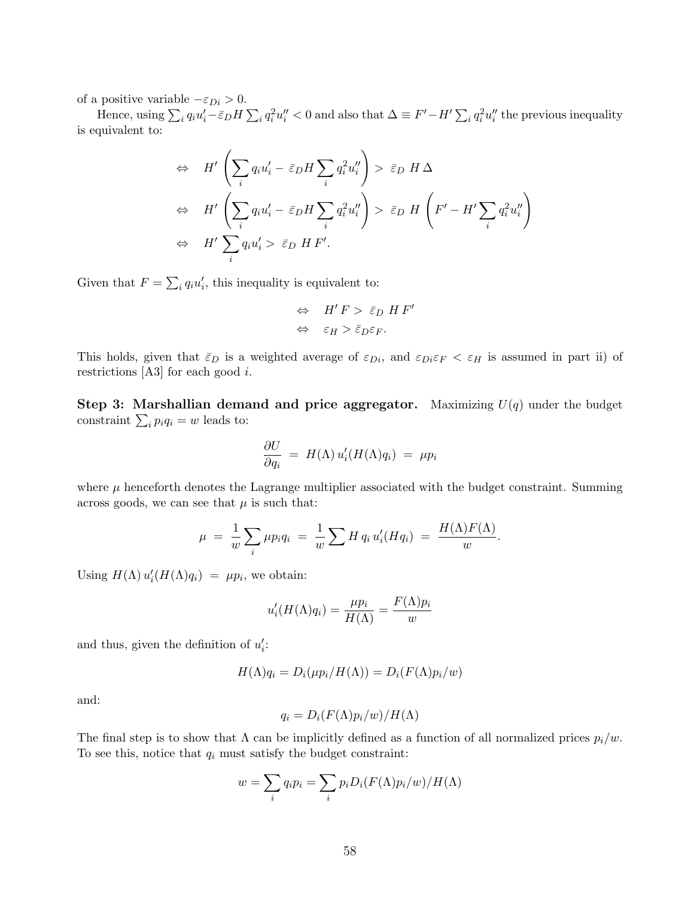of a positive variable  $-\varepsilon_{Di} > 0$ .

Hence, using  $\sum_i q_i u'_i - \bar{\varepsilon}_D H \sum_i q_i^2 u''_i < 0$  and also that  $\Delta \equiv F' - H' \sum_i q_i^2 u''_i$  the previous inequality is equivalent to:

$$
\Leftrightarrow H' \left( \sum_{i} q_{i} u'_{i} - \bar{\varepsilon}_{D} H \sum_{i} q_{i}^{2} u''_{i} \right) > \bar{\varepsilon}_{D} H \Delta
$$
  
\n
$$
\Leftrightarrow H' \left( \sum_{i} q_{i} u'_{i} - \bar{\varepsilon}_{D} H \sum_{i} q_{i}^{2} u''_{i} \right) > \bar{\varepsilon}_{D} H \left( F' - H' \sum_{i} q_{i}^{2} u''_{i} \right)
$$
  
\n
$$
\Leftrightarrow H' \sum_{i} q_{i} u'_{i} > \bar{\varepsilon}_{D} H F'.
$$

Given that  $F = \sum_i q_i u'_i$ , this inequality is equivalent to:

$$
\Leftrightarrow H'F > \bar{\varepsilon}_D HF'
$$
  

$$
\Leftrightarrow \varepsilon_H > \bar{\varepsilon}_D \varepsilon_F.
$$

This holds, given that  $\bar{\varepsilon}_D$  is a weighted average of  $\varepsilon_{Di}$ , and  $\varepsilon_{Di}\varepsilon_F < \varepsilon_H$  is assumed in part ii) of restrictions  $[A3]$  for each good *i*.

Step 3: Marshallian demand and price aggregator. Maximizing  $U(q)$  under the budget constraint  $\sum_i p_i q_i = w$  leads to:

$$
\frac{\partial U}{\partial q_i} = H(\Lambda) u_i'(H(\Lambda)q_i) = \mu p_i
$$

where  $\mu$  henceforth denotes the Lagrange multiplier associated with the budget constraint. Summing across goods, we can see that  $\mu$  is such that:

$$
\mu = \frac{1}{w} \sum_i \mu p_i q_i = \frac{1}{w} \sum_i H q_i u'_i(H q_i) = \frac{H(\Lambda)F(\Lambda)}{w}.
$$

Using  $H(\Lambda) u'_i(H(\Lambda)q_i) = \mu p_i$ , we obtain:

$$
u'_{i}(H(\Lambda)q_{i}) = \frac{\mu p_{i}}{H(\Lambda)} = \frac{F(\Lambda)p_{i}}{w}
$$

and thus, given the definition of  $u_i'$ :

$$
H(\Lambda)q_i = D_i(\mu p_i/H(\Lambda)) = D_i(F(\Lambda)p_i/w)
$$

and:

$$
q_i = D_i(F(\Lambda)p_i/w)/H(\Lambda)
$$

The final step is to show that  $\Lambda$  can be implicitly defined as a function of all normalized prices  $p_i/w$ . To see this, notice that  $q_i$  must satisfy the budget constraint:

$$
w = \sum_{i} q_i p_i = \sum_{i} p_i D_i (F(\Lambda) p_i/w) / H(\Lambda)
$$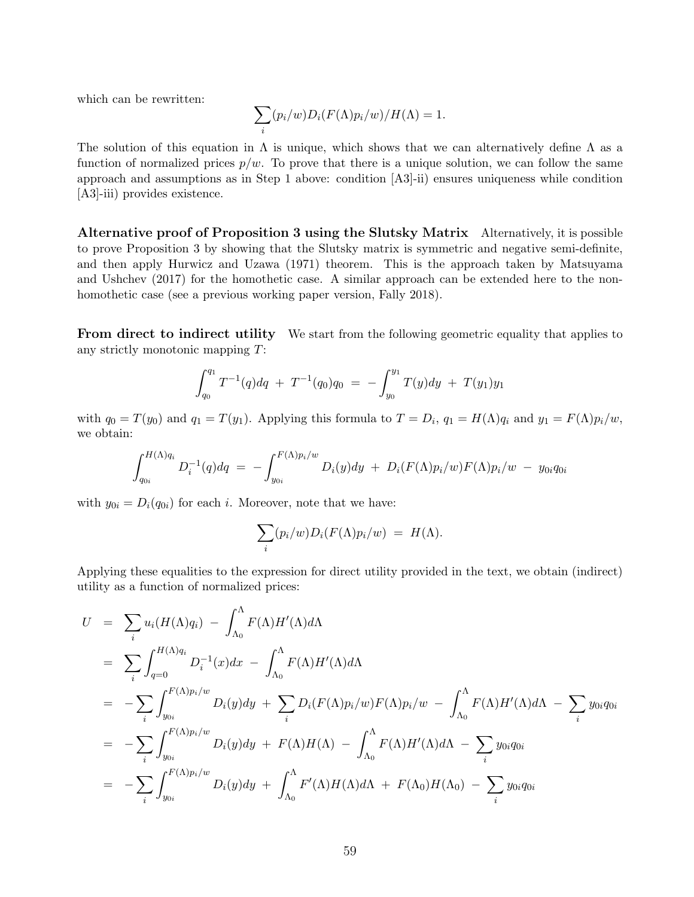which can be rewritten:

$$
\sum_{i} (p_i/w)D_i(F(\Lambda)p_i/w)/H(\Lambda) = 1.
$$

The solution of this equation in  $\Lambda$  is unique, which shows that we can alternatively define  $\Lambda$  as a function of normalized prices  $p/w$ . To prove that there is a unique solution, we can follow the same approach and assumptions as in Step 1 above: condition [A3]-ii) ensures uniqueness while condition [A3]-iii) provides existence.

Alternative proof of Proposition 3 using the Slutsky Matrix Alternatively, it is possible to prove Proposition 3 by showing that the Slutsky matrix is symmetric and negative semi-definite, and then apply Hurwicz and Uzawa (1971) theorem. This is the approach taken by Matsuyama and Ushchev (2017) for the homothetic case. A similar approach can be extended here to the nonhomothetic case (see a previous working paper version, Fally 2018).

**From direct to indirect utility** We start from the following geometric equality that applies to any strictly monotonic mapping T:

$$
\int_{q_0}^{q_1} T^{-1}(q) dq + T^{-1}(q_0) q_0 = - \int_{y_0}^{y_1} T(y) dy + T(y_1) y_1
$$

with  $q_0 = T(y_0)$  and  $q_1 = T(y_1)$ . Applying this formula to  $T = D_i$ ,  $q_1 = H(\Lambda)q_i$  and  $y_1 = F(\Lambda)p_i/w$ , we obtain:

$$
\int_{q_{0i}}^{H(\Lambda)q_i} D_i^{-1}(q) dq = - \int_{y_{0i}}^{F(\Lambda)p_i/w} D_i(y) dy + D_i(F(\Lambda)p_i/w)F(\Lambda)p_i/w - y_{0i}q_{0i}
$$

with  $y_{0i} = D_i(q_{0i})$  for each i. Moreover, note that we have:

$$
\sum_i (p_i/w)D_i(F(\Lambda)p_i/w) = H(\Lambda).
$$

Applying these equalities to the expression for direct utility provided in the text, we obtain (indirect) utility as a function of normalized prices:

$$
U = \sum_{i} u_i(H(\Lambda)q_i) - \int_{\Lambda_0}^{\Lambda} F(\Lambda)H'(\Lambda)d\Lambda
$$
  
\n
$$
= \sum_{i} \int_{q=0}^{H(\Lambda)q_i} D_i^{-1}(x)dx - \int_{\Lambda_0}^{\Lambda} F(\Lambda)H'(\Lambda)d\Lambda
$$
  
\n
$$
= -\sum_{i} \int_{y_{0i}}^{F(\Lambda)p_i/w} D_i(y)dy + \sum_{i} D_i(F(\Lambda)p_i/w)F(\Lambda)p_i/w - \int_{\Lambda_0}^{\Lambda} F(\Lambda)H'(\Lambda)d\Lambda - \sum_{i} y_{0i}q_{0i}
$$
  
\n
$$
= -\sum_{i} \int_{y_{0i}}^{F(\Lambda)p_i/w} D_i(y)dy + F(\Lambda)H(\Lambda) - \int_{\Lambda_0}^{\Lambda} F(\Lambda)H'(\Lambda)d\Lambda - \sum_{i} y_{0i}q_{0i}
$$
  
\n
$$
= -\sum_{i} \int_{y_{0i}}^{F(\Lambda)p_i/w} D_i(y)dy + \int_{\Lambda_0}^{\Lambda} F'(\Lambda)H(\Lambda)d\Lambda + F(\Lambda_0)H(\Lambda_0) - \sum_{i} y_{0i}q_{0i}
$$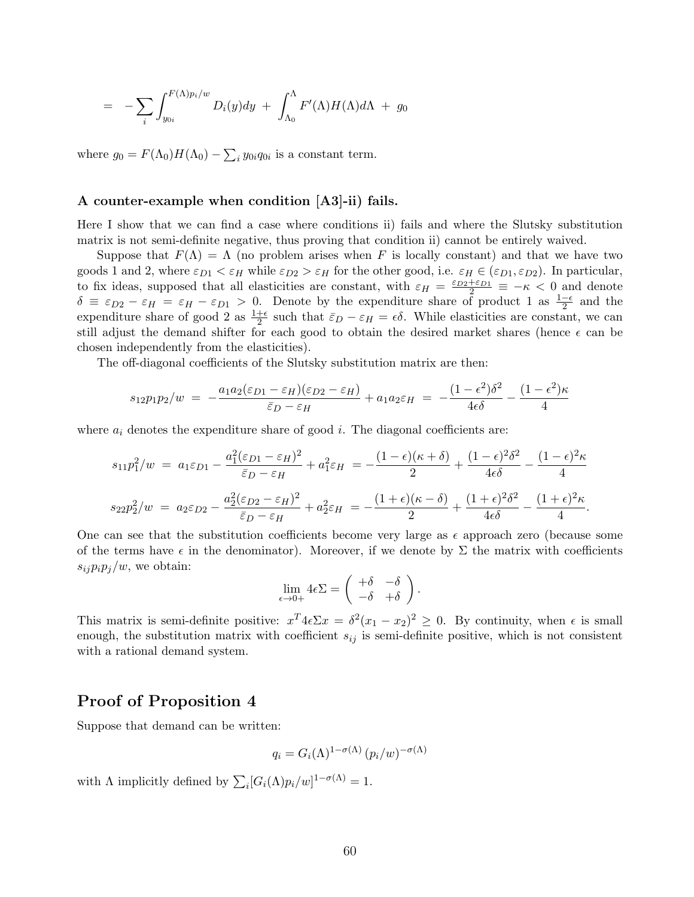$$
= - \sum_{i} \int_{y_{0i}}^{F(\Lambda)p_i/w} D_i(y) dy + \int_{\Lambda_0}^{\Lambda} F'(\Lambda) H(\Lambda) d\Lambda + g_0
$$

where  $g_0 = F(\Lambda_0)H(\Lambda_0) - \sum_i y_{0i} q_{0i}$  is a constant term.

#### A counter-example when condition [A3]-ii) fails.

Here I show that we can find a case where conditions ii) fails and where the Slutsky substitution matrix is not semi-definite negative, thus proving that condition ii) cannot be entirely waived.

Suppose that  $F(\Lambda) = \Lambda$  (no problem arises when F is locally constant) and that we have two goods 1 and 2, where  $\varepsilon_{D1} < \varepsilon_H$  while  $\varepsilon_{D2} > \varepsilon_H$  for the other good, i.e.  $\varepsilon_H \in (\varepsilon_{D1}, \varepsilon_{D2})$ . In particular, to fix ideas, supposed that all elasticities are constant, with  $\varepsilon_H = \frac{\varepsilon_{D2} + \varepsilon_{D1}}{2} \equiv -\kappa < 0$  and denote  $\delta \equiv \varepsilon_{D2} - \varepsilon_H = \varepsilon_H - \varepsilon_{D1} > 0$ . Denote by the expenditure share of product 1 as  $\frac{1-\epsilon}{2}$  and the expenditure share of good 2 as  $\frac{1+\epsilon}{2}$  such that  $\bar{\varepsilon}_D - \varepsilon_H = \epsilon \delta$ . While elasticities are constant, we can still adjust the demand shifter for each good to obtain the desired market shares (hence  $\epsilon$  can be chosen independently from the elasticities).

The off-diagonal coefficients of the Slutsky substitution matrix are then:

$$
s_{12}p_1p_2/w = -\frac{a_1a_2(\varepsilon_{D1} - \varepsilon_H)(\varepsilon_{D2} - \varepsilon_H)}{\bar{\varepsilon}_D - \varepsilon_H} + a_1a_2\varepsilon_H = -\frac{(1 - \epsilon^2)\delta^2}{4\epsilon\delta} - \frac{(1 - \epsilon^2)\kappa}{4}
$$

where  $a_i$  denotes the expenditure share of good i. The diagonal coefficients are:

$$
s_{11}p_1^2/w = a_1\varepsilon_{D1} - \frac{a_1^2(\varepsilon_{D1} - \varepsilon_H)^2}{\bar{\varepsilon}_{D} - \varepsilon_H} + a_1^2\varepsilon_H = -\frac{(1 - \epsilon)(\kappa + \delta)}{2} + \frac{(1 - \epsilon)^2\delta^2}{4\epsilon\delta} - \frac{(1 - \epsilon)^2\kappa}{4}
$$

$$
s_{22}p_2^2/w = a_2\varepsilon_{D2} - \frac{a_2^2(\varepsilon_{D2} - \varepsilon_H)^2}{\bar{\varepsilon}_{D} - \varepsilon_H} + a_2^2\varepsilon_H = -\frac{(1 + \epsilon)(\kappa - \delta)}{2} + \frac{(1 + \epsilon)^2\delta^2}{4\epsilon\delta} - \frac{(1 + \epsilon)^2\kappa}{4}.
$$

One can see that the substitution coefficients become very large as  $\epsilon$  approach zero (because some of the terms have  $\epsilon$  in the denominator). Moreover, if we denote by  $\Sigma$  the matrix with coefficients  $s_{ij}p_ip_j/w$ , we obtain:

$$
\lim_{\epsilon \to 0+} 4\epsilon \Sigma = \begin{pmatrix} +\delta & -\delta \\ -\delta & +\delta \end{pmatrix}.
$$

This matrix is semi-definite positive:  $x^T 4 \epsilon \Sigma x = \delta^2 (x_1 - x_2)^2 \geq 0$ . By continuity, when  $\epsilon$  is small enough, the substitution matrix with coefficient  $s_{ij}$  is semi-definite positive, which is not consistent with a rational demand system.

## Proof of Proposition 4

Suppose that demand can be written:

$$
q_i = G_i(\Lambda)^{1 - \sigma(\Lambda)} (p_i/w)^{-\sigma(\Lambda)}
$$

with  $\Lambda$  implicitly defined by  $\sum_i [G_i(\Lambda)p_i/w]^{1-\sigma(\Lambda)} = 1$ .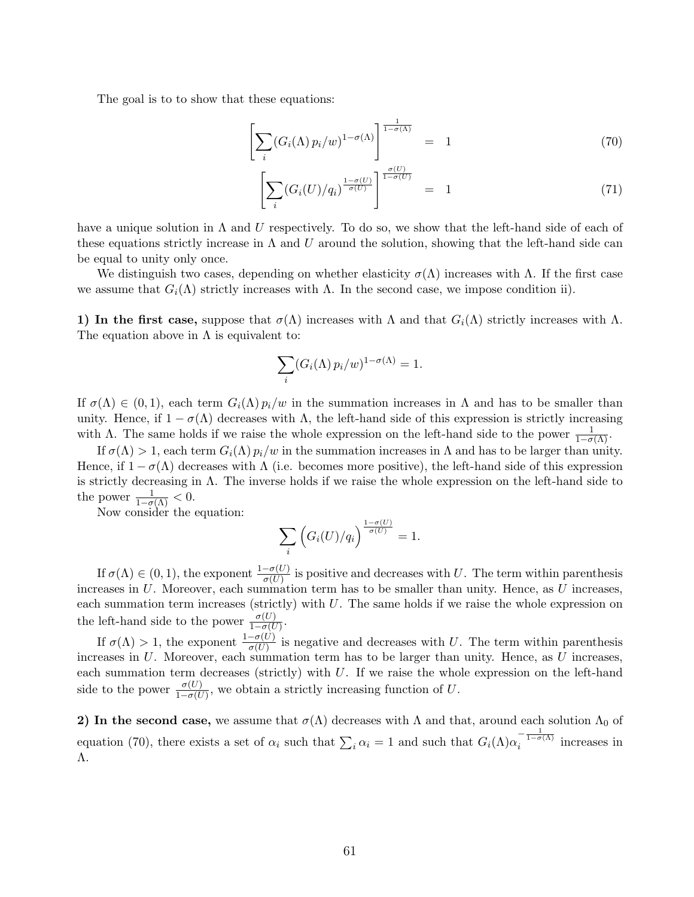The goal is to to show that these equations:

$$
\left[\sum_{i} (G_i(\Lambda) p_i/w)^{1-\sigma(\Lambda)}\right]^{\frac{1}{1-\sigma(\Lambda)}} = 1 \tag{70}
$$

$$
\left[\sum_{i} (G_i(U)/q_i)^{\frac{1-\sigma(U)}{\sigma(U)}}\right]^{\frac{\sigma(U)}{1-\sigma(U)}} = 1 \tag{71}
$$

have a unique solution in  $\Lambda$  and U respectively. To do so, we show that the left-hand side of each of these equations strictly increase in  $\Lambda$  and U around the solution, showing that the left-hand side can be equal to unity only once.

We distinguish two cases, depending on whether elasticity  $\sigma(\Lambda)$  increases with  $\Lambda$ . If the first case we assume that  $G_i(\Lambda)$  strictly increases with  $\Lambda$ . In the second case, we impose condition ii).

1) In the first case, suppose that  $\sigma(\Lambda)$  increases with  $\Lambda$  and that  $G_i(\Lambda)$  strictly increases with  $\Lambda$ . The equation above in  $\Lambda$  is equivalent to:

$$
\sum_i (G_i(\Lambda) p_i/w)^{1-\sigma(\Lambda)} = 1.
$$

If  $\sigma(\Lambda) \in (0,1)$ , each term  $G_i(\Lambda) p_i/w$  in the summation increases in  $\Lambda$  and has to be smaller than unity. Hence, if  $1 - \sigma(\Lambda)$  decreases with  $\Lambda$ , the left-hand side of this expression is strictly increasing with  $\Lambda$ . The same holds if we raise the whole expression on the left-hand side to the power  $\frac{1}{1-\sigma(\Lambda)}$ .

If  $\sigma(\Lambda) > 1$ , each term  $G_i(\Lambda) p_i/w$  in the summation increases in  $\Lambda$  and has to be larger than unity. Hence, if  $1 - \sigma(\Lambda)$  decreases with  $\Lambda$  (i.e. becomes more positive), the left-hand side of this expression is strictly decreasing in Λ. The inverse holds if we raise the whole expression on the left-hand side to the power  $\frac{1}{1-\sigma(\Lambda)} < 0$ .

Now consider the equation:

$$
\sum_{i} \left( G_i(U)/q_i \right)^{\frac{1-\sigma(U)}{\sigma(U)}} = 1.
$$

If  $\sigma(\Lambda) \in (0,1)$ , the exponent  $\frac{1-\sigma(U)}{\sigma(U)}$  is positive and decreases with U. The term within parenthesis increases in  $U$ . Moreover, each summation term has to be smaller than unity. Hence, as  $U$  increases, each summation term increases (strictly) with  $U$ . The same holds if we raise the whole expression on the left-hand side to the power  $\frac{\sigma(U)}{1-\sigma(U)}$ .

If  $\sigma(\Lambda) > 1$ , the exponent  $\frac{1-\sigma(U)}{\sigma(U)}$  is negative and decreases with U. The term within parenthesis increases in  $U$ . Moreover, each summation term has to be larger than unity. Hence, as  $U$  increases, each summation term decreases (strictly) with  $U$ . If we raise the whole expression on the left-hand side to the power  $\frac{\sigma(U)}{1-\sigma(U)}$ , we obtain a strictly increasing function of U.

2) In the second case, we assume that  $\sigma(\Lambda)$  decreases with  $\Lambda$  and that, around each solution  $\Lambda_0$  of equation (70), there exists a set of  $\alpha_i$  such that  $\sum_i \alpha_i = 1$  and such that  $G_i(\Lambda) \alpha_i^{-\frac{1}{1-\sigma(\Lambda)}}$  increases in Λ.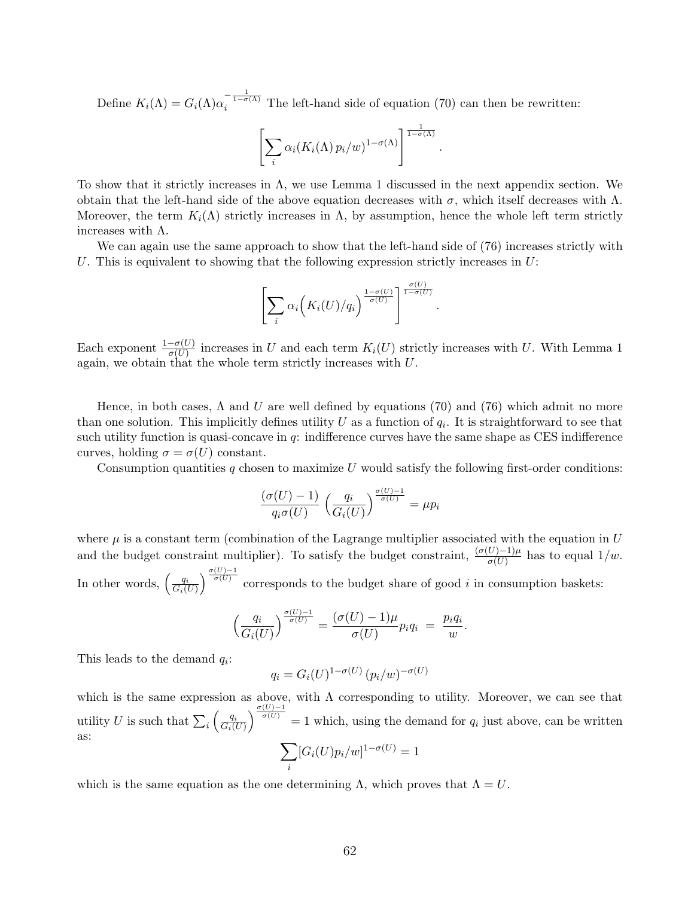Define  $K_i(\Lambda) = G_i(\Lambda) \alpha_i^{-\frac{1}{1-\sigma(\Lambda)}}$  The left-hand side of equation (70) can then be rewritten:

$$
\left[\sum_i \alpha_i (K_i(\Lambda) p_i/w)^{1-\sigma(\Lambda)}\right]^{\frac{1}{1-\sigma(\Lambda)}}.
$$

To show that it strictly increases in Λ, we use Lemma 1 discussed in the next appendix section. We obtain that the left-hand side of the above equation decreases with  $\sigma$ , which itself decreases with  $\Lambda$ . Moreover, the term  $K_i(\Lambda)$  strictly increases in  $\Lambda$ , by assumption, hence the whole left term strictly increases with Λ.

We can again use the same approach to show that the left-hand side of (76) increases strictly with U. This is equivalent to showing that the following expression strictly increases in  $U$ :

$$
\left[\sum_i \alpha_i \Big(K_i(U)/q_i\Big)^{\frac{1-\sigma(U)}{\sigma(U)}}\right]^{\frac{\sigma(U)}{1-\sigma(U)}}.
$$

Each exponent  $\frac{1-\sigma(U)}{\sigma(U)}$  increases in U and each term  $K_i(U)$  strictly increases with U. With Lemma 1 again, we obtain that the whole term strictly increases with  $U$ .

Hence, in both cases,  $\Lambda$  and U are well defined by equations (70) and (76) which admit no more than one solution. This implicitly defines utility  $U$  as a function of  $q_i$ . It is straightforward to see that such utility function is quasi-concave in  $q$ : indifference curves have the same shape as CES indifference curves, holding  $\sigma = \sigma(U)$  constant.

Consumption quantities  $q$  chosen to maximize U would satisfy the following first-order conditions:

$$
\frac{(\sigma(U) - 1)}{q_i \sigma(U)} \left(\frac{q_i}{G_i(U)}\right)^{\frac{\sigma(U) - 1}{\sigma(U)}} = \mu p_i
$$

where  $\mu$  is a constant term (combination of the Lagrange multiplier associated with the equation in U and the budget constraint multiplier). To satisfy the budget constraint,  $\frac{(\sigma(U)-1)\mu}{\sigma(U)}$  has to equal  $1/w$ . In other words,  $\left(\frac{q_i}{G}\right)$  $G_i(U)$  $\int_{-\sigma(U)-1}^{\sigma(U)-1}$  corresponds to the budget share of good *i* in consumption baskets:

$$
\left(\frac{q_i}{G_i(U)}\right)^{\frac{\sigma(U)-1}{\sigma(U)}} = \frac{(\sigma(U)-1)\mu}{\sigma(U)} p_i q_i = \frac{p_i q_i}{w}.
$$

This leads to the demand  $q_i$ :

$$
q_i = G_i(U)^{1-\sigma(U)} (p_i/w)^{-\sigma(U)}
$$

which is the same expression as above, with  $\Lambda$  corresponding to utility. Moreover, we can see that utility U is such that  $\sum_i \left( \frac{q_i}{G_i(i)} \right)$  $G_i(U)$  $\int_{-\frac{\sigma(U)-1}{\sigma(U)}}^{\frac{\sigma(U)-1}{\sigma(U)}}$  = 1 which, using the demand for  $q_i$  just above, can be written as:

$$
\sum_{i} [G_i(U) p_i/w]^{1-\sigma(U)} = 1
$$

which is the same equation as the one determining  $\Lambda$ , which proves that  $\Lambda = U$ .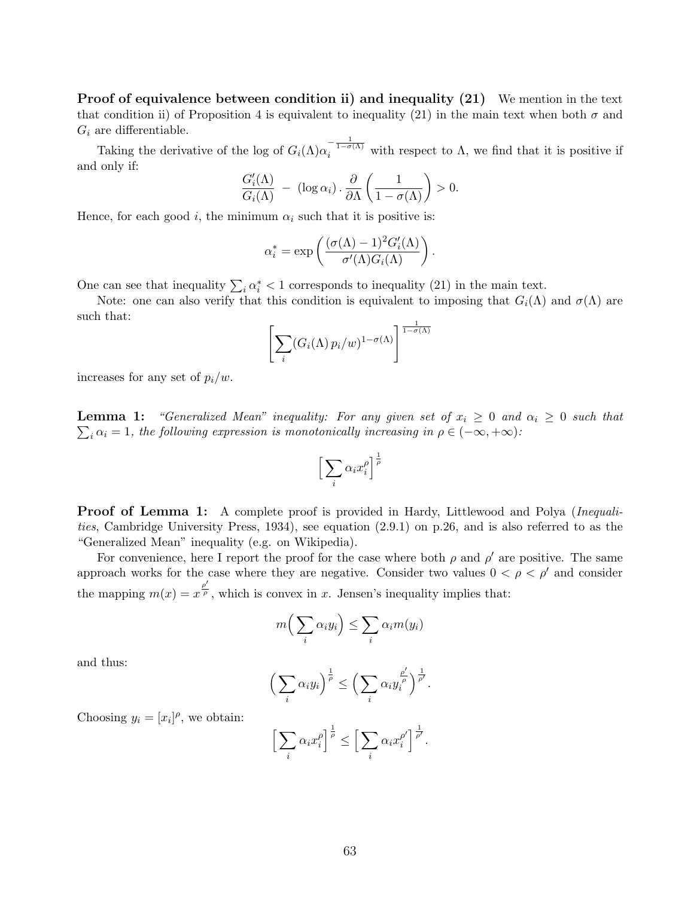Proof of equivalence between condition ii) and inequality (21) We mention in the text that condition ii) of Proposition 4 is equivalent to inequality (21) in the main text when both  $\sigma$  and  $G_i$  are differentiable.

Taking the derivative of the log of  $G_i(\Lambda)\alpha_i^{-\frac{1}{1-\sigma(\Lambda)}}$  with respect to  $\Lambda$ , we find that it is positive if and only if:

$$
\frac{G_i'(\Lambda)}{G_i(\Lambda)} - (\log \alpha_i) \cdot \frac{\partial}{\partial \Lambda} \left( \frac{1}{1 - \sigma(\Lambda)} \right) > 0.
$$

Hence, for each good i, the minimum  $\alpha_i$  such that it is positive is:

$$
\alpha_i^* = \exp\left(\frac{(\sigma(\Lambda) - 1)^2 G_i'(\Lambda)}{\sigma'(\Lambda) G_i(\Lambda)}\right).
$$

One can see that inequality  $\sum_i \alpha_i^* < 1$  corresponds to inequality (21) in the main text.

Note: one can also verify that this condition is equivalent to imposing that  $G_i(\Lambda)$  and  $\sigma(\Lambda)$  are such that:

$$
\left[\sum_i (G_i(\Lambda) p_i/w)^{1-\sigma(\Lambda)}\right]^{\frac{1}{1-\sigma(\Lambda)}}
$$

increases for any set of  $p_i/w$ .

**Lemma 1:** "Generalized Mean" inequality: For any given set of  $x_i \geq 0$  and  $\alpha_i \geq 0$  such that  $\sum_i \alpha_i = 1$ , the following expression is monotonically increasing in  $\rho \in (-\infty, +\infty)$ :

$$
\Big[\sum_i \alpha_i x_i^{\rho}\Big]^{\frac{1}{\rho}}
$$

**Proof of Lemma 1:** A complete proof is provided in Hardy, Littlewood and Polya (*Inequali*ties, Cambridge University Press, 1934), see equation (2.9.1) on p.26, and is also referred to as the "Generalized Mean" inequality (e.g. on Wikipedia).

For convenience, here I report the proof for the case where both  $\rho$  and  $\rho'$  are positive. The same approach works for the case where they are negative. Consider two values  $0 < \rho < \rho'$  and consider the mapping  $m(x) = x^{\frac{\rho'}{\rho}}$ , which is convex in x. Jensen's inequality implies that:

$$
m\Big(\sum_i \alpha_i y_i\Big) \le \sum_i \alpha_i m(y_i)
$$

and thus:

$$
\left(\sum_{i} \alpha_i y_i\right)^{\frac{1}{\rho}} \leq \left(\sum_{i} \alpha_i y_i^{\frac{\rho'}{\rho}}\right)^{\frac{1}{\rho'}}.
$$

Choosing  $y_i = [x_i]^\rho$ , we obtain:

$$
\left[\sum_i \alpha_i x_i^{\rho}\right]^{\frac{1}{\rho}} \le \left[\sum_i \alpha_i x_i^{\rho'}\right]^{\frac{1}{\rho'}}.
$$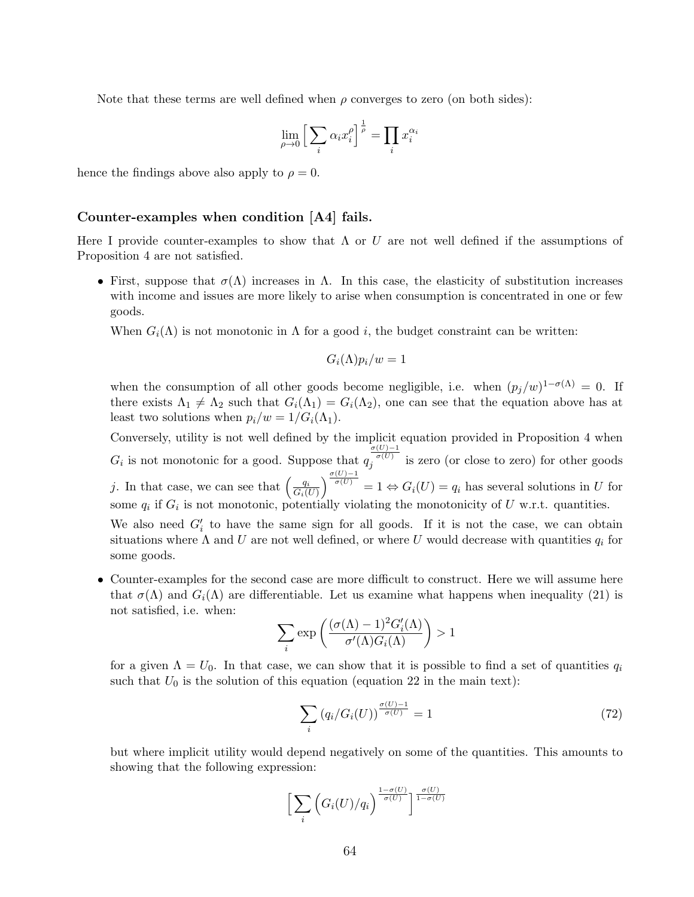Note that these terms are well defined when  $\rho$  converges to zero (on both sides):

$$
\lim_{\rho \to 0} \Big[ \sum_i \alpha_i x_i^{\rho} \Big]^{\frac{1}{\rho}} = \prod_i x_i^{\alpha_i}
$$

hence the findings above also apply to  $\rho = 0$ .

#### Counter-examples when condition [A4] fails.

Here I provide counter-examples to show that  $\Lambda$  or U are not well defined if the assumptions of Proposition 4 are not satisfied.

• First, suppose that  $\sigma(\Lambda)$  increases in  $\Lambda$ . In this case, the elasticity of substitution increases with income and issues are more likely to arise when consumption is concentrated in one or few goods.

When  $G_i(\Lambda)$  is not monotonic in  $\Lambda$  for a good i, the budget constraint can be written:

$$
G_i(\Lambda)p_i/w=1
$$

when the consumption of all other goods become negligible, i.e. when  $(p_j/w)^{1-\sigma(\Lambda)} = 0$ . If there exists  $\Lambda_1 \neq \Lambda_2$  such that  $G_i(\Lambda_1) = G_i(\Lambda_2)$ , one can see that the equation above has at least two solutions when  $p_i/w = 1/G_i(\Lambda_1)$ .

Conversely, utility is not well defined by the implicit equation provided in Proposition 4 when  $G_i$  is not monotonic for a good. Suppose that  $q$  $\frac{\sigma(U)-1}{\sigma(U)}$  is zero (or close to zero) for other goods j. In that case, we can see that  $\left(\frac{q_i}{G}\right)$  $G_i(U)$  $\int_{-\sigma(U)-1}^{\sigma(U)-1} 1 \Leftrightarrow G_i(U) = q_i$  has several solutions in U for some  $q_i$  if  $G_i$  is not monotonic, potentially violating the monotonicity of U w.r.t. quantities.

We also need  $G_i'$  to have the same sign for all goods. If it is not the case, we can obtain situations where  $\Lambda$  and U are not well defined, or where U would decrease with quantities  $q_i$  for some goods.

• Counter-examples for the second case are more difficult to construct. Here we will assume here that  $\sigma(\Lambda)$  and  $G_i(\Lambda)$  are differentiable. Let us examine what happens when inequality (21) is not satisfied, i.e. when:

$$
\sum_{i} \exp\left(\frac{(\sigma(\Lambda) - 1)^2 G_i'(\Lambda)}{\sigma'(\Lambda) G_i(\Lambda)}\right) > 1
$$

for a given  $\Lambda = U_0$ . In that case, we can show that it is possible to find a set of quantities  $q_i$ such that  $U_0$  is the solution of this equation (equation 22 in the main text):

$$
\sum_{i} \left( q_i / G_i(U) \right)^{\frac{\sigma(U) - 1}{\sigma(U)}} = 1 \tag{72}
$$

but where implicit utility would depend negatively on some of the quantities. This amounts to showing that the following expression:

$$
\bigg[\sum_{i}\Big(G_{i}(U)/q_{i}\Big)^{\frac{1-\sigma(U)}{\sigma(U)}}\bigg]^{\frac{\sigma(U)}{1-\sigma(U)}}
$$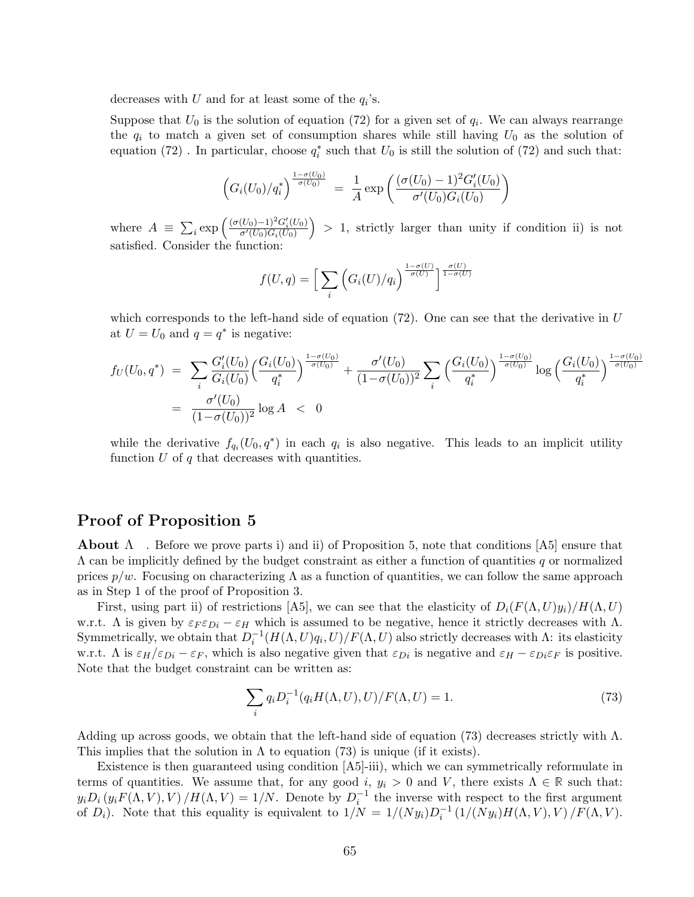decreases with U and for at least some of the  $q_i$ 's.

Suppose that  $U_0$  is the solution of equation (72) for a given set of  $q_i$ . We can always rearrange the  $q_i$  to match a given set of consumption shares while still having  $U_0$  as the solution of equation (72). In particular, choose  $q_i^*$  such that  $U_0$  is still the solution of (72) and such that:

$$
\left(G_i(U_0)/q_i^*\right)^{\frac{1-\sigma(U_0)}{\sigma(U_0)}} = \frac{1}{A} \exp\left(\frac{(\sigma(U_0)-1)^2 G_i'(U_0)}{\sigma'(U_0) G_i(U_0)}\right)
$$

where  $A \equiv \sum_i \exp \left( \frac{(\sigma(U_0)-1)^2 G'_i(U_0)}{\sigma'(U_0) G_i(U_0)} \right)$  $\overline{\sigma'(U_0)G_i(U_0)}$  $\big)$  > 1, strictly larger than unity if condition ii) is not satisfied. Consider the function:

$$
f(U,q) = \left[\sum_{i} \left(G_i(U)/q_i\right)^{\frac{1-\sigma(U)}{\sigma(U)}}\right]^{\frac{\sigma(U)}{1-\sigma(U)}}
$$

which corresponds to the left-hand side of equation  $(72)$ . One can see that the derivative in U at  $U = U_0$  and  $q = q^*$  is negative:

$$
f_U(U_0, q^*) = \sum_i \frac{G_i'(U_0)}{G_i(U_0)} \left(\frac{G_i(U_0)}{q_i^*}\right)^{\frac{1-\sigma(U_0)}{\sigma(U_0)}} + \frac{\sigma'(U_0)}{(1-\sigma(U_0))^2} \sum_i \left(\frac{G_i(U_0)}{q_i^*}\right)^{\frac{1-\sigma(U_0)}{\sigma(U_0)}} \log\left(\frac{G_i(U_0)}{q_i^*}\right)^{\frac{1-\sigma(U_0)}{\sigma(U_0)}}
$$
  
= 
$$
\frac{\sigma'(U_0)}{(1-\sigma(U_0))^2} \log A < 0
$$

while the derivative  $f_{q_i}(U_0, q^*)$  in each  $q_i$  is also negative. This leads to an implicit utility function  $U$  of  $q$  that decreases with quantities.

## Proof of Proposition 5

**About**  $\Lambda$ . Before we prove parts i) and ii) of Proposition 5, note that conditions [A5] ensure that  $\Lambda$  can be implicitly defined by the budget constraint as either a function of quantities q or normalized prices  $p/w$ . Focusing on characterizing  $\Lambda$  as a function of quantities, we can follow the same approach as in Step 1 of the proof of Proposition 3.

First, using part ii) of restrictions [A5], we can see that the elasticity of  $D_i(F(\Lambda, U)y_i)/H(\Lambda, U)$ w.r.t.  $\Lambda$  is given by  $\varepsilon_F \varepsilon_{Di} - \varepsilon_H$  which is assumed to be negative, hence it strictly decreases with  $\Lambda$ . Symmetrically, we obtain that  $D_i^{-1}(H(\Lambda, U)q_i, U)/F(\Lambda, U)$  also strictly decreases with  $\Lambda$ : its elasticity w.r.t.  $\Lambda$  is  $\varepsilon_H/\varepsilon_{Di} - \varepsilon_F$ , which is also negative given that  $\varepsilon_{Di}$  is negative and  $\varepsilon_H - \varepsilon_{Di}\varepsilon_F$  is positive. Note that the budget constraint can be written as:

$$
\sum_{i} q_i D_i^{-1}(q_i H(\Lambda, U), U) / F(\Lambda, U) = 1.
$$
\n
$$
(73)
$$

Adding up across goods, we obtain that the left-hand side of equation (73) decreases strictly with  $\Lambda$ . This implies that the solution in  $\Lambda$  to equation (73) is unique (if it exists).

Existence is then guaranteed using condition [A5]-iii), which we can symmetrically reformulate in terms of quantities. We assume that, for any good i,  $y_i > 0$  and V, there exists  $\Lambda \in \mathbb{R}$  such that:  $y_i D_i (y_i F(\Lambda, V), V) / H(\Lambda, V) = 1/N$ . Denote by  $D_i^{-1}$  the inverse with respect to the first argument of  $D_i$ ). Note that this equality is equivalent to  $1/N = 1/(Ny_i)D_i^{-1}(1/(Ny_i)H(\Lambda, V), V)/F(\Lambda, V)$ .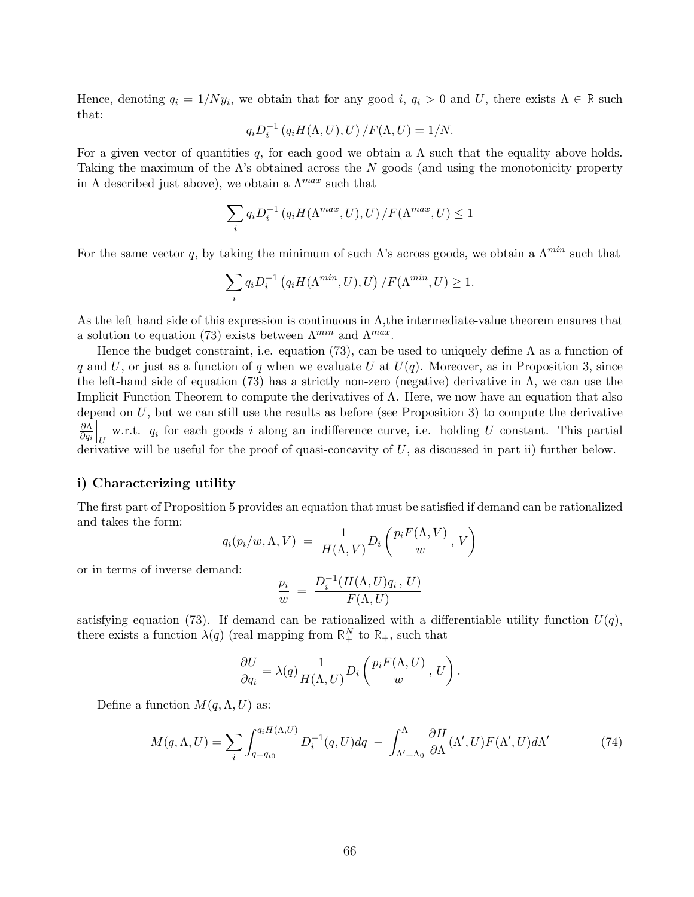Hence, denoting  $q_i = 1/Ny_i$ , we obtain that for any good i,  $q_i > 0$  and U, there exists  $\Lambda \in \mathbb{R}$  such that:

$$
q_iD_i^{-1}\left(q_iH(\Lambda,U),U\right)/F(\Lambda,U)=1/N.
$$

For a given vector of quantities q, for each good we obtain a  $\Lambda$  such that the equality above holds. Taking the maximum of the  $\Lambda$ 's obtained across the N goods (and using the monotonicity property in  $\Lambda$  described just above), we obtain a  $\Lambda^{max}$  such that

$$
\sum_{i} q_{i} D_{i}^{-1} (q_{i} H(\Lambda^{max}, U), U) / F(\Lambda^{max}, U) \le 1
$$

For the same vector q, by taking the minimum of such  $\Lambda$ 's across goods, we obtain a  $\Lambda^{min}$  such that

$$
\sum_{i} q_{i} D_{i}^{-1} (q_{i} H(\Lambda^{min}, U), U) / F(\Lambda^{min}, U) \ge 1.
$$

As the left hand side of this expression is continuous in  $\Lambda$ , the intermediate-value theorem ensures that a solution to equation (73) exists between  $\Lambda^{min}$  and  $\Lambda^{max}$ .

Hence the budget constraint, i.e. equation (73), can be used to uniquely define  $\Lambda$  as a function of q and U, or just as a function of q when we evaluate U at  $U(q)$ . Moreover, as in Proposition 3, since the left-hand side of equation (73) has a strictly non-zero (negative) derivative in  $\Lambda$ , we can use the Implicit Function Theorem to compute the derivatives of  $\Lambda$ . Here, we now have an equation that also depend on  $U$ , but we can still use the results as before (see Proposition 3) to compute the derivative ∂Λ  $\partial q_i$  $\bigg|_U$  w.r.t.  $q_i$  for each goods i along an indifference curve, i.e. holding U constant. This partial derivative will be useful for the proof of quasi-concavity of  $U$ , as discussed in part ii) further below.

#### i) Characterizing utility

The first part of Proposition 5 provides an equation that must be satisfied if demand can be rationalized and takes the form:

$$
q_i(p_i/w, \Lambda, V) = \frac{1}{H(\Lambda, V)} D_i \left( \frac{p_i F(\Lambda, V)}{w}, V \right)
$$

or in terms of inverse demand:

$$
\frac{p_i}{w} = \frac{D_i^{-1}(H(\Lambda, U)q_i, U)}{F(\Lambda, U)}
$$

satisfying equation (73). If demand can be rationalized with a differentiable utility function  $U(q)$ , there exists a function  $\lambda(q)$  (real mapping from  $\mathbb{R}^N_+$  to  $\mathbb{R}_+$ , such that

$$
\frac{\partial U}{\partial q_i} = \lambda(q) \frac{1}{H(\Lambda, U)} D_i \left( \frac{p_i F(\Lambda, U)}{w}, U \right).
$$

Define a function  $M(q, \Lambda, U)$  as:

$$
M(q,\Lambda,U) = \sum_{i} \int_{q=q_{i0}}^{q_i H(\Lambda,U)} D_i^{-1}(q,U) dq - \int_{\Lambda'=\Lambda_0}^{\Lambda} \frac{\partial H}{\partial \Lambda}(\Lambda',U) F(\Lambda',U) d\Lambda'
$$
(74)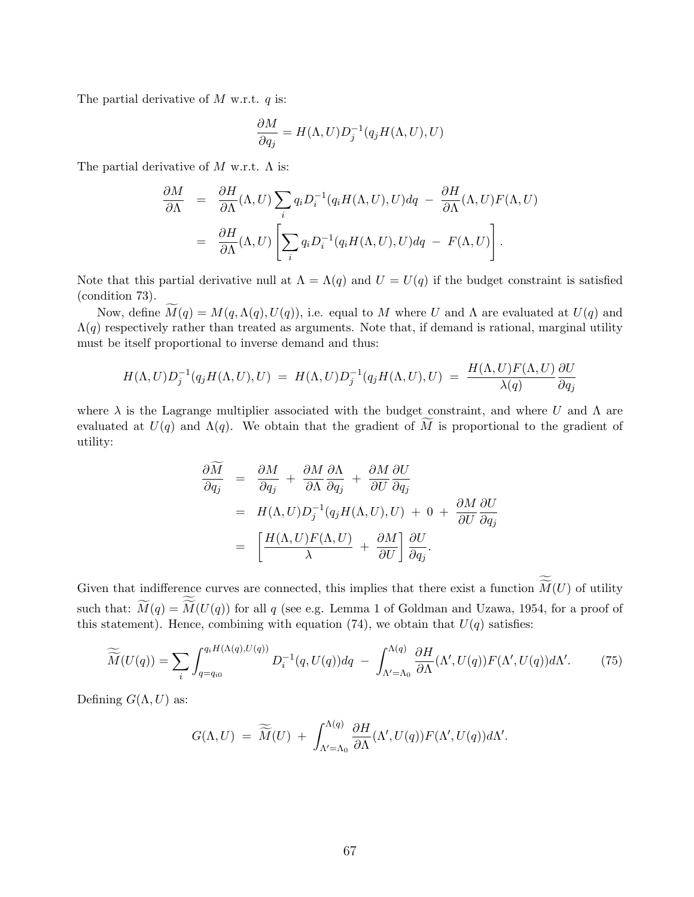The partial derivative of  $M$  w.r.t.  $q$  is:

$$
\frac{\partial M}{\partial q_j} = H(\Lambda, U) D_j^{-1}(q_j H(\Lambda, U), U)
$$

The partial derivative of  $M$  w.r.t.  $\Lambda$  is:

$$
\frac{\partial M}{\partial \Lambda} = \frac{\partial H}{\partial \Lambda}(\Lambda, U) \sum_{i} q_i D_i^{-1}(q_i H(\Lambda, U), U) dq - \frac{\partial H}{\partial \Lambda}(\Lambda, U) F(\Lambda, U)
$$
  

$$
= \frac{\partial H}{\partial \Lambda}(\Lambda, U) \left[ \sum_{i} q_i D_i^{-1}(q_i H(\Lambda, U), U) dq - F(\Lambda, U) \right].
$$

Note that this partial derivative null at  $\Lambda = \Lambda(q)$  and  $U = U(q)$  if the budget constraint is satisfied (condition 73).

Now, define  $\widetilde{M}(q) = M(q, \Lambda(q), U(q))$ , i.e. equal to M where U and  $\Lambda$  are evaluated at  $U(q)$  and  $\Lambda(q)$  respectively rather than treated as arguments. Note that, if demand is rational, marginal utility must be itself proportional to inverse demand and thus:

$$
H(\Lambda, U)D_j^{-1}(q_j H(\Lambda, U), U) = H(\Lambda, U)D_j^{-1}(q_j H(\Lambda, U), U) = \frac{H(\Lambda, U)F(\Lambda, U)}{\lambda(q)}\frac{\partial U}{\partial q_j}
$$

where  $\lambda$  is the Lagrange multiplier associated with the budget constraint, and where U and  $\Lambda$  are evaluated at  $U(q)$  and  $\Lambda(q)$ . We obtain that the gradient of  $\widetilde{M}$  is proportional to the gradient of utility:

$$
\frac{\partial M}{\partial q_j} = \frac{\partial M}{\partial q_j} + \frac{\partial M}{\partial \Lambda} \frac{\partial \Lambda}{\partial q_j} + \frac{\partial M}{\partial U} \frac{\partial U}{\partial q_j}
$$
  
=  $H(\Lambda, U) D_j^{-1}(q_j H(\Lambda, U), U) + 0 + \frac{\partial M}{\partial U} \frac{\partial U}{\partial q_j}$   
=  $\left[ \frac{H(\Lambda, U) F(\Lambda, U)}{\lambda} + \frac{\partial M}{\partial U} \right] \frac{\partial U}{\partial q_j}.$ 

Given that indifference curves are connected, this implies that there exist a function  $M(U)$  of utility such that:  $M(q) = M(U(q))$  for all q (see e.g. Lemma 1 of Goldman and Uzawa, 1954, for a proof of this statement). Hence, combining with equation (74), we obtain that  $U(q)$  satisfies:

$$
\widetilde{\widetilde{M}}(U(q)) = \sum_{i} \int_{q=q_{i0}}^{q_i H(\Lambda(q), U(q))} D_i^{-1}(q, U(q)) dq - \int_{\Lambda'=\Lambda_0}^{\Lambda(q)} \frac{\partial H}{\partial \Lambda}(\Lambda', U(q)) F(\Lambda', U(q)) d\Lambda'. \tag{75}
$$

Defining  $G(\Lambda, U)$  as:

$$
G(\Lambda, U) = \widetilde{\widetilde{M}}(U) + \int_{\Lambda'=\Lambda_0}^{\Lambda(q)} \frac{\partial H}{\partial \Lambda}(\Lambda', U(q)) F(\Lambda', U(q)) d\Lambda'.
$$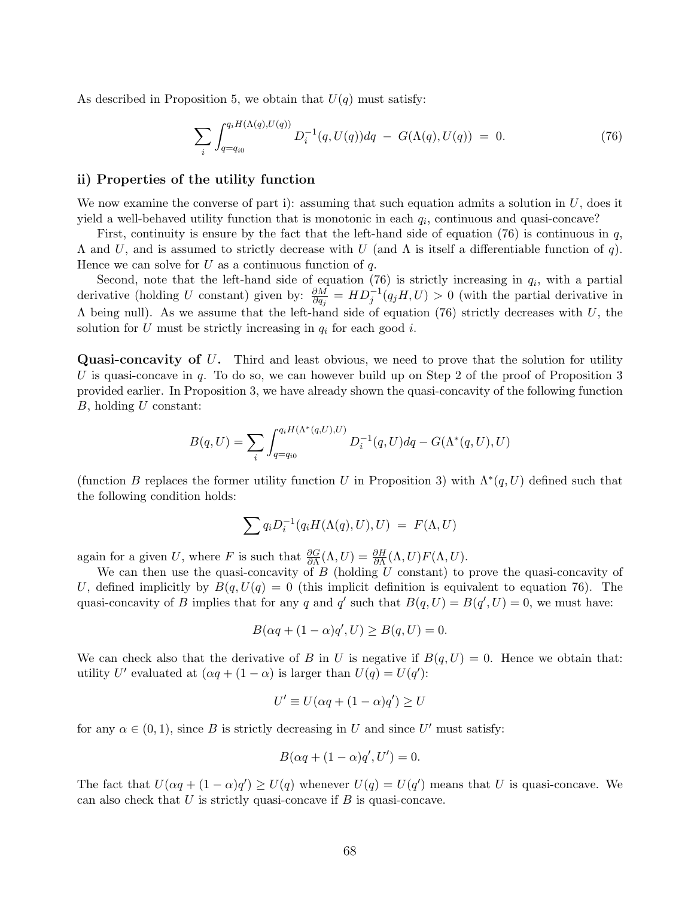As described in Proposition 5, we obtain that  $U(q)$  must satisfy:

$$
\sum_{i} \int_{q=q_{i0}}^{q_i H(\Lambda(q), U(q))} D_i^{-1}(q, U(q)) dq - G(\Lambda(q), U(q)) = 0.
$$
 (76)

### ii) Properties of the utility function

We now examine the converse of part i): assuming that such equation admits a solution in  $U$ , does it yield a well-behaved utility function that is monotonic in each  $q_i$ , continuous and quasi-concave?

First, continuity is ensure by the fact that the left-hand side of equation  $(76)$  is continuous in q,  $Λ$  and  $U$ , and is assumed to strictly decrease with  $U$  (and  $Λ$  is itself a differentiable function of q). Hence we can solve for U as a continuous function of q.

Second, note that the left-hand side of equation (76) is strictly increasing in  $q_i$ , with a partial derivative (holding U constant) given by:  $\frac{\partial M}{\partial q_j} = HD_j^{-1}(q_jH, U) > 0$  (with the partial derivative in  $\Lambda$  being null). As we assume that the left-hand side of equation (76) strictly decreases with U, the solution for U must be strictly increasing in  $q_i$  for each good i.

**Quasi-concavity of U.** Third and least obvious, we need to prove that the solution for utility U is quasi-concave in q. To do so, we can however build up on Step 2 of the proof of Proposition 3 provided earlier. In Proposition 3, we have already shown the quasi-concavity of the following function  $B$ , holding  $U$  constant:

$$
B(q, U) = \sum_{i} \int_{q=q_{i0}}^{q_i H(\Lambda^*(q, U), U)} D_i^{-1}(q, U) dq - G(\Lambda^*(q, U), U)
$$

(function B replaces the former utility function U in Proposition 3) with  $\Lambda^*(q, U)$  defined such that the following condition holds:

$$
\sum q_i D_i^{-1}(q_i H(\Lambda(q), U), U) = F(\Lambda, U)
$$

again for a given U, where F is such that  $\frac{\partial G}{\partial \Lambda}(\Lambda, U) = \frac{\partial H}{\partial \Lambda}(\Lambda, U)F(\Lambda, U)$ .

We can then use the quasi-concavity of  $B$  (holding  $U$  constant) to prove the quasi-concavity of U, defined implicitly by  $B(q, U(q) = 0$  (this implicit definition is equivalent to equation 76). The quasi-concavity of B implies that for any q and q' such that  $B(q, U) = B(q', U) = 0$ , we must have:

$$
B(\alpha q + (1 - \alpha)q', U) \ge B(q, U) = 0.
$$

We can check also that the derivative of B in U is negative if  $B(q, U) = 0$ . Hence we obtain that: utility U' evaluated at  $(\alpha q + (1 - \alpha)$  is larger than  $U(q) = U(q')$ :

$$
U' \equiv U(\alpha q + (1 - \alpha)q') \ge U
$$

for any  $\alpha \in (0,1)$ , since B is strictly decreasing in U and since U' must satisfy:

$$
B(\alpha q + (1 - \alpha)q', U') = 0.
$$

The fact that  $U(\alpha q + (1 - \alpha)q') \ge U(q)$  whenever  $U(q) = U(q')$  means that U is quasi-concave. We can also check that  $U$  is strictly quasi-concave if  $B$  is quasi-concave.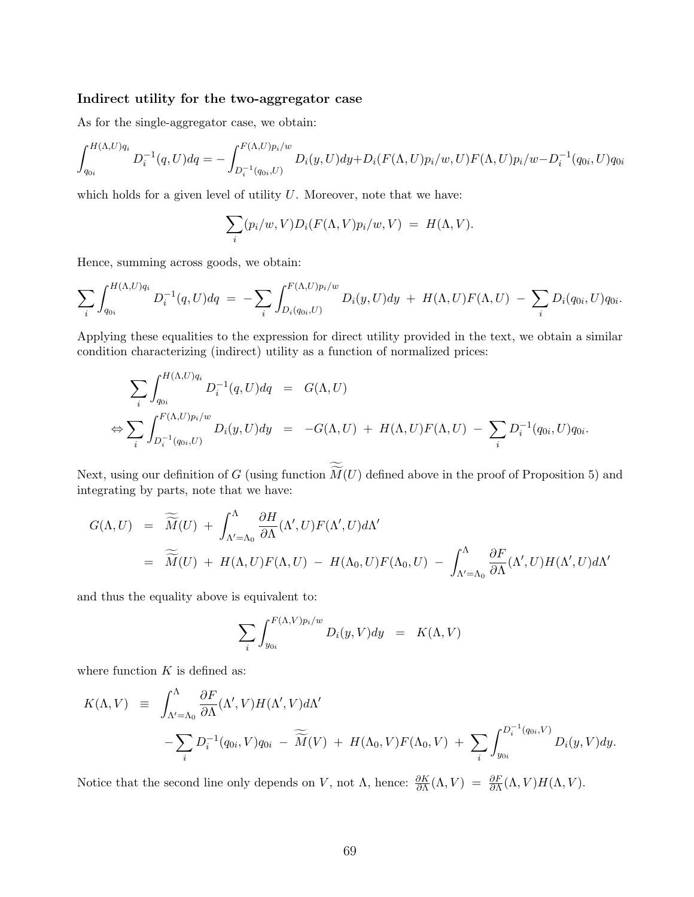### Indirect utility for the two-aggregator case

As for the single-aggregator case, we obtain:

$$
\int_{q_{0i}}^{H(\Lambda,U)q_i} D_i^{-1}(q,U) dq = - \int_{D_i^{-1}(q_{0i},U)}^{F(\Lambda,U)p_i/w} D_i(y,U) dy + D_i(F(\Lambda,U)p_i/w, U) F(\Lambda,U) p_i/w - D_i^{-1}(q_{0i},U) q_{0i}
$$

which holds for a given level of utility  $U$ . Moreover, note that we have:

$$
\sum_i (p_i/w, V) D_i(F(\Lambda, V)p_i/w, V) = H(\Lambda, V).
$$

Hence, summing across goods, we obtain:

$$
\sum_{i} \int_{q_{0i}}^{H(\Lambda,U)q_i} D_i^{-1}(q,U) dq = - \sum_{i} \int_{D_i(q_{0i},U)}^{F(\Lambda,U)p_i/w} D_i(y,U) dy + H(\Lambda,U)F(\Lambda,U) - \sum_{i} D_i(q_{0i},U)q_{0i}.
$$

Applying these equalities to the expression for direct utility provided in the text, we obtain a similar condition characterizing (indirect) utility as a function of normalized prices:

$$
\sum_{i} \int_{q_{0i}}^{H(\Lambda,U)q_i} D_i^{-1}(q,U) dq = G(\Lambda,U)
$$
  
\n
$$
\Leftrightarrow \sum_{i} \int_{D_i^{-1}(q_{0i},U)}^{F(\Lambda,U)p_i/w} D_i(y,U) dy = -G(\Lambda,U) + H(\Lambda,U)F(\Lambda,U) - \sum_{i} D_i^{-1}(q_{0i},U)q_{0i}.
$$

Next, using our definition of  $G$  (using function  $M(U)$  defined above in the proof of Proposition 5) and integrating by parts, note that we have:

$$
G(\Lambda, U) = \widetilde{\widetilde{M}}(U) + \int_{\Lambda'=\Lambda_0}^{\Lambda} \frac{\partial H}{\partial \Lambda}(\Lambda', U) F(\Lambda', U) d\Lambda'
$$
  
=  $\widetilde{\widetilde{M}}(U) + H(\Lambda, U) F(\Lambda, U) - H(\Lambda_0, U) F(\Lambda_0, U) - \int_{\Lambda'=\Lambda_0}^{\Lambda} \frac{\partial F}{\partial \Lambda}(\Lambda', U) H(\Lambda', U) d\Lambda'$ 

and thus the equality above is equivalent to:

$$
\sum_{i} \int_{y_{0i}}^{F(\Lambda,V)p_i/w} D_i(y,V) dy = K(\Lambda,V)
$$

where function  $K$  is defined as:

$$
K(\Lambda, V) \equiv \int_{\Lambda'=\Lambda_0}^{\Lambda} \frac{\partial F}{\partial \Lambda} (\Lambda', V) H(\Lambda', V) d\Lambda'
$$
  
 
$$
- \sum_{i} D_i^{-1}(q_{0i}, V) q_{0i} - \widetilde{M}(V) + H(\Lambda_0, V) F(\Lambda_0, V) + \sum_{i} \int_{y_{0i}}^{D_i^{-1}(q_{0i}, V)} D_i(y, V) dy.
$$

Notice that the second line only depends on V, not  $\Lambda$ , hence:  $\frac{\partial K}{\partial \Lambda}(\Lambda, V) = \frac{\partial F}{\partial \Lambda}(\Lambda, V)H(\Lambda, V)$ .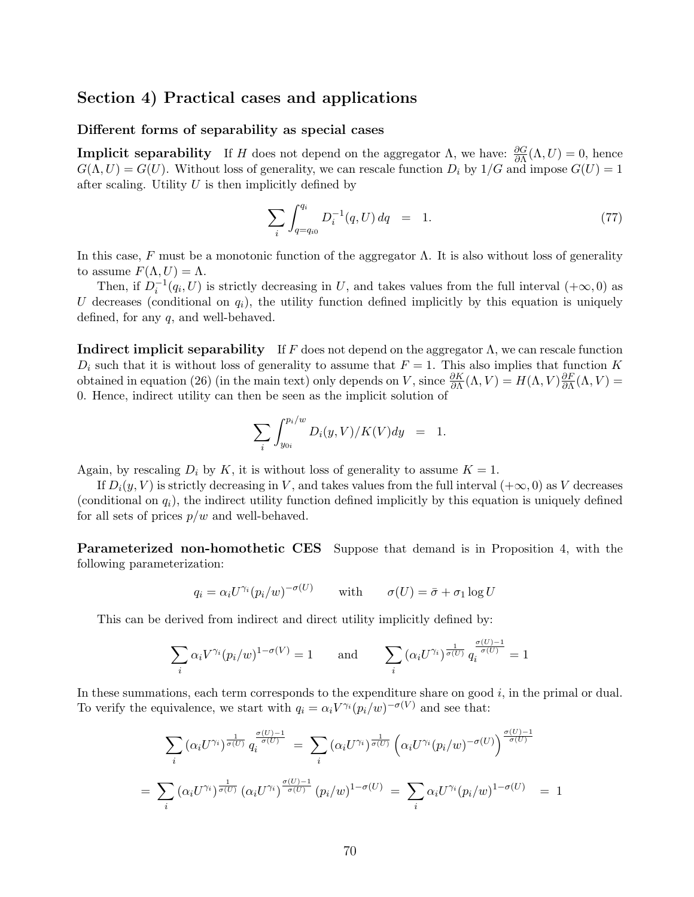## Section 4) Practical cases and applications

#### Different forms of separability as special cases

**Implicit separability** If H does not depend on the aggregator  $\Lambda$ , we have:  $\frac{\partial G}{\partial \Lambda}(\Lambda, U) = 0$ , hence  $G(\Lambda, U) = G(U)$ . Without loss of generality, we can rescale function  $D_i$  by  $1/G$  and impose  $G(U) = 1$ after scaling. Utility  $U$  is then implicitly defined by

$$
\sum_{i} \int_{q=q_{i0}}^{q_i} D_i^{-1}(q, U) \, dq = 1. \tag{77}
$$

In this case, F must be a monotonic function of the aggregator  $\Lambda$ . It is also without loss of generality to assume  $F(\Lambda, U) = \Lambda$ .

Then, if  $D_i^{-1}(q_i, U)$  is strictly decreasing in U, and takes values from the full interval  $(+\infty, 0)$  as U decreases (conditional on  $q_i$ ), the utility function defined implicitly by this equation is uniquely defined, for any  $q$ , and well-behaved.

**Indirect implicit separability** If F does not depend on the aggregator  $\Lambda$ , we can rescale function  $D_i$  such that it is without loss of generality to assume that  $F = 1$ . This also implies that function K obtained in equation (26) (in the main text) only depends on V, since  $\frac{\partial K}{\partial \Lambda}(\Lambda, V) = H(\Lambda, V) \frac{\partial F}{\partial \Lambda}$  $\frac{\partial F}{\partial \Lambda}(\Lambda,V) =$ 0. Hence, indirect utility can then be seen as the implicit solution of

$$
\sum_i \int_{y_{0i}}^{p_i/w} D_i(y, V) / K(V) dy = 1.
$$

Again, by rescaling  $D_i$  by K, it is without loss of generality to assume  $K = 1$ .

If  $D_i(y, V)$  is strictly decreasing in V, and takes values from the full interval  $(+\infty, 0)$  as V decreases (conditional on  $q_i$ ), the indirect utility function defined implicitly by this equation is uniquely defined for all sets of prices  $p/w$  and well-behaved.

Parameterized non-homothetic CES Suppose that demand is in Proposition 4, with the following parameterization:

$$
q_i = \alpha_i U^{\gamma_i} (p_i/w)^{-\sigma(U)} \qquad \text{with} \qquad \sigma(U) = \bar{\sigma} + \sigma_1 \log U
$$

This can be derived from indirect and direct utility implicitly defined by:

$$
\sum_{i} \alpha_i V^{\gamma_i} (p_i/w)^{1-\sigma(V)} = 1 \quad \text{and} \quad \sum_{i} (\alpha_i U^{\gamma_i})^{\frac{1}{\sigma(U)}} q_i^{\frac{\sigma(U)-1}{\sigma(U)}} = 1
$$

In these summations, each term corresponds to the expenditure share on good  $i$ , in the primal or dual. To verify the equivalence, we start with  $q_i = \alpha_i V^{\gamma_i} (p_i/w)^{-\sigma(V)}$  and see that:

$$
\sum_{i} (\alpha_i U^{\gamma_i})^{\frac{1}{\sigma(U)}} q_i^{\frac{\sigma(U)-1}{\sigma(U)}} = \sum_{i} (\alpha_i U^{\gamma_i})^{\frac{1}{\sigma(U)}} \left( \alpha_i U^{\gamma_i} (p_i/w)^{-\sigma(U)} \right)^{\frac{\sigma(U)-1}{\sigma(U)}}
$$

$$
= \sum_{i} (\alpha_i U^{\gamma_i})^{\frac{1}{\sigma(U)}} (\alpha_i U^{\gamma_i})^{\frac{\sigma(U)-1}{\sigma(U)}} (p_i/w)^{1-\sigma(U)} = \sum_{i} \alpha_i U^{\gamma_i} (p_i/w)^{1-\sigma(U)} = 1
$$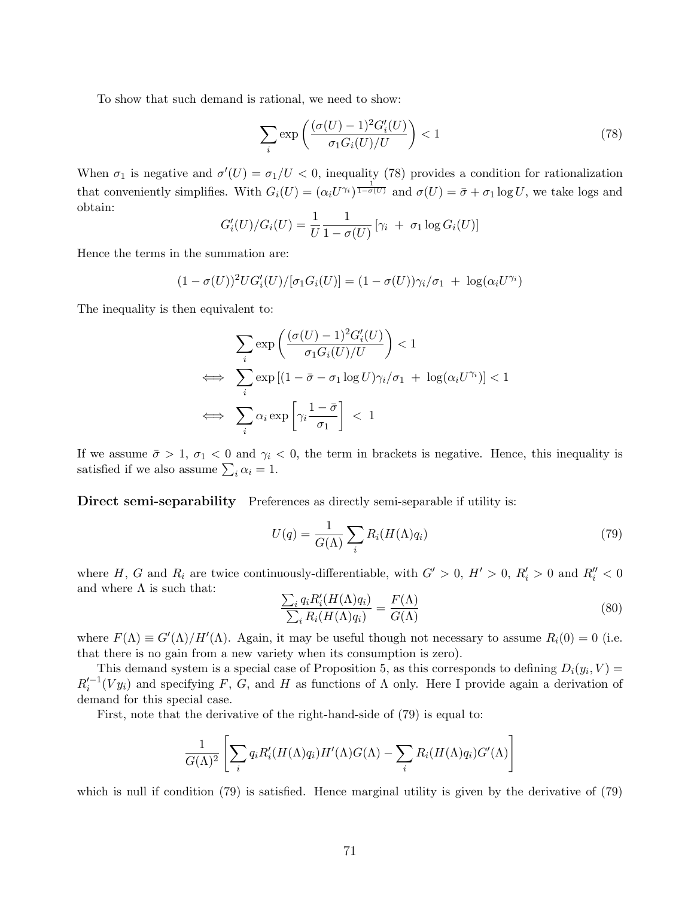To show that such demand is rational, we need to show:

$$
\sum_{i} \exp\left(\frac{(\sigma(U) - 1)^2 G_i'(U)}{\sigma_1 G_i(U)/U}\right) < 1\tag{78}
$$

When  $\sigma_1$  is negative and  $\sigma'(U) = \sigma_1/U < 0$ , inequality (78) provides a condition for rationalization that conveniently simplifies. With  $G_i(U) = (\alpha_i U^{\gamma_i})^{\frac{1}{1-\sigma(U)}}$  and  $\sigma(U) = \bar{\sigma} + \sigma_1 \log U$ , we take logs and obtain:

$$
G'_{i}(U)/G_{i}(U) = \frac{1}{U} \frac{1}{1 - \sigma(U)} [\gamma_{i} + \sigma_{1} \log G_{i}(U)]
$$

Hence the terms in the summation are:

$$
(1 - \sigma(U))^2 U G_i'(U) / [\sigma_1 G_i(U)] = (1 - \sigma(U)) \gamma_i / \sigma_1 + \log(\alpha_i U^{\gamma_i})
$$

The inequality is then equivalent to:

$$
\sum_{i} \exp\left(\frac{(\sigma(U) - 1)^2 G_i'(U)}{\sigma_1 G_i(U)/U}\right) < 1
$$
\n
$$
\iff \sum_{i} \exp\left[(1 - \bar{\sigma} - \sigma_1 \log U)\gamma_i/\sigma_1 + \log(\alpha_i U^{\gamma_i})\right] < 1
$$
\n
$$
\iff \sum_{i} \alpha_i \exp\left[\gamma_i \frac{1 - \bar{\sigma}}{\sigma_1}\right] < 1
$$

If we assume  $\bar{\sigma} > 1$ ,  $\sigma_1 < 0$  and  $\gamma_i < 0$ , the term in brackets is negative. Hence, this inequality is satisfied if we also assume  $\sum_i \alpha_i = 1$ .

Direct semi-separability Preferences as directly semi-separable if utility is:

$$
U(q) = \frac{1}{G(\Lambda)} \sum_{i} R_i(H(\Lambda)q_i)
$$
\n(79)

where H, G and  $R_i$  are twice continuously-differentiable, with  $G' > 0$ ,  $H' > 0$ ,  $R'_i > 0$  and  $R''_i < 0$ and where  $\Lambda$  is such that:

$$
\frac{\sum_{i} q_{i} R'_{i}(H(\Lambda)q_{i})}{\sum_{i} R_{i}(H(\Lambda)q_{i})} = \frac{F(\Lambda)}{G(\Lambda)}
$$
\n(80)

where  $F(\Lambda) \equiv G'(\Lambda)/H'(\Lambda)$ . Again, it may be useful though not necessary to assume  $R_i(0) = 0$  (i.e. that there is no gain from a new variety when its consumption is zero).

This demand system is a special case of Proposition 5, as this corresponds to defining  $D_i(y_i, V) =$  $R_i'^{-1}(V_{ii})$  and specifying F, G, and H as functions of  $\Lambda$  only. Here I provide again a derivation of demand for this special case.

First, note that the derivative of the right-hand-side of (79) is equal to:

$$
\frac{1}{G(\Lambda)^2} \left[ \sum_i q_i R'_i(H(\Lambda)q_i) H'(\Lambda) G(\Lambda) - \sum_i R_i(H(\Lambda)q_i) G'(\Lambda) \right]
$$

which is null if condition (79) is satisfied. Hence marginal utility is given by the derivative of (79)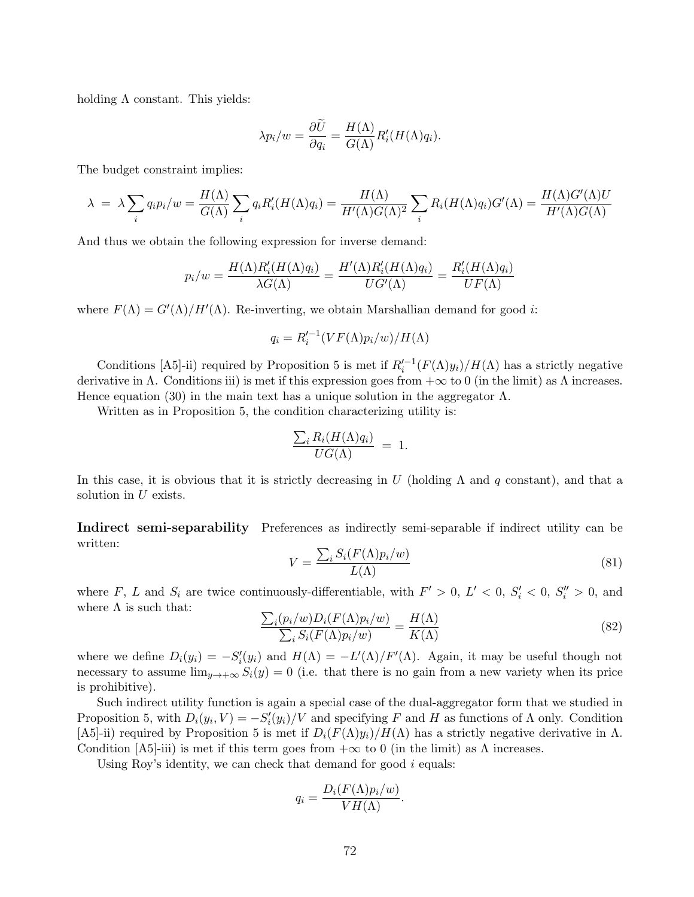holding  $\Lambda$  constant. This yields:

$$
\lambda p_i/w = \frac{\partial \widetilde{U}}{\partial q_i} = \frac{H(\Lambda)}{G(\Lambda)} R'_i(H(\Lambda)q_i).
$$

The budget constraint implies:

$$
\lambda = \lambda \sum_{i} q_i p_i / w = \frac{H(\Lambda)}{G(\Lambda)} \sum_{i} q_i R'_i (H(\Lambda) q_i) = \frac{H(\Lambda)}{H'(\Lambda) G(\Lambda)^2} \sum_{i} R_i (H(\Lambda) q_i) G'(\Lambda) = \frac{H(\Lambda) G'(\Lambda) U}{H'(\Lambda) G(\Lambda)}
$$

And thus we obtain the following expression for inverse demand:

$$
p_i/w = \frac{H(\Lambda)R_i'(H(\Lambda)q_i)}{\lambda G(\Lambda)} = \frac{H'(\Lambda)R_i'(H(\Lambda)q_i)}{UG'(\Lambda)} = \frac{R_i'(H(\Lambda)q_i)}{UF(\Lambda)}
$$

where  $F(\Lambda) = G'(\Lambda)/H'(\Lambda)$ . Re-inverting, we obtain Marshallian demand for good *i*:

$$
q_i = R_i'^{-1}(VF(\Lambda)p_i/w)/H(\Lambda)
$$

Conditions [A5]-ii) required by Proposition 5 is met if  $R_i'^{-1}(F(\Lambda)y_i)/H(\Lambda)$  has a strictly negative derivative in  $\Lambda$ . Conditions iii) is met if this expression goes from  $+\infty$  to 0 (in the limit) as  $\Lambda$  increases. Hence equation (30) in the main text has a unique solution in the aggregator  $\Lambda$ .

Written as in Proposition 5, the condition characterizing utility is:

$$
\frac{\sum_{i} R_i(H(\Lambda)q_i)}{UG(\Lambda)} = 1.
$$

In this case, it is obvious that it is strictly decreasing in U (holding  $\Lambda$  and q constant), and that a solution in  $U$  exists.

Indirect semi-separability Preferences as indirectly semi-separable if indirect utility can be written:

$$
V = \frac{\sum_{i} S_i(F(\Lambda)p_i/w)}{L(\Lambda)}
$$
\n(81)

where F, L and  $S_i$  are twice continuously-differentiable, with  $F' > 0$ ,  $L' < 0$ ,  $S_i' < 0$ ,  $S_i'' > 0$ , and where  $\Lambda$  is such that:

$$
\frac{\sum_{i}(p_{i}/w)D_{i}(F(\Lambda)p_{i}/w)}{\sum_{i}S_{i}(F(\Lambda)p_{i}/w)} = \frac{H(\Lambda)}{K(\Lambda)}
$$
\n(82)

where we define  $D_i(y_i) = -S'_i(y_i)$  and  $H(\Lambda) = -L'(\Lambda)/F'(\Lambda)$ . Again, it may be useful though not necessary to assume  $\lim_{y\to+\infty} S_i(y) = 0$  (i.e. that there is no gain from a new variety when its price is prohibitive).

Such indirect utility function is again a special case of the dual-aggregator form that we studied in Proposition 5, with  $D_i(y_i, V) = -S'_i(y_i)/V$  and specifying F and H as functions of  $\Lambda$  only. Condition [A5]-ii) required by Proposition 5 is met if  $D_i(F(\Lambda)y_i)/H(\Lambda)$  has a strictly negative derivative in  $\Lambda$ . Condition [A5]-iii) is met if this term goes from  $+\infty$  to 0 (in the limit) as  $\Lambda$  increases.

Using Roy's identity, we can check that demand for good  $i$  equals:

$$
q_i = \frac{D_i(F(\Lambda)p_i/w)}{VH(\Lambda)}.
$$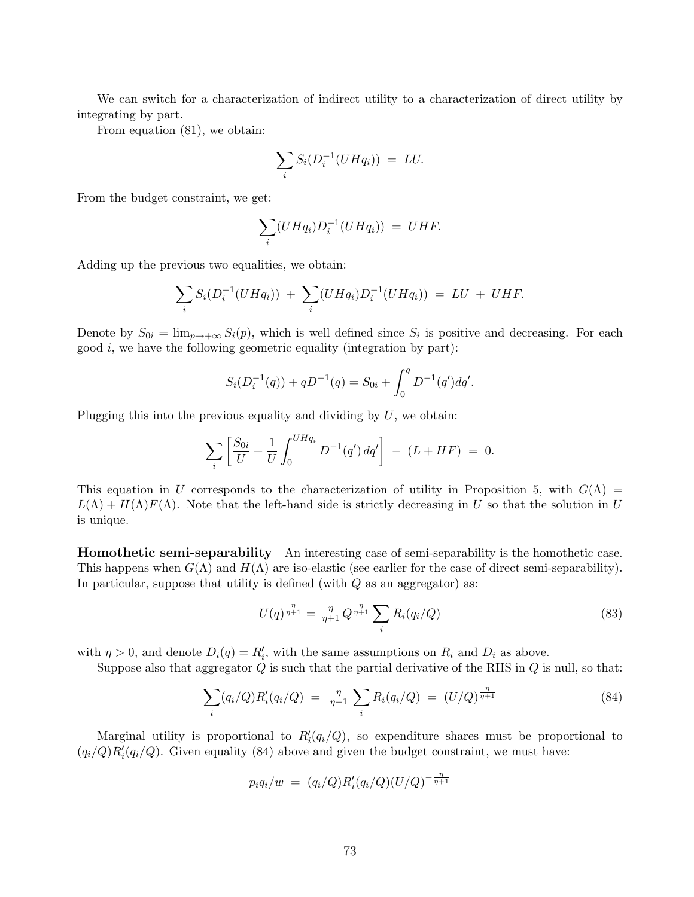We can switch for a characterization of indirect utility to a characterization of direct utility by integrating by part.

From equation (81), we obtain:

$$
\sum_i S_i(D_i^{-1}(UHq_i)) = LU.
$$

From the budget constraint, we get:

$$
\sum_i (UHq_i)D_i^{-1}(UHq_i)) = UHF.
$$

Adding up the previous two equalities, we obtain:

$$
\sum_{i} S_i(D_i^{-1}(UHq_i)) + \sum_{i} (UHq_i)D_i^{-1}(UHq_i)) = LU + UHF.
$$

Denote by  $S_{0i} = \lim_{p \to +\infty} S_i(p)$ , which is well defined since  $S_i$  is positive and decreasing. For each good  $i$ , we have the following geometric equality (integration by part):

$$
S_i(D_i^{-1}(q)) + qD^{-1}(q) = S_{0i} + \int_0^q D^{-1}(q')dq'.
$$

Plugging this into the previous equality and dividing by  $U$ , we obtain:

$$
\sum_{i} \left[ \frac{S_{0i}}{U} + \frac{1}{U} \int_0^{U H q_i} D^{-1}(q') \, dq' \right] \ - \ (L + HF) \ = \ 0.
$$

This equation in U corresponds to the characterization of utility in Proposition 5, with  $G(\Lambda)$  =  $L(\Lambda) + H(\Lambda)F(\Lambda)$ . Note that the left-hand side is strictly decreasing in U so that the solution in U is unique.

Homothetic semi-separability An interesting case of semi-separability is the homothetic case. This happens when  $G(\Lambda)$  and  $H(\Lambda)$  are iso-elastic (see earlier for the case of direct semi-separability). In particular, suppose that utility is defined (with  $Q$  as an aggregator) as:

$$
U(q)^{\frac{\eta}{\eta+1}} = \frac{\eta}{\eta+1} Q^{\frac{\eta}{\eta+1}} \sum_{i} R_i(q_i/Q)
$$
\n(83)

with  $\eta > 0$ , and denote  $D_i(q) = R'_i$ , with the same assumptions on  $R_i$  and  $D_i$  as above.

Suppose also that aggregator  $Q$  is such that the partial derivative of the RHS in  $Q$  is null, so that:

$$
\sum_{i} (q_i/Q) R'_i(q_i/Q) = \frac{\eta}{\eta + 1} \sum_{i} R_i(q_i/Q) = (U/Q)^{\frac{\eta}{\eta + 1}}
$$
(84)

Marginal utility is proportional to  $R_i'(q_i/Q)$ , so expenditure shares must be proportional to  $(q_i/Q)R'_i(q_i/Q)$ . Given equality (84) above and given the budget constraint, we must have:

$$
p_i q_i/w = (q_i/Q)R'_i(q_i/Q)(U/Q)^{-\frac{\eta}{\eta+1}}
$$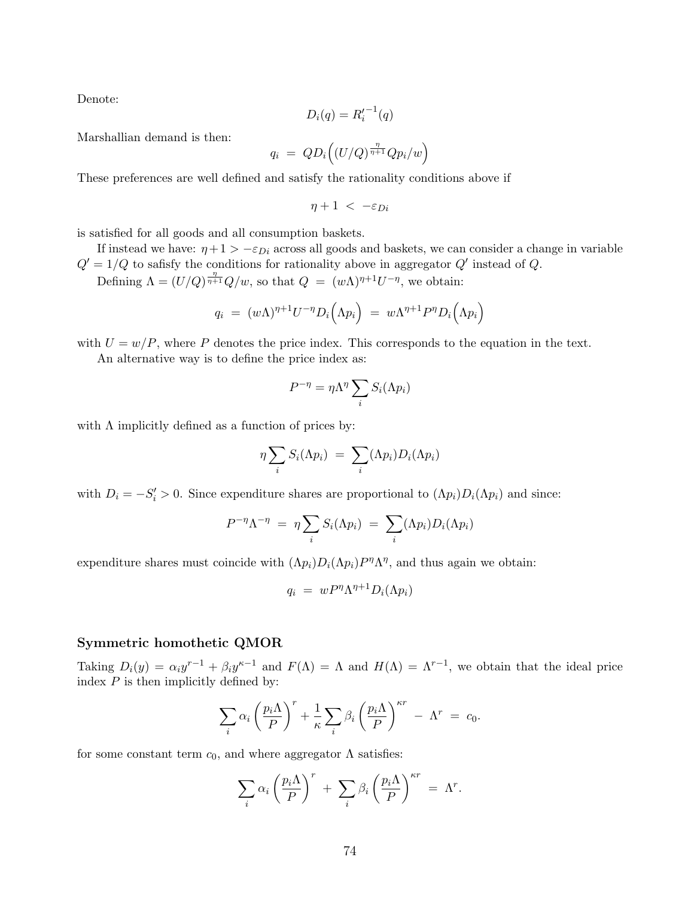Denote:

$$
D_i(q) = R_i'^{-1}(q)
$$

Marshallian demand is then:

$$
q_i = QD_i\Big((U/Q)^{\frac{\eta}{\eta+1}}Qp_i/w\Big)
$$

These preferences are well defined and satisfy the rationality conditions above if

$$
\eta+1\ <\ -\varepsilon_{Di}
$$

is satisfied for all goods and all consumption baskets.

If instead we have:  $\eta + 1 > -\varepsilon_{Di}$  across all goods and baskets, we can consider a change in variable  $Q' = 1/Q$  to safisfy the conditions for rationality above in aggregator  $Q'$  instead of Q.

Defining  $\Lambda = (U/Q)^{\frac{\eta}{\eta+1}}Q/w$ , so that  $Q = (w\Lambda)^{\eta+1}U^{-\eta}$ , we obtain:

$$
q_i = (w\Lambda)^{\eta+1}U^{-\eta}D_i(\Lambda p_i) = w\Lambda^{\eta+1}P^{\eta}D_i(\Lambda p_i)
$$

with  $U = w/P$ , where P denotes the price index. This corresponds to the equation in the text.

An alternative way is to define the price index as:

$$
P^{-\eta} = \eta \Lambda^{\eta} \sum_{i} S_i(\Lambda p_i)
$$

with  $\Lambda$  implicitly defined as a function of prices by:

$$
\eta \sum_i S_i(\Lambda p_i) = \sum_i (\Lambda p_i) D_i(\Lambda p_i)
$$

with  $D_i = -S'_i > 0$ . Since expenditure shares are proportional to  $(\Lambda p_i)D_i(\Lambda p_i)$  and since:

$$
P^{-\eta} \Lambda^{-\eta} = \eta \sum_{i} S_i(\Lambda p_i) = \sum_{i} (\Lambda p_i) D_i(\Lambda p_i)
$$

expenditure shares must coincide with  $(\Lambda p_i) D_i(\Lambda p_i) P^{\eta} \Lambda^{\eta}$ , and thus again we obtain:

$$
q_i = w P^{\eta} \Lambda^{\eta+1} D_i(\Lambda p_i)
$$

#### Symmetric homothetic QMOR

Taking  $D_i(y) = \alpha_i y^{r-1} + \beta_i y^{r-1}$  and  $F(\Lambda) = \Lambda$  and  $H(\Lambda) = \Lambda^{r-1}$ , we obtain that the ideal price index  $P$  is then implicitly defined by:

$$
\sum_{i} \alpha_i \left(\frac{p_i \Lambda}{P}\right)^r + \frac{1}{\kappa} \sum_{i} \beta_i \left(\frac{p_i \Lambda}{P}\right)^{\kappa r} - \Lambda^r = c_0.
$$

for some constant term  $c_0$ , and where aggregator  $\Lambda$  satisfies:

$$
\sum_i \alpha_i \left(\frac{p_i \Lambda}{P}\right)^r + \sum_i \beta_i \left(\frac{p_i \Lambda}{P}\right)^{\kappa r} = \Lambda^r.
$$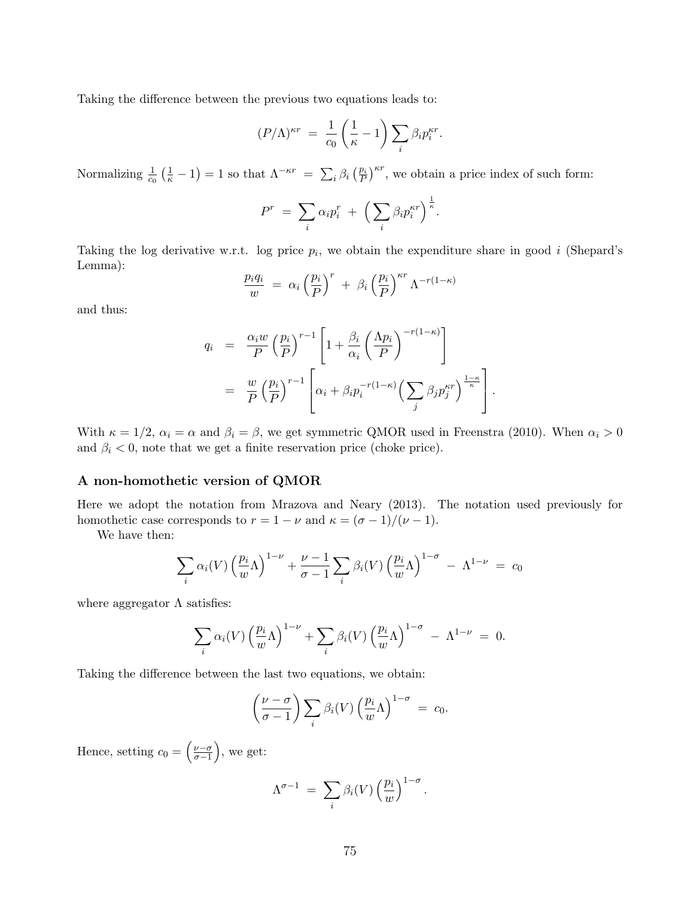Taking the difference between the previous two equations leads to:

$$
(P/\Lambda)^{\kappa r} = \frac{1}{c_0} \left(\frac{1}{\kappa} - 1\right) \sum_i \beta_i p_i^{\kappa r}.
$$

Normalizing  $\frac{1}{c_0} \left( \frac{1}{\kappa} - 1 \right) = 1$  so that  $\Lambda^{-\kappa r} = \sum_i \beta_i \left( \frac{p_i}{P} \right)^{\kappa r}$ , we obtain a price index of such form:

$$
P^r = \sum_i \alpha_i p_i^r + \Big(\sum_i \beta_i p_i^{\kappa r}\Big)^{\frac{1}{\kappa}}.
$$

Taking the log derivative w.r.t. log price  $p_i$ , we obtain the expenditure share in good i (Shepard's Lemma):

$$
\frac{p_i q_i}{w} = \alpha_i \left(\frac{p_i}{P}\right)^r + \beta_i \left(\frac{p_i}{P}\right)^{\kappa r} \Lambda^{-r(1-\kappa)}
$$

and thus:

$$
q_i = \frac{\alpha_i w}{P} \left(\frac{p_i}{P}\right)^{r-1} \left[1 + \frac{\beta_i}{\alpha_i} \left(\frac{\Lambda p_i}{P}\right)^{-r(1-\kappa)}\right]
$$
  

$$
= \frac{w}{P} \left(\frac{p_i}{P}\right)^{r-1} \left[\alpha_i + \beta_i p_i^{-r(1-\kappa)} \left(\sum_j \beta_j p_j^{\kappa r}\right)^{\frac{1-\kappa}{\kappa}}\right].
$$

With  $\kappa = 1/2$ ,  $\alpha_i = \alpha$  and  $\beta_i = \beta$ , we get symmetric QMOR used in Freenstra (2010). When  $\alpha_i > 0$ and  $\beta_i < 0$ , note that we get a finite reservation price (choke price).

### A non-homothetic version of QMOR

Here we adopt the notation from Mrazova and Neary (2013). The notation used previously for homothetic case corresponds to  $r = 1 - \nu$  and  $\kappa = (\sigma - 1)/(\nu - 1)$ .

We have then:

$$
\sum_{i} \alpha_i(V) \left(\frac{p_i}{w} \Lambda\right)^{1-\nu} + \frac{\nu-1}{\sigma-1} \sum_{i} \beta_i(V) \left(\frac{p_i}{w} \Lambda\right)^{1-\sigma} - \Lambda^{1-\nu} = c_0
$$

where aggregator  $\Lambda$  satisfies:

$$
\sum_{i} \alpha_i(V) \left(\frac{p_i}{w}\Lambda\right)^{1-\nu} + \sum_{i} \beta_i(V) \left(\frac{p_i}{w}\Lambda\right)^{1-\sigma} - \Lambda^{1-\nu} = 0.
$$

Taking the difference between the last two equations, we obtain:

$$
\left(\frac{\nu-\sigma}{\sigma-1}\right)\sum_{i}\beta_i(V)\left(\frac{p_i}{w}\Lambda\right)^{1-\sigma} = c_0.
$$

Hence, setting  $c_0 = \left(\frac{\nu-\sigma}{\sigma-1}\right)$  $\frac{\nu-\sigma}{\sigma-1}$ , we get:

$$
\Lambda^{\sigma-1} = \sum_{i} \beta_i(V) \left(\frac{p_i}{w}\right)^{1-\sigma}.
$$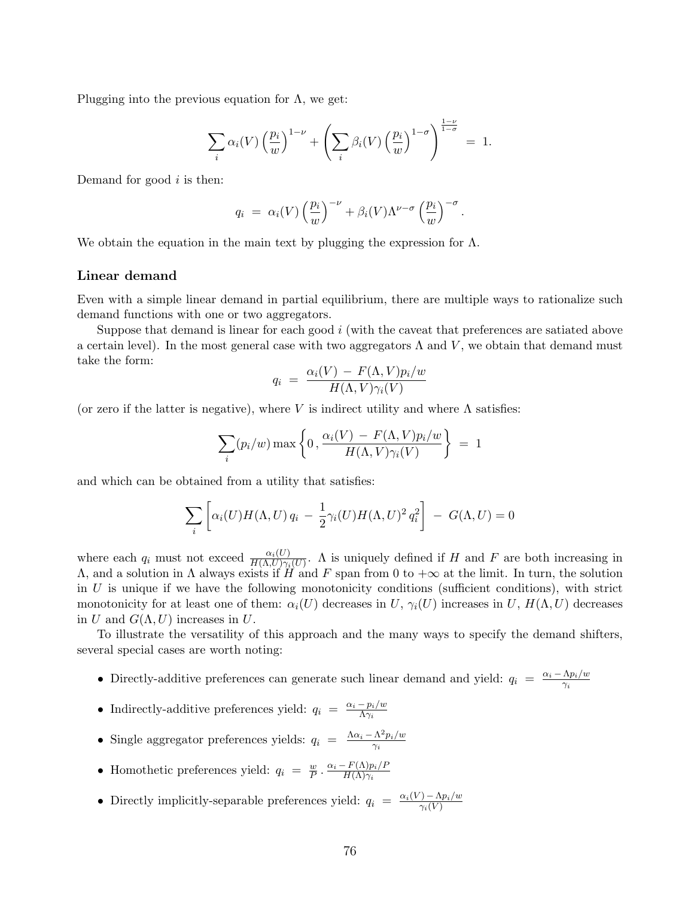Plugging into the previous equation for  $\Lambda$ , we get:

$$
\sum_{i} \alpha_i(V) \left(\frac{p_i}{w}\right)^{1-\nu} + \left(\sum_{i} \beta_i(V) \left(\frac{p_i}{w}\right)^{1-\sigma}\right)^{\frac{1-\nu}{1-\sigma}} = 1.
$$

Demand for good  $i$  is then:

$$
q_i = \alpha_i(V) \left(\frac{p_i}{w}\right)^{-\nu} + \beta_i(V) \Lambda^{\nu-\sigma} \left(\frac{p_i}{w}\right)^{-\sigma}.
$$

We obtain the equation in the main text by plugging the expression for  $\Lambda$ .

### Linear demand

Even with a simple linear demand in partial equilibrium, there are multiple ways to rationalize such demand functions with one or two aggregators.

Suppose that demand is linear for each good i (with the caveat that preferences are satiated above a certain level). In the most general case with two aggregators  $\Lambda$  and  $V$ , we obtain that demand must take the form:

$$
q_i = \frac{\alpha_i(V) - F(\Lambda, V)p_i/w}{H(\Lambda, V)\gamma_i(V)}
$$

(or zero if the latter is negative), where V is indirect utility and where  $\Lambda$  satisfies:

$$
\sum_{i} (p_i/w) \max \left\{ 0, \frac{\alpha_i(V) - F(\Lambda, V) p_i/w}{H(\Lambda, V) \gamma_i(V)} \right\} = 1
$$

and which can be obtained from a utility that satisfies:

$$
\sum_{i} \left[ \alpha_i(U) H(\Lambda, U) q_i - \frac{1}{2} \gamma_i(U) H(\Lambda, U)^2 q_i^2 \right] - G(\Lambda, U) = 0
$$

where each  $q_i$  must not exceed  $\frac{\alpha_i(U)}{H(\Lambda, U)\gamma_i(U)}$ . A is uniquely defined if H and F are both increasing in  $Λ$ , and a solution in Λ always exists if  $H$  and F span from 0 to  $+\infty$  at the limit. In turn, the solution in  $U$  is unique if we have the following monotonicity conditions (sufficient conditions), with strict monotonicity for at least one of them:  $\alpha_i(U)$  decreases in U,  $\gamma_i(U)$  increases in U,  $H(\Lambda, U)$  decreases in U and  $G(\Lambda, U)$  increases in U.

To illustrate the versatility of this approach and the many ways to specify the demand shifters, several special cases are worth noting:

- Directly-additive preferences can generate such linear demand and yield:  $q_i = \frac{\alpha_i \Lambda p_i/w_i}{\gamma_i}$  $\gamma_i$
- Indirectly-additive preferences yield:  $q_i = \frac{\alpha_i p_i/w}{\Delta \gamma_i}$  $\Lambda\gamma_i$
- Single aggregator preferences yields:  $q_i = \frac{\Lambda \alpha_i \Lambda^2 p_i/w_i}{\gamma_i}$  $\overline{\gamma_i}$
- Homothetic preferences yield:  $q_i = \frac{w}{P}$  $\frac{w}{P} \cdot \frac{\alpha_i - F(\Lambda) p_i / P_i}{H(\Lambda) \gamma_i}$  $H(\Lambda)\gamma_i$
- Directly implicitly-separable preferences yield:  $q_i = \frac{\alpha_i(V) \Lambda p_i/w}{\gamma_i(V)}$  $\gamma_i(V)$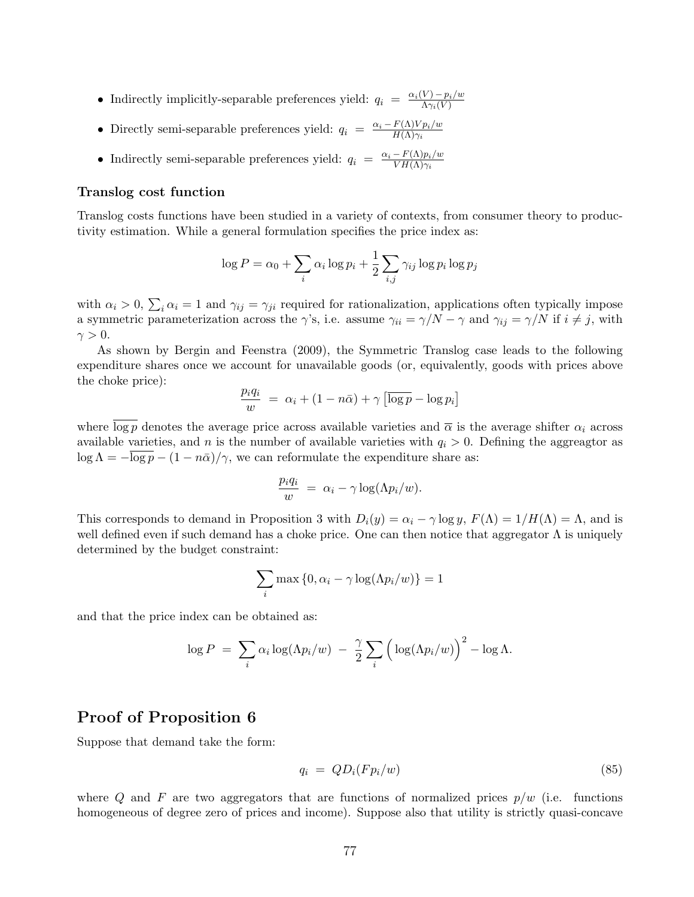- Indirectly implicitly-separable preferences yield:  $q_i = \frac{\alpha_i(V) p_i/w}{\Delta \alpha_i(V)}$  $\Lambda\gamma_i(V)$
- Directly semi-separable preferences yield:  $q_i = \frac{\alpha_i F(\Lambda)V p_i/w_i}{H(\Lambda)\gamma_i}$  $H(\Lambda)\gamma_i$
- Indirectly semi-separable preferences yield:  $q_i = \frac{\alpha_i F(\Lambda)p_i/w_i}{V_H(\Lambda)\gamma_i}$  $V H(\Lambda) \gamma_i$

#### Translog cost function

Translog costs functions have been studied in a variety of contexts, from consumer theory to productivity estimation. While a general formulation specifies the price index as:

$$
\log P = \alpha_0 + \sum_i \alpha_i \log p_i + \frac{1}{2} \sum_{i,j} \gamma_{ij} \log p_i \log p_j
$$

with  $\alpha_i > 0$ ,  $\sum_i \alpha_i = 1$  and  $\gamma_{ij} = \gamma_{ji}$  required for rationalization, applications often typically impose a symmetric parameterization across the  $\gamma$ 's, i.e. assume  $\gamma_{ii} = \gamma/N - \gamma$  and  $\gamma_{ij} = \gamma/N$  if  $i \neq j$ , with  $\gamma > 0$ .

As shown by Bergin and Feenstra (2009), the Symmetric Translog case leads to the following expenditure shares once we account for unavailable goods (or, equivalently, goods with prices above the choke price):

$$
\frac{p_i q_i}{w} = \alpha_i + (1 - n\bar{\alpha}) + \gamma \left[ \overline{\log p} - \log p_i \right]
$$

where  $\log p$  denotes the average price across available varieties and  $\bar{\alpha}$  is the average shifter  $\alpha_i$  across available varieties, and n is the number of available varieties with  $q_i > 0$ . Defining the aggreagtor as  $\log \Lambda = -\overline{\log p} - (1 - n\overline{\alpha})/\gamma$ , we can reformulate the expenditure share as:

$$
\frac{p_i q_i}{w} = \alpha_i - \gamma \log(\Lambda p_i/w).
$$

This corresponds to demand in Proposition 3 with  $D_i(y) = \alpha_i - \gamma \log y$ ,  $F(\Lambda) = 1/H(\Lambda) = \Lambda$ , and is well defined even if such demand has a choke price. One can then notice that aggregator  $\Lambda$  is uniquely determined by the budget constraint:

$$
\sum_{i} \max\left\{0, \alpha_i - \gamma \log(\Lambda p_i/w)\right\} = 1
$$

and that the price index can be obtained as:

$$
\log P = \sum_{i} \alpha_i \log(\Lambda p_i/w) - \frac{\gamma}{2} \sum_{i} \left( \log(\Lambda p_i/w) \right)^2 - \log \Lambda.
$$

# Proof of Proposition 6

Suppose that demand take the form:

$$
q_i = QD_i(Fp_i/w) \tag{85}
$$

where Q and F are two aggregators that are functions of normalized prices  $p/w$  (i.e. functions homogeneous of degree zero of prices and income). Suppose also that utility is strictly quasi-concave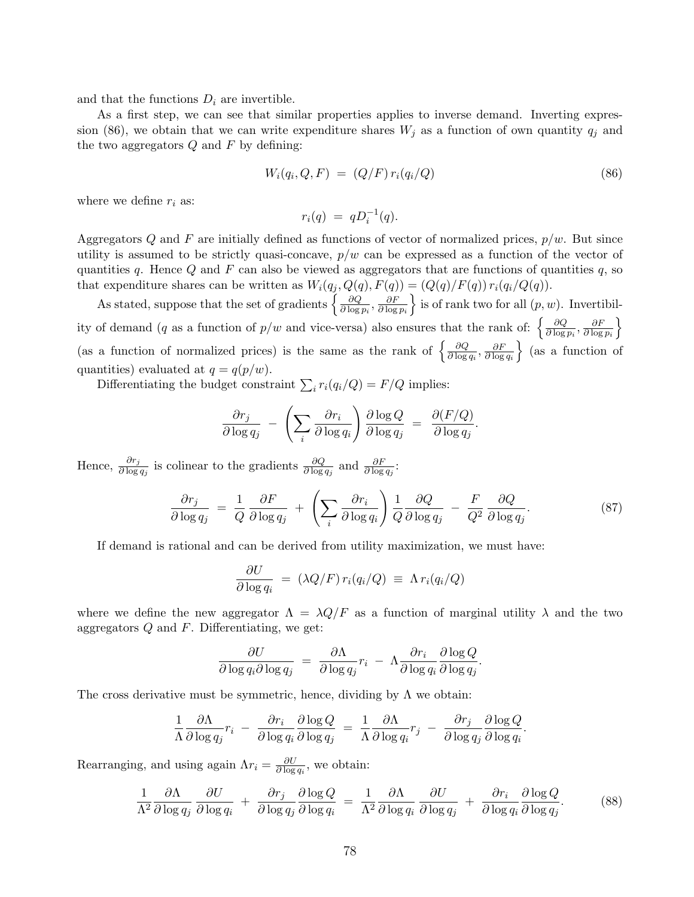and that the functions  $D_i$  are invertible.

As a first step, we can see that similar properties applies to inverse demand. Inverting expression (86), we obtain that we can write expenditure shares  $W_j$  as a function of own quantity  $q_j$  and the two aggregators  $Q$  and  $F$  by defining:

$$
W_i(q_i, Q, F) = (Q/F) r_i(q_i/Q)
$$
\n
$$
(86)
$$

where we define  $r_i$  as:

$$
r_i(q) = qD_i^{-1}(q).
$$

Aggregators Q and F are initially defined as functions of vector of normalized prices,  $p/w$ . But since utility is assumed to be strictly quasi-concave,  $p/w$  can be expressed as a function of the vector of quantities q. Hence Q and F can also be viewed as aggregators that are functions of quantities q, so that expenditure shares can be written as  $W_i(q_j, Q(q), F(q)) = (Q(q)/F(q)) r_i(q_i/Q(q)).$ 

As stated, suppose that the set of gradients  $\left\{\frac{\partial Q}{\partial \log n}\right\}$  $\frac{\partial Q}{\partial \log p_i}, \frac{\partial F}{\partial \log}$  $\overline{\partial \log p_i}$ is of rank two for all  $(p, w)$ . Invertibility of demand (q as a function of  $p/w$  and vice-versa) also ensures that the rank of:  $\frac{\partial Q}{\partial \log q}$  $\frac{\partial Q}{\partial \log p_i}, \frac{\partial F}{\partial \log}$  $\overline{\partial \log p_i}$ o (as a function of normalized prices) is the same as the rank of  $\frac{\partial Q}{\partial \log q}$  $\frac{\partial Q}{\partial \log q_i}, \frac{\partial F}{\partial \log}$  $\partial \log q_i$  $\}$  (as a function of quantities) evaluated at  $q = q(p/w)$ .

Differentiating the budget constraint  $\sum_i r_i(q_i/Q) = F/Q$  implies:

$$
\frac{\partial r_j}{\partial \log q_j} - \left( \sum_i \frac{\partial r_i}{\partial \log q_i} \right) \frac{\partial \log Q}{\partial \log q_j} = \frac{\partial (F/Q)}{\partial \log q_j}.
$$

Hence,  $\frac{\partial r_j}{\partial \log q_j}$  is colinear to the gradients  $\frac{\partial Q}{\partial \log q_j}$  and  $\frac{\partial F}{\partial \log q_j}$ :

$$
\frac{\partial r_j}{\partial \log q_j} = \frac{1}{Q} \frac{\partial F}{\partial \log q_j} + \left( \sum_i \frac{\partial r_i}{\partial \log q_i} \right) \frac{1}{Q} \frac{\partial Q}{\partial \log q_j} - \frac{F}{Q^2} \frac{\partial Q}{\partial \log q_j}.
$$
\n(87)

If demand is rational and can be derived from utility maximization, we must have:

$$
\frac{\partial U}{\partial \log q_i} = (\lambda Q/F) r_i (q_i/Q) \equiv \Lambda r_i (q_i/Q)
$$

where we define the new aggregator  $\Lambda = \lambda Q/F$  as a function of marginal utility  $\lambda$  and the two aggregators  $Q$  and  $F$ . Differentiating, we get:

$$
\frac{\partial U}{\partial \log q_i \partial \log q_j} = \frac{\partial \Lambda}{\partial \log q_j} r_i - \Lambda \frac{\partial r_i}{\partial \log q_i} \frac{\partial \log Q}{\partial \log q_j}.
$$

The cross derivative must be symmetric, hence, dividing by  $\Lambda$  we obtain:

$$
\frac{1}{\Lambda} \frac{\partial \Lambda}{\partial \log q_j} r_i \ - \ \frac{\partial r_i}{\partial \log q_i} \frac{\partial \log Q}{\partial \log q_j} \ = \ \frac{1}{\Lambda} \frac{\partial \Lambda}{\partial \log q_i} r_j \ - \ \frac{\partial r_j}{\partial \log q_j} \frac{\partial \log Q}{\partial \log q_i}.
$$

Rearranging, and using again  $\Lambda r_i = \frac{\partial U}{\partial \log r}$  $\frac{\partial U}{\partial \log q_i}$ , we obtain:

$$
\frac{1}{\Lambda^2} \frac{\partial \Lambda}{\partial \log q_j} \frac{\partial U}{\partial \log q_i} + \frac{\partial r_j}{\partial \log q_j} \frac{\partial \log Q}{\partial \log q_i} = \frac{1}{\Lambda^2} \frac{\partial \Lambda}{\partial \log q_i} \frac{\partial U}{\partial \log q_j} + \frac{\partial r_i}{\partial \log q_i} \frac{\partial \log Q}{\partial \log q_j}.
$$
(88)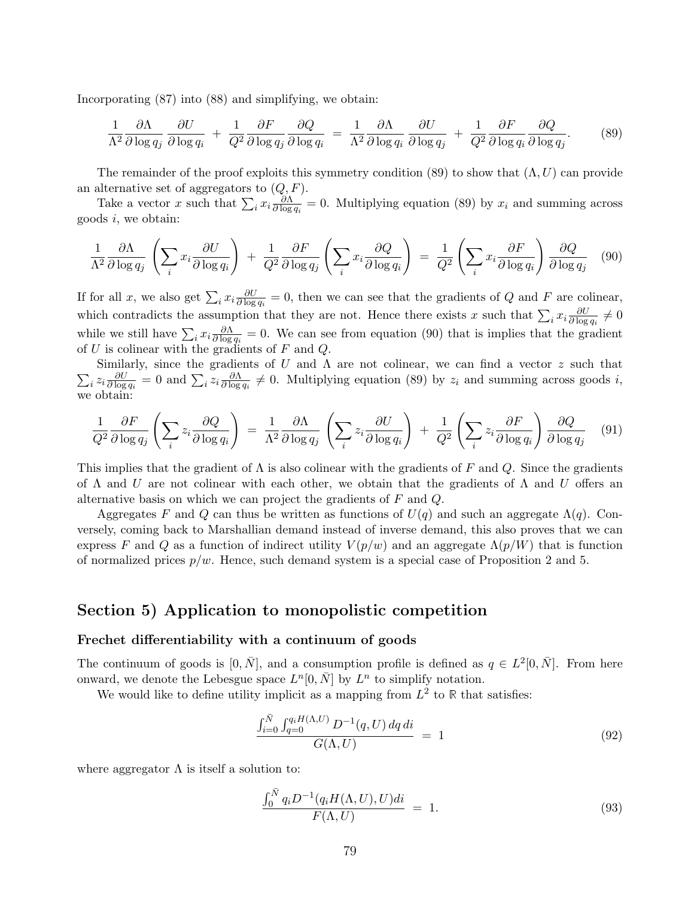Incorporating (87) into (88) and simplifying, we obtain:

$$
\frac{1}{\Lambda^2} \frac{\partial \Lambda}{\partial \log q_j} \frac{\partial U}{\partial \log q_i} + \frac{1}{Q^2} \frac{\partial F}{\partial \log q_j} \frac{\partial Q}{\partial \log q_i} = \frac{1}{\Lambda^2} \frac{\partial \Lambda}{\partial \log q_i} \frac{\partial U}{\partial \log q_j} + \frac{1}{Q^2} \frac{\partial F}{\partial \log q_i} \frac{\partial Q}{\partial \log q_j}.
$$
(89)

The remainder of the proof exploits this symmetry condition (89) to show that  $(\Lambda, U)$  can provide an alternative set of aggregators to  $(Q, F)$ .

Take a vector x such that  $\sum_i x_i \frac{\partial \Lambda}{\partial \log a}$  $\frac{\partial \Lambda}{\partial \log q_i} = 0$ . Multiplying equation (89) by  $x_i$  and summing across goods i, we obtain:

$$
\frac{1}{\Lambda^2} \frac{\partial \Lambda}{\partial \log q_j} \left( \sum_i x_i \frac{\partial U}{\partial \log q_i} \right) + \frac{1}{Q^2} \frac{\partial F}{\partial \log q_j} \left( \sum_i x_i \frac{\partial Q}{\partial \log q_i} \right) = \frac{1}{Q^2} \left( \sum_i x_i \frac{\partial F}{\partial \log q_i} \right) \frac{\partial Q}{\partial \log q_j} \tag{90}
$$

If for all x, we also get  $\sum_i x_i \frac{\partial U}{\partial \log a}$  $\frac{\partial U}{\partial \log q_i} = 0$ , then we can see that the gradients of Q and F are colinear, which contradicts the assumption that they are not. Hence there exists x such that  $\sum_i x_i \frac{\partial U}{\partial \log n}$  $\frac{\partial U}{\partial \log q_i}\neq 0$ while we still have  $\sum_i x_i \frac{\partial \Lambda}{\partial \log a}$  $\frac{\partial \Lambda}{\partial \log q_i} = 0$ . We can see from equation (90) that is implies that the gradient of U is colinear with the gradients of F and Q.

 $\sum_i z_i \frac{\partial U}{\partial \log}$ Similarly, since the gradients of U and  $\Lambda$  are not colinear, we can find a vector z such that  $\frac{\partial U}{\partial \log q_i} = 0$  and  $\sum_i z_i \frac{\partial \Lambda}{\partial \log q_i}$  $\frac{\partial \Lambda}{\partial \log q_i} \neq 0$ . Multiplying equation (89) by  $z_i$  and summing across goods i, we obtain:

$$
\frac{1}{Q^2} \frac{\partial F}{\partial \log q_j} \left( \sum_i z_i \frac{\partial Q}{\partial \log q_i} \right) = \frac{1}{\Lambda^2} \frac{\partial \Lambda}{\partial \log q_j} \left( \sum_i z_i \frac{\partial U}{\partial \log q_i} \right) + \frac{1}{Q^2} \left( \sum_i z_i \frac{\partial F}{\partial \log q_i} \right) \frac{\partial Q}{\partial \log q_j} \tag{91}
$$

This implies that the gradient of  $\Lambda$  is also colinear with the gradients of F and Q. Since the gradients of  $\Lambda$  and U are not colinear with each other, we obtain that the gradients of  $\Lambda$  and U offers an alternative basis on which we can project the gradients of  $F$  and  $Q$ .

Aggregates F and Q can thus be written as functions of  $U(q)$  and such an aggregate  $\Lambda(q)$ . Conversely, coming back to Marshallian demand instead of inverse demand, this also proves that we can express F and Q as a function of indirect utility  $V(p/w)$  and an aggregate  $\Lambda(p/W)$  that is function of normalized prices  $p/w$ . Hence, such demand system is a special case of Proposition 2 and 5.

### Section 5) Application to monopolistic competition

#### Frechet differentiability with a continuum of goods

The continuum of goods is  $[0, \bar{N}]$ , and a consumption profile is defined as  $q \in L^2[0, \bar{N}]$ . From here onward, we denote the Lebesgue space  $L^n[0, \bar{N}]$  by  $L^n$  to simplify notation.

We would like to define utility implicit as a mapping from  $L^2$  to R that satisfies:

$$
\frac{\int_{i=0}^{\bar{N}} \int_{q=0}^{q_i H(\Lambda, U)} D^{-1}(q, U) dq di}{G(\Lambda, U)} = 1
$$
\n(92)

where aggregator  $\Lambda$  is itself a solution to:

$$
\frac{\int_0^{\bar{N}} q_i D^{-1}(q_i H(\Lambda, U), U)di}{F(\Lambda, U)} = 1.
$$
\n(93)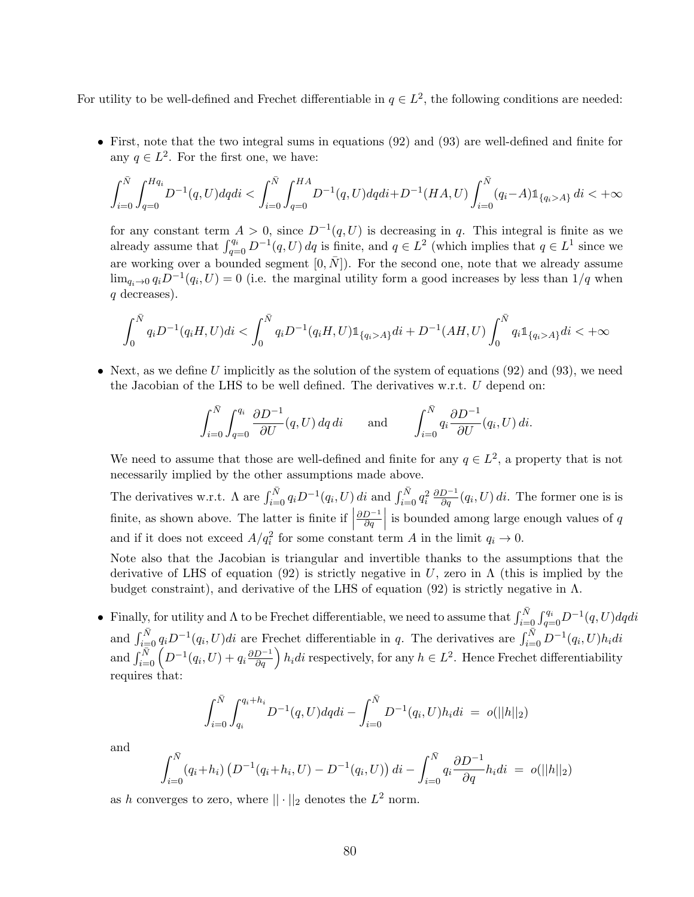For utility to be well-defined and Frechet differentiable in  $q \in L^2$ , the following conditions are needed:

• First, note that the two integral sums in equations (92) and (93) are well-defined and finite for any  $q \in L^2$ . For the first one, we have:

$$
\int_{i=0}^{\bar{N}}\int_{q=0}^{Hq_i}D^{-1}(q,U)dqdi<\int_{i=0}^{\bar{N}}\int_{q=0}^{HA}D^{-1}(q,U)dqdi+D^{-1}(HA,U)\int_{i=0}^{\bar{N}}(q_i-A)1\!\!1_{\{q_i>A\}}\,di<+\infty
$$

for any constant term  $A > 0$ , since  $D^{-1}(q, U)$  is decreasing in q. This integral is finite as we already assume that  $\int_{q=0}^{q_i} D^{-1}(q, U) dq$  is finite, and  $q \in L^2$  (which implies that  $q \in L^1$  since we are working over a bounded segment  $[0, \overline{N}]$ ). For the second one, note that we already assume  $\lim_{q_i \to 0} q_i D^{-1}(q_i, U) = 0$  (i.e. the marginal utility form a good increases by less than  $1/q$  when q decreases).

$$
\int_0^{\bar{N}} q_i D^{-1}(q_i H, U)di < \int_0^{\bar{N}} q_i D^{-1}(q_i H, U) \mathbb{1}_{\{q_i > A\}} di + D^{-1}(AH, U) \int_0^{\bar{N}} q_i \mathbb{1}_{\{q_i > A\}} di < +\infty
$$

• Next, as we define U implicitly as the solution of the system of equations  $(92)$  and  $(93)$ , we need the Jacobian of the LHS to be well defined. The derivatives w.r.t.  $U$  depend on:

$$
\int_{i=0}^{\bar{N}} \int_{q=0}^{q_i} \frac{\partial D^{-1}}{\partial U}(q, U) \, dq \, di \qquad \text{and} \qquad \int_{i=0}^{\bar{N}} q_i \frac{\partial D^{-1}}{\partial U}(q_i, U) \, di.
$$

We need to assume that those are well-defined and finite for any  $q \in L^2$ , a property that is not necessarily implied by the other assumptions made above.

The derivatives w.r.t.  $\Lambda$  are  $\int_{i=0}^{\bar{N}} q_i D^{-1}(q_i, U) dt$  and  $\int_{i=0}^{\bar{N}} q_i^2 \frac{\partial D^{-1}}{\partial q}(q_i, U) dt$ . The former one is is finite, as shown above. The latter is finite if  $\Big|$  $\partial D^{-1}$  $\left. \frac{D^{-1}}{\partial q} \right|$  is bounded among large enough values of q and if it does not exceed  $A/q_i^2$  for some constant term A in the limit  $q_i \to 0$ .

Note also that the Jacobian is triangular and invertible thanks to the assumptions that the derivative of LHS of equation (92) is strictly negative in U, zero in  $\Lambda$  (this is implied by the budget constraint), and derivative of the LHS of equation (92) is strictly negative in  $\Lambda$ .

Finally, for utility and  $\Lambda$  to be Frechet differentiable, we need to assume that  $\int_{i=0}^{\bar{N}} \int_{q=0}^{q_i} D^{-1}(q, U) dqdi$ and  $\int_{i=0}^{\bar{N}} q_i D^{-1}(q_i, U) di$  are Frechet differentiable in q. The derivatives are  $\int_{i=0}^{\bar{N}} D^{-1}(q_i, U) h_i di$ and  $\int_{i=0}^{\bar{N}} \left( D^{-1}(q_i, U) + q_i \frac{\partial D^{-1}}{\partial q} \right) h_i di$  respectively, for any  $h \in L^2$ . Hence Frechet differentiability requires that:

$$
\int_{i=0}^{\bar{N}} \int_{q_i}^{q_i+h_i} D^{-1}(q, U) dq di - \int_{i=0}^{\bar{N}} D^{-1}(q_i, U) h_i di = o(||h||_2)
$$

and

$$
\int_{i=0}^{\bar{N}} (q_i + h_i) \left( D^{-1}(q_i + h_i, U) - D^{-1}(q_i, U) \right) di - \int_{i=0}^{\bar{N}} q_i \frac{\partial D^{-1}}{\partial q} h_i di = o(||h||_2)
$$

as h converges to zero, where  $|| \cdot ||_2$  denotes the  $L^2$  norm.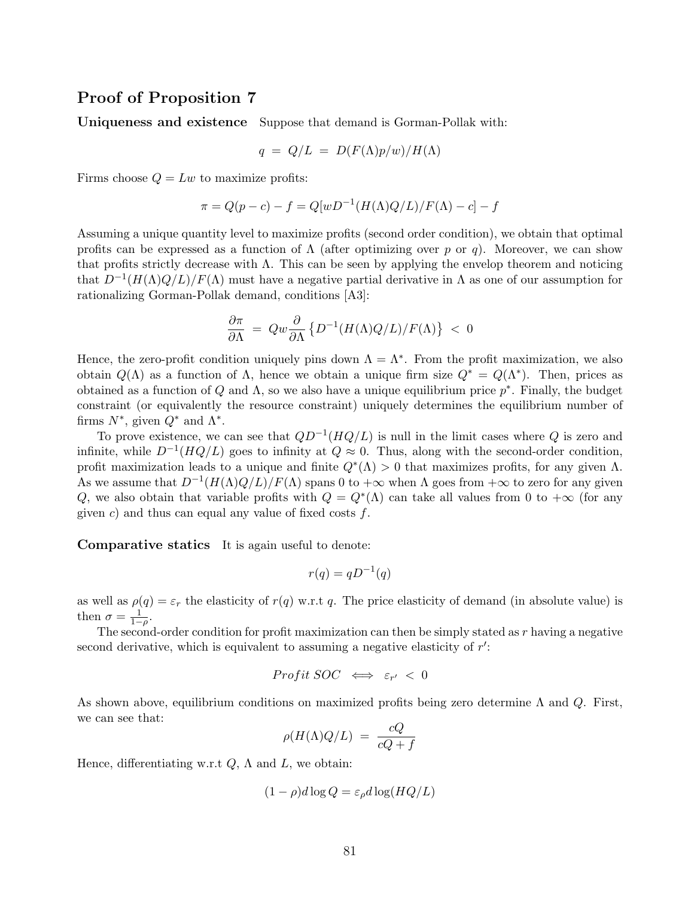## Proof of Proposition 7

Uniqueness and existence Suppose that demand is Gorman-Pollak with:

$$
q = Q/L = D(F(\Lambda)p/w)/H(\Lambda)
$$

Firms choose  $Q = Lw$  to maximize profits:

$$
\pi = Q(p-c) - f = Q[wD^{-1}(H(\Lambda)Q/L)/F(\Lambda) - c] - f
$$

Assuming a unique quantity level to maximize profits (second order condition), we obtain that optimal profits can be expressed as a function of  $\Lambda$  (after optimizing over p or q). Moreover, we can show that profits strictly decrease with  $\Lambda$ . This can be seen by applying the envelop theorem and noticing that  $D^{-1}(H(\Lambda)Q/L)/F(\Lambda)$  must have a negative partial derivative in  $\Lambda$  as one of our assumption for rationalizing Gorman-Pollak demand, conditions [A3]:

$$
\frac{\partial \pi}{\partial \Lambda} \ = \ Q w \frac{\partial}{\partial \Lambda} \left\{ D^{-1} (H(\Lambda) Q/L) / F(\Lambda) \right\} \ < \ 0
$$

Hence, the zero-profit condition uniquely pins down  $\Lambda = \Lambda^*$ . From the profit maximization, we also obtain  $Q(\Lambda)$  as a function of  $\Lambda$ , hence we obtain a unique firm size  $Q^* = Q(\Lambda^*)$ . Then, prices as obtained as a function of Q and  $\Lambda$ , so we also have a unique equilibrium price  $p^*$ . Finally, the budget constraint (or equivalently the resource constraint) uniquely determines the equilibrium number of firms  $N^*$ , given  $Q^*$  and  $\Lambda^*$ .

To prove existence, we can see that  $QD^{-1}(HQ/L)$  is null in the limit cases where Q is zero and infinite, while  $D^{-1}(HQ/L)$  goes to infinity at  $Q \approx 0$ . Thus, along with the second-order condition, profit maximization leads to a unique and finite  $Q^*(\Lambda) > 0$  that maximizes profits, for any given  $\Lambda$ . As we assume that  $D^{-1}(H(\Lambda)Q/L)/F(\Lambda)$  spans 0 to  $+\infty$  when  $\Lambda$  goes from  $+\infty$  to zero for any given Q, we also obtain that variable profits with  $Q = Q^*(\Lambda)$  can take all values from 0 to  $+\infty$  (for any given c) and thus can equal any value of fixed costs  $f$ .

Comparative statics It is again useful to denote:

$$
r(q) = qD^{-1}(q)
$$

as well as  $\rho(q) = \varepsilon_r$  the elasticity of  $r(q)$  w.r.t q. The price elasticity of demand (in absolute value) is then  $\sigma = \frac{1}{1-\rho}$ .

The second-order condition for profit maximization can then be simply stated as  $r$  having a negative second derivative, which is equivalent to assuming a negative elasticity of  $r'$ :

$$
Profit\ SOC \iff \varepsilon_{r'} < 0
$$

As shown above, equilibrium conditions on maximized profits being zero determine  $\Lambda$  and  $Q$ . First, we can see that:

$$
\rho(H(\Lambda)Q/L) = \frac{cQ}{cQ+f}
$$

Hence, differentiating w.r.t  $Q$ ,  $\Lambda$  and  $L$ , we obtain:

$$
(1 - \rho)d\log Q = \varepsilon_{\rho}d\log(HQ/L)
$$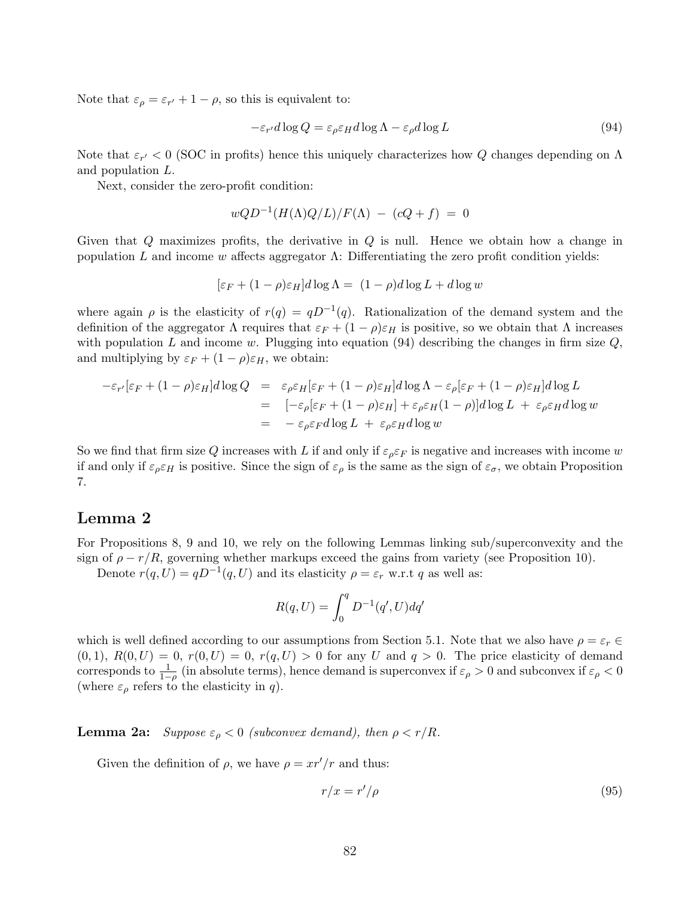Note that  $\varepsilon_{\rho} = \varepsilon_{r'} + 1 - \rho$ , so this is equivalent to:

$$
-\varepsilon_{r'}d\log Q = \varepsilon_{\rho}\varepsilon_H d\log\Lambda - \varepsilon_{\rho}d\log L \tag{94}
$$

Note that  $\varepsilon_{r'} < 0$  (SOC in profits) hence this uniquely characterizes how Q changes depending on  $\Lambda$ and population L.

Next, consider the zero-profit condition:

$$
wQD^{-1}(H(\Lambda)Q/L)/F(\Lambda) - (cQ+f) = 0
$$

Given that Q maximizes profits, the derivative in Q is null. Hence we obtain how a change in population L and income w affects aggregator  $\Lambda$ : Differentiating the zero profit condition yields:

$$
[\varepsilon_F + (1 - \rho)\varepsilon_H]d\log\Lambda = (1 - \rho)d\log L + d\log w
$$

where again  $\rho$  is the elasticity of  $r(q) = qD^{-1}(q)$ . Rationalization of the demand system and the definition of the aggregator  $\Lambda$  requires that  $\varepsilon_F + (1 - \rho)\varepsilon_H$  is positive, so we obtain that  $\Lambda$  increases with population L and income w. Plugging into equation  $(94)$  describing the changes in firm size Q, and multiplying by  $\varepsilon_F + (1 - \rho)\varepsilon_H$ , we obtain:

$$
-\varepsilon_{r'}[\varepsilon_F + (1-\rho)\varepsilon_H]d\log Q = \varepsilon_{\rho}\varepsilon_H[\varepsilon_F + (1-\rho)\varepsilon_H]d\log\Lambda - \varepsilon_{\rho}[\varepsilon_F + (1-\rho)\varepsilon_H]d\log L
$$
  
\n
$$
= [-\varepsilon_{\rho}[\varepsilon_F + (1-\rho)\varepsilon_H] + \varepsilon_{\rho}\varepsilon_H(1-\rho)]d\log L + \varepsilon_{\rho}\varepsilon_H d\log w
$$
  
\n
$$
= -\varepsilon_{\rho}\varepsilon_F d\log L + \varepsilon_{\rho}\varepsilon_H d\log w
$$

So we find that firm size Q increases with L if and only if  $\varepsilon_{\rho} \varepsilon_F$  is negative and increases with income w if and only if  $\varepsilon_{\rho} \varepsilon_H$  is positive. Since the sign of  $\varepsilon_{\rho}$  is the same as the sign of  $\varepsilon_{\sigma}$ , we obtain Proposition 7.

## Lemma 2

For Propositions 8, 9 and 10, we rely on the following Lemmas linking sub/superconvexity and the sign of  $\rho - r/R$ , governing whether markups exceed the gains from variety (see Proposition 10).

Denote  $r(q, U) = qD^{-1}(q, U)$  and its elasticity  $\rho = \varepsilon_r$  w.r.t q as well as:

$$
R(q,U)=\int_0^q D^{-1}(q',U)dq'
$$

which is well defined according to our assumptions from Section 5.1. Note that we also have  $\rho = \varepsilon_r \in$  $(0, 1), R(0, U) = 0, r(0, U) = 0, r(q, U) > 0$  for any U and  $q > 0$ . The price elasticity of demand corresponds to  $\frac{1}{1-\rho}$  (in absolute terms), hence demand is superconvex if  $\varepsilon_\rho > 0$  and subconvex if  $\varepsilon_\rho < 0$ (where  $\varepsilon_{\rho}$  refers to the elasticity in q).

**Lemma 2a:** Suppose  $\varepsilon_{\rho} < 0$  (subconvex demand), then  $\rho < r/R$ .

Given the definition of  $\rho$ , we have  $\rho = \frac{xr'}{r}$  and thus:

$$
r/x = r'/\rho \tag{95}
$$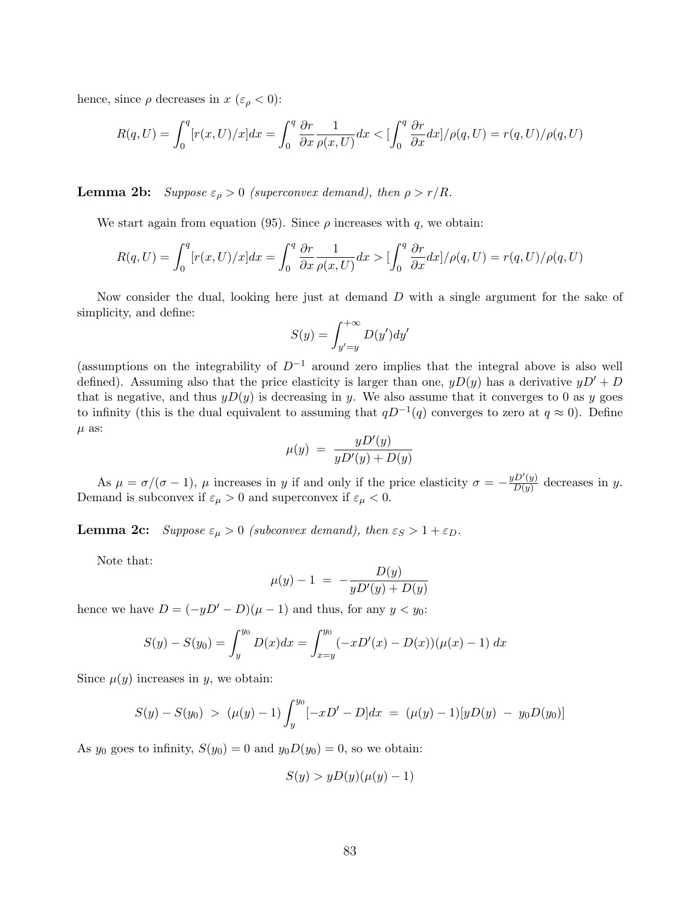hence, since  $\rho$  decreases in  $x \ (\varepsilon_{\rho} < 0)$ :

$$
R(q,U) = \int_0^q [r(x,U)/x]dx = \int_0^q \frac{\partial r}{\partial x} \frac{1}{\rho(x,U)} dx < \left[\int_0^q \frac{\partial r}{\partial x} dx\right] / \rho(q,U) = r(q,U) / \rho(q,U)
$$

**Lemma 2b:** Suppose  $\varepsilon_{\rho} > 0$  (superconvex demand), then  $\rho > r/R$ .

We start again from equation (95). Since  $\rho$  increases with q, we obtain:

$$
R(q,U) = \int_0^q [r(x,U)/x]dx = \int_0^q \frac{\partial r}{\partial x} \frac{1}{\rho(x,U)} dx > \left[\int_0^q \frac{\partial r}{\partial x} dx\right] / \rho(q,U) = r(q,U) / \rho(q,U)
$$

Now consider the dual, looking here just at demand D with a single argument for the sake of simplicity, and define:

$$
S(y) = \int_{y'=y}^{+\infty} D(y') dy'
$$

(assumptions on the integrability of  $D^{-1}$  around zero implies that the integral above is also well defined). Assuming also that the price elasticity is larger than one,  $yD(y)$  has a derivative  $yD' + D$ that is negative, and thus  $yD(y)$  is decreasing in y. We also assume that it converges to 0 as y goes to infinity (this is the dual equivalent to assuming that  $qD^{-1}(q)$  converges to zero at  $q \approx 0$ ). Define  $\mu$  as:

$$
\mu(y) = \frac{yD'(y)}{yD'(y) + D(y)}
$$

As  $\mu = \sigma/(\sigma - 1)$ ,  $\mu$  increases in y if and only if the price elasticity  $\sigma = -\frac{yD'(y)}{D(y)}$  $\frac{D(y)}{D(y)}$  decreases in y. Demand is subconvex if  $\varepsilon_{\mu} > 0$  and superconvex if  $\varepsilon_{\mu} < 0$ .

**Lemma 2c:** Suppose  $\varepsilon_{\mu} > 0$  (subconvex demand), then  $\varepsilon_{S} > 1 + \varepsilon_{D}$ .

Note that:

$$
\mu(y) - 1 = -\frac{D(y)}{yD'(y) + D(y)}
$$

hence we have  $D = (-yD' - D)(\mu - 1)$  and thus, for any  $y < y_0$ :

$$
S(y) - S(y_0) = \int_y^{y_0} D(x)dx = \int_{x=y}^{y_0} (-xD'(x) - D(x))(\mu(x) - 1) dx
$$

Since  $\mu(y)$  increases in y, we obtain:

$$
S(y) - S(y_0) > (\mu(y) - 1) \int_y^{y_0} [-xD' - D] dx = (\mu(y) - 1) [yD(y) - y_0D(y_0)]
$$

As  $y_0$  goes to infinity,  $S(y_0) = 0$  and  $y_0D(y_0) = 0$ , so we obtain:

$$
S(y) > yD(y)(\mu(y) - 1)
$$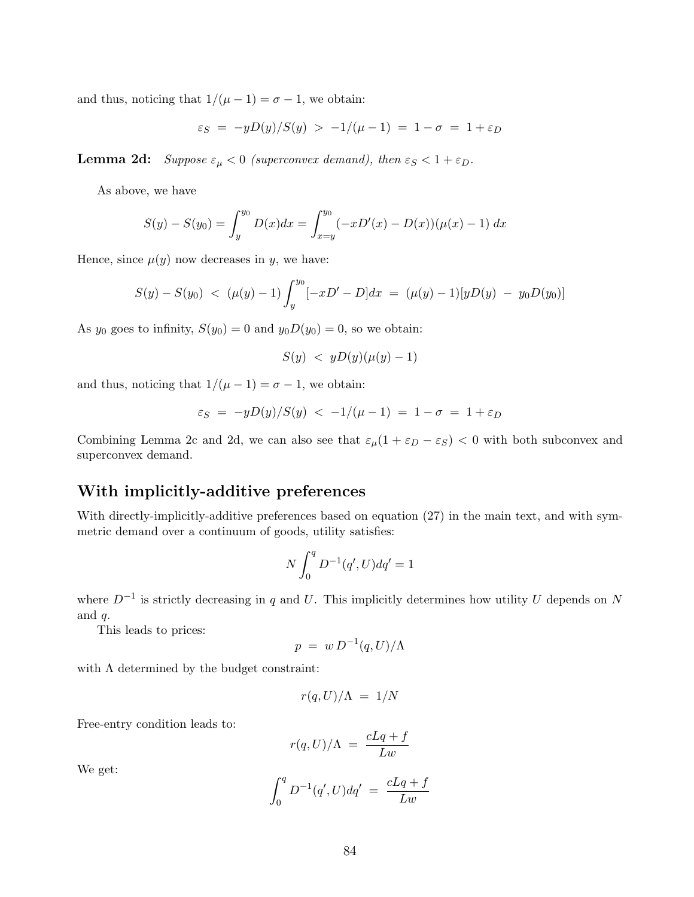and thus, noticing that  $1/(\mu - 1) = \sigma - 1$ , we obtain:

$$
\varepsilon_S = -yD(y)/S(y) > -1/(\mu - 1) = 1 - \sigma = 1 + \varepsilon_D
$$

**Lemma 2d:** Suppose  $\varepsilon_{\mu} < 0$  (superconvex demand), then  $\varepsilon_{S} < 1 + \varepsilon_{D}$ .

As above, we have

$$
S(y) - S(y_0) = \int_y^{y_0} D(x)dx = \int_{x=y}^{y_0} (-xD'(x) - D(x))(\mu(x) - 1) dx
$$

Hence, since  $\mu(y)$  now decreases in y, we have:

$$
S(y) - S(y_0) < (\mu(y) - 1) \int_{y}^{y_0} [-xD' - D] dx = (\mu(y) - 1)[yD(y) - y_0D(y_0)]
$$

As  $y_0$  goes to infinity,  $S(y_0) = 0$  and  $y_0D(y_0) = 0$ , so we obtain:

$$
S(y) < yD(y)(\mu(y) - 1)
$$

and thus, noticing that  $1/(\mu - 1) = \sigma - 1$ , we obtain:

$$
\varepsilon_S = -yD(y)/S(y) < -1/(\mu - 1) = 1 - \sigma = 1 + \varepsilon_D
$$

Combining Lemma 2c and 2d, we can also see that  $\varepsilon_{\mu}(1 + \varepsilon_{D} - \varepsilon_{S})$  < 0 with both subconvex and superconvex demand.

# With implicitly-additive preferences

With directly-implicitly-additive preferences based on equation (27) in the main text, and with symmetric demand over a continuum of goods, utility satisfies:

$$
N \int_0^q D^{-1}(q', U) dq' = 1
$$

where  $D^{-1}$  is strictly decreasing in q and U. This implicitly determines how utility U depends on N and  $q$ .

This leads to prices:

$$
p = w D^{-1}(q, U) / \Lambda
$$

with  $\Lambda$  determined by the budget constraint:

$$
r(q,U)/\Lambda\ =\ 1/N
$$

Free-entry condition leads to:

$$
r(q, U)/\Lambda = \frac{cLq + f}{Lw}
$$

We get:

$$
\int_0^q D^{-1}(q',U)dq' = \frac{cLq+f}{Lw}
$$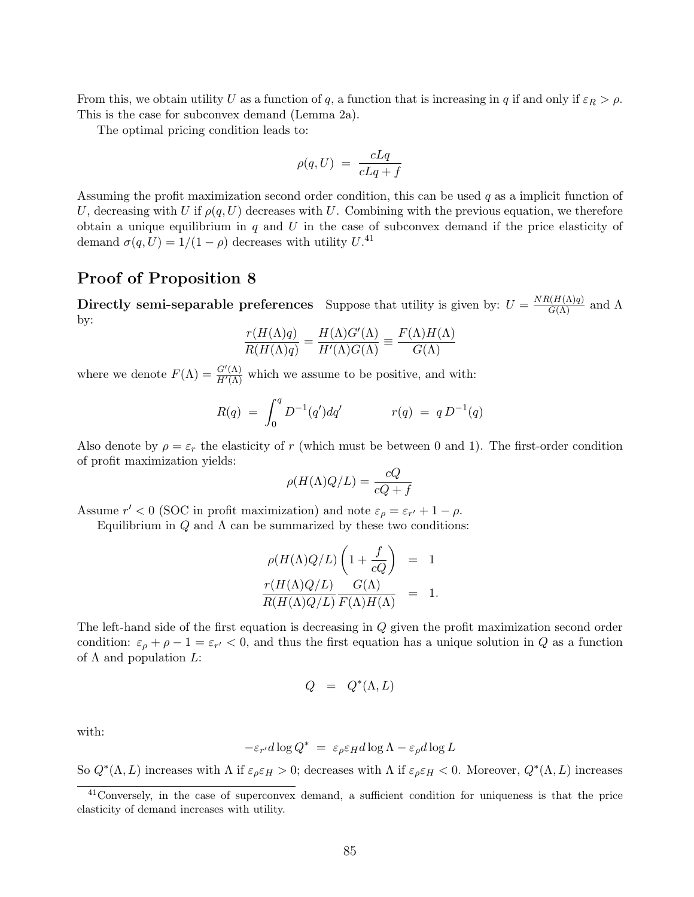From this, we obtain utility U as a function of q, a function that is increasing in q if and only if  $\varepsilon_R > \rho$ . This is the case for subconvex demand (Lemma 2a).

The optimal pricing condition leads to:

$$
\rho(q, U) = \frac{cLq}{cLq + f}
$$

Assuming the profit maximization second order condition, this can be used  $q$  as a implicit function of U, decreasing with U if  $\rho(q, U)$  decreases with U. Combining with the previous equation, we therefore obtain a unique equilibrium in  $q$  and  $U$  in the case of subconvex demand if the price elasticity of demand  $\sigma(q, U) = 1/(1 - \rho)$  decreases with utility  $U^{(4)}$ .

# Proof of Proposition 8

Directly semi-separable preferences Suppose that utility is given by:  $U = \frac{NR(H(\Lambda)q)}{G(\Lambda)}$  and  $\Lambda$ by:

$$
\frac{r(H(\Lambda)q)}{R(H(\Lambda)q)} = \frac{H(\Lambda)G'(\Lambda)}{H'(\Lambda)G(\Lambda)} \equiv \frac{F(\Lambda)H(\Lambda)}{G(\Lambda)}
$$

where we denote  $F(\Lambda) = \frac{G'(\Lambda)}{H'(\Lambda)}$  which we assume to be positive, and with:

$$
R(q) = \int_0^q D^{-1}(q')dq' \qquad r(q) = q D^{-1}(q)
$$

Also denote by  $\rho = \varepsilon_r$  the elasticity of r (which must be between 0 and 1). The first-order condition of profit maximization yields:

$$
\rho(H(\Lambda)Q/L) = \frac{cQ}{cQ+f}
$$

Assume  $r' < 0$  (SOC in profit maximization) and note  $\varepsilon_{\rho} = \varepsilon_{r'} + 1 - \rho$ .

Equilibrium in  $Q$  and  $\Lambda$  can be summarized by these two conditions:

$$
\rho(H(\Lambda)Q/L)\left(1+\frac{f}{cQ}\right) = 1
$$
  

$$
\frac{r(H(\Lambda)Q/L)}{R(H(\Lambda)Q/L)}\frac{G(\Lambda)}{F(\Lambda)H(\Lambda)} = 1.
$$

The left-hand side of the first equation is decreasing in Q given the profit maximization second order condition:  $\varepsilon_{\rho} + \rho - 1 = \varepsilon_{r'} < 0$ , and thus the first equation has a unique solution in Q as a function of  $\Lambda$  and population  $L$ :

$$
Q \quad = \quad Q^*(\Lambda,L)
$$

with:

$$
-\varepsilon_{r'}d\log Q^* = \varepsilon_{\rho}\varepsilon_H d\log\Lambda - \varepsilon_{\rho}d\log L
$$

So  $Q^*(\Lambda, L)$  increases with  $\Lambda$  if  $\varepsilon_\rho \varepsilon_H > 0$ ; decreases with  $\Lambda$  if  $\varepsilon_\rho \varepsilon_H < 0$ . Moreover,  $Q^*(\Lambda, L)$  increases

<sup>&</sup>lt;sup>41</sup>Conversely, in the case of superconvex demand, a sufficient condition for uniqueness is that the price elasticity of demand increases with utility.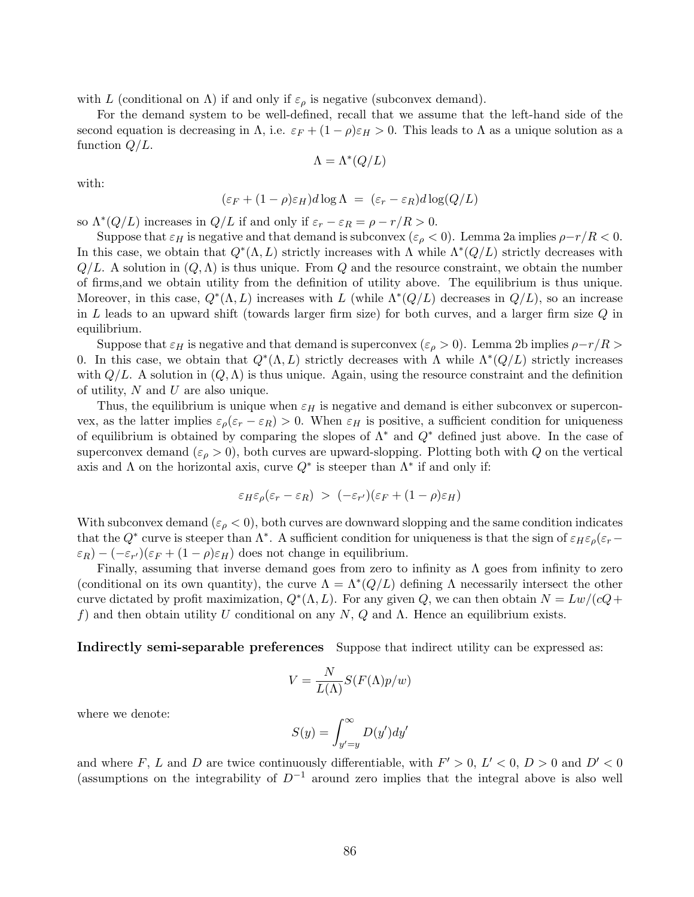with L (conditional on  $\Lambda$ ) if and only if  $\varepsilon_{\rho}$  is negative (subconvex demand).

For the demand system to be well-defined, recall that we assume that the left-hand side of the second equation is decreasing in  $\Lambda$ , i.e.  $\varepsilon_F + (1 - \rho)\varepsilon_H > 0$ . This leads to  $\Lambda$  as a unique solution as a function  $Q/L$ .

$$
\Lambda=\Lambda^*(Q/L)
$$

with:

$$
(\varepsilon_F + (1 - \rho)\varepsilon_H)d\log\Lambda = (\varepsilon_r - \varepsilon_R)d\log(Q/L)
$$

so  $\Lambda^*(Q/L)$  increases in  $Q/L$  if and only if  $\varepsilon_r - \varepsilon_R = \rho - r/R > 0$ .

Suppose that  $\varepsilon_H$  is negative and that demand is subconvex ( $\varepsilon_\rho < 0$ ). Lemma 2a implies  $\rho - r/R < 0$ . In this case, we obtain that  $Q^*(\Lambda, L)$  strictly increases with  $\Lambda$  while  $\Lambda^*(Q/L)$  strictly decreases with  $Q/L$ . A solution in  $(Q, \Lambda)$  is thus unique. From Q and the resource constraint, we obtain the number of firms,and we obtain utility from the definition of utility above. The equilibrium is thus unique. Moreover, in this case,  $Q^*(\Lambda, L)$  increases with L (while  $\Lambda^*(Q/L)$  decreases in  $Q/L$ ), so an increase in L leads to an upward shift (towards larger firm size) for both curves, and a larger firm size  $Q$  in equilibrium.

Suppose that  $\varepsilon_H$  is negative and that demand is superconvex ( $\varepsilon_\rho > 0$ ). Lemma 2b implies  $\rho-r/R >$ 0. In this case, we obtain that  $Q^*(\Lambda, L)$  strictly decreases with  $\Lambda$  while  $\Lambda^*(Q/L)$  strictly increases with  $Q/L$ . A solution in  $(Q, \Lambda)$  is thus unique. Again, using the resource constraint and the definition of utility,  $N$  and  $U$  are also unique.

Thus, the equilibrium is unique when  $\varepsilon_H$  is negative and demand is either subconvex or superconvex, as the latter implies  $\varepsilon_{\rho}(\varepsilon_{r}-\varepsilon_{R})>0$ . When  $\varepsilon_{H}$  is positive, a sufficient condition for uniqueness of equilibrium is obtained by comparing the slopes of  $\Lambda^*$  and  $Q^*$  defined just above. In the case of superconvex demand  $(\varepsilon_{\rho} > 0)$ , both curves are upward-slopping. Plotting both with Q on the vertical axis and  $\Lambda$  on the horizontal axis, curve  $Q^*$  is steeper than  $\Lambda^*$  if and only if:

$$
\varepsilon_H \varepsilon_\rho (\varepsilon_r - \varepsilon_R) > (-\varepsilon_{r'}) (\varepsilon_F + (1 - \rho) \varepsilon_H)
$$

With subconvex demand  $(\varepsilon_{\rho} < 0)$ , both curves are downward slopping and the same condition indicates that the  $Q^*$  curve is steeper than  $\Lambda^*$ . A sufficient condition for uniqueness is that the sign of  $\varepsilon_H \varepsilon_\rho (\varepsilon_r \varepsilon_R$ ) –  $(-\varepsilon_{r'}) (\varepsilon_F + (1-\rho)\varepsilon_H)$  does not change in equilibrium.

Finally, assuming that inverse demand goes from zero to infinity as  $\Lambda$  goes from infinity to zero (conditional on its own quantity), the curve  $\Lambda = \Lambda^*(Q/L)$  defining  $\Lambda$  necessarily intersect the other curve dictated by profit maximization,  $Q^*(\Lambda, L)$ . For any given Q, we can then obtain  $N = Lw/(cQ +$ f) and then obtain utility U conditional on any N, Q and  $\Lambda$ . Hence an equilibrium exists.

Indirectly semi-separable preferences Suppose that indirect utility can be expressed as:

$$
V = \frac{N}{L(\Lambda)} S(F(\Lambda)p/w)
$$

where we denote:

$$
S(y) = \int_{y'=y}^{\infty} D(y') dy'
$$

and where F, L and D are twice continuously differentiable, with  $F' > 0$ ,  $L' < 0$ ,  $D > 0$  and  $D' < 0$ (assumptions on the integrability of  $D^{-1}$  around zero implies that the integral above is also well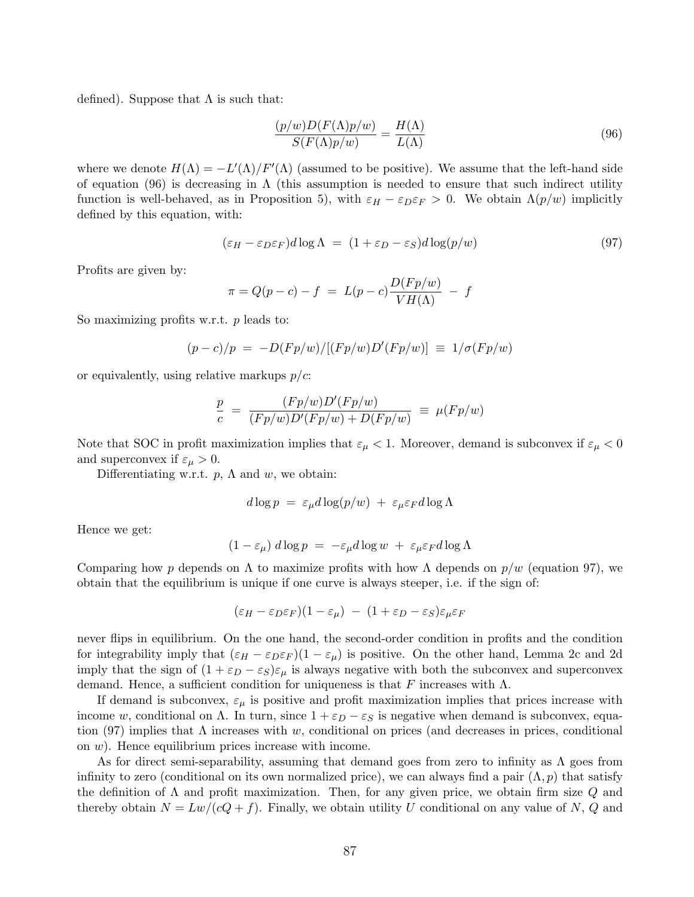defined). Suppose that  $\Lambda$  is such that:

$$
\frac{(p/w)D(F(\Lambda)p/w)}{S(F(\Lambda)p/w)} = \frac{H(\Lambda)}{L(\Lambda)}
$$
\n(96)

where we denote  $H(\Lambda) = -L'(\Lambda)/F'(\Lambda)$  (assumed to be positive). We assume that the left-hand side of equation (96) is decreasing in  $\Lambda$  (this assumption is needed to ensure that such indirect utility function is well-behaved, as in Proposition 5), with  $\varepsilon_H - \varepsilon_D \varepsilon_F > 0$ . We obtain  $\Lambda(p/w)$  implicitly defined by this equation, with:

$$
(\varepsilon_H - \varepsilon_D \varepsilon_F) d \log \Lambda = (1 + \varepsilon_D - \varepsilon_S) d \log(p/w)
$$
\n(97)

Profits are given by:

$$
\pi = Q(p-c) - f = L(p-c)\frac{D(Fp/w)}{VH(\Lambda)} - f
$$

So maximizing profits w.r.t. p leads to:

$$
(p - c)/p = -D(Fp/w)/[(Fp/w)D'(Fp/w)] \equiv 1/\sigma(Fp/w)
$$

or equivalently, using relative markups  $p/c$ :

$$
\frac{p}{c} = \frac{(Fp/w)D'(Fp/w)}{(Fp/w)D'(Fp/w) + D(Fp/w)} \equiv \mu(Fp/w)
$$

Note that SOC in profit maximization implies that  $\varepsilon_{\mu} < 1$ . Moreover, demand is subconvex if  $\varepsilon_{\mu} < 0$ and superconvex if  $\varepsilon_{\mu} > 0$ .

Differentiating w.r.t.  $p$ ,  $\Lambda$  and w, we obtain:

$$
d \log p = \varepsilon_{\mu} d \log (p/w) + \varepsilon_{\mu} \varepsilon_F d \log \Lambda
$$

Hence we get:

$$
(1 - \varepsilon_{\mu}) d \log p = -\varepsilon_{\mu} d \log w + \varepsilon_{\mu} \varepsilon_F d \log \Lambda
$$

Comparing how p depends on  $\Lambda$  to maximize profits with how  $\Lambda$  depends on  $p/w$  (equation 97), we obtain that the equilibrium is unique if one curve is always steeper, i.e. if the sign of:

$$
(\varepsilon_H - \varepsilon_D \varepsilon_F)(1 - \varepsilon_\mu) - (1 + \varepsilon_D - \varepsilon_S)\varepsilon_\mu \varepsilon_F
$$

never flips in equilibrium. On the one hand, the second-order condition in profits and the condition for integrability imply that  $(\varepsilon_H - \varepsilon_D \varepsilon_F)(1 - \varepsilon_\mu)$  is positive. On the other hand, Lemma 2c and 2d imply that the sign of  $(1 + \varepsilon_D - \varepsilon_S)\varepsilon_\mu$  is always negative with both the subconvex and superconvex demand. Hence, a sufficient condition for uniqueness is that F increases with  $\Lambda$ .

If demand is subconvex,  $\varepsilon_{\mu}$  is positive and profit maximization implies that prices increase with income w, conditional on  $\Lambda$ . In turn, since  $1 + \varepsilon_D - \varepsilon_S$  is negative when demand is subconvex, equation (97) implies that  $\Lambda$  increases with w, conditional on prices (and decreases in prices, conditional on  $w$ ). Hence equilibrium prices increase with income.

As for direct semi-separability, assuming that demand goes from zero to infinity as  $\Lambda$  goes from infinity to zero (conditional on its own normalized price), we can always find a pair  $(\Lambda, p)$  that satisfy the definition of  $\Lambda$  and profit maximization. Then, for any given price, we obtain firm size Q and thereby obtain  $N = Lw/(cQ + f)$ . Finally, we obtain utility U conditional on any value of N, Q and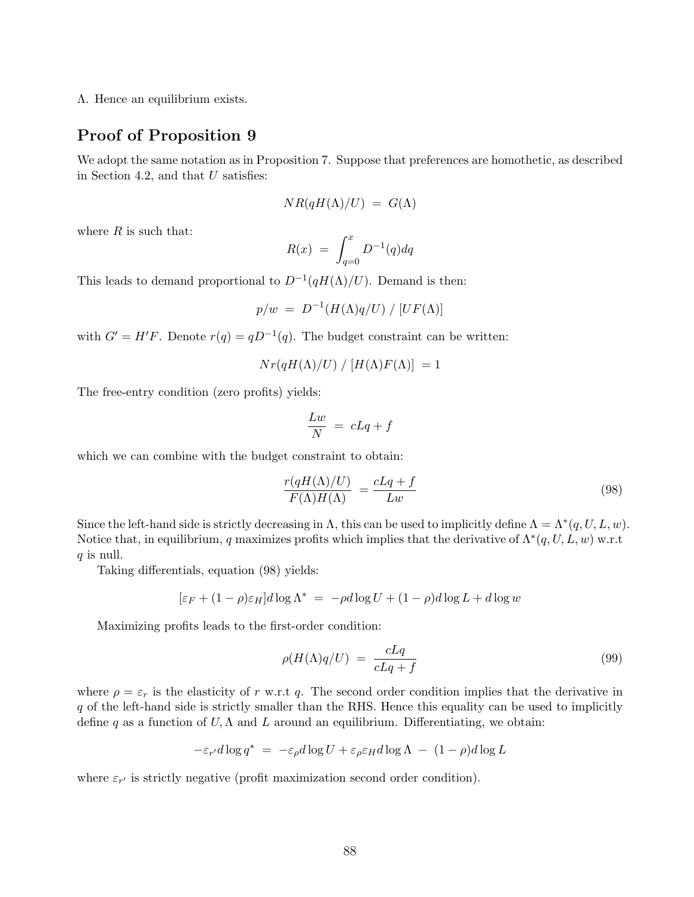Λ. Hence an equilibrium exists.

# Proof of Proposition 9

We adopt the same notation as in Proposition 7. Suppose that preferences are homothetic, as described in Section 4.2, and that  $U$  satisfies:

$$
NR(qH(\Lambda)/U) = G(\Lambda)
$$

where  $R$  is such that:

$$
R(x) \ = \ \int_{q=0}^{x} D^{-1}(q) dq
$$

This leads to demand proportional to  $D^{-1}(qH(\Lambda)/U)$ . Demand is then:

$$
p/w = D^{-1}(H(\Lambda)q/U) / [UF(\Lambda)]
$$

with  $G' = H'F$ . Denote  $r(q) = qD^{-1}(q)$ . The budget constraint can be written:

$$
Nr(qH(\Lambda)/U)\bigm/[H(\Lambda)F(\Lambda)]\big]=1
$$

The free-entry condition (zero profits) yields:

$$
\frac{Lw}{N} = cLq + f
$$

which we can combine with the budget constraint to obtain:

$$
\frac{r(qH(\Lambda)/U)}{F(\Lambda)H(\Lambda)} = \frac{cLq + f}{Lw} \tag{98}
$$

Since the left-hand side is strictly decreasing in  $\Lambda$ , this can be used to implicitly define  $\Lambda = \Lambda^*(q, U, L, w)$ . Notice that, in equilibrium, q maximizes profits which implies that the derivative of  $\Lambda^*(q, U, L, w)$  w.r.t  $q$  is null.

Taking differentials, equation (98) yields:

$$
[\varepsilon_F + (1 - \rho)\varepsilon_H]d\log\Lambda^* = -\rho d\log U + (1 - \rho)d\log L + d\log w
$$

Maximizing profits leads to the first-order condition:

$$
\rho(H(\Lambda)q/U) = \frac{cLq}{cLq+f} \tag{99}
$$

where  $\rho = \varepsilon_r$  is the elasticity of r w.r.t q. The second order condition implies that the derivative in q of the left-hand side is strictly smaller than the RHS. Hence this equality can be used to implicitly define q as a function of  $U, \Lambda$  and  $L$  around an equilibrium. Differentiating, we obtain:

$$
-\varepsilon_{r'}d\log q^* = -\varepsilon_{\rho}d\log U + \varepsilon_{\rho}\varepsilon_H d\log\Lambda - (1-\rho)d\log L
$$

where  $\varepsilon_{r'}$  is strictly negative (profit maximization second order condition).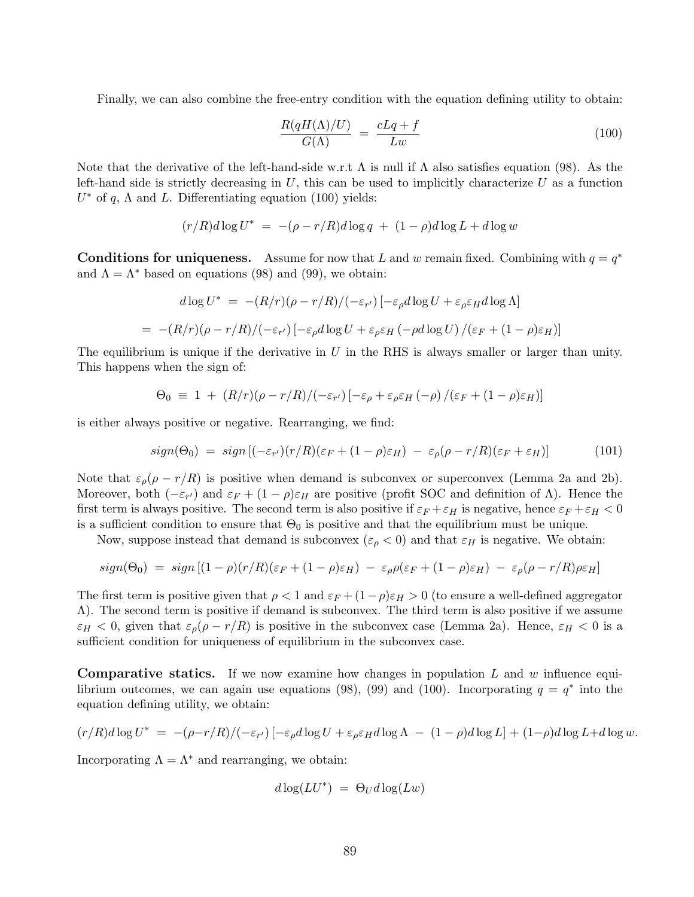Finally, we can also combine the free-entry condition with the equation defining utility to obtain:

$$
\frac{R(qH(\Lambda)/U)}{G(\Lambda)} = \frac{cLq + f}{Lw} \tag{100}
$$

Note that the derivative of the left-hand-side w.r.t  $\Lambda$  is null if  $\Lambda$  also satisfies equation (98). As the left-hand side is strictly decreasing in  $U$ , this can be used to implicitly characterize  $U$  as a function  $U^*$  of q,  $\Lambda$  and L. Differentiating equation (100) yields:

$$
(r/R)d\log U^* = -(\rho - r/R)d\log q + (1-\rho)d\log L + d\log w
$$

Conditions for uniqueness. Assume for now that L and w remain fixed. Combining with  $q = q^*$ and  $\Lambda = \Lambda^*$  based on equations (98) and (99), we obtain:

$$
d\log U^* = -(R/r)(\rho - r/R)/(-\varepsilon_{r'}) [-\varepsilon_{\rho}d\log U + \varepsilon_{\rho}\varepsilon_H d\log \Lambda]
$$
  
= -(R/r)(\rho - r/R)/(-\varepsilon\_{r'}) [-\varepsilon\_{\rho}d\log U + \varepsilon\_{\rho}\varepsilon\_H(-\rho d\log U)/(\varepsilon\_F + (1 - \rho)\varepsilon\_H)]

The equilibrium is unique if the derivative in  $U$  in the RHS is always smaller or larger than unity. This happens when the sign of:

$$
\Theta_0 \equiv 1 + (R/r)(\rho - r/R)/(-\varepsilon_{r'}) [-\varepsilon_{\rho} + \varepsilon_{\rho}\varepsilon_H(-\rho) / (\varepsilon_F + (1-\rho)\varepsilon_H)]
$$

is either always positive or negative. Rearranging, we find:

$$
sign(\Theta_0) = sign[(-\varepsilon_{r'})(r/R)(\varepsilon_F + (1-\rho)\varepsilon_H) - \varepsilon_{\rho}(\rho - r/R)(\varepsilon_F + \varepsilon_H)] \tag{101}
$$

Note that  $\varepsilon_{\rho}(\rho - r/R)$  is positive when demand is subconvex or superconvex (Lemma 2a and 2b). Moreover, both  $(-\varepsilon_{r'})$  and  $\varepsilon_F + (1-\rho)\varepsilon_H$  are positive (profit SOC and definition of  $\Lambda$ ). Hence the first term is always positive. The second term is also positive if  $\varepsilon_F + \varepsilon_H$  is negative, hence  $\varepsilon_F + \varepsilon_H < 0$ is a sufficient condition to ensure that  $\Theta_0$  is positive and that the equilibrium must be unique.

Now, suppose instead that demand is subconvex  $(\varepsilon_{\rho} < 0)$  and that  $\varepsilon_H$  is negative. We obtain:

$$
sign(\Theta_0) = sign [(1-\rho)(r/R)(\varepsilon_F + (1-\rho)\varepsilon_H) - \varepsilon_{\rho}\rho(\varepsilon_F + (1-\rho)\varepsilon_H) - \varepsilon_{\rho}(\rho - r/R)\rho\varepsilon_H]
$$

The first term is positive given that  $\rho < 1$  and  $\varepsilon_F + (1-\rho)\varepsilon_H > 0$  (to ensure a well-defined aggregator Λ). The second term is positive if demand is subconvex. The third term is also positive if we assume  $\varepsilon_H < 0$ , given that  $\varepsilon_\rho(\rho - r/R)$  is positive in the subconvex case (Lemma 2a). Hence,  $\varepsilon_H < 0$  is a sufficient condition for uniqueness of equilibrium in the subconvex case.

**Comparative statics.** If we now examine how changes in population L and  $w$  influence equilibrium outcomes, we can again use equations (98), (99) and (100). Incorporating  $q = q^*$  into the equation defining utility, we obtain:

$$
(r/R)d\log U^* = -(\rho - r/R)/(-\varepsilon_{r'})\left[-\varepsilon_{\rho}d\log U + \varepsilon_{\rho}\varepsilon_{H}d\log\Lambda - (1-\rho)d\log L\right] + (1-\rho)d\log L + d\log w.
$$

Incorporating  $\Lambda = \Lambda^*$  and rearranging, we obtain:

$$
d\log(LU^*) = \Theta_U d\log(Lw)
$$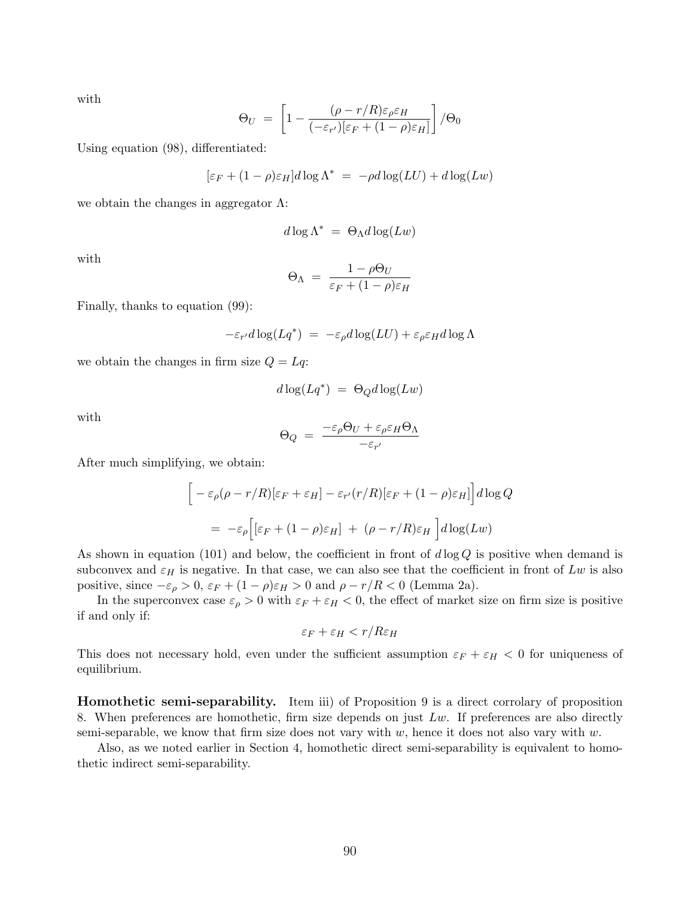with

$$
\Theta_U = \left[1 - \frac{(\rho - r/R)\varepsilon_{\rho}\varepsilon_H}{(-\varepsilon_{r'})[\varepsilon_F + (1 - \rho)\varepsilon_H]}\right] / \Theta_0
$$

Using equation (98), differentiated:

$$
[\varepsilon_F + (1 - \rho)\varepsilon_H]d\log\Lambda^* = -\rho d\log(LU) + d\log(Lw)
$$

we obtain the changes in aggregator  $\Lambda$ :

$$
d\log\Lambda^* = \Theta_\Lambda d\log(Lw)
$$

with

$$
\Theta_{\Lambda} = \frac{1 - \rho \Theta_U}{\varepsilon_F + (1 - \rho)\varepsilon_H}
$$

Finally, thanks to equation (99):

$$
-\varepsilon_{r'}d\log(Lq^*) = -\varepsilon_{\rho}d\log(LU) + \varepsilon_{\rho}\varepsilon_H d\log\Lambda
$$

we obtain the changes in firm size  $Q = Lq$ :

$$
d\log(Lq^*) = \Theta_Q d\log(Lw)
$$

with

$$
\Theta_Q = \frac{-\varepsilon_{\rho}\Theta_U + \varepsilon_{\rho}\varepsilon_H\Theta_\Lambda}{-\varepsilon_{r'}}
$$

After much simplifying, we obtain:

$$
\[ -\varepsilon_{\rho}(\rho - r/R)[\varepsilon_F + \varepsilon_H] - \varepsilon_{r'}(r/R)[\varepsilon_F + (1 - \rho)\varepsilon_H] \] d\log Q
$$
  

$$
= -\varepsilon_{\rho} \Big[ [\varepsilon_F + (1 - \rho)\varepsilon_H] + (\rho - r/R)\varepsilon_H \Big] d\log(Lw)
$$

As shown in equation (101) and below, the coefficient in front of  $d \log Q$  is positive when demand is subconvex and  $\varepsilon_H$  is negative. In that case, we can also see that the coefficient in front of Lw is also positive, since  $-\varepsilon_{\rho} > 0$ ,  $\varepsilon_F + (1 - \rho)\varepsilon_H > 0$  and  $\rho - r/R < 0$  (Lemma 2a).

In the superconvex case  $\varepsilon_{\rho} > 0$  with  $\varepsilon_F + \varepsilon_H < 0$ , the effect of market size on firm size is positive if and only if:

$$
\varepsilon_F + \varepsilon_H < r/R\varepsilon_H
$$

This does not necessary hold, even under the sufficient assumption  $\varepsilon_F + \varepsilon_H < 0$  for uniqueness of equilibrium.

Homothetic semi-separability. Item iii) of Proposition 9 is a direct corrolary of proposition 8. When preferences are homothetic, firm size depends on just  $Lw$ . If preferences are also directly semi-separable, we know that firm size does not vary with  $w$ , hence it does not also vary with  $w$ .

Also, as we noted earlier in Section 4, homothetic direct semi-separability is equivalent to homothetic indirect semi-separability.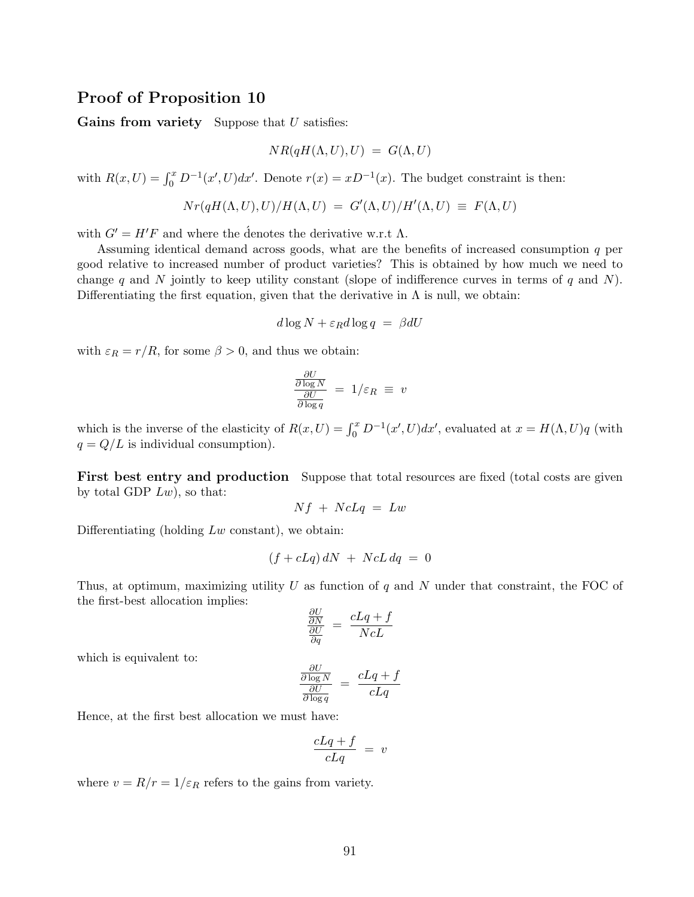## Proof of Proposition 10

Gains from variety Suppose that  $U$  satisfies:

$$
NR(qH(\Lambda, U), U) = G(\Lambda, U)
$$

with  $R(x, U) = \int_0^x D^{-1}(x', U) dx'$ . Denote  $r(x) = xD^{-1}(x)$ . The budget constraint is then:

$$
Nr(qH(\Lambda,U),U)/H(\Lambda,U) = G'(\Lambda,U)/H'(\Lambda,U) \equiv F(\Lambda,U)
$$

with  $G' = H'F$  and where the denotes the derivative w.r.t  $\Lambda$ .

Assuming identical demand across goods, what are the benefits of increased consumption q per good relative to increased number of product varieties? This is obtained by how much we need to change q and N jointly to keep utility constant (slope of indifference curves in terms of q and N). Differentiating the first equation, given that the derivative in  $\Lambda$  is null, we obtain:

$$
d\log N + \varepsilon_R d\log q = \beta dU
$$

with  $\varepsilon_R = r/R$ , for some  $\beta > 0$ , and thus we obtain:

$$
\frac{\frac{\partial U}{\partial \log N}}{\frac{\partial U}{\partial \log q}} = 1/\varepsilon_R \equiv v
$$

which is the inverse of the elasticity of  $R(x, U) = \int_0^x D^{-1}(x', U) dx'$ , evaluated at  $x = H(\Lambda, U)q$  (with  $q = Q/L$  is individual consumption).

First best entry and production Suppose that total resources are fixed (total costs are given by total GDP  $Lw$ ), so that:

$$
Nf + NcLq = Lw
$$

Differentiating (holding  $Lw$  constant), we obtain:

$$
(f + cLq) dN + NcL dq = 0
$$

Thus, at optimum, maximizing utility  $U$  as function of  $q$  and  $N$  under that constraint, the FOC of the first-best allocation implies:

$$
\frac{\frac{\partial U}{\partial N}}{\frac{\partial U}{\partial q}} = \frac{cLq + f}{NcL}
$$

which is equivalent to:

$$
\frac{\frac{\partial U}{\partial \log N}}{\frac{\partial U}{\partial \log q}} = \frac{cLq + f}{cLq}
$$

Hence, at the first best allocation we must have:

$$
\frac{cLq+f}{cLq} = v
$$

where  $v = R/r = 1/\varepsilon_R$  refers to the gains from variety.